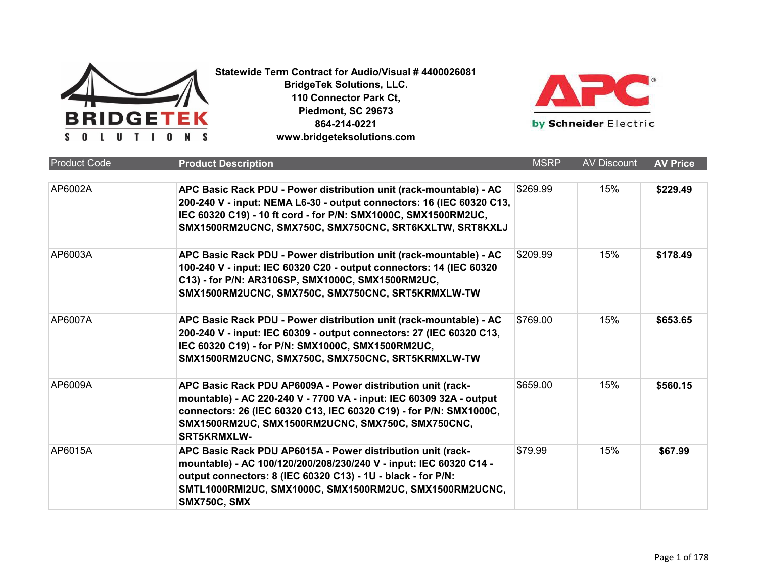



Product Code **Product Description** MSRP AV Discount **AV Price** AP6002A **APC Basic Rack PDU - Power distribution unit (rack-mountable) - AC 200-240 V - input: NEMA L6-30 - output connectors: 16 (IEC 60320 C13, IEC 60320 C19) - 10 ft cord - for P/N: SMX1000C, SMX1500RM2UC, SMX1500RM2UCNC, SMX750C, SMX750CNC, SRT6KXLTW, SRT8KXLJ** \$269.99 15% **\$229.49**  AP6003A **APC Basic Rack PDU - Power distribution unit (rack-mountable) - AC 100-240 V - input: IEC 60320 C20 - output connectors: 14 (IEC 60320 C13) - for P/N: AR3106SP, SMX1000C, SMX1500RM2UC, SMX1500RM2UCNC, SMX750C, SMX750CNC, SRT5KRMXLW-TW** \$209.99 15% **\$178.49**  AP6007A **APC Basic Rack PDU - Power distribution unit (rack-mountable) - AC 200-240 V - input: IEC 60309 - output connectors: 27 (IEC 60320 C13, IEC 60320 C19) - for P/N: SMX1000C, SMX1500RM2UC, SMX1500RM2UCNC, SMX750C, SMX750CNC, SRT5KRMXLW-TW** \$769.00 15% **\$653.65**  AP6009A **APC Basic Rack PDU AP6009A - Power distribution unit (rackmountable) - AC 220-240 V - 7700 VA - input: IEC 60309 32A - output connectors: 26 (IEC 60320 C13, IEC 60320 C19) - for P/N: SMX1000C, SMX1500RM2UC, SMX1500RM2UCNC, SMX750C, SMX750CNC, SRT5KRMXLW-** \$659.00 15% **\$560.15**  AP6015A **APC Basic Rack PDU AP6015A - Power distribution unit (rackmountable) - AC 100/120/200/208/230/240 V - input: IEC 60320 C14 output connectors: 8 (IEC 60320 C13) - 1U - black - for P/N: SMTL1000RMI2UC, SMX1000C, SMX1500RM2UC, SMX1500RM2UCNC, SMX750C, SMX** \$79.99 15% **\$67.99**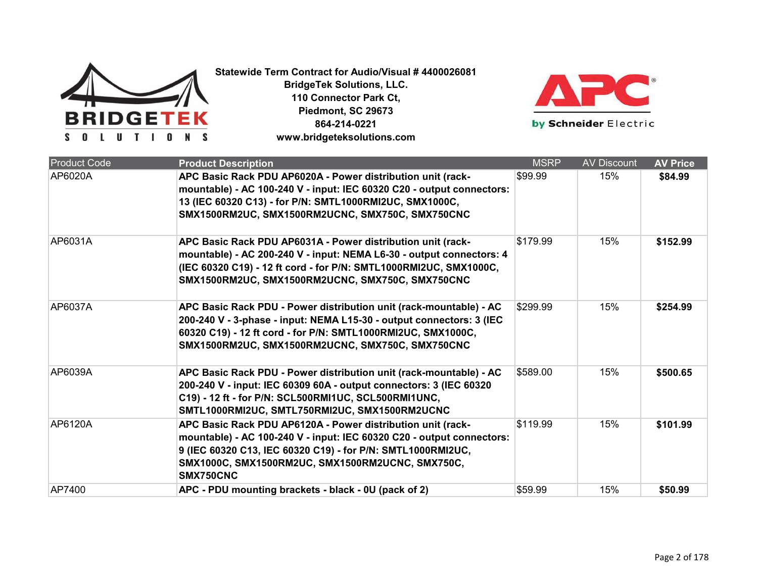



Product Code **Product Description** MSRP AV Discount **AV Price** AP6020A **APC Basic Rack PDU AP6020A - Power distribution unit (rack-**\$99.99 15% **\$84.99**  \$179.99 15% **\$152.99**  \$299.99 15% **\$254.99** 

| AFOUZUA | APU DASIC RACK PDU APOUZUA - POWER GISTRIQUION UNIT (TACK-<br>mountable) - AC 100-240 V - input: IEC 60320 C20 - output connectors:<br>13 (IEC 60320 C13) - for P/N: SMTL1000RMI2UC, SMX1000C,<br>SMX1500RM2UC, SMX1500RM2UCNC, SMX750C, SMX750CNC                   | ຈອອ.ອອ   | 1070. | J04.JJ   |
|---------|----------------------------------------------------------------------------------------------------------------------------------------------------------------------------------------------------------------------------------------------------------------------|----------|-------|----------|
| AP6031A | APC Basic Rack PDU AP6031A - Power distribution unit (rack-<br>mountable) - AC 200-240 V - input: NEMA L6-30 - output connectors: 4<br>(IEC 60320 C19) - 12 ft cord - for P/N: SMTL1000RMI2UC, SMX1000C,<br>SMX1500RM2UC, SMX1500RM2UCNC, SMX750C, SMX750CNC         | \$179.99 | 15%   | \$152.99 |
| AP6037A | APC Basic Rack PDU - Power distribution unit (rack-mountable) - AC<br>200-240 V - 3-phase - input: NEMA L15-30 - output connectors: 3 (IEC<br>60320 C19) - 12 ft cord - for P/N: SMTL1000RMI2UC, SMX1000C,<br>SMX1500RM2UC, SMX1500RM2UCNC, SMX750C, SMX750CNC       | \$299.99 | 15%   | \$254.99 |
| AP6039A | APC Basic Rack PDU - Power distribution unit (rack-mountable) - AC<br>200-240 V - input: IEC 60309 60A - output connectors: 3 (IEC 60320<br>C19) - 12 ft - for P/N: SCL500RMI1UC, SCL500RMI1UNC,<br>SMTL1000RMI2UC, SMTL750RMI2UC, SMX1500RM2UCNC                    | \$589.00 | 15%   | \$500.65 |
| AP6120A | APC Basic Rack PDU AP6120A - Power distribution unit (rack-<br>mountable) - AC 100-240 V - input: IEC 60320 C20 - output connectors:<br>9 (IEC 60320 C13, IEC 60320 C19) - for P/N: SMTL1000RMI2UC,<br>SMX1000C, SMX1500RM2UC, SMX1500RM2UCNC, SMX750C,<br>SMX750CNC | \$119.99 | 15%   | \$101.99 |
| AP7400  | APC - PDU mounting brackets - black - 0U (pack of 2)                                                                                                                                                                                                                 | \$59.99  | 15%   | \$50.99  |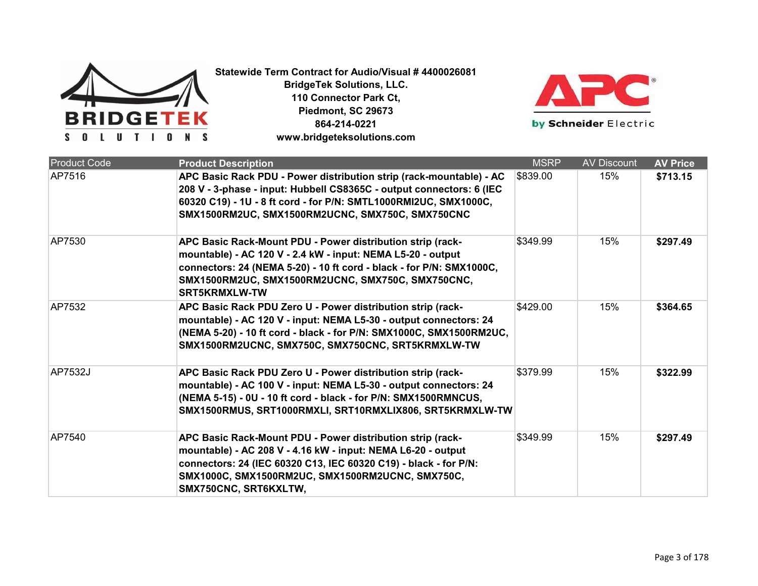



Product Code **Product Description** MSRP AV Discount **AV Price** AP7516 **APC Basic Rack PDU - Power distribution strip (rack-mountable) - AC 208 V - 3-phase - input: Hubbell CS8365C - output connectors: 6 (IEC 60320 C19) - 1U - 8 ft cord - for P/N: SMTL1000RMI2UC, SMX1000C, SMX1500RM2UC, SMX1500RM2UCNC, SMX750C, SMX750CNC** \$839.00 15% **\$713.15**  AP7530 **APC Basic Rack-Mount PDU - Power distribution strip (rackmountable) - AC 120 V - 2.4 kW - input: NEMA L5-20 - output connectors: 24 (NEMA 5-20) - 10 ft cord - black - for P/N: SMX1000C, SMX1500RM2UC, SMX1500RM2UCNC, SMX750C, SMX750CNC, SRT5KRMXLW-TW** \$349.99 15% **\$297.49**  AP7532 **APC Basic Rack PDU Zero U - Power distribution strip (rackmountable) - AC 120 V - input: NEMA L5-30 - output connectors: 24 (NEMA 5-20) - 10 ft cord - black - for P/N: SMX1000C, SMX1500RM2UC, SMX1500RM2UCNC, SMX750C, SMX750CNC, SRT5KRMXLW-TW** \$429.00 15% **\$364.65**  AP7532J **APC Basic Rack PDU Zero U - Power distribution strip (rackmountable) - AC 100 V - input: NEMA L5-30 - output connectors: 24 (NEMA 5-15) - 0U - 10 ft cord - black - for P/N: SMX1500RMNCUS, SMX1500RMUS, SRT1000RMXLI, SRT10RMXLIX806, SRT5KRMXLW-TW** \$379.99 15% **\$322.99**  AP7540 **APC Basic Rack-Mount PDU - Power distribution strip (rackmountable) - AC 208 V - 4.16 kW - input: NEMA L6-20 - output connectors: 24 (IEC 60320 C13, IEC 60320 C19) - black - for P/N: SMX1000C, SMX1500RM2UC, SMX1500RM2UCNC, SMX750C, SMX750CNC, SRT6KXLTW,** \$349.99 15% **\$297.49**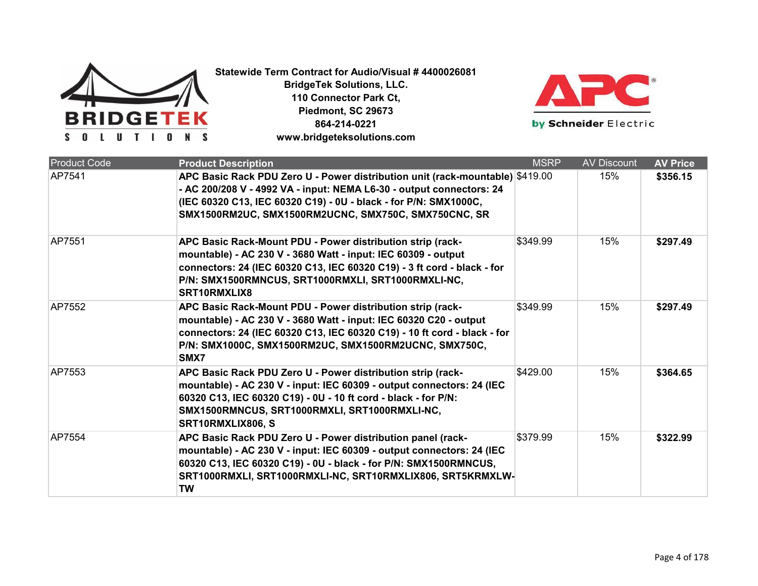



Product Code **Product Description** MSRP AV Discount **AV Price** AP7541 **APC Basic Rack PDU Zero U - Power distribution unit (rack-mountable) \$419.00 15% \$356.15 - AC 200/208 V - 4992 VA - input: NEMA L6-30 - output connectors: 24 (IEC 60320 C13, IEC 60320 C19) - 0U - black - for P/N: SMX1000C, SMX1500RM2UC, SMX1500RM2UCNC, SMX750C, SMX750CNC, SR** AP7551 **APC Basic Rack-Mount PDU - Power distribution strip (rackmountable) - AC 230 V - 3680 Watt - input: IEC 60309 - output connectors: 24 (IEC 60320 C13, IEC 60320 C19) - 3 ft cord - black - for P/N: SMX1500RMNCUS, SRT1000RMXLI, SRT1000RMXLI-NC, SRT10RMXLIX8** \$349.99 15% **\$297.49**  AP7552 **APC Basic Rack-Mount PDU - Power distribution strip (rackmountable) - AC 230 V - 3680 Watt - input: IEC 60320 C20 - output connectors: 24 (IEC 60320 C13, IEC 60320 C19) - 10 ft cord - black - for P/N: SMX1000C, SMX1500RM2UC, SMX1500RM2UCNC, SMX750C, SMX7** \$349.99 15% **\$297.49**  AP7553 **APC Basic Rack PDU Zero U - Power distribution strip (rackmountable) - AC 230 V - input: IEC 60309 - output connectors: 24 (IEC 60320 C13, IEC 60320 C19) - 0U - 10 ft cord - black - for P/N: SMX1500RMNCUS, SRT1000RMXLI, SRT1000RMXLI-NC, SRT10RMXLIX806, S** \$429.00 15% **\$364.65**  AP7554 **APC Basic Rack PDU Zero U - Power distribution panel (rackmountable) - AC 230 V - input: IEC 60309 - output connectors: 24 (IEC 60320 C13, IEC 60320 C19) - 0U - black - for P/N: SMX1500RMNCUS, SRT1000RMXLI, SRT1000RMXLI-NC, SRT10RMXLIX806, SRT5KRMXLW-TW** \$379.99 15% **\$322.99**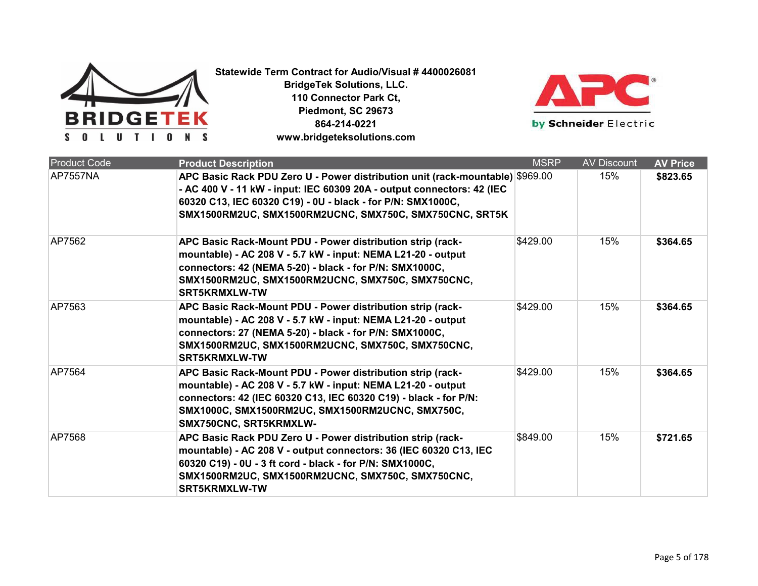



Product Code **Product Description** MSRP AV Discount **AV Price** AP7557NA **APC Basic Rack PDU Zero U - Power distribution unit (rack-mountable) \$969.00 15% \$823.65 - AC 400 V - 11 kW - input: IEC 60309 20A - output connectors: 42 (IEC 60320 C13, IEC 60320 C19) - 0U - black - for P/N: SMX1000C, SMX1500RM2UC, SMX1500RM2UCNC, SMX750C, SMX750CNC, SRT5K** AP7562 **APC Basic Rack-Mount PDU - Power distribution strip (rackmountable) - AC 208 V - 5.7 kW - input: NEMA L21-20 - output connectors: 42 (NEMA 5-20) - black - for P/N: SMX1000C, SMX1500RM2UC, SMX1500RM2UCNC, SMX750C, SMX750CNC, SRT5KRMXLW-TW** \$429.00 15% **\$364.65**  AP7563 **APC Basic Rack-Mount PDU - Power distribution strip (rackmountable) - AC 208 V - 5.7 kW - input: NEMA L21-20 - output connectors: 27 (NEMA 5-20) - black - for P/N: SMX1000C, SMX1500RM2UC, SMX1500RM2UCNC, SMX750C, SMX750CNC, SRT5KRMXLW-TW** \$429.00 15% **\$364.65**  AP7564 **APC Basic Rack-Mount PDU - Power distribution strip (rackmountable) - AC 208 V - 5.7 kW - input: NEMA L21-20 - output connectors: 42 (IEC 60320 C13, IEC 60320 C19) - black - for P/N: SMX1000C, SMX1500RM2UC, SMX1500RM2UCNC, SMX750C, SMX750CNC, SRT5KRMXLW-** \$429.00 15% **\$364.65**  AP7568 **APC Basic Rack PDU Zero U - Power distribution strip (rackmountable) - AC 208 V - output connectors: 36 (IEC 60320 C13, IEC 60320 C19) - 0U - 3 ft cord - black - for P/N: SMX1000C, SMX1500RM2UC, SMX1500RM2UCNC, SMX750C, SMX750CNC, SRT5KRMXLW-TW** \$849.00 15% **\$721.65**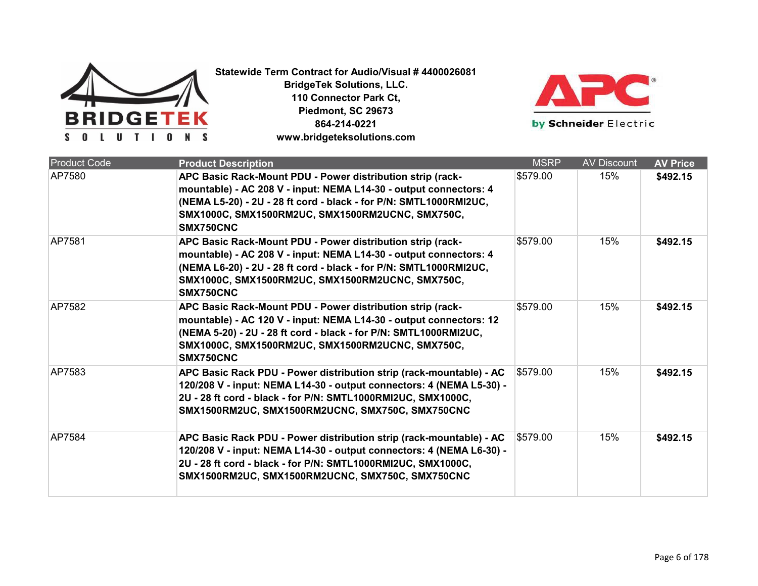



Product Code **Product Description** MSRP AV Discount **AV Price** AP7580 **APC Basic Rack-Mount PDU - Power distribution strip (rackmountable) - AC 208 V - input: NEMA L14-30 - output connectors: 4 (NEMA L5-20) - 2U - 28 ft cord - black - for P/N: SMTL1000RMI2UC, SMX1000C, SMX1500RM2UC, SMX1500RM2UCNC, SMX750C, SMX750CNC** \$579.00 15% **\$492.15**  AP7581 **APC Basic Rack-Mount PDU - Power distribution strip (rackmountable) - AC 208 V - input: NEMA L14-30 - output connectors: 4 (NEMA L6-20) - 2U - 28 ft cord - black - for P/N: SMTL1000RMI2UC, SMX1000C, SMX1500RM2UC, SMX1500RM2UCNC, SMX750C, SMX750CNC** \$579.00 15% **\$492.15**  AP7582 **APC Basic Rack-Mount PDU - Power distribution strip (rackmountable) - AC 120 V - input: NEMA L14-30 - output connectors: 12 (NEMA 5-20) - 2U - 28 ft cord - black - for P/N: SMTL1000RMI2UC, SMX1000C, SMX1500RM2UC, SMX1500RM2UCNC, SMX750C, SMX750CNC** \$579.00 15% **\$492.15**  AP7583 **APC Basic Rack PDU - Power distribution strip (rack-mountable) - AC 120/208 V - input: NEMA L14-30 - output connectors: 4 (NEMA L5-30) - 2U - 28 ft cord - black - for P/N: SMTL1000RMI2UC, SMX1000C, SMX1500RM2UC, SMX1500RM2UCNC, SMX750C, SMX750CNC** \$579.00 15% **\$492.15**  AP7584 **APC Basic Rack PDU - Power distribution strip (rack-mountable) - AC 120/208 V - input: NEMA L14-30 - output connectors: 4 (NEMA L6-30) - 2U - 28 ft cord - black - for P/N: SMTL1000RMI2UC, SMX1000C, SMX1500RM2UC, SMX1500RM2UCNC, SMX750C, SMX750CNC** \$579.00 15% **\$492.15**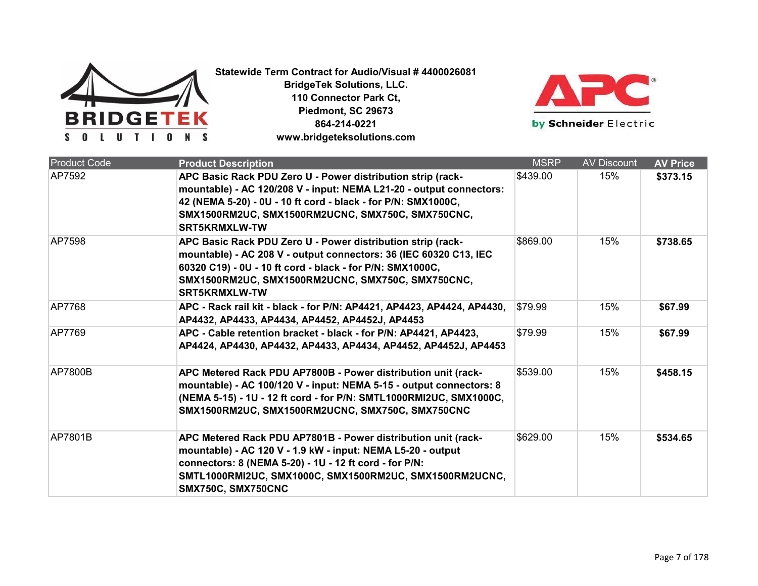



| <b>Product Code</b> | <b>Product Description</b>                                                                                                                                                                                                                                                       | <b>MSRP</b> | <b>AV Discount</b> | <b>AV Price</b> |
|---------------------|----------------------------------------------------------------------------------------------------------------------------------------------------------------------------------------------------------------------------------------------------------------------------------|-------------|--------------------|-----------------|
| AP7592              | APC Basic Rack PDU Zero U - Power distribution strip (rack-<br>mountable) - AC 120/208 V - input: NEMA L21-20 - output connectors:<br>42 (NEMA 5-20) - 0U - 10 ft cord - black - for P/N: SMX1000C,<br>SMX1500RM2UC, SMX1500RM2UCNC, SMX750C, SMX750CNC,<br><b>SRT5KRMXLW-TW</b> | \$439.00    | 15%                | \$373.15        |
| AP7598              | APC Basic Rack PDU Zero U - Power distribution strip (rack-<br>mountable) - AC 208 V - output connectors: 36 (IEC 60320 C13, IEC<br>60320 C19) - 0U - 10 ft cord - black - for P/N: SMX1000C,<br>SMX1500RM2UC, SMX1500RM2UCNC, SMX750C, SMX750CNC,<br><b>SRT5KRMXLW-TW</b>       | \$869.00    | 15%                | \$738.65        |
| AP7768              | APC - Rack rail kit - black - for P/N: AP4421, AP4423, AP4424, AP4430,<br>AP4432, AP4433, AP4434, AP4452, AP4452J, AP4453                                                                                                                                                        | \$79.99     | 15%                | \$67.99         |
| AP7769              | APC - Cable retention bracket - black - for P/N: AP4421, AP4423,<br>AP4424, AP4430, AP4432, AP4433, AP4434, AP4452, AP4452J, AP4453                                                                                                                                              | \$79.99     | 15%                | \$67.99         |
| AP7800B             | APC Metered Rack PDU AP7800B - Power distribution unit (rack-<br>mountable) - AC 100/120 V - input: NEMA 5-15 - output connectors: 8<br>(NEMA 5-15) - 1U - 12 ft cord - for P/N: SMTL1000RMI2UC, SMX1000C,<br>SMX1500RM2UC, SMX1500RM2UCNC, SMX750C, SMX750CNC                   | \$539.00    | 15%                | \$458.15        |
| AP7801B             | APC Metered Rack PDU AP7801B - Power distribution unit (rack-<br>mountable) - AC 120 V - 1.9 kW - input: NEMA L5-20 - output<br>connectors: 8 (NEMA 5-20) - 1U - 12 ft cord - for P/N:<br>SMTL1000RMI2UC, SMX1000C, SMX1500RM2UC, SMX1500RM2UCNC,<br>SMX750C, SMX750CNC          | \$629.00    | 15%                | \$534.65        |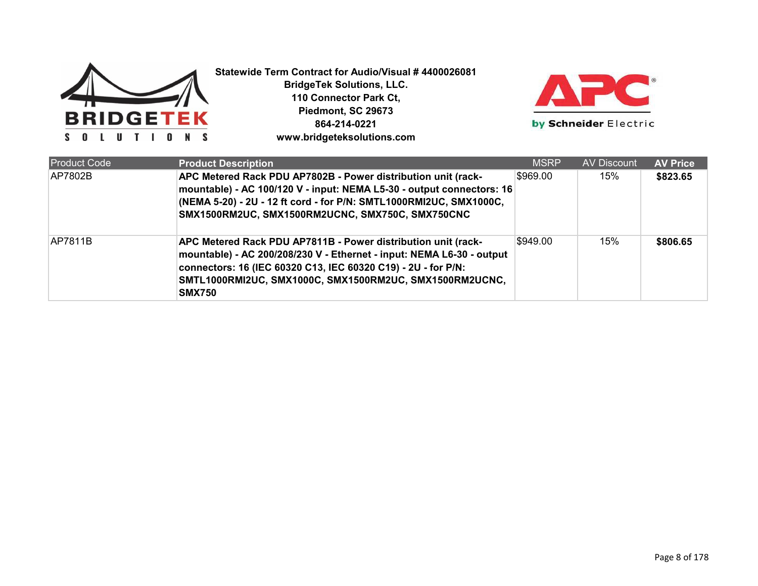



by Schneider Electric

| <b>Product Code</b> | <b>Product Description</b>                                                                                                                                                                                                                                                          | <b>MSRP</b> | <b>AV Discount</b> | <b>AV Price</b> |
|---------------------|-------------------------------------------------------------------------------------------------------------------------------------------------------------------------------------------------------------------------------------------------------------------------------------|-------------|--------------------|-----------------|
| AP7802B             | APC Metered Rack PDU AP7802B - Power distribution unit (rack-<br>mountable) - AC 100/120 V - input: NEMA L5-30 - output connectors: 16<br>(NEMA 5-20) - 2U - 12 ft cord - for P/N: SMTL1000RMI2UC, SMX1000C,<br>SMX1500RM2UC, SMX1500RM2UCNC, SMX750C, SMX750CNC                    | \$969.00    | 15%                | \$823.65        |
| AP7811B             | APC Metered Rack PDU AP7811B - Power distribution unit (rack-<br>mountable) - AC 200/208/230 V - Ethernet - input: NEMA L6-30 - output<br>connectors: 16 (IEC 60320 C13, IEC 60320 C19) - 2U - for P/N:<br>SMTL1000RMI2UC, SMX1000C, SMX1500RM2UC, SMX1500RM2UCNC,<br><b>SMX750</b> | \$949.00    | 15%                | \$806.65        |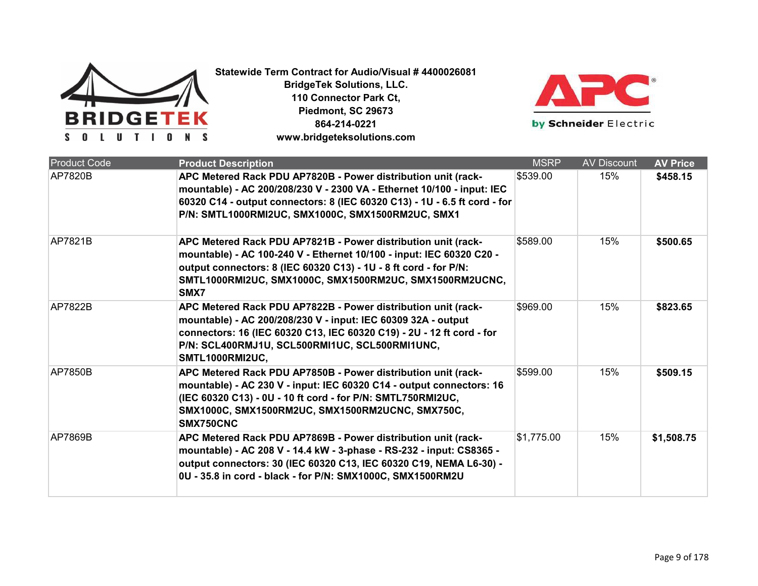



Product Code **Product Description** MSRP AV Discount **AV Price** AP7820B **APC Metered Rack PDU AP7820B - Power distribution unit (rackmountable) - AC 200/208/230 V - 2300 VA - Ethernet 10/100 - input: IEC 60320 C14 - output connectors: 8 (IEC 60320 C13) - 1U - 6.5 ft cord - for P/N: SMTL1000RMI2UC, SMX1000C, SMX1500RM2UC, SMX1** \$539.00 15% **\$458.15**  AP7821B **APC Metered Rack PDU AP7821B - Power distribution unit (rackmountable) - AC 100-240 V - Ethernet 10/100 - input: IEC 60320 C20 output connectors: 8 (IEC 60320 C13) - 1U - 8 ft cord - for P/N: SMTL1000RMI2UC, SMX1000C, SMX1500RM2UC, SMX1500RM2UCNC, SMX7** \$589.00 15% **\$500.65**  AP7822B **APC Metered Rack PDU AP7822B - Power distribution unit (rackmountable) - AC 200/208/230 V - input: IEC 60309 32A - output connectors: 16 (IEC 60320 C13, IEC 60320 C19) - 2U - 12 ft cord - for P/N: SCL400RMJ1U, SCL500RMI1UC, SCL500RMI1UNC, SMTL1000RMI2UC,** \$969.00 15% **\$823.65**  AP7850B **APC Metered Rack PDU AP7850B - Power distribution unit (rackmountable) - AC 230 V - input: IEC 60320 C14 - output connectors: 16 (IEC 60320 C13) - 0U - 10 ft cord - for P/N: SMTL750RMI2UC, SMX1000C, SMX1500RM2UC, SMX1500RM2UCNC, SMX750C, SMX750CNC** \$599.00 15% **\$509.15**  AP7869B **APC Metered Rack PDU AP7869B - Power distribution unit (rackmountable) - AC 208 V - 14.4 kW - 3-phase - RS-232 - input: CS8365 output connectors: 30 (IEC 60320 C13, IEC 60320 C19, NEMA L6-30) - 0U - 35.8 in cord - black - for P/N: SMX1000C, SMX1500RM2U** \$1,775.00 15% **\$1,508.75**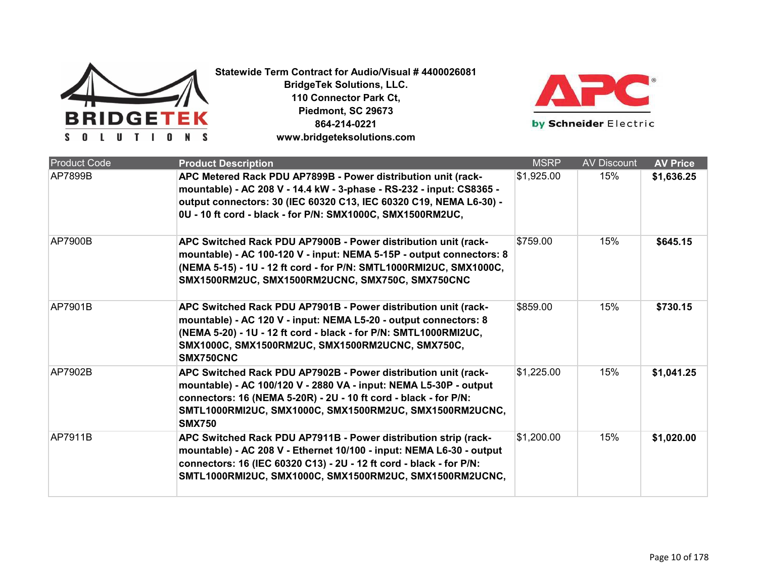



Product Code **Product Description** MSRP AV Discount **AV Price** AP7899B **APC Metered Rack PDU AP7899B - Power distribution unit (rackmountable) - AC 208 V - 14.4 kW - 3-phase - RS-232 - input: CS8365 output connectors: 30 (IEC 60320 C13, IEC 60320 C19, NEMA L6-30) - 0U - 10 ft cord - black - for P/N: SMX1000C, SMX1500RM2UC,** \$1,925.00 15% **\$1,636.25**  AP7900B **APC Switched Rack PDU AP7900B - Power distribution unit (rackmountable) - AC 100-120 V - input: NEMA 5-15P - output connectors: 8 (NEMA 5-15) - 1U - 12 ft cord - for P/N: SMTL1000RMI2UC, SMX1000C, SMX1500RM2UC, SMX1500RM2UCNC, SMX750C, SMX750CNC** \$759.00 15% **\$645.15**  AP7901B **APC Switched Rack PDU AP7901B - Power distribution unit (rackmountable) - AC 120 V - input: NEMA L5-20 - output connectors: 8 (NEMA 5-20) - 1U - 12 ft cord - black - for P/N: SMTL1000RMI2UC, SMX1000C, SMX1500RM2UC, SMX1500RM2UCNC, SMX750C, SMX750CNC** \$859.00 15% **\$730.15**  AP7902B **APC Switched Rack PDU AP7902B - Power distribution unit (rackmountable) - AC 100/120 V - 2880 VA - input: NEMA L5-30P - output connectors: 16 (NEMA 5-20R) - 2U - 10 ft cord - black - for P/N: SMTL1000RMI2UC, SMX1000C, SMX1500RM2UC, SMX1500RM2UCNC, SMX750** \$1,225.00 15% **\$1,041.25**  AP7911B **APC Switched Rack PDU AP7911B - Power distribution strip (rackmountable) - AC 208 V - Ethernet 10/100 - input: NEMA L6-30 - output connectors: 16 (IEC 60320 C13) - 2U - 12 ft cord - black - for P/N: SMTL1000RMI2UC, SMX1000C, SMX1500RM2UC, SMX1500RM2UCNC,** \$1,200.00 15% **\$1,020.00**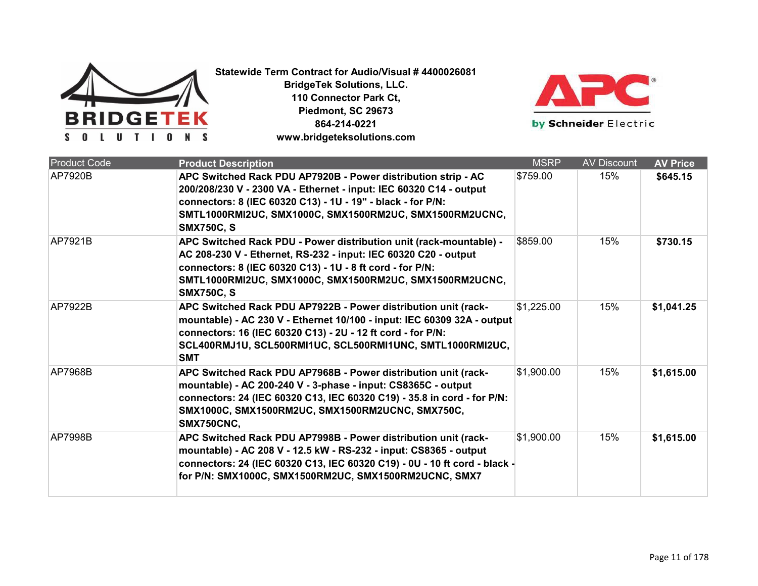



Product Code **Product Description** MSRP AV Discount **AV Price** AP7920B **APC Switched Rack PDU AP7920B - Power distribution strip - AC 200/208/230 V - 2300 VA - Ethernet - input: IEC 60320 C14 - output connectors: 8 (IEC 60320 C13) - 1U - 19" - black - for P/N: SMTL1000RMI2UC, SMX1000C, SMX1500RM2UC, SMX1500RM2UCNC, SMX750C, S** \$759.00 15% **\$645.15**  AP7921B **APC Switched Rack PDU - Power distribution unit (rack-mountable) - AC 208-230 V - Ethernet, RS-232 - input: IEC 60320 C20 - output connectors: 8 (IEC 60320 C13) - 1U - 8 ft cord - for P/N: SMTL1000RMI2UC, SMX1000C, SMX1500RM2UC, SMX1500RM2UCNC, SMX750C, S** \$859.00 15% **\$730.15**  AP7922B **APC Switched Rack PDU AP7922B - Power distribution unit (rackmountable) - AC 230 V - Ethernet 10/100 - input: IEC 60309 32A - output connectors: 16 (IEC 60320 C13) - 2U - 12 ft cord - for P/N: SCL400RMJ1U, SCL500RMI1UC, SCL500RMI1UNC, SMTL1000RMI2UC, SMT** \$1,225.00 15% **\$1,041.25**  AP7968B **APC Switched Rack PDU AP7968B - Power distribution unit (rackmountable) - AC 200-240 V - 3-phase - input: CS8365C - output connectors: 24 (IEC 60320 C13, IEC 60320 C19) - 35.8 in cord - for P/N: SMX1000C, SMX1500RM2UC, SMX1500RM2UCNC, SMX750C, SMX750CNC,** \$1,900.00 15% **\$1,615.00**  AP7998B **APC Switched Rack PDU AP7998B - Power distribution unit (rackmountable) - AC 208 V - 12.5 kW - RS-232 - input: CS8365 - output connectors: 24 (IEC 60320 C13, IEC 60320 C19) - 0U - 10 ft cord - black for P/N: SMX1000C, SMX1500RM2UC, SMX1500RM2UCNC, SMX7** \$1,900.00 15% **\$1,615.00**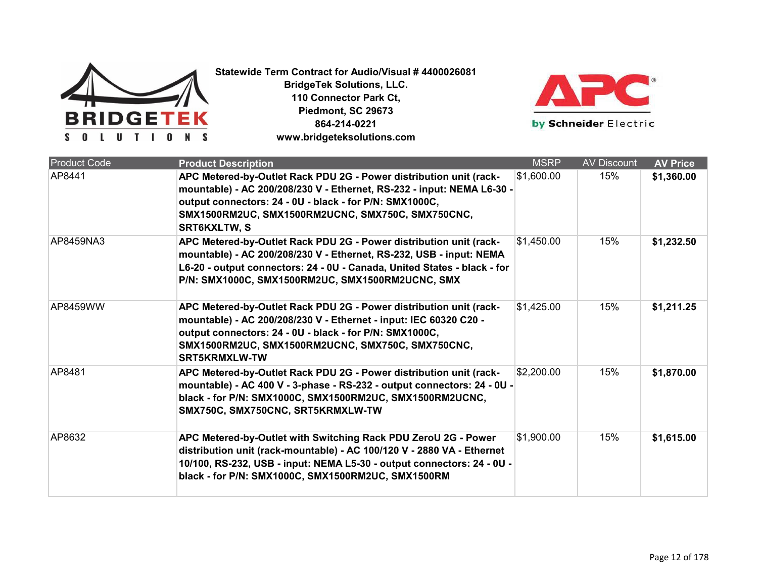



Product Code **Product Description** MSRP AV Discount **AV Price** AP8441 **APC Metered-by-Outlet Rack PDU 2G - Power distribution unit (rackmountable) - AC 200/208/230 V - Ethernet, RS-232 - input: NEMA L6-30 output connectors: 24 - 0U - black - for P/N: SMX1000C, SMX1500RM2UC, SMX1500RM2UCNC, SMX750C, SMX750CNC, SRT6KXLTW, S** \$1,600.00 15% **\$1,360.00**  AP8459NA3 **APC Metered-by-Outlet Rack PDU 2G - Power distribution unit (rackmountable) - AC 200/208/230 V - Ethernet, RS-232, USB - input: NEMA L6-20 - output connectors: 24 - 0U - Canada, United States - black - for P/N: SMX1000C, SMX1500RM2UC, SMX1500RM2UCNC, SMX** \$1,450.00 15% **\$1,232.50**  AP8459WW **APC Metered-by-Outlet Rack PDU 2G - Power distribution unit (rackmountable) - AC 200/208/230 V - Ethernet - input: IEC 60320 C20 output connectors: 24 - 0U - black - for P/N: SMX1000C, SMX1500RM2UC, SMX1500RM2UCNC, SMX750C, SMX750CNC, SRT5KRMXLW-TW** \$1,425.00 15% **\$1,211.25**  AP8481 **APC Metered-by-Outlet Rack PDU 2G - Power distribution unit (rackmountable) - AC 400 V - 3-phase - RS-232 - output connectors: 24 - 0U black - for P/N: SMX1000C, SMX1500RM2UC, SMX1500RM2UCNC, SMX750C, SMX750CNC, SRT5KRMXLW-TW** \$2,200.00 15% **\$1,870.00**  AP8632 **APC Metered-by-Outlet with Switching Rack PDU ZeroU 2G - Power distribution unit (rack-mountable) - AC 100/120 V - 2880 VA - Ethernet 10/100, RS-232, USB - input: NEMA L5-30 - output connectors: 24 - 0U black - for P/N: SMX1000C, SMX1500RM2UC, SMX1500RM** \$1,900.00 15% **\$1,615.00**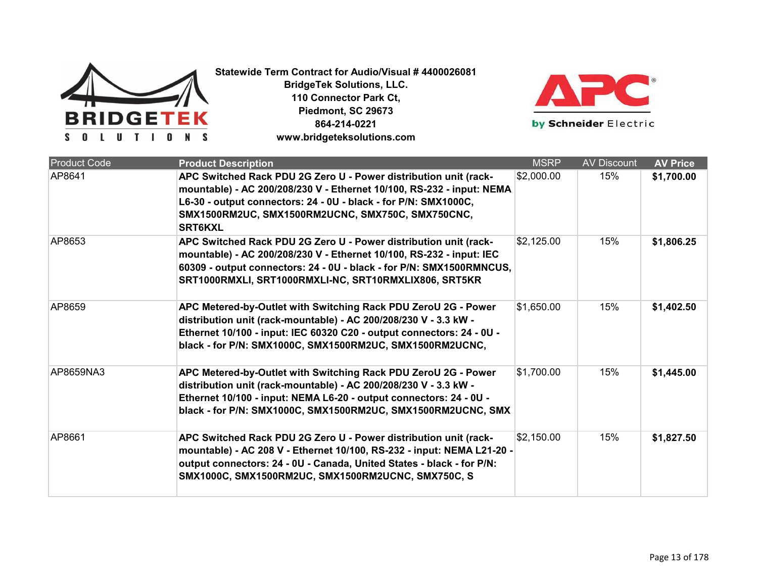



Product Code **Product Description** MSRP AV Discount **AV Price** AP8641 **APC Switched Rack PDU 2G Zero U - Power distribution unit (rackmountable) - AC 200/208/230 V - Ethernet 10/100, RS-232 - input: NEMA L6-30 - output connectors: 24 - 0U - black - for P/N: SMX1000C, SMX1500RM2UC, SMX1500RM2UCNC, SMX750C, SMX750CNC, SRT6KXL** \$2,000.00 15% **\$1,700.00**  AP8653 **APC Switched Rack PDU 2G Zero U - Power distribution unit (rackmountable) - AC 200/208/230 V - Ethernet 10/100, RS-232 - input: IEC 60309 - output connectors: 24 - 0U - black - for P/N: SMX1500RMNCUS, SRT1000RMXLI, SRT1000RMXLI-NC, SRT10RMXLIX806, SRT5KR** \$2,125.00 15% **\$1,806.25**  AP8659 **APC Metered-by-Outlet with Switching Rack PDU ZeroU 2G - Power distribution unit (rack-mountable) - AC 200/208/230 V - 3.3 kW - Ethernet 10/100 - input: IEC 60320 C20 - output connectors: 24 - 0U black - for P/N: SMX1000C, SMX1500RM2UC, SMX1500RM2UCNC,** \$1,650.00 15% **\$1,402.50**  AP8659NA3 **APC Metered-by-Outlet with Switching Rack PDU ZeroU 2G - Power distribution unit (rack-mountable) - AC 200/208/230 V - 3.3 kW - Ethernet 10/100 - input: NEMA L6-20 - output connectors: 24 - 0U black - for P/N: SMX1000C, SMX1500RM2UC, SMX1500RM2UCNC, SMX** \$1,700.00 15% **\$1,445.00**  AP8661 **APC Switched Rack PDU 2G Zero U - Power distribution unit (rackmountable) - AC 208 V - Ethernet 10/100, RS-232 - input: NEMA L21-20 output connectors: 24 - 0U - Canada, United States - black - for P/N: SMX1000C, SMX1500RM2UC, SMX1500RM2UCNC, SMX750C, S** \$2,150.00 15% **\$1,827.50**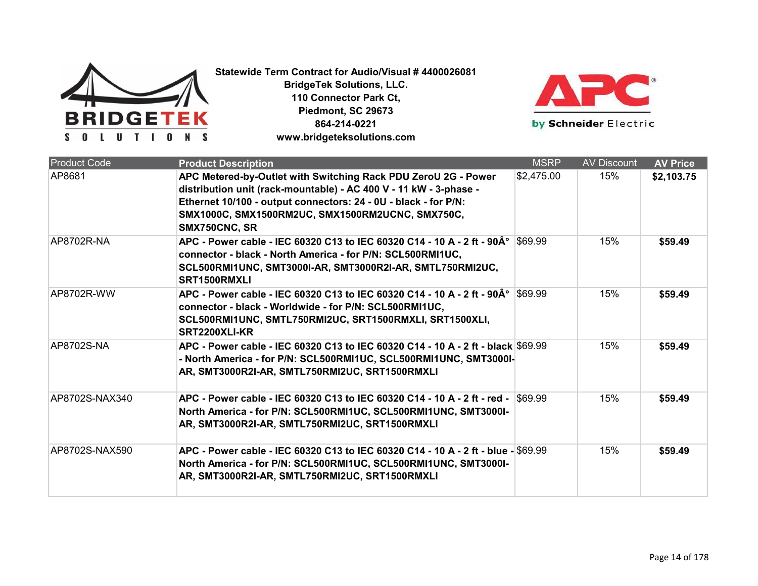



Product Code **Product Description** MSRP AV Discount **AV Price** AP8681 **APC Metered-by-Outlet with Switching Rack PDU ZeroU 2G - Power distribution unit (rack-mountable) - AC 400 V - 11 kW - 3-phase - Ethernet 10/100 - output connectors: 24 - 0U - black - for P/N: SMX1000C, SMX1500RM2UC, SMX1500RM2UCNC, SMX750C, SMX750CNC, SR** \$2,475.00 15% **\$2,103.75**  AP8702R-NA **APC - Power cable - IEC 60320 C13 to IEC 60320 C14 - 10 A - 2 ft - 90° connector - black - North America - for P/N: SCL500RMI1UC, SCL500RMI1UNC, SMT3000I-AR, SMT3000R2I-AR, SMTL750RMI2UC, SRT1500RMXLI** \$69.99 15% **\$59.49**  AP8702R-WW **APC - Power cable - IEC 60320 C13 to IEC 60320 C14 - 10 A - 2 ft - 90° connector - black - Worldwide - for P/N: SCL500RMI1UC, SCL500RMI1UNC, SMTL750RMI2UC, SRT1500RMXLI, SRT1500XLI, SRT2200XLI-KR** \$69.99 15% **\$59.49**  AP8702S-NA **APC - Power cable - IEC 60320 C13 to IEC 60320 C14 - 10 A - 2 ft - black - North America - for P/N: SCL500RMI1UC, SCL500RMI1UNC, SMT3000I-AR, SMT3000R2I-AR, SMTL750RMI2UC, SRT1500RMXLI** \$69.99 15% **\$59.49**  AP8702S-NAX340 **APC - Power cable - IEC 60320 C13 to IEC 60320 C14 - 10 A - 2 ft - red - North America - for P/N: SCL500RMI1UC, SCL500RMI1UNC, SMT3000I-AR, SMT3000R2I-AR, SMTL750RMI2UC, SRT1500RMXLI** \$69.99 15% **\$59.49**  AP8702S-NAX590 **APC - Power cable - IEC 60320 C13 to IEC 60320 C14 - 10 A - 2 ft - blue - North America - for P/N: SCL500RMI1UC, SCL500RMI1UNC, SMT3000I-AR, SMT3000R2I-AR, SMTL750RMI2UC, SRT1500RMXLI** \$69.99 15% **\$59.49**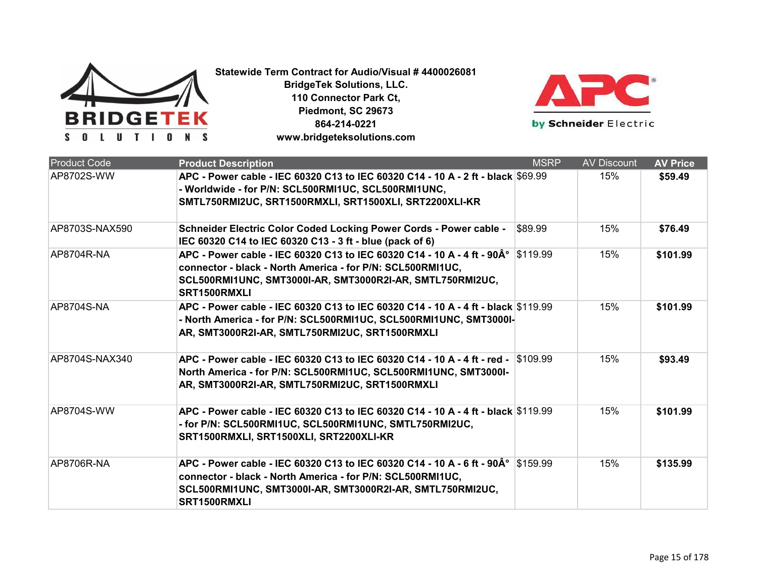



Product Code **Product Description** MSRP AV Discount **AV Price** AP8702S-WW **APC - Power cable - IEC 60320 C13 to IEC 60320 C14 - 10 A - 2 ft - black - Worldwide - for P/N: SCL500RMI1UC, SCL500RMI1UNC, SMTL750RMI2UC, SRT1500RMXLI, SRT1500XLI, SRT2200XLI-KR** \$69.99 15% **\$59.49**  AP8703S-NAX590 **Schneider Electric Color Coded Locking Power Cords - Power cable - IEC 60320 C14 to IEC 60320 C13 - 3 ft - blue (pack of 6)** \$89.99 15% **\$76.49**  AP8704R-NA **|APC-Power cable-IEC 60320 C13 to IEC 60320 C14-10 A-4 ft-90° |\$119.99 | 15% | \$101.99 connector - black - North America - for P/N: SCL500RMI1UC, SCL500RMI1UNC, SMT3000I-AR, SMT3000R2I-AR, SMTL750RMI2UC, SRT1500RMXLI** AP8704S-NA **APC - Power cable - IEC 60320 C13 to IEC 60320 C14 - 10 A - 4 ft - black - North America - for P/N: SCL500RMI1UC, SCL500RMI1UNC, SMT3000I-AR, SMT3000R2I-AR, SMTL750RMI2UC, SRT1500RMXLI** \$119.99 15% **\$101.99**  AP8704S-NAX340 **APC - Power cable - IEC 60320 C13 to IEC 60320 C14 - 10 A - 4 ft - red -**  \$109.99 15% **\$93.49 North America - for P/N: SCL500RMI1UC, SCL500RMI1UNC, SMT3000I-AR, SMT3000R2I-AR, SMTL750RMI2UC, SRT1500RMXLI** AP8704S-WW **APC - Power cable - IEC 60320 C13 to IEC 60320 C14 - 10 A - 4 ft - black - for P/N: SCL500RMI1UC, SCL500RMI1UNC, SMTL750RMI2UC, SRT1500RMXLI, SRT1500XLI, SRT2200XLI-KR** \$119.99 15% **\$101.99**  AP8706R-NA **APC - Power cable - IEC 60320 C13 to IEC 60320 C14 - 10 A - 6 ft - 90Ű**  $$159.99$ **connector - black - North America - for P/N: SCL500RMI1UC, SCL500RMI1UNC, SMT3000I-AR, SMT3000R2I-AR, SMTL750RMI2UC, SRT1500RMXLI** \$159.99 15% **\$135.99**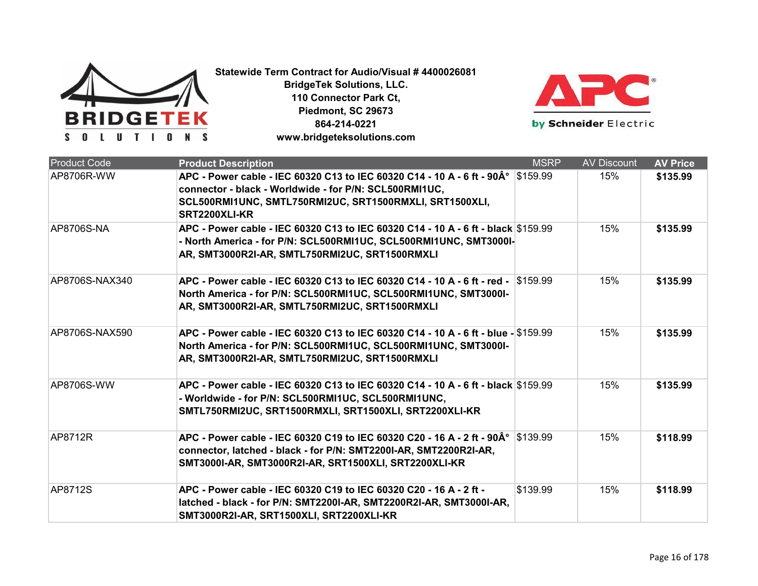



Product Code **Product Description** MSRP AV Discount **AV Price** AP8706R-WW **|APC-Power cable-IEC 60320 C13 to IEC 60320 C14-10 A-6 ft-90° |\$159.99 | 15% | \$135.99 connector - black - Worldwide - for P/N: SCL500RMI1UC, SCL500RMI1UNC, SMTL750RMI2UC, SRT1500RMXLI, SRT1500XLI, SRT2200XLI-KR** AP8706S-NA **APC - Power cable - IEC 60320 C13 to IEC 60320 C14 - 10 A - 6 ft - black - North America - for P/N: SCL500RMI1UC, SCL500RMI1UNC, SMT3000I-AR, SMT3000R2I-AR, SMTL750RMI2UC, SRT1500RMXLI** \$159.99 15% **\$135.99**  AP8706S-NAX340 **APC - Power cable - IEC 60320 C13 to IEC 60320 C14 - 10 A - 6 ft - red - North America - for P/N: SCL500RMI1UC, SCL500RMI1UNC, SMT3000I-AR, SMT3000R2I-AR, SMTL750RMI2UC, SRT1500RMXLI** \$159.99 15% **\$135.99**  AP8706S-NAX590 **APC - Power cable - IEC 60320 C13 to IEC 60320 C14 - 10 A - 6 ft - blue - North America - for P/N: SCL500RMI1UC, SCL500RMI1UNC, SMT3000I-AR, SMT3000R2I-AR, SMTL750RMI2UC, SRT1500RMXLI** \$159.99 15% **\$135.99**  AP8706S-WW **APC - Power cable - IEC 60320 C13 to IEC 60320 C14 - 10 A - 6 ft - black - Worldwide - for P/N: SCL500RMI1UC, SCL500RMI1UNC, SMTL750RMI2UC, SRT1500RMXLI, SRT1500XLI, SRT2200XLI-KR** \$159.99 15% **\$135.99**  AP8712R |**APC - Power cable - IEC 60320 C19 to IEC 60320 C20 - 16 A - 2 ft - 90° |\$139.99 | 15% | \$118.99 connector, latched - black - for P/N: SMT2200I-AR, SMT2200R2I-AR, SMT3000I-AR, SMT3000R2I-AR, SRT1500XLI, SRT2200XLI-KR** AP8712S **APC - Power cable - IEC 60320 C19 to IEC 60320 C20 - 16 A - 2 ft latched - black - for P/N: SMT2200I-AR, SMT2200R2I-AR, SMT3000I-AR, SMT3000R2I-AR, SRT1500XLI, SRT2200XLI-KR** \$139.99 15% **\$118.99**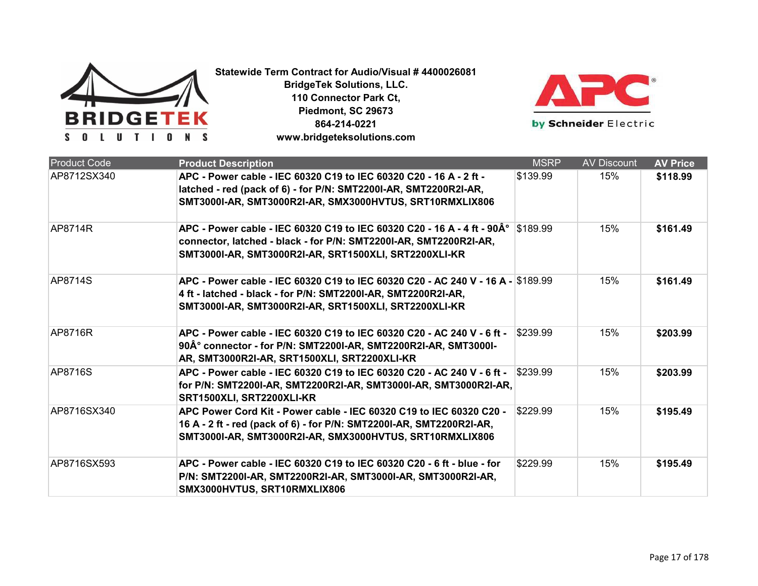



**Product Code <b>Product Description** MSRP AV Discount **AV Price** AP8712SX340 **APC - Power cable - IEC 60320 C19 to IEC 60320 C20 - 16 A - 2 ft latched - red (pack of 6) - for P/N: SMT2200I-AR, SMT2200R2I-AR, SMT3000I-AR, SMT3000R2I-AR, SMX3000HVTUS, SRT10RMXLIX806** \$139.99 15% **\$118.99**  AP8714R **APG - Power cable - IEC 60320 C19 to IEC 60320 C20 - 16 A - 4 ft - 90°** \$189.99 **connector, latched - black - for P/N: SMT2200I-AR, SMT2200R2I-AR, SMT3000I-AR, SMT3000R2I-AR, SRT1500XLI, SRT2200XLI-KR** \$189.99 15% **\$161.49**  AP8714S **APC - Power cable - IEC 60320 C19 to IEC 60320 C20 - AC 240 V - 16 A -**  \$189.99 15% **\$161.49 4 ft - latched - black - for P/N: SMT2200I-AR, SMT2200R2I-AR, SMT3000I-AR, SMT3000R2I-AR, SRT1500XLI, SRT2200XLI-KR** AP8716R **APC - Power cable - IEC 60320 C19 to IEC 60320 C20 - AC 240 V - 6 ft -**  90Ű connector - for P/N: SMT2200I-AR, SMT2200R2I-AR, SMT3000I-**AR, SMT3000R2I-AR, SRT1500XLI, SRT2200XLI-KR** \$239.99 15% **\$203.99**  AP8716S **APC - Power cable - IEC 60320 C19 to IEC 60320 C20 - AC 240 V - 6 ft for P/N: SMT2200I-AR, SMT2200R2I-AR, SMT3000I-AR, SMT3000R2I-AR, SRT1500XLI, SRT2200XLI-KR** \$239.99 15% **\$203.99**  AP8716SX340 **APC Power Cord Kit - Power cable - IEC 60320 C19 to IEC 60320 C20 - 16 A - 2 ft - red (pack of 6) - for P/N: SMT2200I-AR, SMT2200R2I-AR, SMT3000I-AR, SMT3000R2I-AR, SMX3000HVTUS, SRT10RMXLIX806** \$229.99 15% **\$195.49**  AP8716SX593 **APC - Power cable - IEC 60320 C19 to IEC 60320 C20 - 6 ft - blue - for P/N: SMT2200I-AR, SMT2200R2I-AR, SMT3000I-AR, SMT3000R2I-AR, SMX3000HVTUS, SRT10RMXLIX806** \$229.99 15% **\$195.49**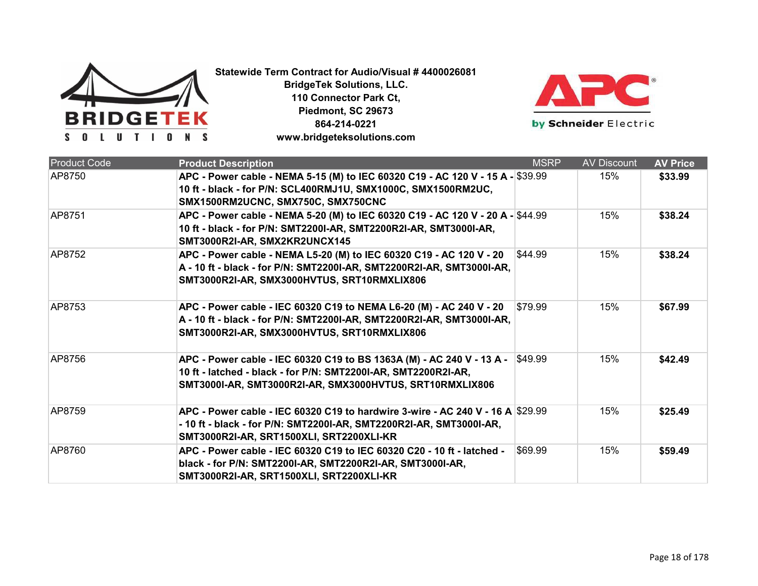



Product Code **Product Description** MSRP AV Discount **AV Price** AP8750 **APC - Power cable - NEMA 5-15 (M) to IEC 60320 C19 - AC 120 V - 15 A -**  \$39.99 15% **\$33.99 10 ft - black - for P/N: SCL400RMJ1U, SMX1000C, SMX1500RM2UC, SMX1500RM2UCNC, SMX750C, SMX750CNC** AP8751 **APC - Power cable - NEMA 5-20 (M) to IEC 60320 C19 - AC 120 V - 20 A - 10 ft - black - for P/N: SMT2200I-AR, SMT2200R2I-AR, SMT3000I-AR, SMT3000R2I-AR, SMX2KR2UNCX145** \$44.99 15% **\$38.24**  AP8752 **APC - Power cable - NEMA L5-20 (M) to IEC 60320 C19 - AC 120 V - 20 A - 10 ft - black - for P/N: SMT2200I-AR, SMT2200R2I-AR, SMT3000I-AR, SMT3000R2I-AR, SMX3000HVTUS, SRT10RMXLIX806** \$44.99 15% **\$38.24**  AP8753 **APC - Power cable - IEC 60320 C19 to NEMA L6-20 (M) - AC 240 V - 20 A - 10 ft - black - for P/N: SMT2200I-AR, SMT2200R2I-AR, SMT3000I-AR, SMT3000R2I-AR, SMX3000HVTUS, SRT10RMXLIX806** \$79.99 15% **\$67.99**  AP8756 **APC - Power cable - IEC 60320 C19 to BS 1363A (M) - AC 240 V - 13 A -**  \$49.99 15% **\$42.49 10 ft - latched - black - for P/N: SMT2200I-AR, SMT2200R2I-AR, SMT3000I-AR, SMT3000R2I-AR, SMX3000HVTUS, SRT10RMXLIX806** AP8759 **APC - Power cable - IEC 60320 C19 to hardwire 3-wire - AC 240 V - 16 A - 10 ft - black - for P/N: SMT2200I-AR, SMT2200R2I-AR, SMT3000I-AR, SMT3000R2I-AR, SRT1500XLI, SRT2200XLI-KR** \$29.99 15% **\$25.49**  AP8760 **APC - Power cable - IEC 60320 C19 to IEC 60320 C20 - 10 ft - latched black - for P/N: SMT2200I-AR, SMT2200R2I-AR, SMT3000I-AR, SMT3000R2I-AR, SRT1500XLI, SRT2200XLI-KR** \$69.99 15% **\$59.49**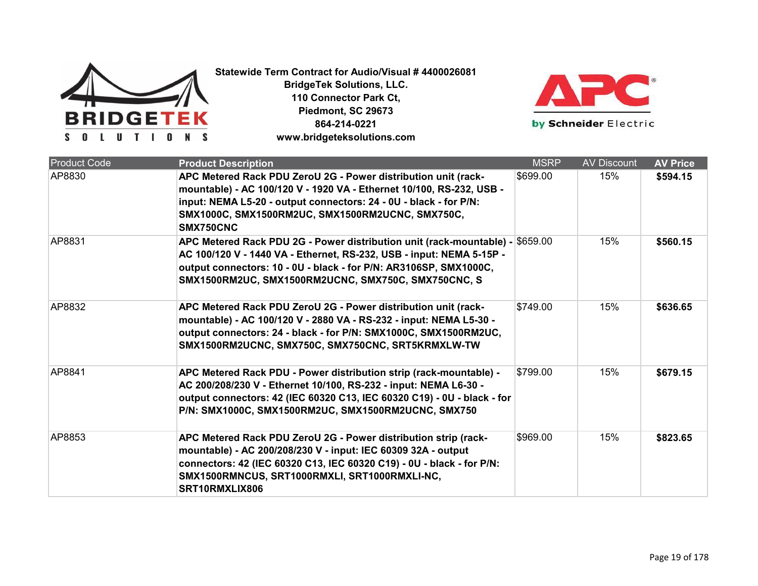



Product Code **Product Description** MSRP AV Discount **AV Price** AP8830 **APC Metered Rack PDU ZeroU 2G - Power distribution unit (rackmountable) - AC 100/120 V - 1920 VA - Ethernet 10/100, RS-232, USB input: NEMA L5-20 - output connectors: 24 - 0U - black - for P/N: SMX1000C, SMX1500RM2UC, SMX1500RM2UCNC, SMX750C, SMX750CNC** \$699.00 15% **\$594.15**  AP8831 **APC Metered Rack PDU 2G - Power distribution unit (rack-mountable) - \$659.00 15% \$560.15 AC 100/120 V - 1440 VA - Ethernet, RS-232, USB - input: NEMA 5-15P output connectors: 10 - 0U - black - for P/N: AR3106SP, SMX1000C, SMX1500RM2UC, SMX1500RM2UCNC, SMX750C, SMX750CNC, S** AP8832 **APC Metered Rack PDU ZeroU 2G - Power distribution unit (rackmountable) - AC 100/120 V - 2880 VA - RS-232 - input: NEMA L5-30 output connectors: 24 - black - for P/N: SMX1000C, SMX1500RM2UC, SMX1500RM2UCNC, SMX750C, SMX750CNC, SRT5KRMXLW-TW** \$749.00 15% **\$636.65**  AP8841 **APC Metered Rack PDU - Power distribution strip (rack-mountable) - AC 200/208/230 V - Ethernet 10/100, RS-232 - input: NEMA L6-30 output connectors: 42 (IEC 60320 C13, IEC 60320 C19) - 0U - black - for P/N: SMX1000C, SMX1500RM2UC, SMX1500RM2UCNC, SMX750** \$799.00 15% **\$679.15**  AP8853 **APC Metered Rack PDU ZeroU 2G - Power distribution strip (rackmountable) - AC 200/208/230 V - input: IEC 60309 32A - output connectors: 42 (IEC 60320 C13, IEC 60320 C19) - 0U - black - for P/N: SMX1500RMNCUS, SRT1000RMXLI, SRT1000RMXLI-NC, SRT10RMXLIX806** \$969.00 15% **\$823.65**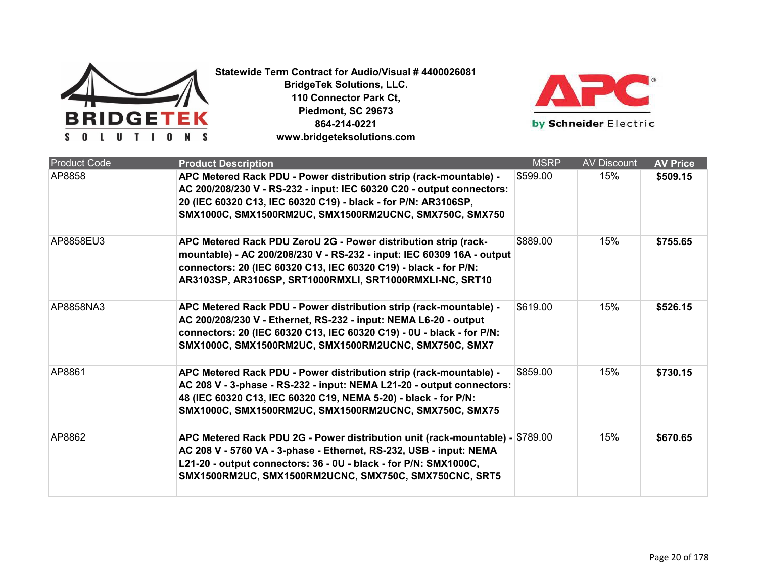



Product Code **Product Description** MSRP AV Discount **AV Price** AP8858 **APC Metered Rack PDU - Power distribution strip (rack-mountable) - AC 200/208/230 V - RS-232 - input: IEC 60320 C20 - output connectors: 20 (IEC 60320 C13, IEC 60320 C19) - black - for P/N: AR3106SP, SMX1000C, SMX1500RM2UC, SMX1500RM2UCNC, SMX750C, SMX750** \$599.00 15% **\$509.15**  AP8858EU3 **APC Metered Rack PDU ZeroU 2G - Power distribution strip (rackmountable) - AC 200/208/230 V - RS-232 - input: IEC 60309 16A - output connectors: 20 (IEC 60320 C13, IEC 60320 C19) - black - for P/N: AR3103SP, AR3106SP, SRT1000RMXLI, SRT1000RMXLI-NC, SRT10** \$889.00 15% **\$755.65**  AP8858NA3 **APC Metered Rack PDU - Power distribution strip (rack-mountable) - AC 200/208/230 V - Ethernet, RS-232 - input: NEMA L6-20 - output connectors: 20 (IEC 60320 C13, IEC 60320 C19) - 0U - black - for P/N: SMX1000C, SMX1500RM2UC, SMX1500RM2UCNC, SMX750C, SMX7** \$619.00 15% **\$526.15**  AP8861 **APC Metered Rack PDU - Power distribution strip (rack-mountable) - AC 208 V - 3-phase - RS-232 - input: NEMA L21-20 - output connectors: 48 (IEC 60320 C13, IEC 60320 C19, NEMA 5-20) - black - for P/N: SMX1000C, SMX1500RM2UC, SMX1500RM2UCNC, SMX750C, SMX75** \$859.00 15% **\$730.15**  AP8862 **|APC Metered Rack PDU 2G - Power distribution unit (rack-mountable) - \$789.00 | 15% | \$670.65 AC 208 V - 5760 VA - 3-phase - Ethernet, RS-232, USB - input: NEMA L21-20 - output connectors: 36 - 0U - black - for P/N: SMX1000C, SMX1500RM2UC, SMX1500RM2UCNC, SMX750C, SMX750CNC, SRT5**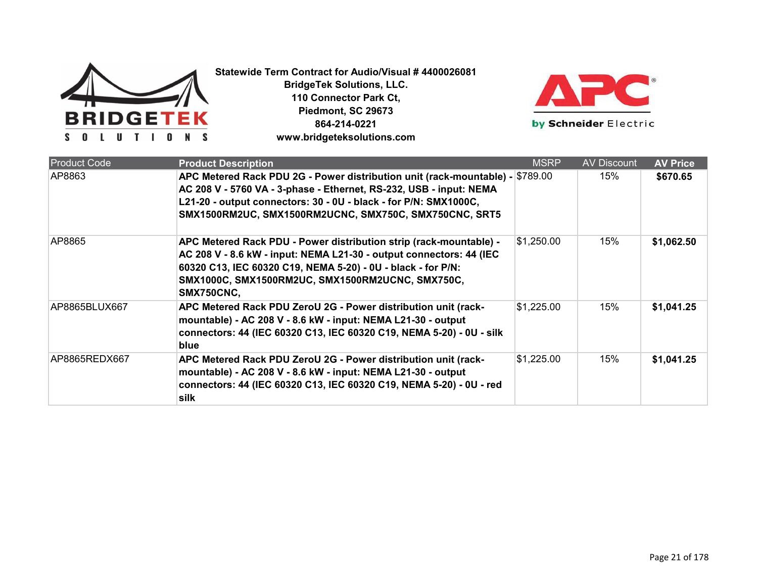



by Schneider Electric

| <b>Product Code</b> | <b>Product Description</b>                                                                                                                                                                                                                                                        | <b>MSRP</b> | <b>AV Discount</b> | <b>AV Price</b> |
|---------------------|-----------------------------------------------------------------------------------------------------------------------------------------------------------------------------------------------------------------------------------------------------------------------------------|-------------|--------------------|-----------------|
| AP8863              | APC Metered Rack PDU 2G - Power distribution unit (rack-mountable) - \$789.00<br>AC 208 V - 5760 VA - 3-phase - Ethernet, RS-232, USB - input: NEMA<br>L21-20 - output connectors: 30 - 0U - black - for P/N: SMX1000C,<br>SMX1500RM2UC, SMX1500RM2UCNC, SMX750C, SMX750CNC, SRT5 |             | 15%                | \$670.65        |
| AP8865              | APC Metered Rack PDU - Power distribution strip (rack-mountable) -<br>AC 208 V - 8.6 kW - input: NEMA L21-30 - output connectors: 44 (IEC<br>60320 C13, IEC 60320 C19, NEMA 5-20) - 0U - black - for P/N:<br>SMX1000C, SMX1500RM2UC, SMX1500RM2UCNC, SMX750C,<br>SMX750CNC,       | \$1,250.00  | 15%                | \$1,062.50      |
| AP8865BLUX667       | APC Metered Rack PDU ZeroU 2G - Power distribution unit (rack-<br>mountable) - AC 208 V - 8.6 kW - input: NEMA L21-30 - output<br>connectors: 44 (IEC 60320 C13, IEC 60320 C19, NEMA 5-20) - 0U - silk<br>blue                                                                    | \$1,225.00  | 15%                | \$1,041.25      |
| AP8865REDX667       | APC Metered Rack PDU ZeroU 2G - Power distribution unit (rack-<br>mountable) - AC 208 V - 8.6 kW - input: NEMA L21-30 - output<br>connectors: 44 (IEC 60320 C13, IEC 60320 C19, NEMA 5-20) - 0U - red<br>silk                                                                     | \$1,225.00  | 15%                | \$1,041.25      |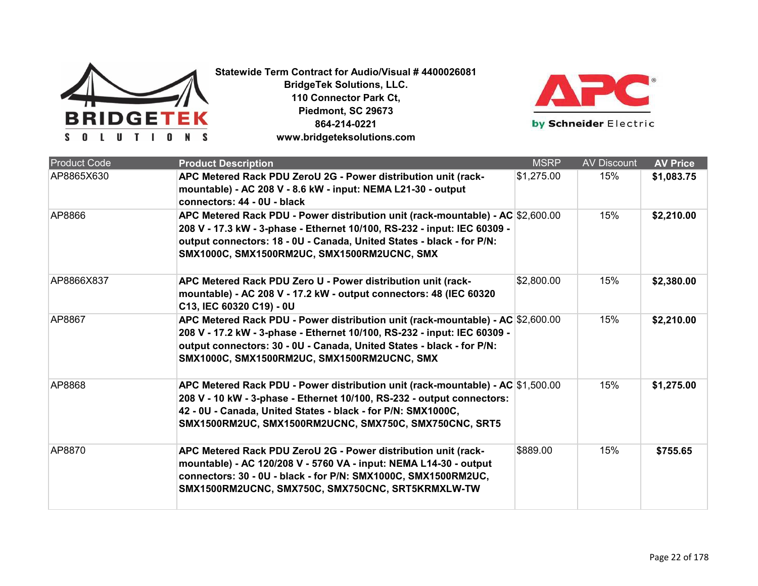



Product Code **Product Description** MSRP AV Discount **AV Price** AP8865X630 **APC Metered Rack PDU ZeroU 2G - Power distribution unit (rackmountable) - AC 208 V - 8.6 kW - input: NEMA L21-30 - output connectors: 44 - 0U - black** \$1,275.00 15% **\$1,083.75**  AP8866 **APC Metered Rack PDU - Power distribution unit (rack-mountable) - AC 208 V - 17.3 kW - 3-phase - Ethernet 10/100, RS-232 - input: IEC 60309 output connectors: 18 - 0U - Canada, United States - black - for P/N: SMX1000C, SMX1500RM2UC, SMX1500RM2UCNC, SMX** \$2,600.00 15% **\$2,210.00**  AP8866X837 **APC Metered Rack PDU Zero U - Power distribution unit (rackmountable) - AC 208 V - 17.2 kW - output connectors: 48 (IEC 60320 C13, IEC 60320 C19) - 0U** \$2,800.00 15% **\$2,380.00**  AP8867 **APC Metered Rack PDU - Power distribution unit (rack-mountable) - AC 208 V - 17.2 kW - 3-phase - Ethernet 10/100, RS-232 - input: IEC 60309 output connectors: 30 - 0U - Canada, United States - black - for P/N: SMX1000C, SMX1500RM2UC, SMX1500RM2UCNC, SMX** \$2,600.00 15% **\$2,210.00**  AP8868 **APC Metered Rack PDU - Power distribution unit (rack-mountable) - AC 208 V - 10 kW - 3-phase - Ethernet 10/100, RS-232 - output connectors: 42 - 0U - Canada, United States - black - for P/N: SMX1000C, SMX1500RM2UC, SMX1500RM2UCNC, SMX750C, SMX750CNC, SRT5** \$1,500.00 15% **\$1,275.00**  AP8870 **APC Metered Rack PDU ZeroU 2G - Power distribution unit (rackmountable) - AC 120/208 V - 5760 VA - input: NEMA L14-30 - output connectors: 30 - 0U - black - for P/N: SMX1000C, SMX1500RM2UC, SMX1500RM2UCNC, SMX750C, SMX750CNC, SRT5KRMXLW-TW** \$889.00 15% **\$755.65**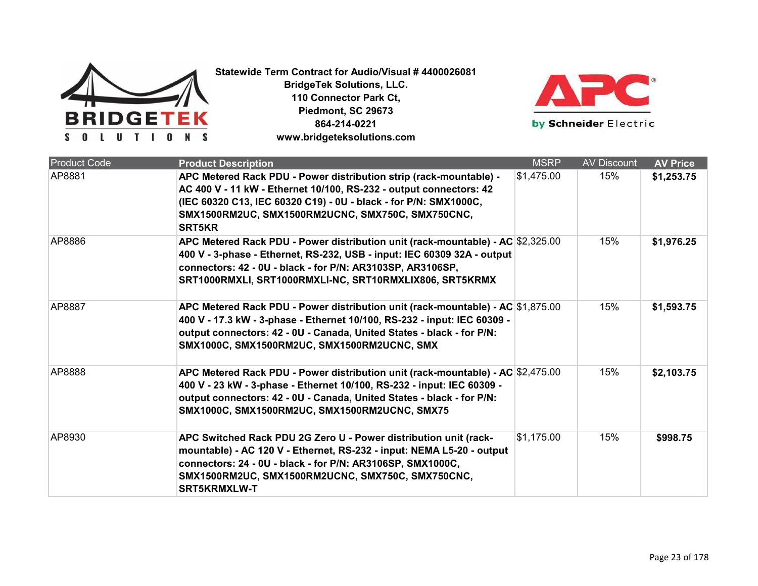



Product Code **Product Description** MSRP AV Discount **AV Price** AP8881 **APC Metered Rack PDU - Power distribution strip (rack-mountable) - AC 400 V - 11 kW - Ethernet 10/100, RS-232 - output connectors: 42 (IEC 60320 C13, IEC 60320 C19) - 0U - black - for P/N: SMX1000C, SMX1500RM2UC, SMX1500RM2UCNC, SMX750C, SMX750CNC, SRT5KR** \$1,475.00 15% **\$1,253.75**  AP8886 **APC Metered Rack PDU - Power distribution unit (rack-mountable) - AC 400 V - 3-phase - Ethernet, RS-232, USB - input: IEC 60309 32A - output connectors: 42 - 0U - black - for P/N: AR3103SP, AR3106SP, SRT1000RMXLI, SRT1000RMXLI-NC, SRT10RMXLIX806, SRT5KRMX** \$2,325.00 15% **\$1,976.25**  AP8887 **APC Metered Rack PDU - Power distribution unit (rack-mountable) - AC \$1,875.00 15% \$1,593.75 400 V - 17.3 kW - 3-phase - Ethernet 10/100, RS-232 - input: IEC 60309 output connectors: 42 - 0U - Canada, United States - black - for P/N: SMX1000C, SMX1500RM2UC, SMX1500RM2UCNC, SMX** AP8888 **APC Metered Rack PDU - Power distribution unit (rack-mountable) - AC 400 V - 23 kW - 3-phase - Ethernet 10/100, RS-232 - input: IEC 60309 output connectors: 42 - 0U - Canada, United States - black - for P/N: SMX1000C, SMX1500RM2UC, SMX1500RM2UCNC, SMX75** \$2,475.00 15% **\$2,103.75**  AP8930 **APC Switched Rack PDU 2G Zero U - Power distribution unit (rackmountable) - AC 120 V - Ethernet, RS-232 - input: NEMA L5-20 - output connectors: 24 - 0U - black - for P/N: AR3106SP, SMX1000C, SMX1500RM2UC, SMX1500RM2UCNC, SMX750C, SMX750CNC, SRT5KRMXLW-T** \$1,175.00 15% **\$998.75**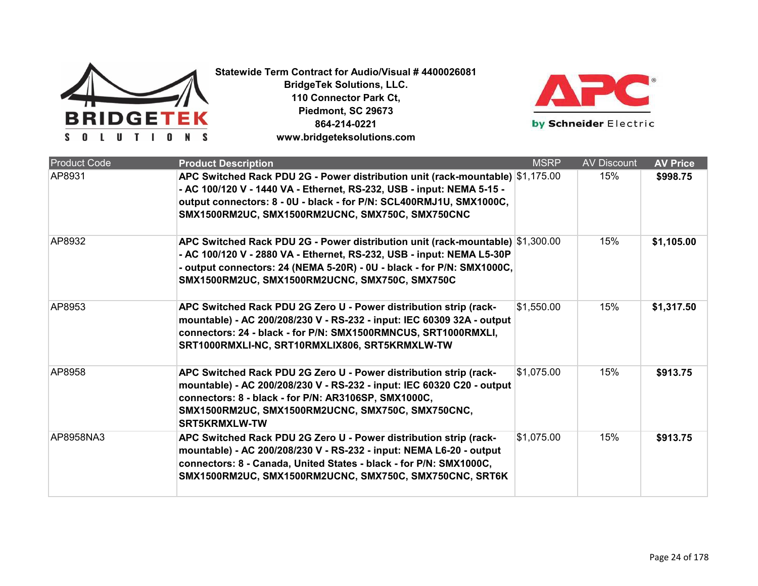



Product Code **Product Description** MSRP AV Discount **AV Price** AP8931 **APC Switched Rack PDU 2G - Power distribution unit (rack-mountable) \$1,175.00 15% <b>\$998.75 - AC 100/120 V - 1440 VA - Ethernet, RS-232, USB - input: NEMA 5-15 output connectors: 8 - 0U - black - for P/N: SCL400RMJ1U, SMX1000C, SMX1500RM2UC, SMX1500RM2UCNC, SMX750C, SMX750CNC** AP8932 **APC Switched Rack PDU 2G - Power distribution unit (rack-mountable) \$1,300.00 15% <b>\$1,105.00 - AC 100/120 V - 2880 VA - Ethernet, RS-232, USB - input: NEMA L5-30P - output connectors: 24 (NEMA 5-20R) - 0U - black - for P/N: SMX1000C, SMX1500RM2UC, SMX1500RM2UCNC, SMX750C, SMX750C** AP8953 **APC Switched Rack PDU 2G Zero U - Power distribution strip (rackmountable) - AC 200/208/230 V - RS-232 - input: IEC 60309 32A - output connectors: 24 - black - for P/N: SMX1500RMNCUS, SRT1000RMXLI, SRT1000RMXLI-NC, SRT10RMXLIX806, SRT5KRMXLW-TW** \$1,550.00 15% **\$1,317.50**  AP8958 **APC Switched Rack PDU 2G Zero U - Power distribution strip (rackmountable) - AC 200/208/230 V - RS-232 - input: IEC 60320 C20 - output connectors: 8 - black - for P/N: AR3106SP, SMX1000C, SMX1500RM2UC, SMX1500RM2UCNC, SMX750C, SMX750CNC, SRT5KRMXLW-TW** \$1,075.00 15% **\$913.75**  AP8958NA3 **APC Switched Rack PDU 2G Zero U - Power distribution strip (rackmountable) - AC 200/208/230 V - RS-232 - input: NEMA L6-20 - output connectors: 8 - Canada, United States - black - for P/N: SMX1000C, SMX1500RM2UC, SMX1500RM2UCNC, SMX750C, SMX750CNC, SRT6K** \$1,075.00 15% **\$913.75**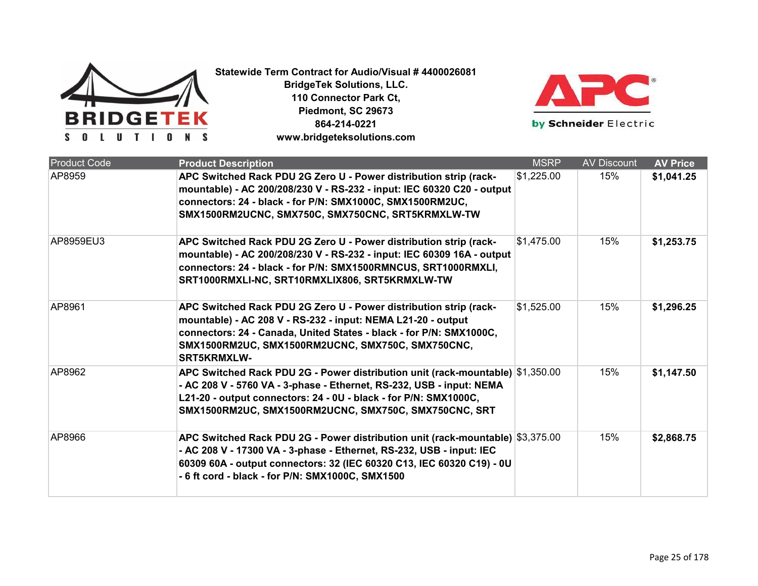



Product Code **Product Description** MSRP AV Discount **AV Price** AP8959 **APC Switched Rack PDU 2G Zero U - Power distribution strip (rackmountable) - AC 200/208/230 V - RS-232 - input: IEC 60320 C20 - output connectors: 24 - black - for P/N: SMX1000C, SMX1500RM2UC, SMX1500RM2UCNC, SMX750C, SMX750CNC, SRT5KRMXLW-TW** \$1,225.00 15% **\$1,041.25**  AP8959EU3 **APC Switched Rack PDU 2G Zero U - Power distribution strip (rackmountable) - AC 200/208/230 V - RS-232 - input: IEC 60309 16A - output connectors: 24 - black - for P/N: SMX1500RMNCUS, SRT1000RMXLI, SRT1000RMXLI-NC, SRT10RMXLIX806, SRT5KRMXLW-TW** \$1,475.00 15% **\$1,253.75**  AP8961 **APC Switched Rack PDU 2G Zero U - Power distribution strip (rackmountable) - AC 208 V - RS-232 - input: NEMA L21-20 - output connectors: 24 - Canada, United States - black - for P/N: SMX1000C, SMX1500RM2UC, SMX1500RM2UCNC, SMX750C, SMX750CNC, SRT5KRMXLW-** \$1,525.00 15% **\$1,296.25**  AP8962 **APC Switched Rack PDU 2G - Power distribution unit (rack-mountable)**  \$1,350.00 15% **\$1,147.50 - AC 208 V - 5760 VA - 3-phase - Ethernet, RS-232, USB - input: NEMA L21-20 - output connectors: 24 - 0U - black - for P/N: SMX1000C, SMX1500RM2UC, SMX1500RM2UCNC, SMX750C, SMX750CNC, SRT** AP8966 **APC Switched Rack PDU 2G - Power distribution unit (rack-mountable) - AC 208 V - 17300 VA - 3-phase - Ethernet, RS-232, USB - input: IEC 60309 60A - output connectors: 32 (IEC 60320 C13, IEC 60320 C19) - 0U - 6 ft cord - black - for P/N: SMX1000C, SMX1500** \$3,375.00 15% **\$2,868.75**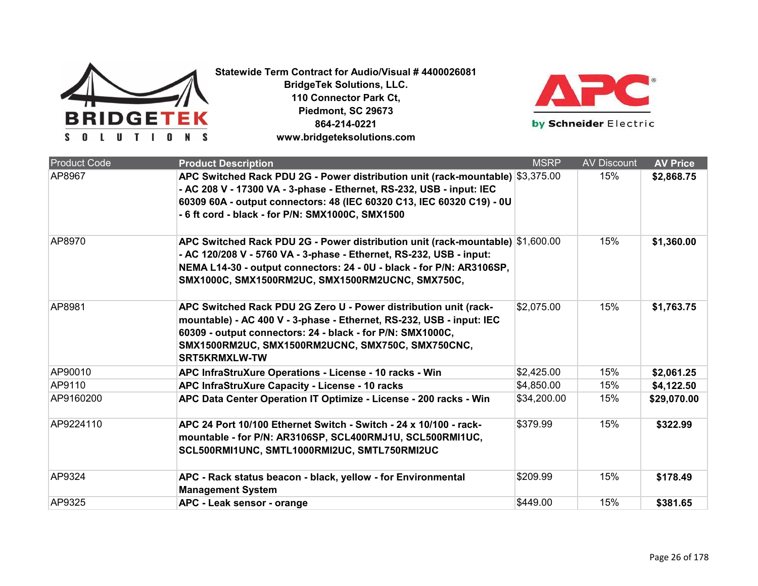



Product Code **Product Description** MSRP AV Discount **AV Price** AP8967 **APC Switched Rack PDU 2G - Power distribution unit (rack-mountable) \$3,375.00 15% <b>\$2,868.75 - AC 208 V - 17300 VA - 3-phase - Ethernet, RS-232, USB - input: IEC 60309 60A - output connectors: 48 (IEC 60320 C13, IEC 60320 C19) - 0U - 6 ft cord - black - for P/N: SMX1000C, SMX1500** AP8970 **APC Switched Rack PDU 2G - Power distribution unit (rack-mountable) \$1,600.00 15% <b>\$1,360.00 - AC 120/208 V - 5760 VA - 3-phase - Ethernet, RS-232, USB - input: NEMA L14-30 - output connectors: 24 - 0U - black - for P/N: AR3106SP, SMX1000C, SMX1500RM2UC, SMX1500RM2UCNC, SMX750C,** AP8981 **APC Switched Rack PDU 2G Zero U - Power distribution unit (rackmountable) - AC 400 V - 3-phase - Ethernet, RS-232, USB - input: IEC 60309 - output connectors: 24 - black - for P/N: SMX1000C, SMX1500RM2UC, SMX1500RM2UCNC, SMX750C, SMX750CNC, SRT5KRMXLW-TW** \$2,075.00 15% **\$1,763.75**  AP90010 **APC InfraStruXure Operations - License - 10 racks - Win** \$2,425.00 15% **\$2,061.25**  AP9110 **APC InfraStruXure Capacity - License - 10 racks** \$4,850.00 15% **\$4,122.50**  AP9160200 **APC Data Center Operation IT Optimize - License - 200 racks - Win** \$34,200.00 15% **\$29,070.00**  AP9224110 **APC 24 Port 10/100 Ethernet Switch - Switch - 24 x 10/100 - rackmountable - for P/N: AR3106SP, SCL400RMJ1U, SCL500RMI1UC, SCL500RMI1UNC, SMTL1000RMI2UC, SMTL750RMI2UC** \$379.99 15% **\$322.99**  AP9324 **APC - Rack status beacon - black, yellow - for Environmental Management System** \$209.99 15% **\$178.49 AP9325 APC - Leak sensor - orange APC 15% <b>\$381.65 \$449.00** 15% **\$381.65**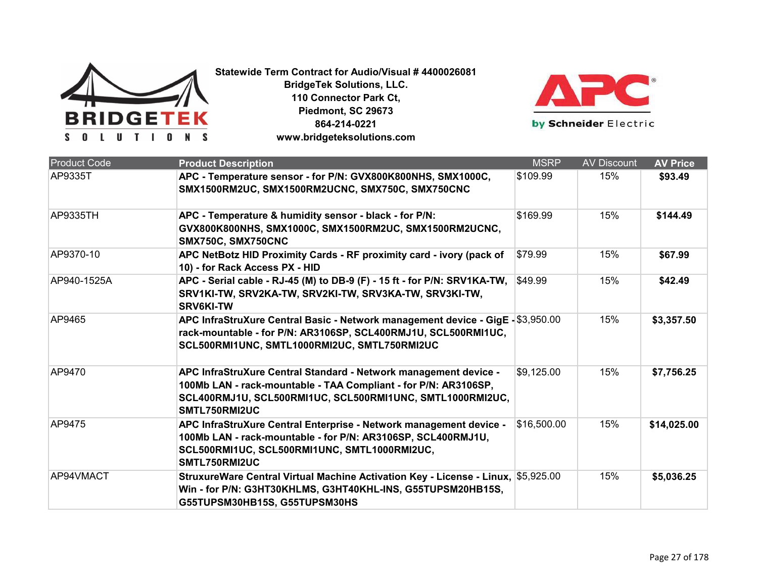



Product Code **Product Description** MSRP AV Discount **AV Price** AP9335T **APC - Temperature sensor - for P/N: GVX800K800NHS, SMX1000C, SMX1500RM2UC, SMX1500RM2UCNC, SMX750C, SMX750CNC** \$109.99 15% **\$93.49**  AP9335TH **APC - Temperature & humidity sensor - black - for P/N: GVX800K800NHS, SMX1000C, SMX1500RM2UC, SMX1500RM2UCNC, SMX750C, SMX750CNC** \$169.99 15% **\$144.49**  AP9370-10 **APC NetBotz HID Proximity Cards - RF proximity card - ivory (pack of 10) - for Rack Access PX - HID** \$79.99 15% **\$67.99**  AP940-1525A **APC - Serial cable - RJ-45 (M) to DB-9 (F) - 15 ft - for P/N: SRV1KA-TW, SRV1KI-TW, SRV2KA-TW, SRV2KI-TW, SRV3KA-TW, SRV3KI-TW, SRV6KI-TW** \$49.99 15% **\$42.49**  AP9465 **APC InfraStruXure Central Basic - Network management device - GigE rack-mountable - for P/N: AR3106SP, SCL400RMJ1U, SCL500RMI1UC, SCL500RMI1UNC, SMTL1000RMI2UC, SMTL750RMI2UC** \$3,950.00 15% **\$3,357.50**  AP9470 **APC InfraStruXure Central Standard - Network management device - 100Mb LAN - rack-mountable - TAA Compliant - for P/N: AR3106SP, SCL400RMJ1U, SCL500RMI1UC, SCL500RMI1UNC, SMTL1000RMI2UC, SMTL750RMI2UC** \$9,125.00 15% **\$7,756.25**  AP9475 **APC InfraStruXure Central Enterprise - Network management device - 100Mb LAN - rack-mountable - for P/N: AR3106SP, SCL400RMJ1U, SCL500RMI1UC, SCL500RMI1UNC, SMTL1000RMI2UC, SMTL750RMI2UC** \$16,500.00 15% **\$14,025.00**  AP94VMACT **StruxureWare Central Virtual Machine Activation Key - License - Linux,**  \$5,925.00 15% **\$5,036.25 Win - for P/N: G3HT30KHLMS, G3HT40KHL-INS, G55TUPSM20HB15S, G55TUPSM30HB15S, G55TUPSM30HS**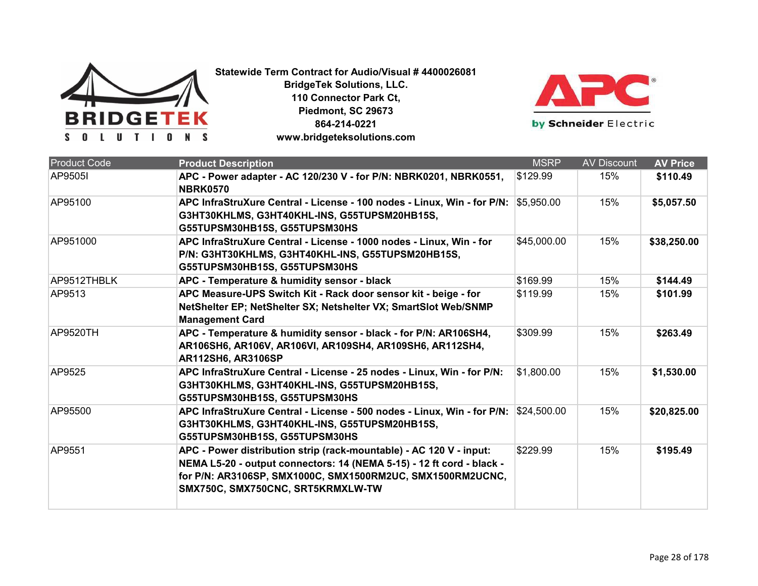



by Schneider Electric

| <b>Product Code</b> | <b>Product Description</b>                                                                                                                                                                                                                      | <b>MSRP</b> | <b>AV Discount</b> | <b>AV Price</b> |
|---------------------|-------------------------------------------------------------------------------------------------------------------------------------------------------------------------------------------------------------------------------------------------|-------------|--------------------|-----------------|
| AP9505I             | APC - Power adapter - AC 120/230 V - for P/N: NBRK0201, NBRK0551,<br><b>NBRK0570</b>                                                                                                                                                            | \$129.99    | 15%                | \$110.49        |
| AP95100             | APC InfraStruXure Central - License - 100 nodes - Linux, Win - for P/N:<br>G3HT30KHLMS, G3HT40KHL-INS, G55TUPSM20HB15S,<br>G55TUPSM30HB15S, G55TUPSM30HS                                                                                        | \$5,950.00  | 15%                | \$5,057.50      |
| AP951000            | APC InfraStruXure Central - License - 1000 nodes - Linux, Win - for<br>P/N: G3HT30KHLMS, G3HT40KHL-INS, G55TUPSM20HB15S,<br>G55TUPSM30HB15S, G55TUPSM30HS                                                                                       | \$45,000.00 | 15%                | \$38,250.00     |
| AP9512THBLK         | APC - Temperature & humidity sensor - black                                                                                                                                                                                                     | \$169.99    | 15%                | \$144.49        |
| AP9513              | APC Measure-UPS Switch Kit - Rack door sensor kit - beige - for<br>NetShelter EP; NetShelter SX; Netshelter VX; SmartSlot Web/SNMP<br><b>Management Card</b>                                                                                    | \$119.99    | 15%                | \$101.99        |
| <b>AP9520TH</b>     | APC - Temperature & humidity sensor - black - for P/N: AR106SH4,<br>AR106SH6, AR106V, AR106VI, AR109SH4, AR109SH6, AR112SH4,<br><b>AR112SH6, AR3106SP</b>                                                                                       | \$309.99    | 15%                | \$263.49        |
| AP9525              | APC InfraStruXure Central - License - 25 nodes - Linux, Win - for P/N:<br>G3HT30KHLMS, G3HT40KHL-INS, G55TUPSM20HB15S,<br>G55TUPSM30HB15S, G55TUPSM30HS                                                                                         | \$1,800.00  | 15%                | \$1,530.00      |
| AP95500             | APC InfraStruXure Central - License - 500 nodes - Linux, Win - for P/N:<br>G3HT30KHLMS, G3HT40KHL-INS, G55TUPSM20HB15S,<br>G55TUPSM30HB15S, G55TUPSM30HS                                                                                        | \$24,500.00 | 15%                | \$20,825.00     |
| AP9551              | APC - Power distribution strip (rack-mountable) - AC 120 V - input:<br>NEMA L5-20 - output connectors: 14 (NEMA 5-15) - 12 ft cord - black -<br>for P/N: AR3106SP, SMX1000C, SMX1500RM2UC, SMX1500RM2UCNC,<br>SMX750C, SMX750CNC, SRT5KRMXLW-TW | \$229.99    | 15%                | \$195.49        |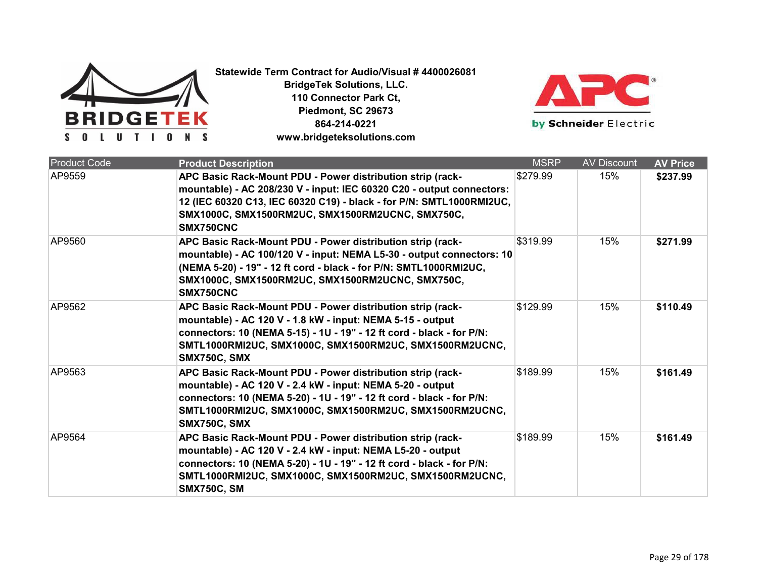



Product Code **Product Description** MSRP AV Discount **AV Price** AP9559 **APC Basic Rack-Mount PDU - Power distribution strip (rackmountable) - AC 208/230 V - input: IEC 60320 C20 - output connectors: 12 (IEC 60320 C13, IEC 60320 C19) - black - for P/N: SMTL1000RMI2UC, SMX1000C, SMX1500RM2UC, SMX1500RM2UCNC, SMX750C, SMX750CNC** \$279.99 15% **\$237.99**  AP9560 **APC Basic Rack-Mount PDU - Power distribution strip (rackmountable) - AC 100/120 V - input: NEMA L5-30 - output connectors: 10 (NEMA 5-20) - 19" - 12 ft cord - black - for P/N: SMTL1000RMI2UC, SMX1000C, SMX1500RM2UC, SMX1500RM2UCNC, SMX750C, SMX750CNC** \$319.99 15% **\$271.99**  AP9562 **APC Basic Rack-Mount PDU - Power distribution strip (rackmountable) - AC 120 V - 1.8 kW - input: NEMA 5-15 - output connectors: 10 (NEMA 5-15) - 1U - 19" - 12 ft cord - black - for P/N: SMTL1000RMI2UC, SMX1000C, SMX1500RM2UC, SMX1500RM2UCNC, SMX750C, SMX** \$129.99 15% **\$110.49**  AP9563 **APC Basic Rack-Mount PDU - Power distribution strip (rackmountable) - AC 120 V - 2.4 kW - input: NEMA 5-20 - output connectors: 10 (NEMA 5-20) - 1U - 19" - 12 ft cord - black - for P/N: SMTL1000RMI2UC, SMX1000C, SMX1500RM2UC, SMX1500RM2UCNC, SMX750C, SMX** \$189.99 15% **\$161.49**  AP9564 **APC Basic Rack-Mount PDU - Power distribution strip (rackmountable) - AC 120 V - 2.4 kW - input: NEMA L5-20 - output connectors: 10 (NEMA 5-20) - 1U - 19" - 12 ft cord - black - for P/N: SMTL1000RMI2UC, SMX1000C, SMX1500RM2UC, SMX1500RM2UCNC, SMX750C, SM** \$189.99 15% **\$161.49**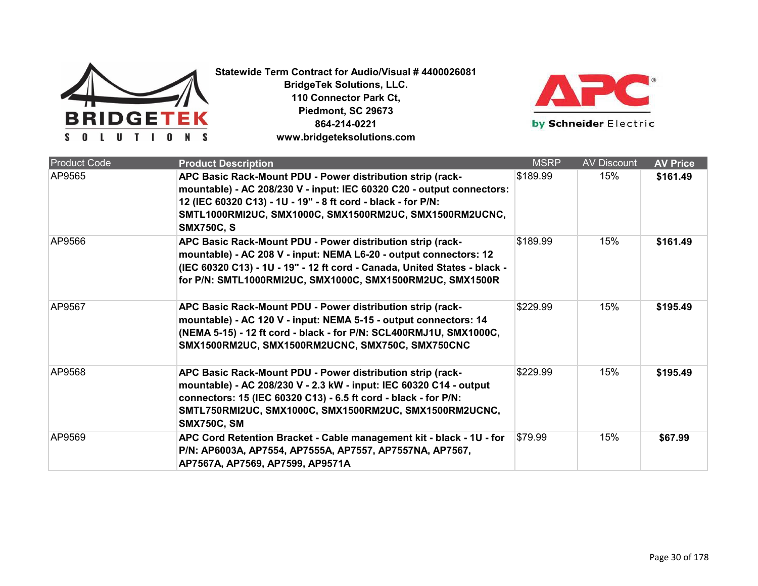



Product Code **Product Description** MSRP AV Discount **AV Price** AP9565 **APC Basic Rack-Mount PDU - Power distribution strip (rackmountable) - AC 208/230 V - input: IEC 60320 C20 - output connectors: 12 (IEC 60320 C13) - 1U - 19" - 8 ft cord - black - for P/N: SMTL1000RMI2UC, SMX1000C, SMX1500RM2UC, SMX1500RM2UCNC, SMX750C, S** \$189.99 15% **\$161.49**  AP9566 **APC Basic Rack-Mount PDU - Power distribution strip (rackmountable) - AC 208 V - input: NEMA L6-20 - output connectors: 12 (IEC 60320 C13) - 1U - 19" - 12 ft cord - Canada, United States - black for P/N: SMTL1000RMI2UC, SMX1000C, SMX1500RM2UC, SMX1500R** \$189.99 15% **\$161.49**  AP9567 **APC Basic Rack-Mount PDU - Power distribution strip (rackmountable) - AC 120 V - input: NEMA 5-15 - output connectors: 14 (NEMA 5-15) - 12 ft cord - black - for P/N: SCL400RMJ1U, SMX1000C, SMX1500RM2UC, SMX1500RM2UCNC, SMX750C, SMX750CNC** \$229.99 15% **\$195.49**  AP9568 **APC Basic Rack-Mount PDU - Power distribution strip (rackmountable) - AC 208/230 V - 2.3 kW - input: IEC 60320 C14 - output connectors: 15 (IEC 60320 C13) - 6.5 ft cord - black - for P/N: SMTL750RMI2UC, SMX1000C, SMX1500RM2UC, SMX1500RM2UCNC, SMX750C, SM** \$229.99 15% **\$195.49**  AP9569 **APC Cord Retention Bracket - Cable management kit - black - 1U - for P/N: AP6003A, AP7554, AP7555A, AP7557, AP7557NA, AP7567,**  \$79.99 15% **\$67.99** 

**AP7567A, AP7569, AP7599, AP9571A**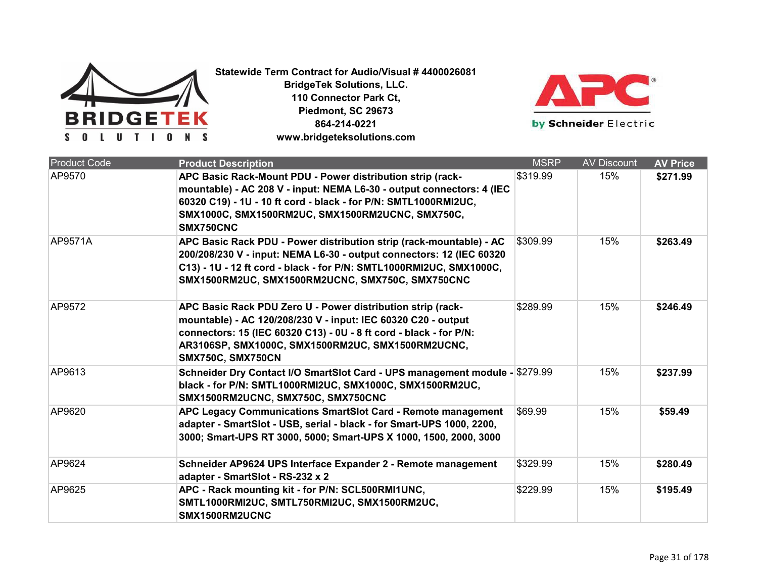



Product Code **Product Description** MSRP AV Discount **AV Price** AP9570 **APC Basic Rack-Mount PDU - Power distribution strip (rackmountable) - AC 208 V - input: NEMA L6-30 - output connectors: 4 (IEC 60320 C19) - 1U - 10 ft cord - black - for P/N: SMTL1000RMI2UC, SMX1000C, SMX1500RM2UC, SMX1500RM2UCNC, SMX750C, SMX750CNC** \$319.99 15% **\$271.99**  AP9571A **APC Basic Rack PDU - Power distribution strip (rack-mountable) - AC 200/208/230 V - input: NEMA L6-30 - output connectors: 12 (IEC 60320 C13) - 1U - 12 ft cord - black - for P/N: SMTL1000RMI2UC, SMX1000C, SMX1500RM2UC, SMX1500RM2UCNC, SMX750C, SMX750CNC** \$309.99 15% **\$263.49**  AP9572 **APC Basic Rack PDU Zero U - Power distribution strip (rackmountable) - AC 120/208/230 V - input: IEC 60320 C20 - output connectors: 15 (IEC 60320 C13) - 0U - 8 ft cord - black - for P/N: AR3106SP, SMX1000C, SMX1500RM2UC, SMX1500RM2UCNC, SMX750C, SMX750CN** \$289.99 15% **\$246.49**  AP9613 <mark>Schneider Dry Contact I/O SmartSlot Card - UPS management module - \$279.99 15% **\$237.99**</mark> **black - for P/N: SMTL1000RMI2UC, SMX1000C, SMX1500RM2UC, SMX1500RM2UCNC, SMX750C, SMX750CNC** AP9620 **APC Legacy Communications SmartSlot Card - Remote management adapter - SmartSlot - USB, serial - black - for Smart-UPS 1000, 2200, 3000; Smart-UPS RT 3000, 5000; Smart-UPS X 1000, 1500, 2000, 3000** \$69.99 15% **\$59.49**  AP9624 **Schneider AP9624 UPS Interface Expander 2 - Remote management adapter - SmartSlot - RS-232 x 2** \$329.99 15% **\$280.49**  AP9625 **APC - Rack mounting kit - for P/N: SCL500RMI1UNC, SMTL1000RMI2UC, SMTL750RMI2UC, SMX1500RM2UC, SMX1500RM2UCNC** \$229.99 15% **\$195.49**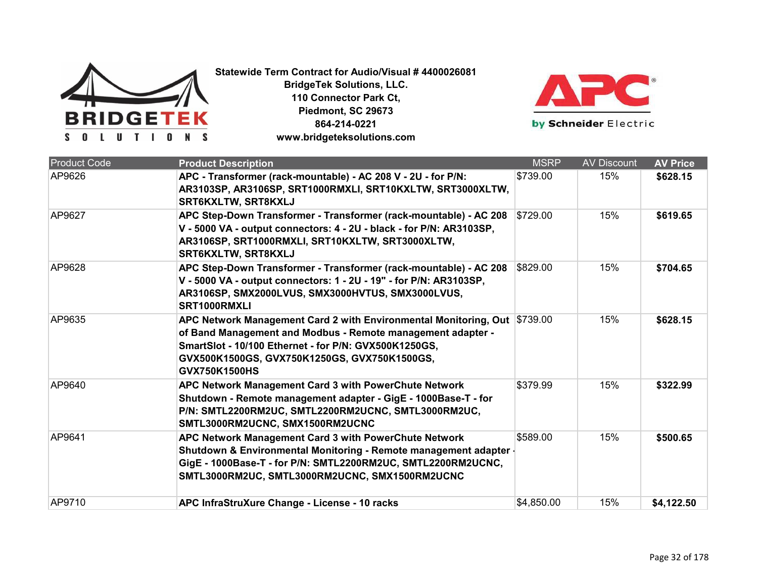



Product Code **Product Description** MSRP AV Discount **AV Price** AP9626 **APC - Transformer (rack-mountable) - AC 208 V - 2U - for P/N: AR3103SP, AR3106SP, SRT1000RMXLI, SRT10KXLTW, SRT3000XLTW, SRT6KXLTW, SRT8KXLJ** \$739.00 15% **\$628.15**  AP9627 **APC Step-Down Transformer - Transformer (rack-mountable) - AC 208 V - 5000 VA - output connectors: 4 - 2U - black - for P/N: AR3103SP, AR3106SP, SRT1000RMXLI, SRT10KXLTW, SRT3000XLTW, SRT6KXLTW, SRT8KXLJ** \$729.00 15% **\$619.65**  AP9628 **APC Step-Down Transformer - Transformer (rack-mountable) - AC 208 V - 5000 VA - output connectors: 1 - 2U - 19" - for P/N: AR3103SP, AR3106SP, SMX2000LVUS, SMX3000HVTUS, SMX3000LVUS, SRT1000RMXLI** \$829.00 15% **\$704.65**  AP9635 |**APC Network Management Card 2 with Environmental Monitoring, Out |\$739.00 | 15% | \$628.15 of Band Management and Modbus - Remote management adapter - SmartSlot - 10/100 Ethernet - for P/N: GVX500K1250GS, GVX500K1500GS, GVX750K1250GS, GVX750K1500GS, GVX750K1500HS** AP9640 **APC Network Management Card 3 with PowerChute Network Shutdown - Remote management adapter - GigE - 1000Base-T - for P/N: SMTL2200RM2UC, SMTL2200RM2UCNC, SMTL3000RM2UC, SMTL3000RM2UCNC, SMX1500RM2UCNC** \$379.99 15% **\$322.99**  AP9641 **APC Network Management Card 3 with PowerChute Network Shutdown & Environmental Monitoring - Remote management adapter - GigE - 1000Base-T - for P/N: SMTL2200RM2UC, SMTL2200RM2UCNC, SMTL3000RM2UC, SMTL3000RM2UCNC, SMX1500RM2UCNC** \$589.00 15% **\$500.65**  AP9710 **APC InfraStruXure Change - License - 10 racks** \$4,850.00 15% **\$4,122.50**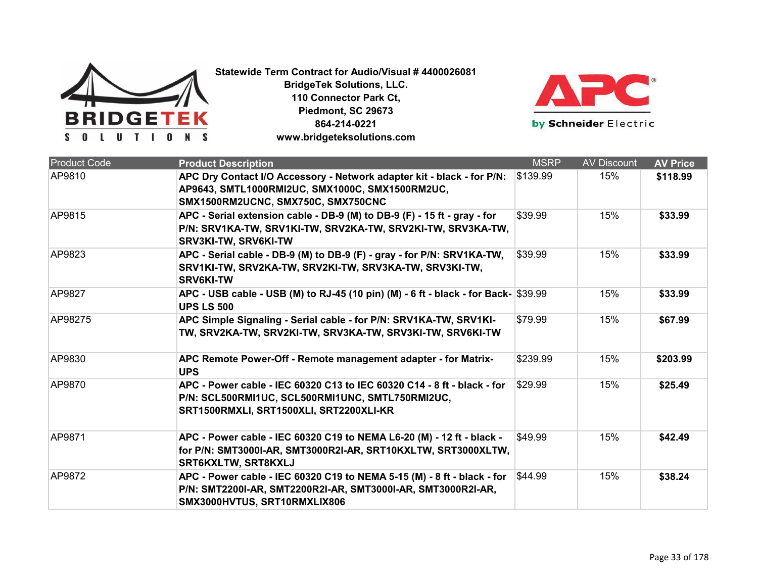



Product Code **Product Description** MSRP AV Discount **AV Price** AP9810 **APC Dry Contact I/O Accessory - Network adapter kit - black - for P/N: AP9643, SMTL1000RMI2UC, SMX1000C, SMX1500RM2UC, SMX1500RM2UCNC, SMX750C, SMX750CNC** \$139.99 15% **\$118.99**  AP9815 **APC - Serial extension cable - DB-9 (M) to DB-9 (F) - 15 ft - gray - for P/N: SRV1KA-TW, SRV1KI-TW, SRV2KA-TW, SRV2KI-TW, SRV3KA-TW, SRV3KI-TW, SRV6KI-TW** \$39.99 15% **\$33.99**  AP9823 **APC - Serial cable - DB-9 (M) to DB-9 (F) - gray - for P/N: SRV1KA-TW, SRV1KI-TW, SRV2KA-TW, SRV2KI-TW, SRV3KA-TW, SRV3KI-TW, SRV6KI-TW** \$39.99 15% **\$33.99**  AP9827 **APC - USB cable - USB (M) to RJ-45 (10 pin) (M) - 6 ft - black - for Back-**\$39.99 15% **\$33.99 UPS LS 500** AP98275 **APC Simple Signaling - Serial cable - for P/N: SRV1KA-TW, SRV1KI-TW, SRV2KA-TW, SRV2KI-TW, SRV3KA-TW, SRV3KI-TW, SRV6KI-TW** \$79.99 15% **\$67.99**  AP9830 **APC Remote Power-Off - Remote management adapter - for Matrix-UPS** \$239.99 15% **\$203.99**  AP9870 **APC - Power cable - IEC 60320 C13 to IEC 60320 C14 - 8 ft - black - for P/N: SCL500RMI1UC, SCL500RMI1UNC, SMTL750RMI2UC, SRT1500RMXLI, SRT1500XLI, SRT2200XLI-KR** \$29.99 15% **\$25.49**  AP9871 **APC - Power cable - IEC 60320 C19 to NEMA L6-20 (M) - 12 ft - black for P/N: SMT3000I-AR, SMT3000R2I-AR, SRT10KXLTW, SRT3000XLTW, SRT6KXLTW, SRT8KXLJ** \$49.99 15% **\$42.49**  AP9872 **APC - Power cable - IEC 60320 C19 to NEMA 5-15 (M) - 8 ft - black - for**  \$44.99 15% **\$38.24 P/N: SMT2200I-AR, SMT2200R2I-AR, SMT3000I-AR, SMT3000R2I-AR, SMX3000HVTUS, SRT10RMXLIX806**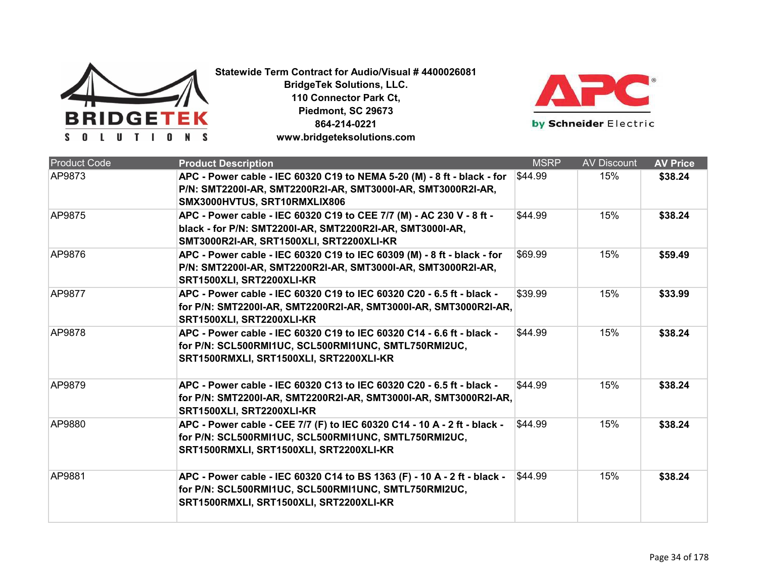



Product Code **Product Description** MSRP AV Discount **AV Price** AP9873 **APC - Power cable - IEC 60320 C19 to NEMA 5-20 (M) - 8 ft - black - for P/N: SMT2200I-AR, SMT2200R2I-AR, SMT3000I-AR, SMT3000R2I-AR, SMX3000HVTUS, SRT10RMXLIX806** \$44.99 15% **\$38.24**  AP9875 **APC - Power cable - IEC 60320 C19 to CEE 7/7 (M) - AC 230 V - 8 ft black - for P/N: SMT2200I-AR, SMT2200R2I-AR, SMT3000I-AR, SMT3000R2I-AR, SRT1500XLI, SRT2200XLI-KR** \$44.99 15% **\$38.24**  AP9876 **APC - Power cable - IEC 60320 C19 to IEC 60309 (M) - 8 ft - black - for P/N: SMT2200I-AR, SMT2200R2I-AR, SMT3000I-AR, SMT3000R2I-AR, SRT1500XLI, SRT2200XLI-KR** \$69.99 15% **\$59.49**  AP9877 **APC - Power cable - IEC 60320 C19 to IEC 60320 C20 - 6.5 ft - black for P/N: SMT2200I-AR, SMT2200R2I-AR, SMT3000I-AR, SMT3000R2I-AR, SRT1500XLI, SRT2200XLI-KR** \$39.99 15% **\$33.99**  AP9878 **APC - Power cable - IEC 60320 C19 to IEC 60320 C14 - 6.6 ft - black for P/N: SCL500RMI1UC, SCL500RMI1UNC, SMTL750RMI2UC, SRT1500RMXLI, SRT1500XLI, SRT2200XLI-KR** \$44.99 15% **\$38.24**  AP9879 **APC - Power cable - IEC 60320 C13 to IEC 60320 C20 - 6.5 ft - black for P/N: SMT2200I-AR, SMT2200R2I-AR, SMT3000I-AR, SMT3000R2I-AR, SRT1500XLI, SRT2200XLI-KR** \$44.99 15% **\$38.24**  AP9880 **APC - Power cable - CEE 7/7 (F) to IEC 60320 C14 - 10 A - 2 ft - black for P/N: SCL500RMI1UC, SCL500RMI1UNC, SMTL750RMI2UC, SRT1500RMXLI, SRT1500XLI, SRT2200XLI-KR** \$44.99 15% **\$38.24**  AP9881 **APC - Power cable - IEC 60320 C14 to BS 1363 (F) - 10 A - 2 ft - black for P/N: SCL500RMI1UC, SCL500RMI1UNC, SMTL750RMI2UC, SRT1500RMXLI, SRT1500XLI, SRT2200XLI-KR** \$44.99 15% **\$38.24**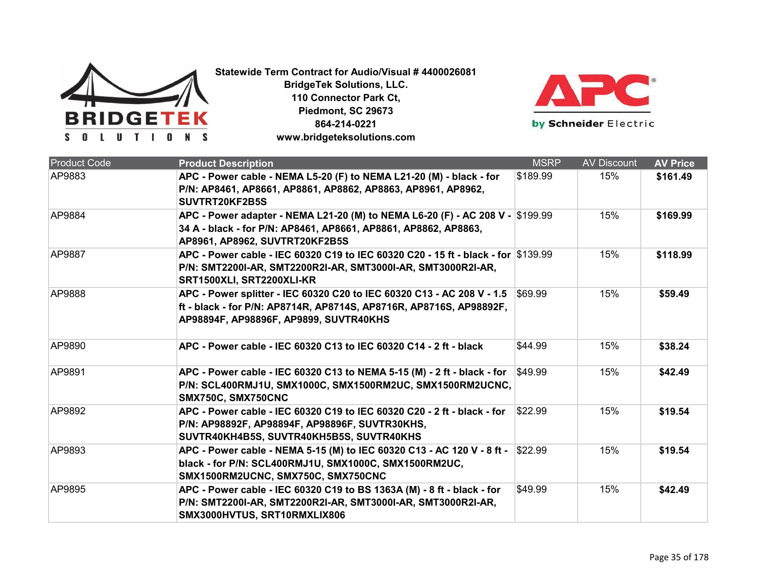



Product Code **Product Description** MSRP AV Discount **AV Price** AP9883 **APC - Power cable - NEMA L5-20 (F) to NEMA L21-20 (M) - black - for P/N: AP8461, AP8661, AP8861, AP8862, AP8863, AP8961, AP8962, SUVTRT20KF2B5S** \$189.99 15% **\$161.49**  AP9884 |APC - Power adapter - NEMA L21-20 (M) to NEMA L6-20 (F) - AC 208 V -  $|$199.99$  | 15% | \$169.99 **34 A - black - for P/N: AP8461, AP8661, AP8861, AP8862, AP8863, AP8961, AP8962, SUVTRT20KF2B5S** AP9887 **APC - Power cable - IEC 60320 C19 to IEC 60320 C20 - 15 ft - black - for P/N: SMT2200I-AR, SMT2200R2I-AR, SMT3000I-AR, SMT3000R2I-AR, SRT1500XLI, SRT2200XLI-KR** \$139.99 15% **\$118.99**  AP9888 **APC - Power splitter - IEC 60320 C20 to IEC 60320 C13 - AC 208 V - 1.5 ft - black - for P/N: AP8714R, AP8714S, AP8716R, AP8716S, AP98892F, AP98894F, AP98896F, AP9899, SUVTR40KHS** \$69.99 15% **\$59.49**  AP9890 **APC - Power cable - IEC 60320 C13 to IEC 60320 C14 - 2 ft - black** \$44.99 15% **\$38.24**  AP9891 **APC - Power cable - IEC 60320 C13 to NEMA 5-15 (M) - 2 ft - black - for P/N: SCL400RMJ1U, SMX1000C, SMX1500RM2UC, SMX1500RM2UCNC, SMX750C, SMX750CNC** \$49.99 15% **\$42.49**  AP9892 **APC - Power cable - IEC 60320 C19 to IEC 60320 C20 - 2 ft - black - for P/N: AP98892F, AP98894F, AP98896F, SUVTR30KHS, SUVTR40KH4B5S, SUVTR40KH5B5S, SUVTR40KHS** \$22.99 15% **\$19.54**  AP9893 **APC - Power cable - NEMA 5-15 (M) to IEC 60320 C13 - AC 120 V - 8 ft black - for P/N: SCL400RMJ1U, SMX1000C, SMX1500RM2UC, SMX1500RM2UCNC, SMX750C, SMX750CNC** \$22.99 15% **\$19.54**  AP9895 **APC - Power cable - IEC 60320 C19 to BS 1363A (M) - 8 ft - black - for P/N: SMT2200I-AR, SMT2200R2I-AR, SMT3000I-AR, SMT3000R2I-AR, SMX3000HVTUS, SRT10RMXLIX806** \$49.99 15% **\$42.49**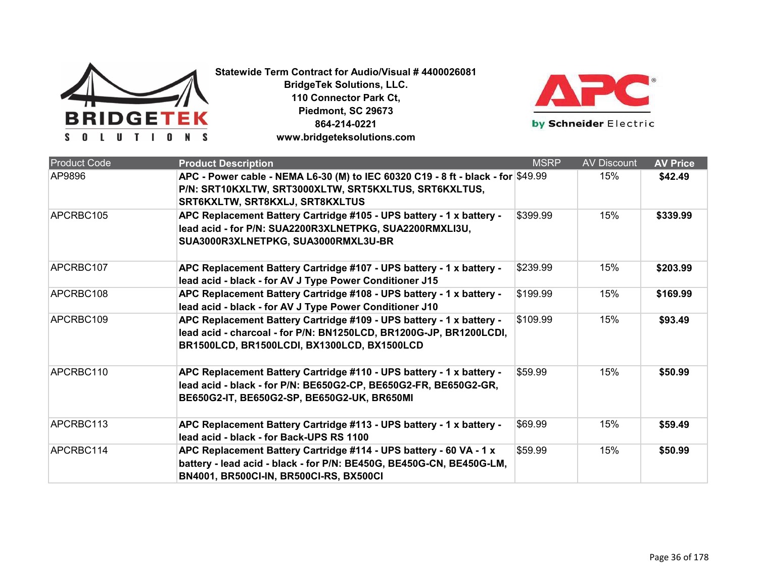



Product Code **Product Description** MSRP AV Discount **AV Price** AP9896 **APC - Power cable - NEMA L6-30 (M) to IEC 60320 C19 - 8 ft - black - for \$49.99 15% \$42.49 P/N: SRT10KXLTW, SRT3000XLTW, SRT5KXLTUS, SRT6KXLTUS, SRT6KXLTW, SRT8KXLJ, SRT8KXLTUS** APCRBC105 **APC Replacement Battery Cartridge #105 - UPS battery - 1 x battery lead acid - for P/N: SUA2200R3XLNETPKG, SUA2200RMXLI3U, SUA3000R3XLNETPKG, SUA3000RMXL3U-BR** \$399.99 15% **\$339.99**  APCRBC107 **APC Replacement Battery Cartridge #107 - UPS battery - 1 x battery lead acid - black - for AV J Type Power Conditioner J15** \$239.99 15% **\$203.99**  APCRBC108 **APC Replacement Battery Cartridge #108 - UPS battery - 1 x battery lead acid - black - for AV J Type Power Conditioner J10** \$199.99 15% **\$169.99**  APCRBC109 **APC Replacement Battery Cartridge #109 - UPS battery - 1 x battery lead acid - charcoal - for P/N: BN1250LCD, BR1200G-JP, BR1200LCDI, BR1500LCD, BR1500LCDI, BX1300LCD, BX1500LCD** \$109.99 15% **\$93.49**  APCRBC110 **APC Replacement Battery Cartridge #110 - UPS battery - 1 x battery lead acid - black - for P/N: BE650G2-CP, BE650G2-FR, BE650G2-GR, BE650G2-IT, BE650G2-SP, BE650G2-UK, BR650MI** \$59.99 15% **\$50.99**  APCRBC113 **APC Replacement Battery Cartridge #113 - UPS battery - 1 x battery lead acid - black - for Back-UPS RS 1100** \$69.99 15% **\$59.49**  APCRBC114 **APC Replacement Battery Cartridge #114 - UPS battery - 60 VA - 1 x battery - lead acid - black - for P/N: BE450G, BE450G-CN, BE450G-LM, BN4001, BR500CI-IN, BR500CI-RS, BX500CI** \$59.99 15% **\$50.99**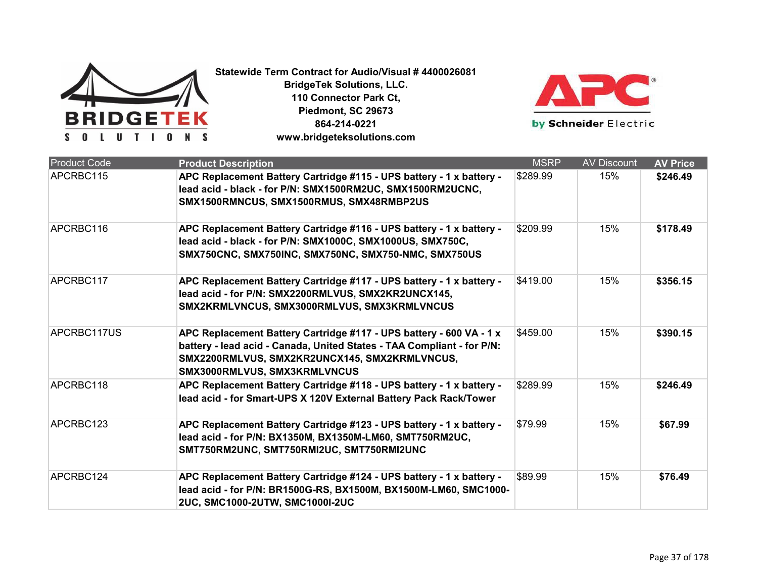



Product Code **Product Description** MSRP AV Discount **AV Price** APCRBC115 **APC Replacement Battery Cartridge #115 - UPS battery - 1 x battery lead acid - black - for P/N: SMX1500RM2UC, SMX1500RM2UCNC, SMX1500RMNCUS, SMX1500RMUS, SMX48RMBP2US** \$289.99 15% **\$246.49**  APCRBC116 **APC Replacement Battery Cartridge #116 - UPS battery - 1 x battery lead acid - black - for P/N: SMX1000C, SMX1000US, SMX750C, SMX750CNC, SMX750INC, SMX750NC, SMX750-NMC, SMX750US** \$209.99 15% **\$178.49**  APCRBC117 **APC Replacement Battery Cartridge #117 - UPS battery - 1 x battery lead acid - for P/N: SMX2200RMLVUS, SMX2KR2UNCX145, SMX2KRMLVNCUS, SMX3000RMLVUS, SMX3KRMLVNCUS** \$419.00 15% **\$356.15**  APCRBC117US **APC Replacement Battery Cartridge #117 - UPS battery - 600 VA - 1 x battery - lead acid - Canada, United States - TAA Compliant - for P/N: SMX2200RMLVUS, SMX2KR2UNCX145, SMX2KRMLVNCUS, SMX3000RMLVUS, SMX3KRMLVNCUS** \$459.00 15% **\$390.15**  APCRBC118 **APC Replacement Battery Cartridge #118 - UPS battery - 1 x battery lead acid - for Smart-UPS X 120V External Battery Pack Rack/Tower** \$289.99 15% **\$246.49**  APCRBC123 **APC Replacement Battery Cartridge #123 - UPS battery - 1 x battery lead acid - for P/N: BX1350M, BX1350M-LM60, SMT750RM2UC, SMT750RM2UNC, SMT750RMI2UC, SMT750RMI2UNC** \$79.99 15% **\$67.99**  APCRBC124 **APC Replacement Battery Cartridge #124 - UPS battery - 1 x battery lead acid - for P/N: BR1500G-RS, BX1500M, BX1500M-LM60, SMC1000- 2UC, SMC1000-2UTW, SMC1000I-2UC** \$89.99 15% **\$76.49**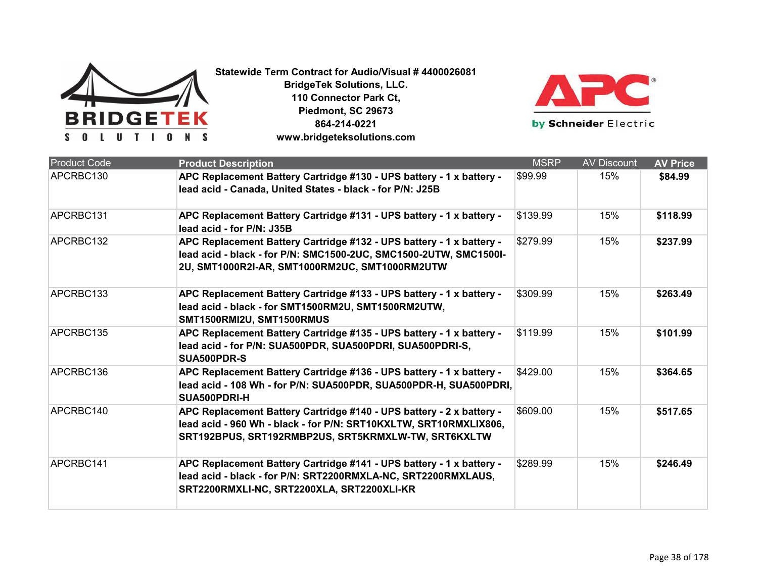



Product Code **Product Description** MSRP AV Discount **AV Price** APCRBC130 **APC Replacement Battery Cartridge #130 - UPS battery - 1 x battery lead acid - Canada, United States - black - for P/N: J25B** \$99.99 15% **\$84.99**  APCRBC131 **APC Replacement Battery Cartridge #131 - UPS battery - 1 x battery lead acid - for P/N: J35B** \$139.99 15% **\$118.99**  APCRBC132 **APC Replacement Battery Cartridge #132 - UPS battery - 1 x battery lead acid - black - for P/N: SMC1500-2UC, SMC1500-2UTW, SMC1500I-2U, SMT1000R2I-AR, SMT1000RM2UC, SMT1000RM2UTW** \$279.99 15% **\$237.99**  APCRBC133 **APC Replacement Battery Cartridge #133 - UPS battery - 1 x battery lead acid - black - for SMT1500RM2U, SMT1500RM2UTW, SMT1500RMI2U, SMT1500RMUS** \$309.99 15% **\$263.49**  APCRBC135 **APC Replacement Battery Cartridge #135 - UPS battery - 1 x battery lead acid - for P/N: SUA500PDR, SUA500PDRI, SUA500PDRI-S, SUA500PDR-S** \$119.99 15% **\$101.99**  APCRBC136 **APC Replacement Battery Cartridge #136 - UPS battery - 1 x battery lead acid - 108 Wh - for P/N: SUA500PDR, SUA500PDR-H, SUA500PDRI, SUA500PDRI-H** \$429.00 15% **\$364.65**  APCRBC140 **APC Replacement Battery Cartridge #140 - UPS battery - 2 x battery lead acid - 960 Wh - black - for P/N: SRT10KXLTW, SRT10RMXLIX806, SRT192BPUS, SRT192RMBP2US, SRT5KRMXLW-TW, SRT6KXLTW** \$609.00 15% **\$517.65**  APCRBC141 **APC Replacement Battery Cartridge #141 - UPS battery - 1 x battery lead acid - black - for P/N: SRT2200RMXLA-NC, SRT2200RMXLAUS, SRT2200RMXLI-NC, SRT2200XLA, SRT2200XLI-KR** \$289.99 15% **\$246.49**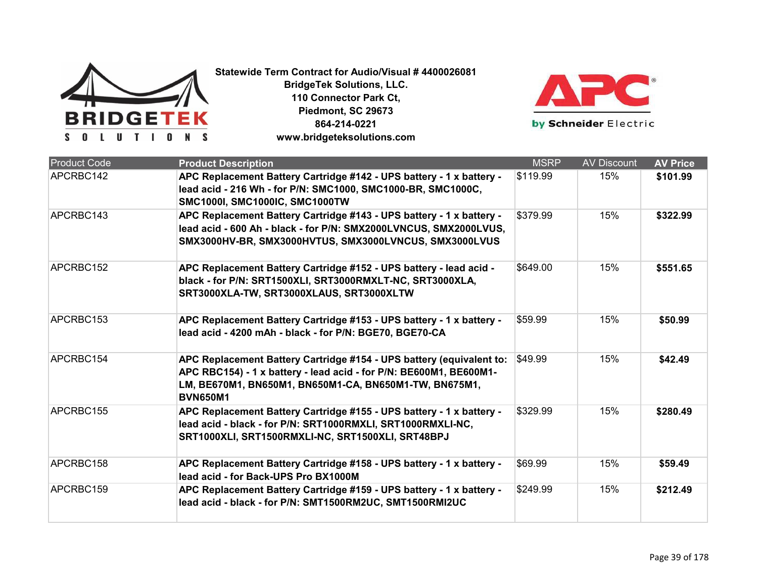



Product Code **Product Description** MSRP AV Discount **AV Price** APCRBC142 **APC Replacement Battery Cartridge #142 - UPS battery - 1 x battery lead acid - 216 Wh - for P/N: SMC1000, SMC1000-BR, SMC1000C, SMC1000I, SMC1000IC, SMC1000TW** \$119.99 15% **\$101.99**  APCRBC143 **APC Replacement Battery Cartridge #143 - UPS battery - 1 x battery lead acid - 600 Ah - black - for P/N: SMX2000LVNCUS, SMX2000LVUS, SMX3000HV-BR, SMX3000HVTUS, SMX3000LVNCUS, SMX3000LVUS** \$379.99 15% **\$322.99**  APCRBC152 **APC Replacement Battery Cartridge #152 - UPS battery - lead acid black - for P/N: SRT1500XLI, SRT3000RMXLT-NC, SRT3000XLA, SRT3000XLA-TW, SRT3000XLAUS, SRT3000XLTW** \$649.00 15% **\$551.65**  APCRBC153 **APC Replacement Battery Cartridge #153 - UPS battery - 1 x battery lead acid - 4200 mAh - black - for P/N: BGE70, BGE70-CA** \$59.99 15% **\$50.99**  APCRBC154 **APC Replacement Battery Cartridge #154 - UPS battery (equivalent to: |\$49.99 | 15% | \$42.49 APC RBC154) - 1 x battery - lead acid - for P/N: BE600M1, BE600M1- LM, BE670M1, BN650M1, BN650M1-CA, BN650M1-TW, BN675M1, BVN650M1** APCRBC155 **APC Replacement Battery Cartridge #155 - UPS battery - 1 x battery lead acid - black - for P/N: SRT1000RMXLI, SRT1000RMXLI-NC, SRT1000XLI, SRT1500RMXLI-NC, SRT1500XLI, SRT48BPJ** \$329.99 15% **\$280.49**  APCRBC158 **APC Replacement Battery Cartridge #158 - UPS battery - 1 x battery lead acid - for Back-UPS Pro BX1000M** \$69.99 15% **\$59.49**  APCRBC159 **APC Replacement Battery Cartridge #159 - UPS battery - 1 x battery lead acid - black - for P/N: SMT1500RM2UC, SMT1500RMI2UC** \$249.99 15% **\$212.49**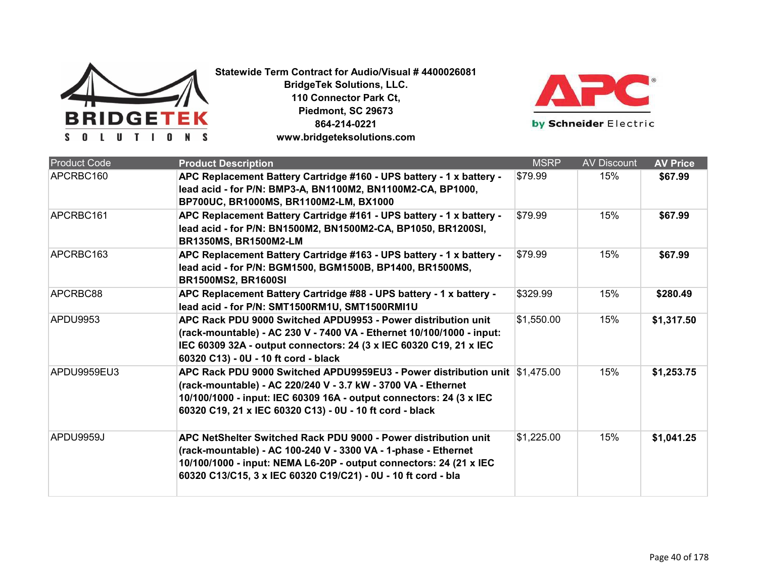



Product Code **Product Description** MSRP AV Discount **AV Price** APCRBC160 **APC Replacement Battery Cartridge #160 - UPS battery - 1 x battery lead acid - for P/N: BMP3-A, BN1100M2, BN1100M2-CA, BP1000, BP700UC, BR1000MS, BR1100M2-LM, BX1000** \$79.99 15% **\$67.99**  APCRBC161 **APC Replacement Battery Cartridge #161 - UPS battery - 1 x battery lead acid - for P/N: BN1500M2, BN1500M2-CA, BP1050, BR1200SI, BR1350MS, BR1500M2-LM** \$79.99 15% **\$67.99**  APCRBC163 **APC Replacement Battery Cartridge #163 - UPS battery - 1 x battery lead acid - for P/N: BGM1500, BGM1500B, BP1400, BR1500MS, BR1500MS2, BR1600SI** \$79.99 15% **\$67.99**  APCRBC88 **APC Replacement Battery Cartridge #88 - UPS battery - 1 x battery lead acid - for P/N: SMT1500RM1U, SMT1500RMI1U** \$329.99 15% **\$280.49**  APDU9953 **APC Rack PDU 9000 Switched APDU9953 - Power distribution unit (rack-mountable) - AC 230 V - 7400 VA - Ethernet 10/100/1000 - input: IEC 60309 32A - output connectors: 24 (3 x IEC 60320 C19, 21 x IEC 60320 C13) - 0U - 10 ft cord - black** \$1,550.00 15% **\$1,317.50**  APDU9959EU3 **APC Rack PDU 9000 Switched APDU9959EU3 - Power distribution unit (rack-mountable) - AC 220/240 V - 3.7 kW - 3700 VA - Ethernet 10/100/1000 - input: IEC 60309 16A - output connectors: 24 (3 x IEC 60320 C19, 21 x IEC 60320 C13) - 0U - 10 ft cord - black** \$1,475.00 15% **\$1,253.75**  APDU9959J **APC NetShelter Switched Rack PDU 9000 - Power distribution unit (rack-mountable) - AC 100-240 V - 3300 VA - 1-phase - Ethernet 10/100/1000 - input: NEMA L6-20P - output connectors: 24 (21 x IEC 60320 C13/C15, 3 x IEC 60320 C19/C21) - 0U - 10 ft cord - bla** \$1,225.00 15% **\$1,041.25**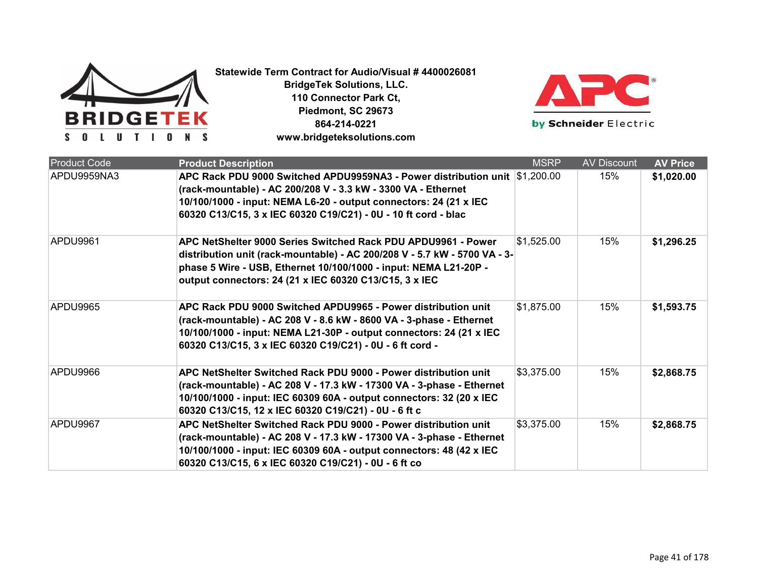



Product Code **Product Description** MSRP AV Discount **AV Price** APDU9959NA3 **APC Rack PDU 9000 Switched APDU9959NA3 - Power distribution unit (rack-mountable) - AC 200/208 V - 3.3 kW - 3300 VA - Ethernet 10/100/1000 - input: NEMA L6-20 - output connectors: 24 (21 x IEC 60320 C13/C15, 3 x IEC 60320 C19/C21) - 0U - 10 ft cord - blac** \$1,200.00 15% **\$1,020.00**  APDU9961 **APC NetShelter 9000 Series Switched Rack PDU APDU9961 - Power distribution unit (rack-mountable) - AC 200/208 V - 5.7 kW - 5700 VA - 3 phase 5 Wire - USB, Ethernet 10/100/1000 - input: NEMA L21-20P output connectors: 24 (21 x IEC 60320 C13/C15, 3 x IEC** \$1,525.00 15% **\$1,296.25**  APDU9965 **APC Rack PDU 9000 Switched APDU9965 - Power distribution unit (rack-mountable) - AC 208 V - 8.6 kW - 8600 VA - 3-phase - Ethernet 10/100/1000 - input: NEMA L21-30P - output connectors: 24 (21 x IEC 60320 C13/C15, 3 x IEC 60320 C19/C21) - 0U - 6 ft cord -** \$1,875.00 15% **\$1,593.75**  APDU9966 **APC NetShelter Switched Rack PDU 9000 - Power distribution unit (rack-mountable) - AC 208 V - 17.3 kW - 17300 VA - 3-phase - Ethernet 10/100/1000 - input: IEC 60309 60A - output connectors: 32 (20 x IEC 60320 C13/C15, 12 x IEC 60320 C19/C21) - 0U - 6 ft c** \$3,375.00 15% **\$2,868.75**  APDU9967 **APC NetShelter Switched Rack PDU 9000 - Power distribution unit (rack-mountable) - AC 208 V - 17.3 kW - 17300 VA - 3-phase - Ethernet 10/100/1000 - input: IEC 60309 60A - output connectors: 48 (42 x IEC 60320 C13/C15, 6 x IEC 60320 C19/C21) - 0U - 6 ft co** \$3,375.00 15% **\$2,868.75**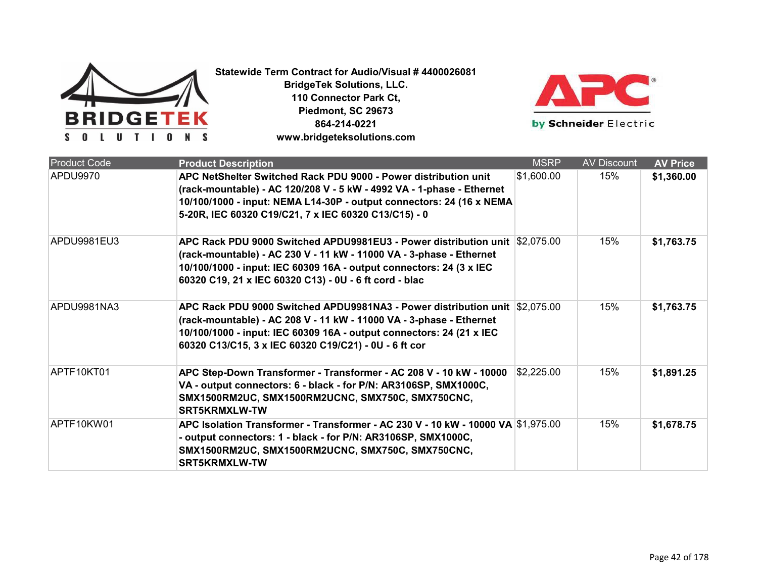



Product Code **Product Description** MSRP AV Discount **AV Price** APDU9970 **APC NetShelter Switched Rack PDU 9000 - Power distribution unit (rack-mountable) - AC 120/208 V - 5 kW - 4992 VA - 1-phase - Ethernet 10/100/1000 - input: NEMA L14-30P - output connectors: 24 (16 x NEMA 5-20R, IEC 60320 C19/C21, 7 x IEC 60320 C13/C15) - 0** \$1,600.00 15% **\$1,360.00**  APDU9981EU3 **APC Rack PDU 9000 Switched APDU9981EU3 - Power distribution unit**  \$2,075.00 15% **\$1,763.75 (rack-mountable) - AC 230 V - 11 kW - 11000 VA - 3-phase - Ethernet 10/100/1000 - input: IEC 60309 16A - output connectors: 24 (3 x IEC 60320 C19, 21 x IEC 60320 C13) - 0U - 6 ft cord - blac** APDU9981NA3 **APC Rack PDU 9000 Switched APDU9981NA3 - Power distribution unit (rack-mountable) - AC 208 V - 11 kW - 11000 VA - 3-phase - Ethernet 10/100/1000 - input: IEC 60309 16A - output connectors: 24 (21 x IEC 60320 C13/C15, 3 x IEC 60320 C19/C21) - 0U - 6 ft cor** \$2,075.00 15% **\$1,763.75**  APTF10KT01 **APC Step-Down Transformer - Transformer - AC 208 V - 10 kW - 10000**  \$2,225.00 15% **\$1,891.25 VA - output connectors: 6 - black - for P/N: AR3106SP, SMX1000C, SMX1500RM2UC, SMX1500RM2UCNC, SMX750C, SMX750CNC, SRT5KRMXLW-TW** APTF10KW01 **APC Isolation Transformer - Transformer - AC 230 V - 10 kW - 10000 VA**  \$1,975.00 15% **\$1,678.75 - output connectors: 1 - black - for P/N: AR3106SP, SMX1000C, SMX1500RM2UC, SMX1500RM2UCNC, SMX750C, SMX750CNC, SRT5KRMXLW-TW**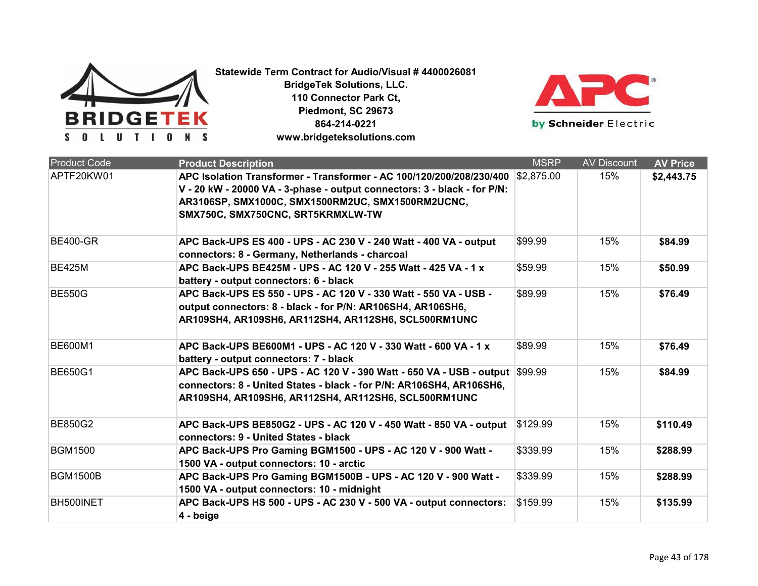



| <b>Product Code</b> | <b>Product Description</b>                                                                                                                                                                                                                 | <b>MSRP</b> | <b>AV Discount</b> | <b>AV Price</b> |
|---------------------|--------------------------------------------------------------------------------------------------------------------------------------------------------------------------------------------------------------------------------------------|-------------|--------------------|-----------------|
| APTF20KW01          | APC Isolation Transformer - Transformer - AC 100/120/200/208/230/400<br>V - 20 kW - 20000 VA - 3-phase - output connectors: 3 - black - for P/N:<br>AR3106SP, SMX1000C, SMX1500RM2UC, SMX1500RM2UCNC,<br>SMX750C, SMX750CNC, SRT5KRMXLW-TW | S2.875.00   | 15%                | \$2,443.75      |
| <b>BE400-GR</b>     | APC Back-UPS ES 400 - UPS - AC 230 V - 240 Watt - 400 VA - output<br>connectors: 8 - Germany, Netherlands - charcoal                                                                                                                       | \$99.99     | 15%                | \$84.99         |
| <b>BE425M</b>       | APC Back-UPS BE425M - UPS - AC 120 V - 255 Watt - 425 VA - 1 x<br>battery - output connectors: 6 - black                                                                                                                                   | \$59.99     | 15%                | \$50.99         |
| <b>BE550G</b>       | APC Back-UPS ES 550 - UPS - AC 120 V - 330 Watt - 550 VA - USB -<br>output connectors: 8 - black - for P/N: AR106SH4, AR106SH6,<br>AR109SH4, AR109SH6, AR112SH4, AR112SH6, SCL500RM1UNC                                                    | \$89.99     | 15%                | \$76.49         |
| <b>BE600M1</b>      | APC Back-UPS BE600M1 - UPS - AC 120 V - 330 Watt - 600 VA - 1 x<br>battery - output connectors: 7 - black                                                                                                                                  | \$89.99     | 15%                | \$76.49         |
| <b>BE650G1</b>      | APC Back-UPS 650 - UPS - AC 120 V - 390 Watt - 650 VA - USB - output \$99.99<br>connectors: 8 - United States - black - for P/N: AR106SH4, AR106SH6,<br>AR109SH4, AR109SH6, AR112SH4, AR112SH6, SCL500RM1UNC                               |             | 15%                | \$84.99         |
| <b>BE850G2</b>      | APC Back-UPS BE850G2 - UPS - AC 120 V - 450 Watt - 850 VA - output<br>connectors: 9 - United States - black                                                                                                                                | \$129.99    | 15%                | \$110.49        |
| <b>BGM1500</b>      | APC Back-UPS Pro Gaming BGM1500 - UPS - AC 120 V - 900 Watt -<br>1500 VA - output connectors: 10 - arctic                                                                                                                                  | \$339.99    | 15%                | \$288.99        |
| <b>BGM1500B</b>     | APC Back-UPS Pro Gaming BGM1500B - UPS - AC 120 V - 900 Watt -<br>1500 VA - output connectors: 10 - midnight                                                                                                                               | \$339.99    | 15%                | \$288.99        |
| BH500INET           | APC Back-UPS HS 500 - UPS - AC 230 V - 500 VA - output connectors:<br>4 - beige                                                                                                                                                            | \$159.99    | 15%                | \$135.99        |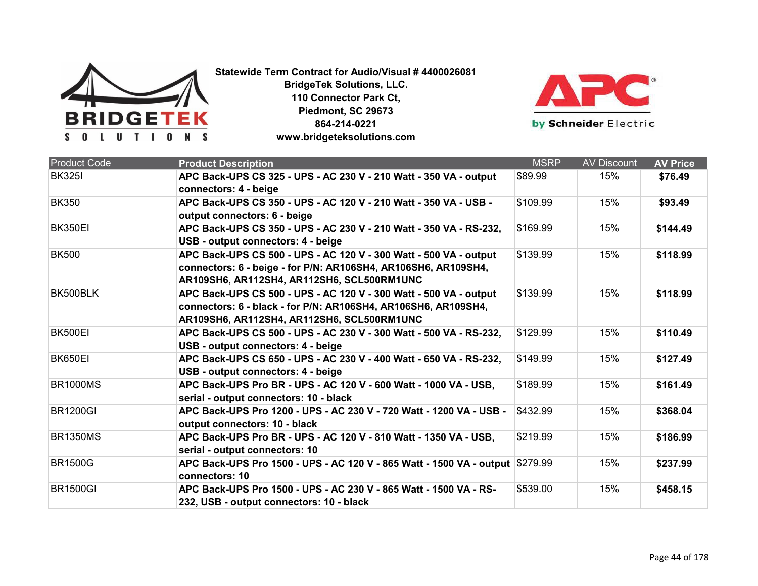



| <b>Product Code</b> | <b>Product Description</b>                                                                                                                                                        | <b>MSRP</b> | <b>AV Discount</b> | <b>AV Price</b> |
|---------------------|-----------------------------------------------------------------------------------------------------------------------------------------------------------------------------------|-------------|--------------------|-----------------|
| <b>BK325I</b>       | APC Back-UPS CS 325 - UPS - AC 230 V - 210 Watt - 350 VA - output<br>connectors: 4 - beige                                                                                        | \$89.99     | 15%                | \$76.49         |
| <b>BK350</b>        | APC Back-UPS CS 350 - UPS - AC 120 V - 210 Watt - 350 VA - USB -<br>output connectors: 6 - beige                                                                                  | \$109.99    | 15%                | \$93.49         |
| <b>BK350EI</b>      | APC Back-UPS CS 350 - UPS - AC 230 V - 210 Watt - 350 VA - RS-232,<br>USB - output connectors: 4 - beige                                                                          | \$169.99    | 15%                | \$144.49        |
| <b>BK500</b>        | APC Back-UPS CS 500 - UPS - AC 120 V - 300 Watt - 500 VA - output<br>connectors: 6 - beige - for P/N: AR106SH4, AR106SH6, AR109SH4,<br>AR109SH6, AR112SH4, AR112SH6, SCL500RM1UNC | \$139.99    | 15%                | \$118.99        |
| BK500BLK            | APC Back-UPS CS 500 - UPS - AC 120 V - 300 Watt - 500 VA - output<br>connectors: 6 - black - for P/N: AR106SH4, AR106SH6, AR109SH4,<br>AR109SH6, AR112SH4, AR112SH6, SCL500RM1UNC | \$139.99    | 15%                | \$118.99        |
| <b>BK500EI</b>      | APC Back-UPS CS 500 - UPS - AC 230 V - 300 Watt - 500 VA - RS-232,<br>USB - output connectors: 4 - beige                                                                          | \$129.99    | 15%                | \$110.49        |
| <b>BK650EI</b>      | APC Back-UPS CS 650 - UPS - AC 230 V - 400 Watt - 650 VA - RS-232,<br>USB - output connectors: 4 - beige                                                                          | \$149.99    | 15%                | \$127.49        |
| <b>BR1000MS</b>     | APC Back-UPS Pro BR - UPS - AC 120 V - 600 Watt - 1000 VA - USB,<br>serial - output connectors: 10 - black                                                                        | \$189.99    | 15%                | \$161.49        |
| <b>BR1200GI</b>     | APC Back-UPS Pro 1200 - UPS - AC 230 V - 720 Watt - 1200 VA - USB -<br>output connectors: 10 - black                                                                              | \$432.99    | 15%                | \$368.04        |
| <b>BR1350MS</b>     | APC Back-UPS Pro BR - UPS - AC 120 V - 810 Watt - 1350 VA - USB.<br>serial - output connectors: 10                                                                                | \$219.99    | 15%                | \$186.99        |
| <b>BR1500G</b>      | APC Back-UPS Pro 1500 - UPS - AC 120 V - 865 Watt - 1500 VA - output \$279.99<br>connectors: 10                                                                                   |             | 15%                | \$237.99        |
| <b>BR1500GI</b>     | APC Back-UPS Pro 1500 - UPS - AC 230 V - 865 Watt - 1500 VA - RS-<br>232, USB - output connectors: 10 - black                                                                     | \$539.00    | 15%                | \$458.15        |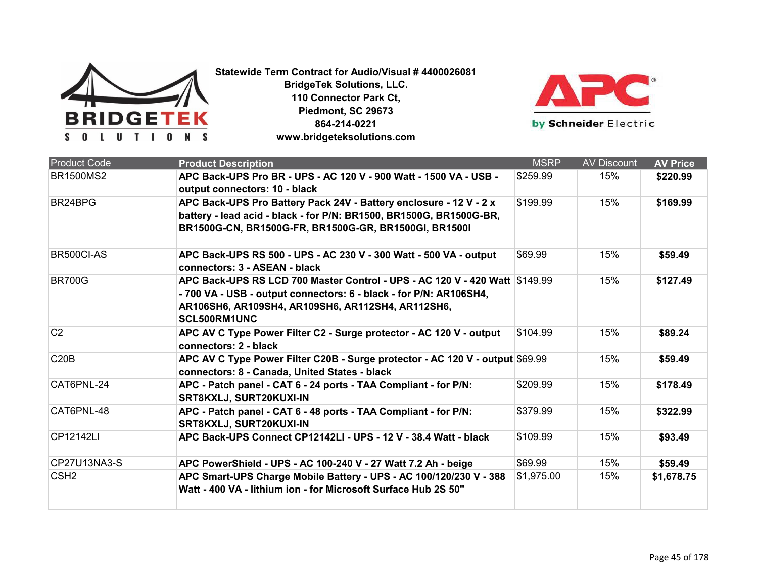



| <b>Product Code</b> | <b>Product Description</b>                                                                                                                                                                                             | <b>MSRP</b> | <b>AV Discount</b> | <b>AV Price</b> |
|---------------------|------------------------------------------------------------------------------------------------------------------------------------------------------------------------------------------------------------------------|-------------|--------------------|-----------------|
| <b>BR1500MS2</b>    | APC Back-UPS Pro BR - UPS - AC 120 V - 900 Watt - 1500 VA - USB -<br>output connectors: 10 - black                                                                                                                     | \$259.99    | 15%                | \$220.99        |
| BR24BPG             | APC Back-UPS Pro Battery Pack 24V - Battery enclosure - 12 V - 2 x<br>battery - lead acid - black - for P/N: BR1500, BR1500G, BR1500G-BR,<br>BR1500G-CN, BR1500G-FR, BR1500G-GR, BR1500GI, BR1500I                     | \$199.99    | 15%                | \$169.99        |
| BR500CI-AS          | APC Back-UPS RS 500 - UPS - AC 230 V - 300 Watt - 500 VA - output<br>connectors: 3 - ASEAN - black                                                                                                                     | \$69.99     | 15%                | \$59.49         |
| <b>BR700G</b>       | APC Back-UPS RS LCD 700 Master Control - UPS - AC 120 V - 420 Watt \$149.99<br>- 700 VA - USB - output connectors: 6 - black - for P/N: AR106SH4,<br>AR106SH6, AR109SH4, AR109SH6, AR112SH4, AR112SH6,<br>SCL500RM1UNC |             | 15%                | \$127.49        |
| C <sub>2</sub>      | APC AV C Type Power Filter C2 - Surge protector - AC 120 V - output<br>connectors: 2 - black                                                                                                                           | \$104.99    | 15%                | \$89.24         |
| C20B                | APC AV C Type Power Filter C20B - Surge protector - AC 120 V - output \$69.99<br>connectors: 8 - Canada, United States - black                                                                                         |             | 15%                | \$59.49         |
| CAT6PNL-24          | APC - Patch panel - CAT 6 - 24 ports - TAA Compliant - for P/N:<br><b>SRT8KXLJ, SURT20KUXI-IN</b>                                                                                                                      | \$209.99    | 15%                | \$178.49        |
| CAT6PNL-48          | APC - Patch panel - CAT 6 - 48 ports - TAA Compliant - for P/N:<br>SRT8KXLJ, SURT20KUXI-IN                                                                                                                             | \$379.99    | 15%                | \$322.99        |
| CP12142LI           | APC Back-UPS Connect CP12142LI - UPS - 12 V - 38.4 Watt - black                                                                                                                                                        | \$109.99    | 15%                | \$93.49         |
| CP27U13NA3-S        | APC PowerShield - UPS - AC 100-240 V - 27 Watt 7.2 Ah - beige                                                                                                                                                          | \$69.99     | 15%                | \$59.49         |
| CSH <sub>2</sub>    | APC Smart-UPS Charge Mobile Battery - UPS - AC 100/120/230 V - 388<br>Watt - 400 VA - lithium ion - for Microsoft Surface Hub 2S 50"                                                                                   | \$1,975.00  | 15%                | \$1,678.75      |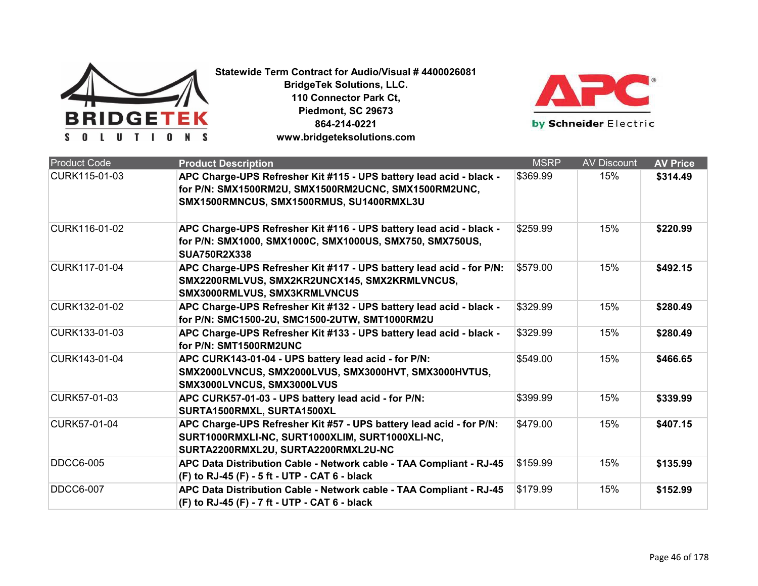



Product Code **Product Description** MSRP AV Discount **AV Price** CURK115-01-03 **APC Charge-UPS Refresher Kit #115 - UPS battery lead acid - black for P/N: SMX1500RM2U, SMX1500RM2UCNC, SMX1500RM2UNC, SMX1500RMNCUS, SMX1500RMUS, SU1400RMXL3U** \$369.99 15% **\$314.49**  CURK116-01-02 **APC Charge-UPS Refresher Kit #116 - UPS battery lead acid - black for P/N: SMX1000, SMX1000C, SMX1000US, SMX750, SMX750US, SUA750R2X338** \$259.99 15% **\$220.99**  CURK117-01-04 **APC Charge-UPS Refresher Kit #117 - UPS battery lead acid - for P/N: SMX2200RMLVUS, SMX2KR2UNCX145, SMX2KRMLVNCUS, SMX3000RMLVUS, SMX3KRMLVNCUS** \$579.00 15% **\$492.15**  CURK132-01-02 **APC Charge-UPS Refresher Kit #132 - UPS battery lead acid - black for P/N: SMC1500-2U, SMC1500-2UTW, SMT1000RM2U** \$329.99 15% **\$280.49**  CURK133-01-03 **APC Charge-UPS Refresher Kit #133 - UPS battery lead acid - black for P/N: SMT1500RM2UNC** \$329.99 15% **\$280.49**  CURK143-01-04 **APC CURK143-01-04 - UPS battery lead acid - for P/N: SMX2000LVNCUS, SMX2000LVUS, SMX3000HVT, SMX3000HVTUS, SMX3000LVNCUS, SMX3000LVUS** \$549.00 15% **\$466.65**  CURK57-01-03 **APC CURK57-01-03 - UPS battery lead acid - for P/N: SURTA1500RMXL, SURTA1500XL** \$399.99 15% **\$339.99**  CURK57-01-04 **APC Charge-UPS Refresher Kit #57 - UPS battery lead acid - for P/N: SURT1000RMXLI-NC, SURT1000XLIM, SURT1000XLI-NC, SURTA2200RMXL2U, SURTA2200RMXL2U-NC** \$479.00 15% **\$407.15**  DDCC6-005 **APC Data Distribution Cable - Network cable - TAA Compliant - RJ-45 (F) to RJ-45 (F) - 5 ft - UTP - CAT 6 - black** \$159.99 15% **\$135.99**  DDCC6-007 **APC Data Distribution Cable - Network cable - TAA Compliant - RJ-45 (F) to RJ-45 (F) - 7 ft - UTP - CAT 6 - black** \$179.99 15% **\$152.99**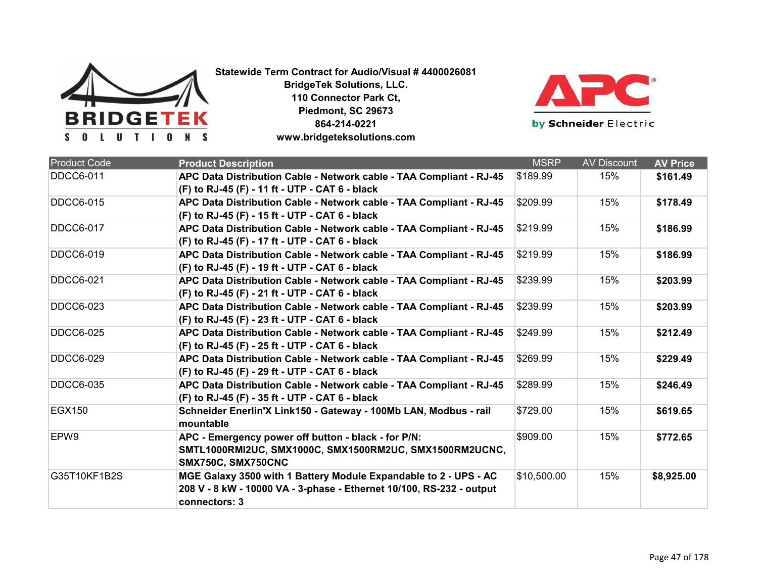



| <b>Product Code</b> | <b>Product Description</b>                                                                                                                                | <b>MSRP</b> | <b>AV Discount</b> | <b>AV Price</b> |
|---------------------|-----------------------------------------------------------------------------------------------------------------------------------------------------------|-------------|--------------------|-----------------|
| <b>DDCC6-011</b>    | APC Data Distribution Cable - Network cable - TAA Compliant - RJ-45<br>(F) to RJ-45 (F) - 11 ft - UTP - CAT 6 - black                                     | \$189.99    | 15%                | \$161.49        |
| <b>DDCC6-015</b>    | APC Data Distribution Cable - Network cable - TAA Compliant - RJ-45<br>(F) to RJ-45 (F) - 15 ft - UTP - CAT 6 - black                                     | \$209.99    | 15%                | \$178.49        |
| <b>DDCC6-017</b>    | APC Data Distribution Cable - Network cable - TAA Compliant - RJ-45<br>(F) to RJ-45 (F) - 17 ft - UTP - CAT 6 - black                                     | \$219.99    | 15%                | \$186.99        |
| <b>DDCC6-019</b>    | APC Data Distribution Cable - Network cable - TAA Compliant - RJ-45<br>(F) to RJ-45 (F) - 19 ft - UTP - CAT 6 - black                                     | \$219.99    | 15%                | \$186.99        |
| <b>DDCC6-021</b>    | APC Data Distribution Cable - Network cable - TAA Compliant - RJ-45<br>(F) to RJ-45 (F) - 21 ft - UTP - CAT 6 - black                                     | \$239.99    | 15%                | \$203.99        |
| <b>DDCC6-023</b>    | APC Data Distribution Cable - Network cable - TAA Compliant - RJ-45<br>(F) to RJ-45 (F) - 23 ft - UTP - CAT 6 - black                                     | \$239.99    | 15%                | \$203.99        |
| <b>DDCC6-025</b>    | APC Data Distribution Cable - Network cable - TAA Compliant - RJ-45<br>(F) to RJ-45 (F) - 25 ft - UTP - CAT 6 - black                                     | \$249.99    | 15%                | \$212.49        |
| <b>DDCC6-029</b>    | APC Data Distribution Cable - Network cable - TAA Compliant - RJ-45<br>(F) to RJ-45 (F) - 29 ft - UTP - CAT 6 - black                                     | \$269.99    | 15%                | \$229.49        |
| <b>DDCC6-035</b>    | APC Data Distribution Cable - Network cable - TAA Compliant - RJ-45<br>(F) to RJ-45 (F) - 35 ft - UTP - CAT 6 - black                                     | \$289.99    | 15%                | \$246.49        |
| <b>EGX150</b>       | Schneider Enerlin'X Link150 - Gateway - 100Mb LAN, Modbus - rail<br>mountable                                                                             | \$729.00    | 15%                | \$619.65        |
| EPW9                | APC - Emergency power off button - black - for P/N:<br>SMTL1000RMI2UC, SMX1000C, SMX1500RM2UC, SMX1500RM2UCNC,<br>SMX750C, SMX750CNC                      | \$909.00    | 15%                | \$772.65        |
| G35T10KF1B2S        | MGE Galaxy 3500 with 1 Battery Module Expandable to 2 - UPS - AC<br>208 V - 8 kW - 10000 VA - 3-phase - Ethernet 10/100, RS-232 - output<br>connectors: 3 | \$10,500.00 | 15%                | \$8,925.00      |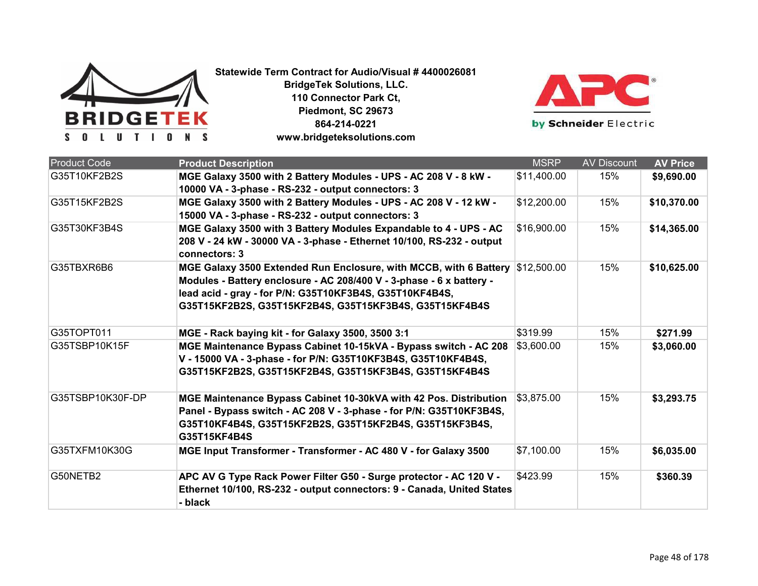



| <b>Product Code</b> | <b>Product Description</b>                                                                                                                                                                                                                                     | <b>MSRP</b> | <b>AV Discount</b> | <b>AV Price</b> |
|---------------------|----------------------------------------------------------------------------------------------------------------------------------------------------------------------------------------------------------------------------------------------------------------|-------------|--------------------|-----------------|
| G35T10KF2B2S        | MGE Galaxy 3500 with 2 Battery Modules - UPS - AC 208 V - 8 kW -<br>10000 VA - 3-phase - RS-232 - output connectors: 3                                                                                                                                         | \$11,400.00 | 15%                | \$9,690.00      |
| G35T15KF2B2S        | MGE Galaxy 3500 with 2 Battery Modules - UPS - AC 208 V - 12 kW -<br>15000 VA - 3-phase - RS-232 - output connectors: 3                                                                                                                                        | \$12,200.00 | 15%                | \$10,370.00     |
| G35T30KF3B4S        | MGE Galaxy 3500 with 3 Battery Modules Expandable to 4 - UPS - AC<br>208 V - 24 kW - 30000 VA - 3-phase - Ethernet 10/100, RS-232 - output<br>connectors: 3                                                                                                    | \$16,900.00 | 15%                | \$14,365.00     |
| G35TBXR6B6          | MGE Galaxy 3500 Extended Run Enclosure, with MCCB, with 6 Battery<br>Modules - Battery enclosure - AC 208/400 V - 3-phase - 6 x battery -<br>lead acid - gray - for P/N: G35T10KF3B4S, G35T10KF4B4S,<br>G35T15KF2B2S, G35T15KF2B4S, G35T15KF3B4S, G35T15KF4B4S | \$12,500.00 | 15%                | \$10,625.00     |
| G35TOPT011          | MGE - Rack baying kit - for Galaxy 3500, 3500 3:1                                                                                                                                                                                                              | \$319.99    | 15%                | \$271.99        |
| G35TSBP10K15F       | MGE Maintenance Bypass Cabinet 10-15kVA - Bypass switch - AC 208<br>V - 15000 VA - 3-phase - for P/N: G35T10KF3B4S, G35T10KF4B4S,<br>G35T15KF2B2S, G35T15KF2B4S, G35T15KF3B4S, G35T15KF4B4S                                                                    | \$3,600.00  | 15%                | \$3,060.00      |
| G35TSBP10K30F-DP    | MGE Maintenance Bypass Cabinet 10-30kVA with 42 Pos. Distribution<br>Panel - Bypass switch - AC 208 V - 3-phase - for P/N: G35T10KF3B4S,<br>G35T10KF4B4S, G35T15KF2B2S, G35T15KF2B4S, G35T15KF3B4S,<br>G35T15KF4B4S                                            | \$3,875.00  | 15%                | \$3,293.75      |
| G35TXFM10K30G       | MGE Input Transformer - Transformer - AC 480 V - for Galaxy 3500                                                                                                                                                                                               | \$7,100.00  | 15%                | \$6,035.00      |
| G50NETB2            | APC AV G Type Rack Power Filter G50 - Surge protector - AC 120 V -<br>Ethernet 10/100, RS-232 - output connectors: 9 - Canada, United States<br>- black                                                                                                        | \$423.99    | 15%                | \$360.39        |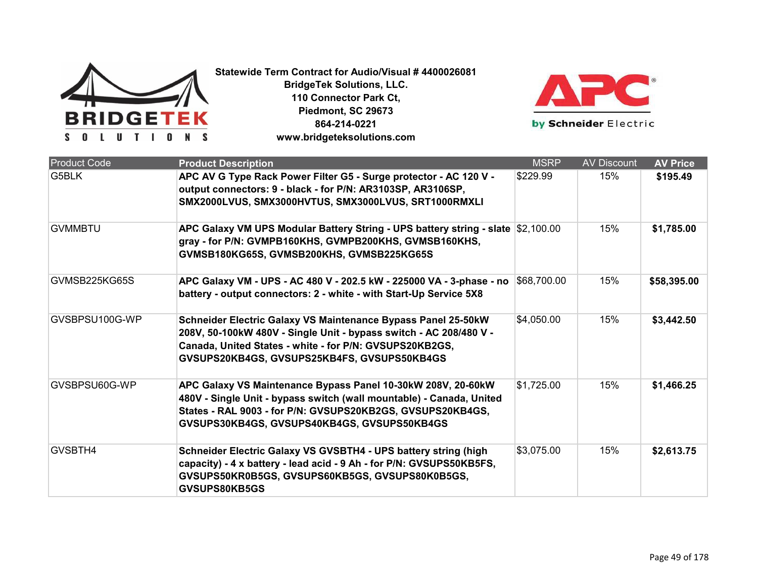



Product Code **Product Description** MSRP AV Discount **AV Price** G5BLK **APC AV G Type Rack Power Filter G5 - Surge protector - AC 120 V output connectors: 9 - black - for P/N: AR3103SP, AR3106SP, SMX2000LVUS, SMX3000HVTUS, SMX3000LVUS, SRT1000RMXLI** \$229.99 15% **\$195.49**  GVMMBTU **APC Galaxy VM UPS Modular Battery String - UPS battery string - slate gray - for P/N: GVMPB160KHS, GVMPB200KHS, GVMSB160KHS, GVMSB180KG65S, GVMSB200KHS, GVMSB225KG65S** \$2,100.00 15% **\$1,785.00**  GVMSB225KG65S **APC Galaxy VM - UPS - AC 480 V - 202.5 kW - 225000 VA - 3-phase - no battery - output connectors: 2 - white - with Start-Up Service 5X8** \$68,700.00 15% **\$58,395.00**  GVSBPSU100G-WP **Schneider Electric Galaxy VS Maintenance Bypass Panel 25-50kW 208V, 50-100kW 480V - Single Unit - bypass switch - AC 208/480 V - Canada, United States - white - for P/N: GVSUPS20KB2GS, GVSUPS20KB4GS, GVSUPS25KB4FS, GVSUPS50KB4GS** \$4,050.00 15% **\$3,442.50**  GVSBPSU60G-WP **APC Galaxy VS Maintenance Bypass Panel 10-30kW 208V, 20-60kW 480V - Single Unit - bypass switch (wall mountable) - Canada, United States - RAL 9003 - for P/N: GVSUPS20KB2GS, GVSUPS20KB4GS, GVSUPS30KB4GS, GVSUPS40KB4GS, GVSUPS50KB4GS** \$1,725.00 15% **\$1,466.25**  GVSBTH4 **Schneider Electric Galaxy VS GVSBTH4 - UPS battery string (high capacity) - 4 x battery - lead acid - 9 Ah - for P/N: GVSUPS50KB5FS, GVSUPS50KR0B5GS, GVSUPS60KB5GS, GVSUPS80K0B5GS, GVSUPS80KB5GS** \$3,075.00 15% **\$2,613.75**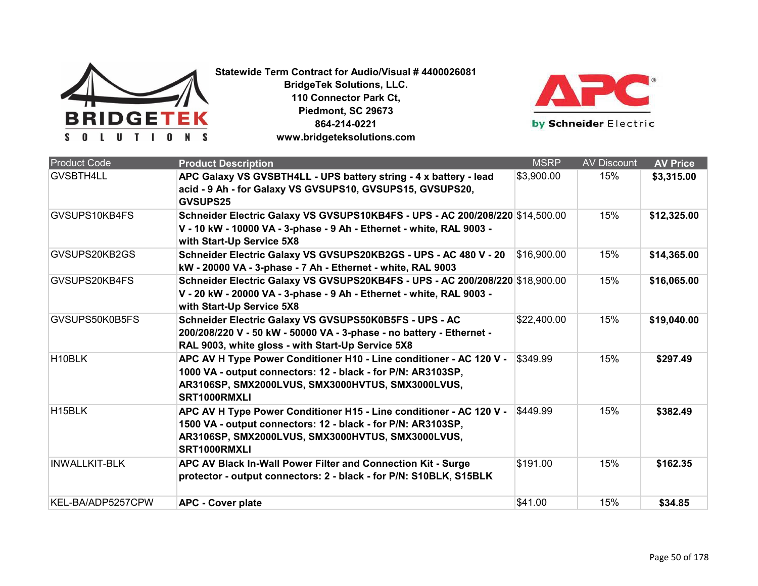



Product Code **Product Description** MSRP AV Discount **AV Price** GVSBTH4LL **APC Galaxy VS GVSBTH4LL - UPS battery string - 4 x battery - lead acid - 9 Ah - for Galaxy VS GVSUPS10, GVSUPS15, GVSUPS20, GVSUPS25** \$3,900.00 15% **\$3,315.00**  GVSUPS10KB4FS **Schneider Electric Galaxy VS GVSUPS10KB4FS - UPS - AC 200/208/220 V - 10 kW - 10000 VA - 3-phase - 9 Ah - Ethernet - white, RAL 9003 with Start-Up Service 5X8** \$14,500.00 15% **\$12,325.00**  GVSUPS20KB2GS **Schneider Electric Galaxy VS GVSUPS20KB2GS - UPS - AC 480 V - 20 kW - 20000 VA - 3-phase - 7 Ah - Ethernet - white, RAL 9003** \$16,900.00 15% **\$14,365.00**  GVSUPS20KB4FS **Schneider Electric Galaxy VS GVSUPS20KB4FS - UPS - AC 200/208/220 V - 20 kW - 20000 VA - 3-phase - 9 Ah - Ethernet - white, RAL 9003 with Start-Up Service 5X8** \$18,900.00 15% **\$16,065.00**  GVSUPS50K0B5FS **Schneider Electric Galaxy VS GVSUPS50K0B5FS - UPS - AC 200/208/220 V - 50 kW - 50000 VA - 3-phase - no battery - Ethernet - RAL 9003, white gloss - with Start-Up Service 5X8** \$22,400.00 15% **\$19,040.00**  H10BLK **APC AV H Type Power Conditioner H10 - Line conditioner - AC 120 V - 1000 VA - output connectors: 12 - black - for P/N: AR3103SP, AR3106SP, SMX2000LVUS, SMX3000HVTUS, SMX3000LVUS, SRT1000RMXLI** \$349.99 15% **\$297.49**  H15BLK **APC AV H Type Power Conditioner H15 - Line conditioner - AC 120 V - 1500 VA - output connectors: 12 - black - for P/N: AR3103SP, AR3106SP, SMX2000LVUS, SMX3000HVTUS, SMX3000LVUS, SRT1000RMXLI** \$449.99 15% **\$382.49**  INWALLKIT-BLK **APC AV Black In-Wall Power Filter and Connection Kit - Surge protector - output connectors: 2 - black - for P/N: S10BLK, S15BLK** \$191.00 15% **\$162.35**  KEL-BA/ADP5257CPW **APC - Cover plate** \$41.00 \$34.85 **\$34.85 \$34.85**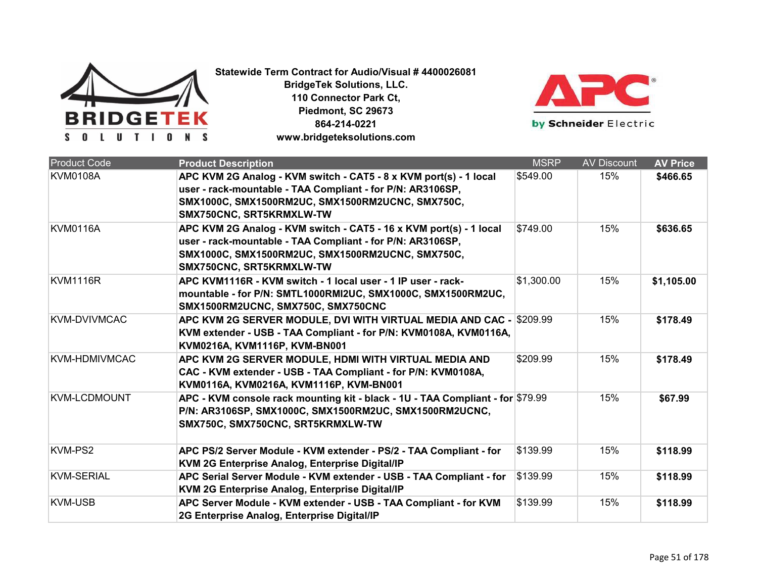



Product Code **Product Description** MSRP AV Discount **AV Price** KVM0108A **APC KVM 2G Analog - KVM switch - CAT5 - 8 x KVM port(s) - 1 local user - rack-mountable - TAA Compliant - for P/N: AR3106SP, SMX1000C, SMX1500RM2UC, SMX1500RM2UCNC, SMX750C, SMX750CNC, SRT5KRMXLW-TW** \$549.00 15% **\$466.65**  KVM0116A **APC KVM 2G Analog - KVM switch - CAT5 - 16 x KVM port(s) - 1 local user - rack-mountable - TAA Compliant - for P/N: AR3106SP, SMX1000C, SMX1500RM2UC, SMX1500RM2UCNC, SMX750C, SMX750CNC, SRT5KRMXLW-TW** \$749.00 15% **\$636.65**  KVM1116R **APC KVM1116R - KVM switch - 1 local user - 1 IP user - rackmountable - for P/N: SMTL1000RMI2UC, SMX1000C, SMX1500RM2UC, SMX1500RM2UCNC, SMX750C, SMX750CNC** \$1,300.00 15% **\$1,105.00**  KVM-DVIVMCAC |**APC KVM 2G SERVER MODULE, DVI WITH VIRTUAL MEDIA AND CAC - \$209.99 | 15% | \$178.49 KVM extender - USB - TAA Compliant - for P/N: KVM0108A, KVM0116A, KVM0216A, KVM1116P, KVM-BN001** KVM-HDMIVMCAC **APC KVM 2G SERVER MODULE, HDMI WITH VIRTUAL MEDIA AND CAC - KVM extender - USB - TAA Compliant - for P/N: KVM0108A, KVM0116A, KVM0216A, KVM1116P, KVM-BN001** \$209.99 15% **\$178.49**  KVM-LCDMOUNT **APC-KVM console rack mounting kit - black-1U-TAA Compliant-for \$79.99 | 15% | \$67.99 P/N: AR3106SP, SMX1000C, SMX1500RM2UC, SMX1500RM2UCNC, SMX750C, SMX750CNC, SRT5KRMXLW-TW** KVM-PS2 **APC PS/2 Server Module - KVM extender - PS/2 - TAA Compliant - for KVM 2G Enterprise Analog, Enterprise Digital/IP** \$139.99 15% **\$118.99**  KVM-SERIAL **APC Serial Server Module - KVM extender - USB - TAA Compliant - for KVM 2G Enterprise Analog, Enterprise Digital/IP** \$139.99 15% **\$118.99**  KVM-USB **APC Server Module - KVM extender - USB - TAA Compliant - for KVM 2G Enterprise Analog, Enterprise Digital/IP** \$139.99 15% **\$118.99**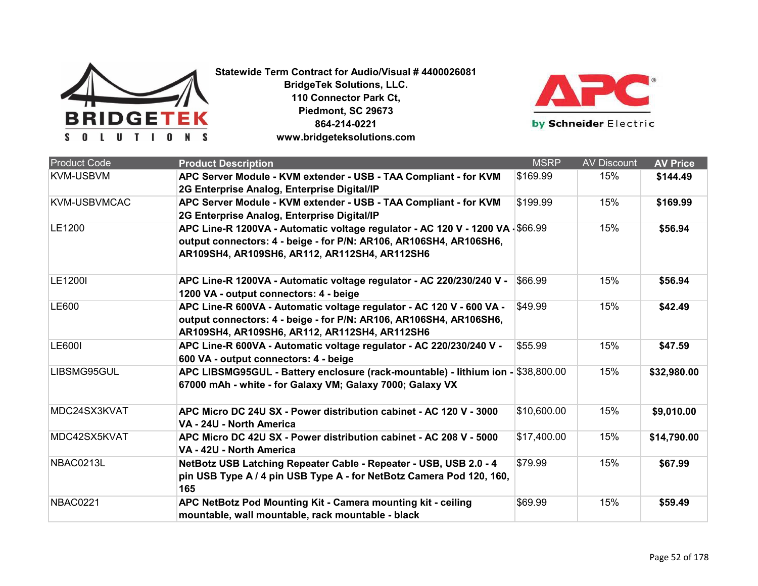



Product Code **Product Description** MSRP AV Discount **AV Price** KVM-USBVM **APC Server Module - KVM extender - USB - TAA Compliant - for KVM 2G Enterprise Analog, Enterprise Digital/IP** \$169.99 15% **\$144.49**  KVM-USBVMCAC **APC Server Module - KVM extender - USB - TAA Compliant - for KVM 2G Enterprise Analog, Enterprise Digital/IP** \$199.99 15% **\$169.99**  LE1200 **APC Line-R 1200VA - Automatic voltage regulator - AC 120 V - 1200 VA -**  \$66.99 15% **\$56.94 output connectors: 4 - beige - for P/N: AR106, AR106SH4, AR106SH6, AR109SH4, AR109SH6, AR112, AR112SH4, AR112SH6** LE1200I **APC Line-R 1200VA - Automatic voltage regulator - AC 220/230/240 V - 1200 VA - output connectors: 4 - beige** \$66.99 15% **\$56.94**  LE600 **APC Line-R 600VA - Automatic voltage regulator - AC 120 V - 600 VA output connectors: 4 - beige - for P/N: AR106, AR106SH4, AR106SH6, AR109SH4, AR109SH6, AR112, AR112SH4, AR112SH6** \$49.99 15% **\$42.49**  LE600I **APC Line-R 600VA - Automatic voltage regulator - AC 220/230/240 V - 600 VA - output connectors: 4 - beige** \$55.99 15% **\$47.59**  LIBSMG95GUL **APC LIBSMG95GUL - Battery enclosure (rack-mountable) - lithium ion - 67000 mAh - white - for Galaxy VM; Galaxy 7000; Galaxy VX** \$38,800.00 15% **\$32,980.00**  MDC24SX3KVAT **APC Micro DC 24U SX - Power distribution cabinet - AC 120 V - 3000 VA - 24U - North America** \$10,600.00 15% **\$9,010.00**  MDC42SX5KVAT **APC Micro DC 42U SX - Power distribution cabinet - AC 208 V - 5000 VA - 42U - North America** \$17,400.00 15% **\$14,790.00**  NBAC0213L **NetBotz USB Latching Repeater Cable - Repeater - USB, USB 2.0 - 4 pin USB Type A / 4 pin USB Type A - for NetBotz Camera Pod 120, 160, 165** \$79.99 15% **\$67.99**  NBAC0221 **APC NetBotz Pod Mounting Kit - Camera mounting kit - ceiling**  \$69.99 15% **\$59.49** 

**mountable, wall mountable, rack mountable - black**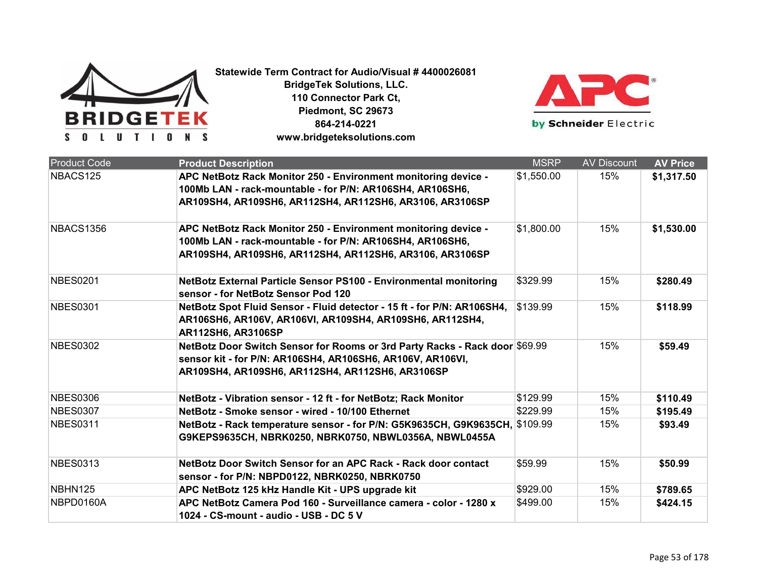



Product Code **Product Description** MSRP AV Discount **AV Price** NBACS125 **APC NetBotz Rack Monitor 250 - Environment monitoring device - 100Mb LAN - rack-mountable - for P/N: AR106SH4, AR106SH6, AR109SH4, AR109SH6, AR112SH4, AR112SH6, AR3106, AR3106SP** \$1,550.00 15% **\$1,317.50**  NBACS1356 **APC NetBotz Rack Monitor 250 - Environment monitoring device - 100Mb LAN - rack-mountable - for P/N: AR106SH4, AR106SH6, AR109SH4, AR109SH6, AR112SH4, AR112SH6, AR3106, AR3106SP** \$1,800.00 15% **\$1,530.00**  NBES0201 **NetBotz External Particle Sensor PS100 - Environmental monitoring sensor - for NetBotz Sensor Pod 120** \$329.99 15% **\$280.49**  NBES0301 **NetBotz Spot Fluid Sensor - Fluid detector - 15 ft - for P/N: AR106SH4, AR106SH6, AR106V, AR106VI, AR109SH4, AR109SH6, AR112SH4, AR112SH6, AR3106SP** \$139.99 15% **\$118.99**  NBES0302 **NetBotz Door Switch Sensor for Rooms or 3rd Party Racks - Rack door \$69.99 15% \$59.49 sensor kit - for P/N: AR106SH4, AR106SH6, AR106V, AR106VI, AR109SH4, AR109SH6, AR112SH4, AR112SH6, AR3106SP NBES0306** NetBotz - Vibration sensor - 12 ft - for NetBotz; Rack Monitor  $$129.99$  15% \$110.49 NBES0307 **NetBotz - Smoke sensor - wired - 10/100 Ethernet** \$229.99 15% **\$195.49**  NBES0311 NetBotz - Rack temperature sensor - for P/N: G5K9635CH, G9K9635CH, \$109.99 15% \$93.49 **G9KEPS9635CH, NBRK0250, NBRK0750, NBWL0356A, NBWL0455A** NBES0313 **NetBotz Door Switch Sensor for an APC Rack - Rack door contact sensor - for P/N: NBPD0122, NBRK0250, NBRK0750** \$59.99 15% **\$50.99**  NBHN125 **APC NetBotz 125 kHz Handle Kit - UPS upgrade kit** \$929.00 15% **\$789.65**  NBPD0160A **APC NetBotz Camera Pod 160 - Surveillance camera - color - 1280 x 1024 - CS-mount - audio - USB - DC 5 V** \$499.00 15% **\$424.15**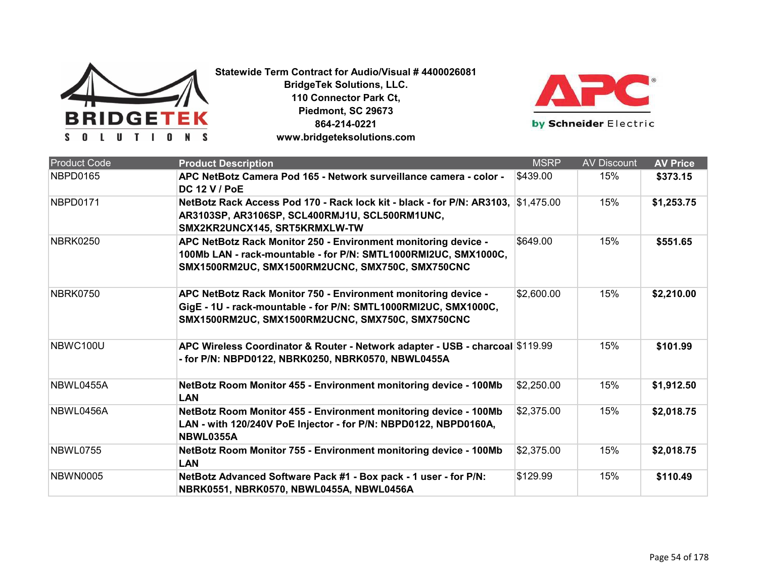



| <b>Product Code</b> | <b>Product Description</b>                                                                                                                                                            | <b>MSRP</b> | <b>AV Discount</b> | <b>AV Price</b> |
|---------------------|---------------------------------------------------------------------------------------------------------------------------------------------------------------------------------------|-------------|--------------------|-----------------|
| NBPD0165            | APC NetBotz Camera Pod 165 - Network surveillance camera - color -<br>DC 12 V / PoE                                                                                                   | \$439.00    | 15%                | \$373.15        |
| NBPD0171            | NetBotz Rack Access Pod 170 - Rack lock kit - black - for P/N: AR3103, \$1,475.00<br>AR3103SP, AR3106SP, SCL400RMJ1U, SCL500RM1UNC,<br>SMX2KR2UNCX145, SRT5KRMXLW-TW                  |             | 15%                | \$1,253.75      |
| <b>NBRK0250</b>     | APC NetBotz Rack Monitor 250 - Environment monitoring device -<br>100Mb LAN - rack-mountable - for P/N: SMTL1000RMI2UC, SMX1000C,<br>SMX1500RM2UC, SMX1500RM2UCNC, SMX750C, SMX750CNC | \$649.00    | 15%                | \$551.65        |
| NBRK0750            | APC NetBotz Rack Monitor 750 - Environment monitoring device -<br>GigE - 1U - rack-mountable - for P/N: SMTL1000RMI2UC, SMX1000C,<br>SMX1500RM2UC, SMX1500RM2UCNC, SMX750C, SMX750CNC | \$2,600.00  | 15%                | \$2,210.00      |
| NBWC100U            | APC Wireless Coordinator & Router - Network adapter - USB - charcoal \$119.99<br>- for P/N: NBPD0122, NBRK0250, NBRK0570, NBWL0455A                                                   |             | 15%                | \$101.99        |
| NBWL0455A           | NetBotz Room Monitor 455 - Environment monitoring device - 100Mb<br><b>LAN</b>                                                                                                        | \$2,250.00  | 15%                | \$1,912.50      |
| NBWL0456A           | NetBotz Room Monitor 455 - Environment monitoring device - 100Mb<br>LAN - with 120/240V PoE Injector - for P/N: NBPD0122, NBPD0160A,<br>NBWL0355A                                     | \$2,375.00  | 15%                | \$2,018.75      |
| <b>NBWL0755</b>     | NetBotz Room Monitor 755 - Environment monitoring device - 100Mb<br><b>LAN</b>                                                                                                        | \$2,375.00  | 15%                | \$2,018.75      |
| <b>NBWN0005</b>     | NetBotz Advanced Software Pack #1 - Box pack - 1 user - for P/N:<br>NBRK0551, NBRK0570, NBWL0455A, NBWL0456A                                                                          | \$129.99    | 15%                | \$110.49        |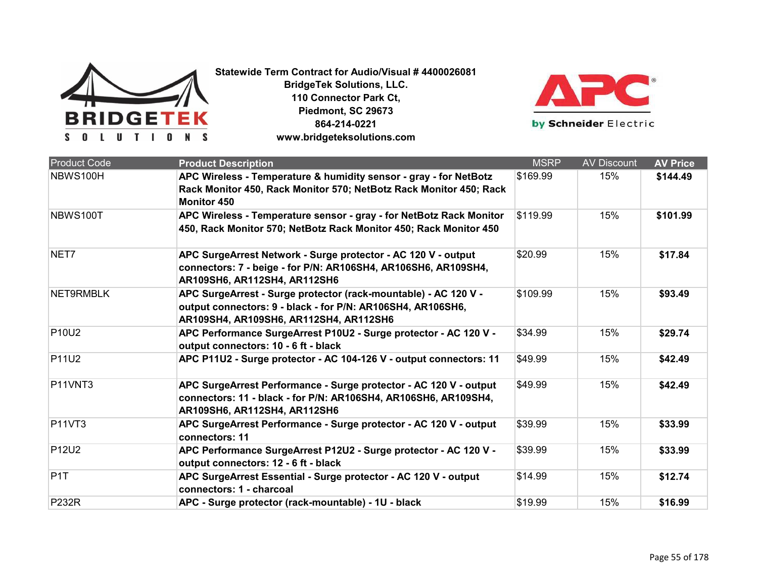



Product Code **Product Description** MSRP AV Discount **AV Price** NBWS100H **APC Wireless - Temperature & humidity sensor - gray - for NetBotz Rack Monitor 450, Rack Monitor 570; NetBotz Rack Monitor 450; Rack Monitor 450** \$169.99 15% **\$144.49**  NBWS100T **APC Wireless - Temperature sensor - gray - for NetBotz Rack Monitor 450, Rack Monitor 570; NetBotz Rack Monitor 450; Rack Monitor 450** \$119.99 15% **\$101.99**  NET7 **APC SurgeArrest Network - Surge protector - AC 120 V - output connectors: 7 - beige - for P/N: AR106SH4, AR106SH6, AR109SH4, AR109SH6, AR112SH4, AR112SH6** \$20.99 15% **\$17.84**  NET9RMBLK **APC SurgeArrest - Surge protector (rack-mountable) - AC 120 V output connectors: 9 - black - for P/N: AR106SH4, AR106SH6, AR109SH4, AR109SH6, AR112SH4, AR112SH6** \$109.99 15% **\$93.49**  P10U2 **APC Performance SurgeArrest P10U2 - Surge protector - AC 120 V output connectors: 10 - 6 ft - black** \$34.99 15% **\$29.74 P11U2 APC P11U2 - Surge protector - AC 104-126 V - output connectors: 11**  $$49.99$  **15% \$42.49** P11VNT3 **APC SurgeArrest Performance - Surge protector - AC 120 V - output connectors: 11 - black - for P/N: AR106SH4, AR106SH6, AR109SH4, AR109SH6, AR112SH4, AR112SH6** \$49.99 15% **\$42.49**  P11VT3 **APC SurgeArrest Performance - Surge protector - AC 120 V - output connectors: 11** \$39.99 15% **\$33.99**  P12U2 **APC Performance SurgeArrest P12U2 - Surge protector - AC 120 V output connectors: 12 - 6 ft - black** \$39.99 15% **\$33.99**  P1T **APC SurgeArrest Essential - Surge protector - AC 120 V - output connectors: 1 - charcoal** \$14.99 15% **\$12.74** 

P232R **APC - Surge protector (rack-mountable) - 1U - black** \$19.99 15% 15% **\$16.99**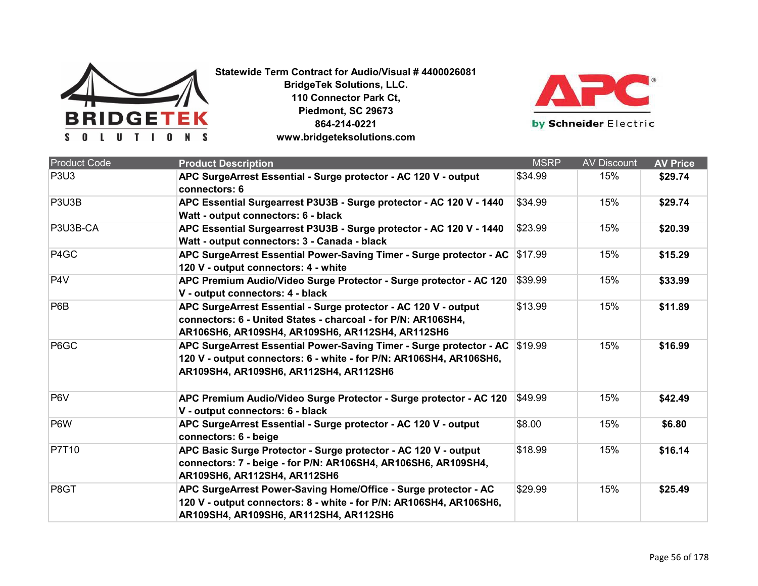



| <b>Product Code</b>           | <b>Product Description</b>                                                                                                                                                                   | <b>MSRP</b> | <b>AV Discount</b> | <b>AV Price</b> |
|-------------------------------|----------------------------------------------------------------------------------------------------------------------------------------------------------------------------------------------|-------------|--------------------|-----------------|
| P <sub>3</sub> U <sub>3</sub> | APC SurgeArrest Essential - Surge protector - AC 120 V - output<br>connectors: 6                                                                                                             | \$34.99     | 15%                | \$29.74         |
| P3U3B                         | APC Essential Surgearrest P3U3B - Surge protector - AC 120 V - 1440<br>Watt - output connectors: 6 - black                                                                                   | \$34.99     | 15%                | \$29.74         |
| P3U3B-CA                      | APC Essential Surgearrest P3U3B - Surge protector - AC 120 V - 1440<br>Watt - output connectors: 3 - Canada - black                                                                          | \$23.99     | 15%                | \$20.39         |
| P4GC                          | APC SurgeArrest Essential Power-Saving Timer - Surge protector - AC \$17.99<br>120 V - output connectors: 4 - white                                                                          |             | 15%                | \$15.29         |
| P <sub>4</sub> V              | APC Premium Audio/Video Surge Protector - Surge protector - AC 120<br>V - output connectors: 4 - black                                                                                       | \$39.99     | 15%                | \$33.99         |
| P6B                           | APC SurgeArrest Essential - Surge protector - AC 120 V - output<br>connectors: 6 - United States - charcoal - for P/N: AR106SH4,<br>AR106SH6, AR109SH4, AR109SH6, AR112SH4, AR112SH6         | \$13.99     | 15%                | \$11.89         |
| P6GC                          | APC SurgeArrest Essential Power-Saving Timer - Surge protector - AC \$19.99<br>120 V - output connectors: 6 - white - for P/N: AR106SH4, AR106SH6,<br>AR109SH4, AR109SH6, AR112SH4, AR112SH6 |             | 15%                | \$16.99         |
| P <sub>6</sub> V              | APC Premium Audio/Video Surge Protector - Surge protector - AC 120<br>V - output connectors: 6 - black                                                                                       | \$49.99     | 15%                | \$42.49         |
| P6W                           | APC SurgeArrest Essential - Surge protector - AC 120 V - output<br>connectors: 6 - beige                                                                                                     | \$8.00      | 15%                | \$6.80          |
| P7T10                         | APC Basic Surge Protector - Surge protector - AC 120 V - output<br>connectors: 7 - beige - for P/N: AR106SH4, AR106SH6, AR109SH4,<br>AR109SH6, AR112SH4, AR112SH6                            | \$18.99     | 15%                | \$16.14         |
| P8GT                          | APC SurgeArrest Power-Saving Home/Office - Surge protector - AC<br>120 V - output connectors: 8 - white - for P/N: AR106SH4, AR106SH6,<br>AR109SH4, AR109SH6, AR112SH4, AR112SH6             | \$29.99     | 15%                | \$25.49         |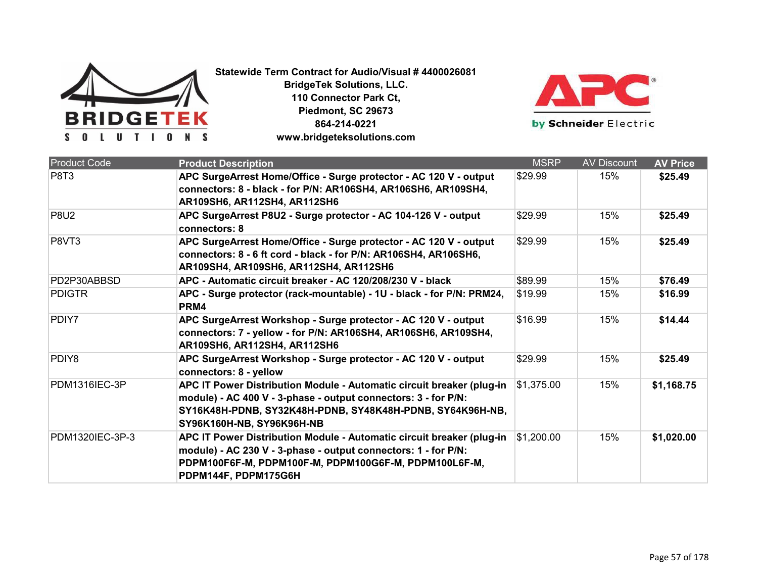



Product Code **Product Description** MSRP AV Discount **AV Price** P8T3 **APC SurgeArrest Home/Office - Surge protector - AC 120 V - output connectors: 8 - black - for P/N: AR106SH4, AR106SH6, AR109SH4, AR109SH6, AR112SH4, AR112SH6** \$29.99 15% **\$25.49**  P8U2 **APC SurgeArrest P8U2 - Surge protector - AC 104-126 V - output connectors: 8** \$29.99 15% **\$25.49**  P8VT3 **APC SurgeArrest Home/Office - Surge protector - AC 120 V - output connectors: 8 - 6 ft cord - black - for P/N: AR106SH4, AR106SH6, AR109SH4, AR109SH6, AR112SH4, AR112SH6** \$29.99 15% **\$25.49**  PD2P30ABBSD **APC - Automatic circuit breaker - AC 120/208/230 V - black \$89.99 15% <b>\$76.49 \$76.49** PDIGTR **APC - Surge protector (rack-mountable) - 1U - black - for P/N: PRM24, PRM4** \$19.99 15% **\$16.99**  PDIY7 **APC SurgeArrest Workshop - Surge protector - AC 120 V - output connectors: 7 - yellow - for P/N: AR106SH4, AR106SH6, AR109SH4, AR109SH6, AR112SH4, AR112SH6** \$16.99 15% **\$14.44**  PDIY8 **APC SurgeArrest Workshop - Surge protector - AC 120 V - output connectors: 8 - yellow** \$29.99 15% **\$25.49**  PDM1316IEC-3P **APC IT Power Distribution Module - Automatic circuit breaker (plug-in module) - AC 400 V - 3-phase - output connectors: 3 - for P/N: SY16K48H-PDNB, SY32K48H-PDNB, SY48K48H-PDNB, SY64K96H-NB, SY96K160H-NB, SY96K96H-NB** \$1,375.00 15% **\$1,168.75**  PDM1320IEC-3P-3 **APC IT Power Distribution Module - Automatic circuit breaker (plug-in module) - AC 230 V - 3-phase - output connectors: 1 - for P/N: PDPM100F6F-M, PDPM100F-M, PDPM100G6F-M, PDPM100L6F-M, PDPM144F, PDPM175G6H** \$1,200.00 15% **\$1,020.00**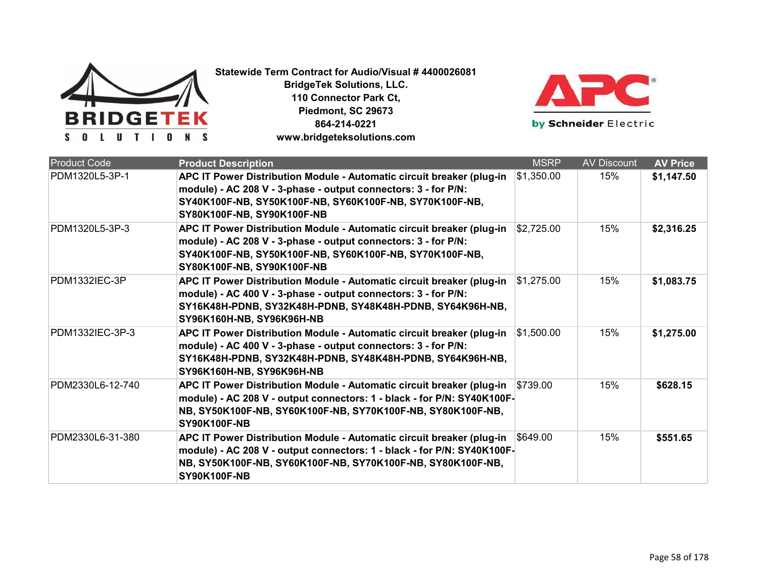



Product Code **Product Description** MSRP AV Discount **AV Price** PDM1320L5-3P-1 **APC IT Power Distribution Module - Automatic circuit breaker (plug-in module) - AC 208 V - 3-phase - output connectors: 3 - for P/N: SY40K100F-NB, SY50K100F-NB, SY60K100F-NB, SY70K100F-NB, SY80K100F-NB, SY90K100F-NB** \$1,350.00 15% **\$1,147.50**  PDM1320L5-3P-3 **APC IT Power Distribution Module - Automatic circuit breaker (plug-in module) - AC 208 V - 3-phase - output connectors: 3 - for P/N: SY40K100F-NB, SY50K100F-NB, SY60K100F-NB, SY70K100F-NB, SY80K100F-NB, SY90K100F-NB** \$2,725.00 15% **\$2,316.25**  PDM1332IEC-3P **APC IT Power Distribution Module - Automatic circuit breaker (plug-in module) - AC 400 V - 3-phase - output connectors: 3 - for P/N: SY16K48H-PDNB, SY32K48H-PDNB, SY48K48H-PDNB, SY64K96H-NB, SY96K160H-NB, SY96K96H-NB** \$1,275.00 15% **\$1,083.75**  PDM1332IEC-3P-3 **APC IT Power Distribution Module - Automatic circuit breaker (plug-in module) - AC 400 V - 3-phase - output connectors: 3 - for P/N: SY16K48H-PDNB, SY32K48H-PDNB, SY48K48H-PDNB, SY64K96H-NB, SY96K160H-NB, SY96K96H-NB** \$1,500.00 15% **\$1,275.00**  PDM2330L6-12-740 **APC IT Power Distribution Module - Automatic circuit breaker (plug-in module) - AC 208 V - output connectors: 1 - black - for P/N: SY40K100F-NB, SY50K100F-NB, SY60K100F-NB, SY70K100F-NB, SY80K100F-NB, SY90K100F-NB** \$739.00 15% **\$628.15**  PDM2330L6-31-380 **APC IT Power Distribution Module - Automatic circuit breaker (plug-in module) - AC 208 V - output connectors: 1 - black - for P/N: SY40K100F-NB, SY50K100F-NB, SY60K100F-NB, SY70K100F-NB, SY80K100F-NB, SY90K100F-NB** \$649.00 15% **\$551.65**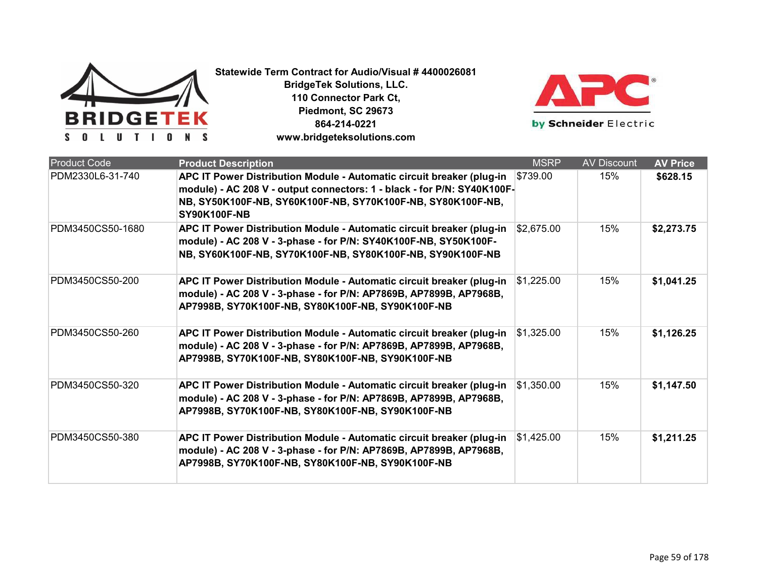



**Product Code <b>Product Description** MSRP AV Discount **AV Price** PDM2330L6-31-740 **APC IT Power Distribution Module - Automatic circuit breaker (plug-in module) - AC 208 V - output connectors: 1 - black - for P/N: SY40K100F-NB, SY50K100F-NB, SY60K100F-NB, SY70K100F-NB, SY80K100F-NB, SY90K100F-NB** \$739.00 15% **\$628.15**  PDM3450CS50-1680 **APC IT Power Distribution Module - Automatic circuit breaker (plug-in module) - AC 208 V - 3-phase - for P/N: SY40K100F-NB, SY50K100F-NB, SY60K100F-NB, SY70K100F-NB, SY80K100F-NB, SY90K100F-NB** \$2,675.00 15% **\$2,273.75**  PDM3450CS50-200 **APC IT Power Distribution Module - Automatic circuit breaker (plug-in module) - AC 208 V - 3-phase - for P/N: AP7869B, AP7899B, AP7968B, AP7998B, SY70K100F-NB, SY80K100F-NB, SY90K100F-NB** \$1,225.00 15% **\$1,041.25**  PDM3450CS50-260 **APC IT Power Distribution Module - Automatic circuit breaker (plug-in module) - AC 208 V - 3-phase - for P/N: AP7869B, AP7899B, AP7968B, AP7998B, SY70K100F-NB, SY80K100F-NB, SY90K100F-NB** \$1,325.00 15% **\$1,126.25**  PDM3450CS50-320 **APC IT Power Distribution Module - Automatic circuit breaker (plug-in module) - AC 208 V - 3-phase - for P/N: AP7869B, AP7899B, AP7968B, AP7998B, SY70K100F-NB, SY80K100F-NB, SY90K100F-NB** \$1,350.00 15% **\$1,147.50**  PDM3450CS50-380 **APC IT Power Distribution Module - Automatic circuit breaker (plug-in module) - AC 208 V - 3-phase - for P/N: AP7869B, AP7899B, AP7968B, AP7998B, SY70K100F-NB, SY80K100F-NB, SY90K100F-NB** \$1,425.00 15% **\$1,211.25**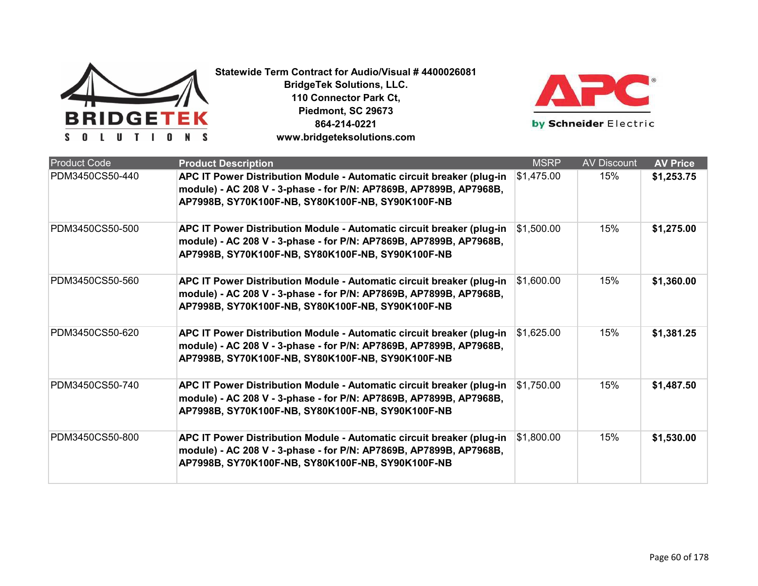



Product Code **Product Description** MSRP AV Discount **AV Price** PDM3450CS50-440 **APC IT Power Distribution Module - Automatic circuit breaker (plug-in module) - AC 208 V - 3-phase - for P/N: AP7869B, AP7899B, AP7968B, AP7998B, SY70K100F-NB, SY80K100F-NB, SY90K100F-NB** \$1,475.00 15% **\$1,253.75**  PDM3450CS50-500 **APC IT Power Distribution Module - Automatic circuit breaker (plug-in module) - AC 208 V - 3-phase - for P/N: AP7869B, AP7899B, AP7968B, AP7998B, SY70K100F-NB, SY80K100F-NB, SY90K100F-NB** \$1,500.00 15% **\$1,275.00**  PDM3450CS50-560 **APC IT Power Distribution Module - Automatic circuit breaker (plug-in module) - AC 208 V - 3-phase - for P/N: AP7869B, AP7899B, AP7968B, AP7998B, SY70K100F-NB, SY80K100F-NB, SY90K100F-NB** \$1,600.00 15% **\$1,360.00**  PDM3450CS50-620 **APC IT Power Distribution Module - Automatic circuit breaker (plug-in module) - AC 208 V - 3-phase - for P/N: AP7869B, AP7899B, AP7968B, AP7998B, SY70K100F-NB, SY80K100F-NB, SY90K100F-NB** \$1,625.00 15% **\$1,381.25**  PDM3450CS50-740 **APC IT Power Distribution Module - Automatic circuit breaker (plug-in module) - AC 208 V - 3-phase - for P/N: AP7869B, AP7899B, AP7968B, AP7998B, SY70K100F-NB, SY80K100F-NB, SY90K100F-NB** \$1,750.00 15% **\$1,487.50**  PDM3450CS50-800 **APC IT Power Distribution Module - Automatic circuit breaker (plug-in module) - AC 208 V - 3-phase - for P/N: AP7869B, AP7899B, AP7968B, AP7998B, SY70K100F-NB, SY80K100F-NB, SY90K100F-NB** \$1,800.00 15% **\$1,530.00**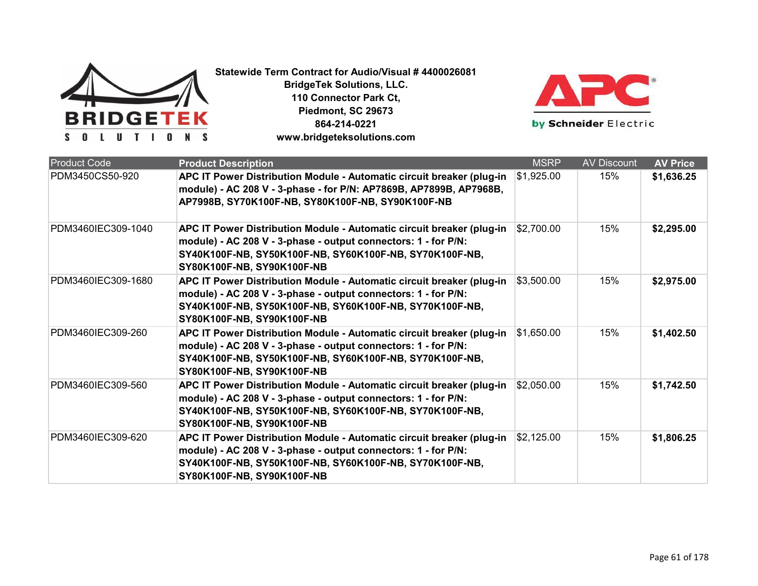



Product Code **Product Description** MSRP AV Discount **AV Price** PDM3450CS50-920 **APC IT Power Distribution Module - Automatic circuit breaker (plug-in module) - AC 208 V - 3-phase - for P/N: AP7869B, AP7899B, AP7968B, AP7998B, SY70K100F-NB, SY80K100F-NB, SY90K100F-NB** \$1,925.00 15% **\$1,636.25**  PDM3460IEC309-1040 **APC IT Power Distribution Module - Automatic circuit breaker (plug-in module) - AC 208 V - 3-phase - output connectors: 1 - for P/N: SY40K100F-NB, SY50K100F-NB, SY60K100F-NB, SY70K100F-NB, SY80K100F-NB, SY90K100F-NB** \$2,700.00 15% **\$2,295.00**  PDM3460IEC309-1680 **APC IT Power Distribution Module - Automatic circuit breaker (plug-in module) - AC 208 V - 3-phase - output connectors: 1 - for P/N: SY40K100F-NB, SY50K100F-NB, SY60K100F-NB, SY70K100F-NB, SY80K100F-NB, SY90K100F-NB** \$3,500.00 15% **\$2,975.00**  PDM3460IEC309-260 **APC IT Power Distribution Module - Automatic circuit breaker (plug-in module) - AC 208 V - 3-phase - output connectors: 1 - for P/N: SY40K100F-NB, SY50K100F-NB, SY60K100F-NB, SY70K100F-NB, SY80K100F-NB, SY90K100F-NB** \$1,650.00 15% **\$1,402.50**  PDM3460IEC309-560 **APC IT Power Distribution Module - Automatic circuit breaker (plug-in module) - AC 208 V - 3-phase - output connectors: 1 - for P/N: SY40K100F-NB, SY50K100F-NB, SY60K100F-NB, SY70K100F-NB, SY80K100F-NB, SY90K100F-NB** \$2,050.00 15% **\$1,742.50**  PDM3460IEC309-620 **APC IT Power Distribution Module - Automatic circuit breaker (plug-in module) - AC 208 V - 3-phase - output connectors: 1 - for P/N: SY40K100F-NB, SY50K100F-NB, SY60K100F-NB, SY70K100F-NB, SY80K100F-NB, SY90K100F-NB** \$2,125.00 15% **\$1,806.25**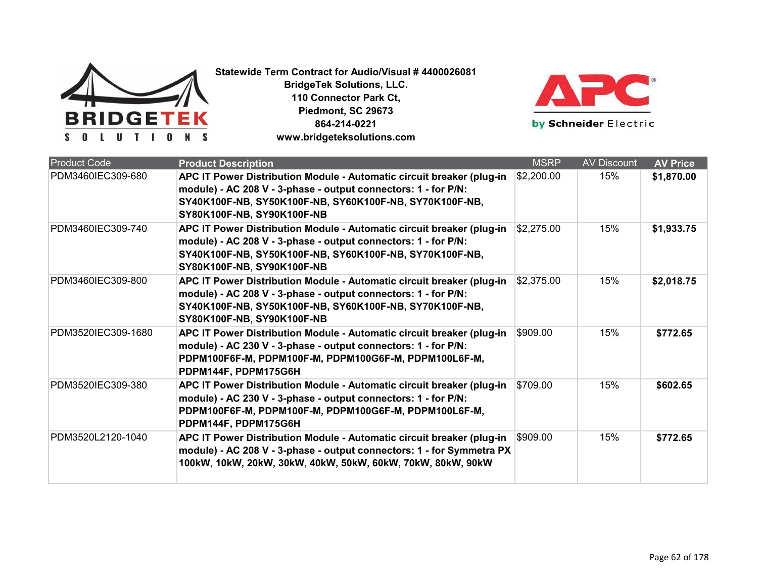



Product Code **Product Description** MSRP AV Discount **AV Price** PDM3460IEC309-680 **APC IT Power Distribution Module - Automatic circuit breaker (plug-in module) - AC 208 V - 3-phase - output connectors: 1 - for P/N: SY40K100F-NB, SY50K100F-NB, SY60K100F-NB, SY70K100F-NB, SY80K100F-NB, SY90K100F-NB** \$2,200.00 15% **\$1,870.00**  PDM3460IEC309-740 **APC IT Power Distribution Module - Automatic circuit breaker (plug-in module) - AC 208 V - 3-phase - output connectors: 1 - for P/N: SY40K100F-NB, SY50K100F-NB, SY60K100F-NB, SY70K100F-NB, SY80K100F-NB, SY90K100F-NB** \$2,275.00 15% **\$1,933.75**  PDM3460IEC309-800 **APC IT Power Distribution Module - Automatic circuit breaker (plug-in module) - AC 208 V - 3-phase - output connectors: 1 - for P/N: SY40K100F-NB, SY50K100F-NB, SY60K100F-NB, SY70K100F-NB, SY80K100F-NB, SY90K100F-NB** \$2,375.00 15% **\$2,018.75**  PDM3520IEC309-1680 **APC IT Power Distribution Module - Automatic circuit breaker (plug-in module) - AC 230 V - 3-phase - output connectors: 1 - for P/N: PDPM100F6F-M, PDPM100F-M, PDPM100G6F-M, PDPM100L6F-M, PDPM144F, PDPM175G6H** \$909.00 15% **\$772.65**  PDM3520IEC309-380 **APC IT Power Distribution Module - Automatic circuit breaker (plug-in module) - AC 230 V - 3-phase - output connectors: 1 - for P/N: PDPM100F6F-M, PDPM100F-M, PDPM100G6F-M, PDPM100L6F-M, PDPM144F, PDPM175G6H** \$709.00 15% **\$602.65**  PDM3520L2120-1040 **APC IT Power Distribution Module - Automatic circuit breaker (plug-in module) - AC 208 V - 3-phase - output connectors: 1 - for Symmetra PX 100kW, 10kW, 20kW, 30kW, 40kW, 50kW, 60kW, 70kW, 80kW, 90kW** \$909.00 15% **\$772.65**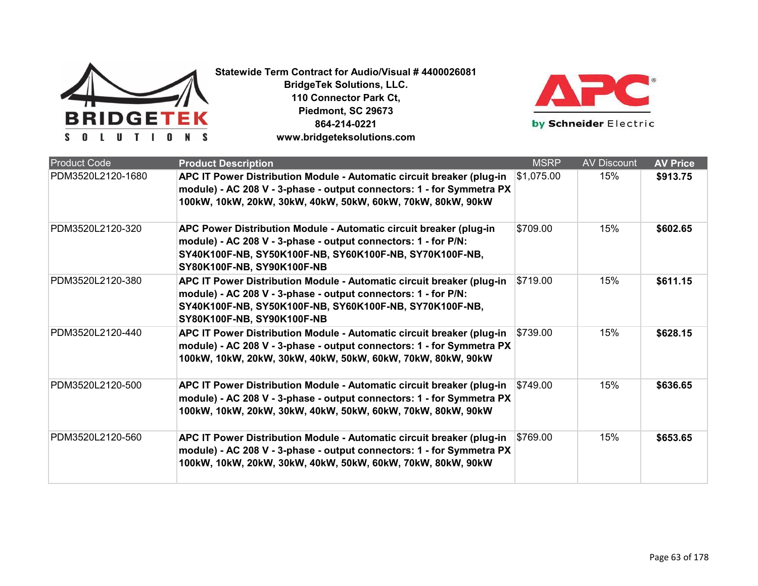



Product Code **Product Description** MSRP AV Discount **AV Price** PDM3520L2120-1680 **APC IT Power Distribution Module - Automatic circuit breaker (plug-in module) - AC 208 V - 3-phase - output connectors: 1 - for Symmetra PX 100kW, 10kW, 20kW, 30kW, 40kW, 50kW, 60kW, 70kW, 80kW, 90kW** \$1,075.00 15% **\$913.75**  PDM3520L2120-320 **APC Power Distribution Module - Automatic circuit breaker (plug-in module) - AC 208 V - 3-phase - output connectors: 1 - for P/N: SY40K100F-NB, SY50K100F-NB, SY60K100F-NB, SY70K100F-NB, SY80K100F-NB, SY90K100F-NB** \$709.00 15% **\$602.65**  PDM3520L2120-380 **APC IT Power Distribution Module - Automatic circuit breaker (plug-in**  \$719.00 15% **\$611.15 module) - AC 208 V - 3-phase - output connectors: 1 - for P/N: SY40K100F-NB, SY50K100F-NB, SY60K100F-NB, SY70K100F-NB, SY80K100F-NB, SY90K100F-NB** PDM3520L2120-440 **APC IT Power Distribution Module - Automatic circuit breaker (plug-in module) - AC 208 V - 3-phase - output connectors: 1 - for Symmetra PX 100kW, 10kW, 20kW, 30kW, 40kW, 50kW, 60kW, 70kW, 80kW, 90kW** \$739.00 15% **\$628.15**  PDM3520L2120-500 **APC IT Power Distribution Module - Automatic circuit breaker (plug-in**  \$749.00 15% **\$636.65 module) - AC 208 V - 3-phase - output connectors: 1 - for Symmetra PX 100kW, 10kW, 20kW, 30kW, 40kW, 50kW, 60kW, 70kW, 80kW, 90kW** PDM3520L2120-560 **APC IT Power Distribution Module - Automatic circuit breaker (plug-in module) - AC 208 V - 3-phase - output connectors: 1 - for Symmetra PX 100kW, 10kW, 20kW, 30kW, 40kW, 50kW, 60kW, 70kW, 80kW, 90kW** \$769.00 15% **\$653.65**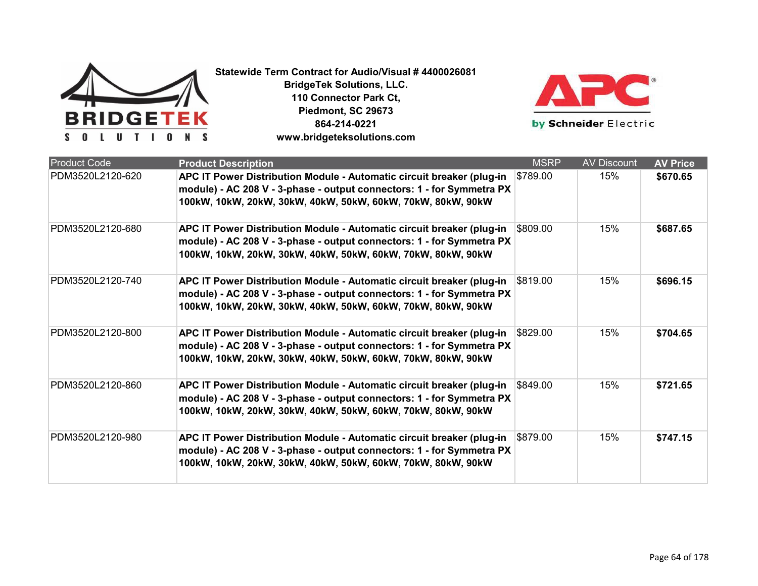



**Product Code <b>Product Description** MSRP AV Discount **AV Price** PDM3520L2120-620 **APC IT Power Distribution Module - Automatic circuit breaker (plug-in module) - AC 208 V - 3-phase - output connectors: 1 - for Symmetra PX 100kW, 10kW, 20kW, 30kW, 40kW, 50kW, 60kW, 70kW, 80kW, 90kW** \$789.00 15% **\$670.65**  PDM3520L2120-680 **APC IT Power Distribution Module - Automatic circuit breaker (plug-in module) - AC 208 V - 3-phase - output connectors: 1 - for Symmetra PX 100kW, 10kW, 20kW, 30kW, 40kW, 50kW, 60kW, 70kW, 80kW, 90kW** \$809.00 15% **\$687.65**  PDM3520L2120-740 **APC IT Power Distribution Module - Automatic circuit breaker (plug-in module) - AC 208 V - 3-phase - output connectors: 1 - for Symmetra PX 100kW, 10kW, 20kW, 30kW, 40kW, 50kW, 60kW, 70kW, 80kW, 90kW** \$819.00 15% **\$696.15**  PDM3520L2120-800 **APC IT Power Distribution Module - Automatic circuit breaker (plug-in module) - AC 208 V - 3-phase - output connectors: 1 - for Symmetra PX 100kW, 10kW, 20kW, 30kW, 40kW, 50kW, 60kW, 70kW, 80kW, 90kW** \$829.00 15% **\$704.65**  PDM3520L2120-860 **APC IT Power Distribution Module - Automatic circuit breaker (plug-in module) - AC 208 V - 3-phase - output connectors: 1 - for Symmetra PX 100kW, 10kW, 20kW, 30kW, 40kW, 50kW, 60kW, 70kW, 80kW, 90kW** \$849.00 15% **\$721.65**  PDM3520L2120-980 **APC IT Power Distribution Module - Automatic circuit breaker (plug-in module) - AC 208 V - 3-phase - output connectors: 1 - for Symmetra PX 100kW, 10kW, 20kW, 30kW, 40kW, 50kW, 60kW, 70kW, 80kW, 90kW** \$879.00 15% **\$747.15**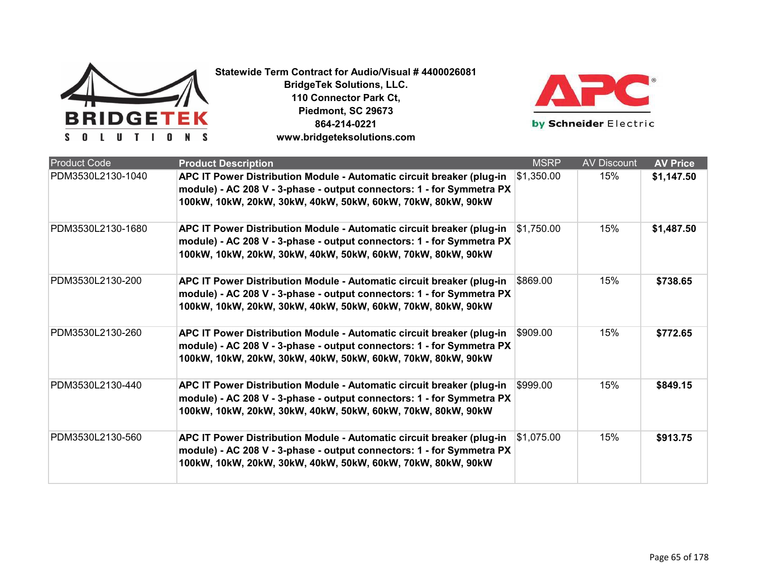



Product Code **Product Description** MSRP AV Discount **AV Price** PDM3530L2130-1040 **APC IT Power Distribution Module - Automatic circuit breaker (plug-in module) - AC 208 V - 3-phase - output connectors: 1 - for Symmetra PX 100kW, 10kW, 20kW, 30kW, 40kW, 50kW, 60kW, 70kW, 80kW, 90kW** \$1,350.00 15% **\$1,147.50**  PDM3530L2130-1680 **APC IT Power Distribution Module - Automatic circuit breaker (plug-in module) - AC 208 V - 3-phase - output connectors: 1 - for Symmetra PX 100kW, 10kW, 20kW, 30kW, 40kW, 50kW, 60kW, 70kW, 80kW, 90kW** \$1,750.00 15% **\$1,487.50**  PDM3530L2130-200 **APC IT Power Distribution Module - Automatic circuit breaker (plug-in module) - AC 208 V - 3-phase - output connectors: 1 - for Symmetra PX 100kW, 10kW, 20kW, 30kW, 40kW, 50kW, 60kW, 70kW, 80kW, 90kW** \$869.00 15% **\$738.65**  PDM3530L2130-260 **APC IT Power Distribution Module - Automatic circuit breaker (plug-in module) - AC 208 V - 3-phase - output connectors: 1 - for Symmetra PX 100kW, 10kW, 20kW, 30kW, 40kW, 50kW, 60kW, 70kW, 80kW, 90kW** \$909.00 15% **\$772.65**  PDM3530L2130-440 **APC IT Power Distribution Module - Automatic circuit breaker (plug-in module) - AC 208 V - 3-phase - output connectors: 1 - for Symmetra PX 100kW, 10kW, 20kW, 30kW, 40kW, 50kW, 60kW, 70kW, 80kW, 90kW** \$999.00 15% **\$849.15**  PDM3530L2130-560 **APC IT Power Distribution Module - Automatic circuit breaker (plug-in module) - AC 208 V - 3-phase - output connectors: 1 - for Symmetra PX 100kW, 10kW, 20kW, 30kW, 40kW, 50kW, 60kW, 70kW, 80kW, 90kW** \$1,075.00 15% **\$913.75**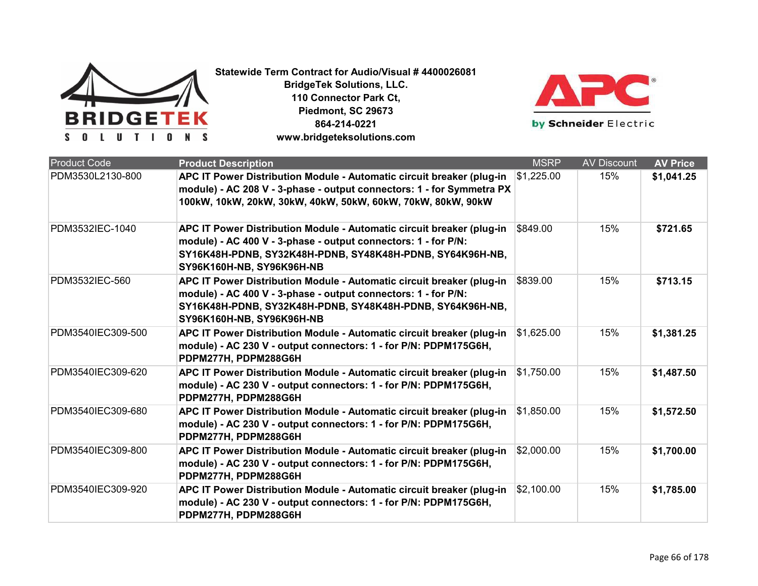



Product Code **Product Description** MSRP AV Discount **AV Price** PDM3530L2130-800 **APC IT Power Distribution Module - Automatic circuit breaker (plug-in module) - AC 208 V - 3-phase - output connectors: 1 - for Symmetra PX 100kW, 10kW, 20kW, 30kW, 40kW, 50kW, 60kW, 70kW, 80kW, 90kW** \$1,225.00 15% **\$1,041.25**  PDM3532IEC-1040 **APC IT Power Distribution Module - Automatic circuit breaker (plug-in module) - AC 400 V - 3-phase - output connectors: 1 - for P/N: SY16K48H-PDNB, SY32K48H-PDNB, SY48K48H-PDNB, SY64K96H-NB, SY96K160H-NB, SY96K96H-NB** \$849.00 15% **\$721.65**  PDM3532IEC-560 **APC IT Power Distribution Module - Automatic circuit breaker (plug-in module) - AC 400 V - 3-phase - output connectors: 1 - for P/N: SY16K48H-PDNB, SY32K48H-PDNB, SY48K48H-PDNB, SY64K96H-NB, SY96K160H-NB, SY96K96H-NB** \$839.00 15% **\$713.15**  PDM3540IEC309-500 **APC IT Power Distribution Module - Automatic circuit breaker (plug-in module) - AC 230 V - output connectors: 1 - for P/N: PDPM175G6H, PDPM277H, PDPM288G6H** \$1,625.00 15% **\$1,381.25**  PDM3540IEC309-620 **APC IT Power Distribution Module - Automatic circuit breaker (plug-in module) - AC 230 V - output connectors: 1 - for P/N: PDPM175G6H, PDPM277H, PDPM288G6H** \$1,750.00 15% **\$1,487.50**  PDM3540IEC309-680 **APC IT Power Distribution Module - Automatic circuit breaker (plug-in module) - AC 230 V - output connectors: 1 - for P/N: PDPM175G6H, PDPM277H, PDPM288G6H** \$1,850.00 15% **\$1,572.50**  PDM3540IEC309-800 **APC IT Power Distribution Module - Automatic circuit breaker (plug-in module) - AC 230 V - output connectors: 1 - for P/N: PDPM175G6H, PDPM277H, PDPM288G6H** \$2,000.00 15% **\$1,700.00**  PDM3540IEC309-920 **APC IT Power Distribution Module - Automatic circuit breaker (plug-in**  \$2,100.00 15% **\$1,785.00** 

**module) - AC 230 V - output connectors: 1 - for P/N: PDPM175G6H,** 

**PDPM277H, PDPM288G6H**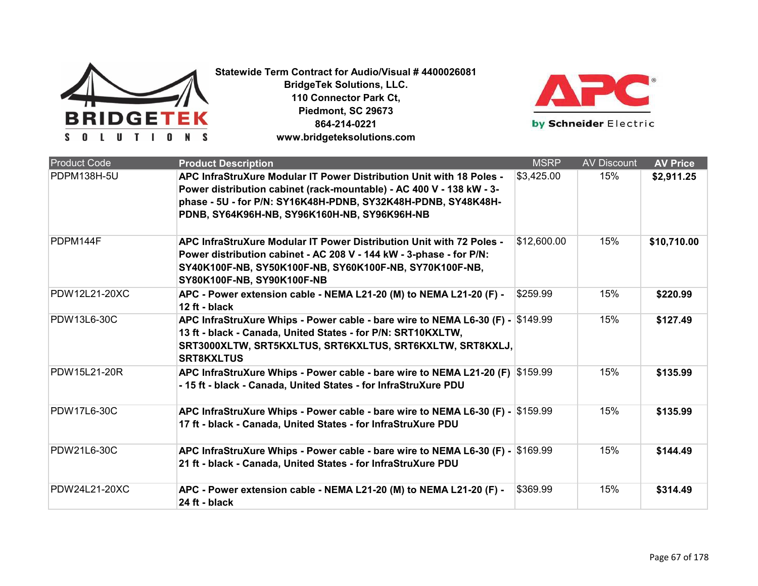



Product Code **Product Description** MSRP AV Discount **AV Price** PDPM138H-5U **APC InfraStruXure Modular IT Power Distribution Unit with 18 Poles - Power distribution cabinet (rack-mountable) - AC 400 V - 138 kW - 3 phase - 5U - for P/N: SY16K48H-PDNB, SY32K48H-PDNB, SY48K48H-PDNB, SY64K96H-NB, SY96K160H-NB, SY96K96H-NB** \$3,425.00 15% **\$2,911.25**  PDPM144F **APC InfraStruXure Modular IT Power Distribution Unit with 72 Poles - Power distribution cabinet - AC 208 V - 144 kW - 3-phase - for P/N: SY40K100F-NB, SY50K100F-NB, SY60K100F-NB, SY70K100F-NB, SY80K100F-NB, SY90K100F-NB** \$12,600.00 15% **\$10,710.00**  PDW12L21-20XC **APC - Power extension cable - NEMA L21-20 (M) to NEMA L21-20 (F) - 12 ft - black** \$259.99 15% **\$220.99**  PDW13L6-30C **APC InfraStruXure Whips - Power cable - bare wire to NEMA L6-30 (F) -**  \$149.99 15% **\$127.49 13 ft - black - Canada, United States - for P/N: SRT10KXLTW, SRT3000XLTW, SRT5KXLTUS, SRT6KXLTUS, SRT6KXLTW, SRT8KXLJ, SRT8KXLTUS** PDW15L21-20R |APC InfraStruXure Whips - Power cable - bare wire to NEMA L21-20 (F) \$159.99 \$135.99 **- 15 ft - black - Canada, United States - for InfraStruXure PDU** PDW17L6-30C **APC InfraStruXure Whips - Power cable - bare wire to NEMA L6-30 (F) -**  \$159.99 15% **\$135.99 17 ft - black - Canada, United States - for InfraStruXure PDU** PDW21L6-30C **APC InfraStruXure Whips - Power cable - bare wire to NEMA L6-30 (F) -**  \$169.99 15% **\$144.49 21 ft - black - Canada, United States - for InfraStruXure PDU** PDW24L21-20XC **APC - Power extension cable - NEMA L21-20 (M) to NEMA L21-20 (F) - 24 ft - black** \$369.99 15% **\$314.49**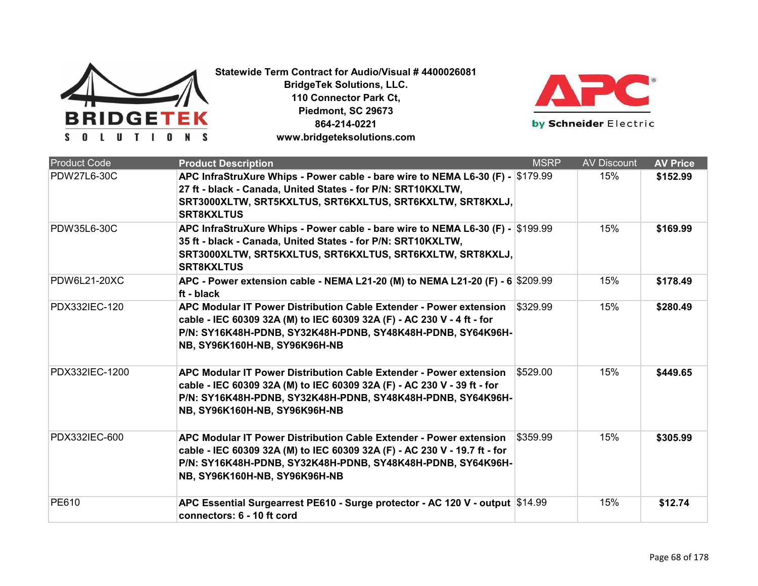



Product Code **Product Description** MSRP AV Discount **AV Price** PDW27L6-30C **APC InfraStruXure Whips - Power cable - bare wire to NEMA L6-30 (F) -**  \$179.99 15% **\$152.99 27 ft - black - Canada, United States - for P/N: SRT10KXLTW, SRT3000XLTW, SRT5KXLTUS, SRT6KXLTUS, SRT6KXLTW, SRT8KXLJ, SRT8KXLTUS** PDW35L6-30C **APC InfraStruXure Whips - Power cable - bare wire to NEMA L6-30 (F) -**  \$199.99 15% **\$169.99 35 ft - black - Canada, United States - for P/N: SRT10KXLTW, SRT3000XLTW, SRT5KXLTUS, SRT6KXLTUS, SRT6KXLTW, SRT8KXLJ, SRT8KXLTUS** PDW6L21-20XC **APC - Power extension cable - NEMA L21-20 (M) to NEMA L21-20 (F) - 6**  \$209.99 15% **\$178.49 ft - black** PDX332IEC-120 **APC Modular IT Power Distribution Cable Extender - Power extension cable - IEC 60309 32A (M) to IEC 60309 32A (F) - AC 230 V - 4 ft - for P/N: SY16K48H-PDNB, SY32K48H-PDNB, SY48K48H-PDNB, SY64K96H-NB, SY96K160H-NB, SY96K96H-NB** \$329.99 15% **\$280.49**  PDX332IEC-1200 **APC Modular IT Power Distribution Cable Extender - Power extension cable - IEC 60309 32A (M) to IEC 60309 32A (F) - AC 230 V - 39 ft - for P/N: SY16K48H-PDNB, SY32K48H-PDNB, SY48K48H-PDNB, SY64K96H-NB, SY96K160H-NB, SY96K96H-NB** \$529.00 15% **\$449.65**  PDX332IEC-600 **APC Modular IT Power Distribution Cable Extender - Power extension cable - IEC 60309 32A (M) to IEC 60309 32A (F) - AC 230 V - 19.7 ft - for P/N: SY16K48H-PDNB, SY32K48H-PDNB, SY48K48H-PDNB, SY64K96H-NB, SY96K160H-NB, SY96K96H-NB \$359.99** 15% **\$305.99** PE610 **APC Essential Surgearrest PE610 - Surge protector - AC 120 V - output**  $|\$$ **14.99 15% \$12.74 connectors: 6 - 10 ft cord**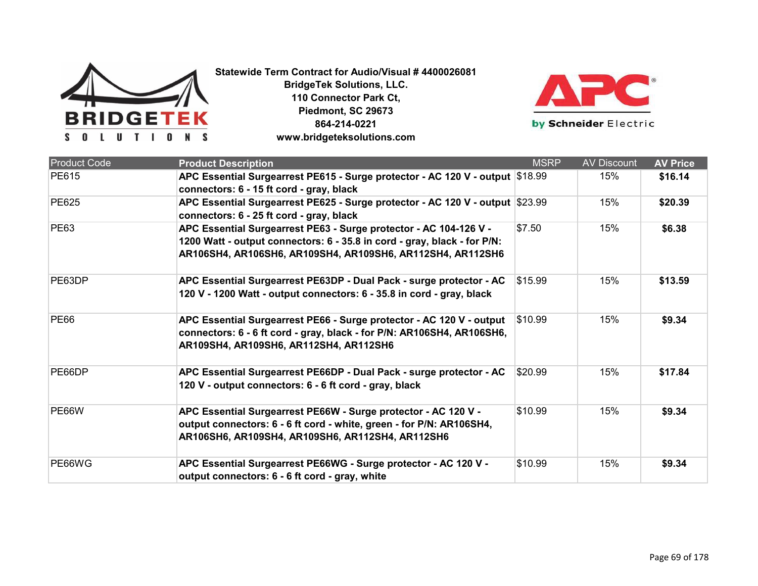



Product Code **Product Description** MSRP AV Discount **AV Price** PE615 **APC Essential Surgearrest PE615 - Surge protector - AC 120 V - output**  $|\$18.99$  **15% \$16.14 connectors: 6 - 15 ft cord - gray, black** PE625 **APC Essential Surgearrest PE625 - Surge protector - AC 120 V - output**  \$23.99 15% **\$20.39 connectors: 6 - 25 ft cord - gray, black** PE63 **APC Essential Surgearrest PE63 - Surge protector - AC 104-126 V - 1200 Watt - output connectors: 6 - 35.8 in cord - gray, black - for P/N: AR106SH4, AR106SH6, AR109SH4, AR109SH6, AR112SH4, AR112SH6** \$7.50 15% **\$6.38**  PE63DP **APC Essential Surgearrest PE63DP - Dual Pack - surge protector - AC 120 V - 1200 Watt - output connectors: 6 - 35.8 in cord - gray, black** \$15.99 15% **\$13.59**  PE66 **APC Essential Surgearrest PE66 - Surge protector - AC 120 V - output connectors: 6 - 6 ft cord - gray, black - for P/N: AR106SH4, AR106SH6, AR109SH4, AR109SH6, AR112SH4, AR112SH6** \$10.99 15% **\$9.34**  PE66DP **APC Essential Surgearrest PE66DP - Dual Pack - surge protector - AC 120 V - output connectors: 6 - 6 ft cord - gray, black** \$20.99 15% **\$17.84**  PE66W **APC Essential Surgearrest PE66W - Surge protector - AC 120 V output connectors: 6 - 6 ft cord - white, green - for P/N: AR106SH4, AR106SH6, AR109SH4, AR109SH6, AR112SH4, AR112SH6** \$10.99 15% **\$9.34**  PE66WG **APC Essential Surgearrest PE66WG - Surge protector - AC 120 V -**  \$10.99 15% **\$9.34** 

**output connectors: 6 - 6 ft cord - gray, white**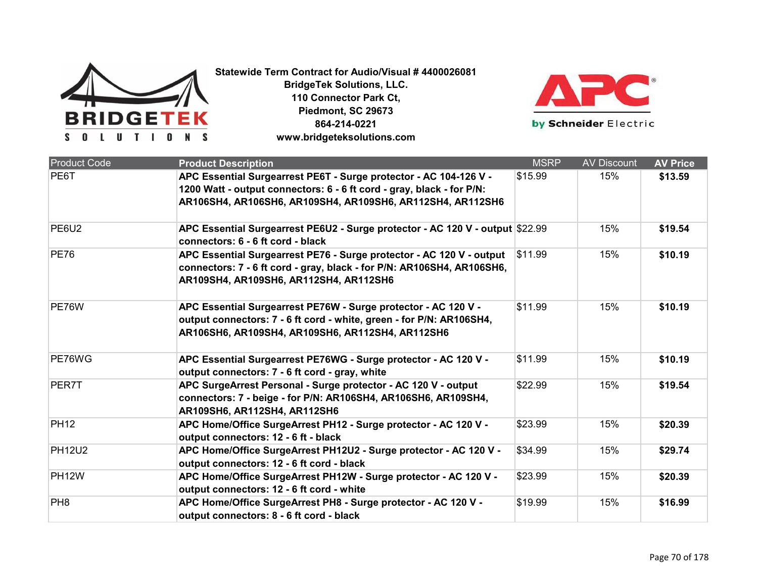



Product Code **Product Description** MSRP AV Discount **AV Price** PE6T **APC Essential Surgearrest PE6T - Surge protector - AC 104-126 V - 1200 Watt - output connectors: 6 - 6 ft cord - gray, black - for P/N: AR106SH4, AR106SH6, AR109SH4, AR109SH6, AR112SH4, AR112SH6** \$15.99 15% **\$13.59**  PE6U2 **APC Essential Surgearrest PE6U2 - Surge protector - AC 120 V - output connectors: 6 - 6 ft cord - black** \$22.99 15% **\$19.54**  PE76 **APC Essential Surgearrest PE76 - Surge protector - AC 120 V - output connectors: 7 - 6 ft cord - gray, black - for P/N: AR106SH4, AR106SH6, AR109SH4, AR109SH6, AR112SH4, AR112SH6** \$11.99 15% **\$10.19**  PE76W **APC Essential Surgearrest PE76W - Surge protector - AC 120 V output connectors: 7 - 6 ft cord - white, green - for P/N: AR106SH4, AR106SH6, AR109SH4, AR109SH6, AR112SH4, AR112SH6** \$11.99 15% **\$10.19**  PE76WG **APC Essential Surgearrest PE76WG - Surge protector - AC 120 V output connectors: 7 - 6 ft cord - gray, white** \$11.99 15% **\$10.19**  PER7T **APC SurgeArrest Personal - Surge protector - AC 120 V - output connectors: 7 - beige - for P/N: AR106SH4, AR106SH6, AR109SH4, AR109SH6, AR112SH4, AR112SH6** \$22.99 15% **\$19.54**  PH12 **APC Home/Office SurgeArrest PH12 - Surge protector - AC 120 V output connectors: 12 - 6 ft - black** \$23.99 15% **\$20.39**  PH12U2 **APC Home/Office SurgeArrest PH12U2 - Surge protector - AC 120 V output connectors: 12 - 6 ft cord - black** \$34.99 15% **\$29.74**  PH12W **APC Home/Office SurgeArrest PH12W - Surge protector - AC 120 V output connectors: 12 - 6 ft cord - white** \$23.99 15% **\$20.39**  PH8 **APC Home/Office SurgeArrest PH8 - Surge protector - AC 120 V output connectors: 8 - 6 ft cord - black** \$19.99 15% **\$16.99**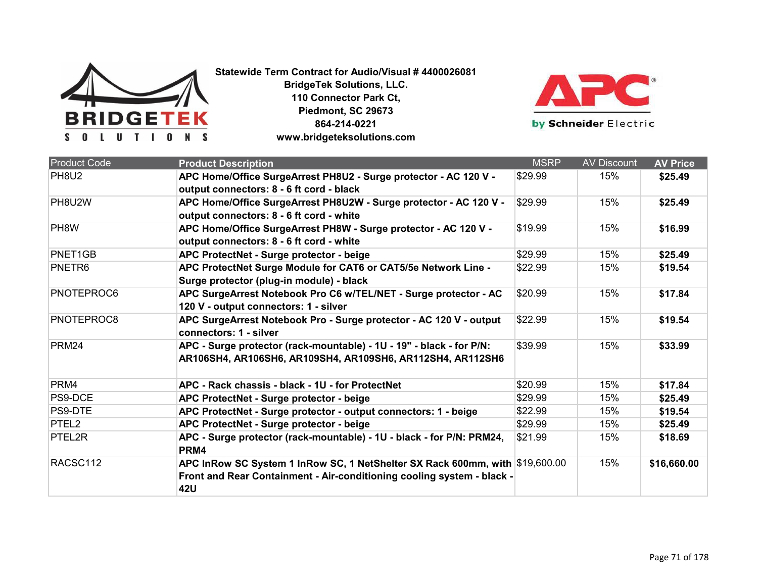



| <b>Product Code</b> | <b>Product Description</b>                                                                                                                                           | <b>MSRP</b> | <b>AV Discount</b> | <b>AV Price</b> |
|---------------------|----------------------------------------------------------------------------------------------------------------------------------------------------------------------|-------------|--------------------|-----------------|
| PH8U2               | APC Home/Office SurgeArrest PH8U2 - Surge protector - AC 120 V -<br>output connectors: 8 - 6 ft cord - black                                                         | \$29.99     | 15%                | \$25.49         |
| PH8U2W              | APC Home/Office SurgeArrest PH8U2W - Surge protector - AC 120 V -<br>output connectors: 8 - 6 ft cord - white                                                        | \$29.99     | 15%                | \$25.49         |
| PH8W                | APC Home/Office SurgeArrest PH8W - Surge protector - AC 120 V -<br>output connectors: 8 - 6 ft cord - white                                                          | \$19.99     | 15%                | \$16.99         |
| PNET1GB             | APC ProtectNet - Surge protector - beige                                                                                                                             | \$29.99     | 15%                | \$25.49         |
| PNETR6              | APC ProtectNet Surge Module for CAT6 or CAT5/5e Network Line -<br>Surge protector (plug-in module) - black                                                           | \$22.99     | 15%                | \$19.54         |
| PNOTEPROC6          | APC SurgeArrest Notebook Pro C6 w/TEL/NET - Surge protector - AC<br>120 V - output connectors: 1 - silver                                                            | \$20.99     | 15%                | \$17.84         |
| PNOTEPROC8          | APC SurgeArrest Notebook Pro - Surge protector - AC 120 V - output<br>connectors: 1 - silver                                                                         | \$22.99     | 15%                | \$19.54         |
| PRM <sub>24</sub>   | APC - Surge protector (rack-mountable) - 1U - 19" - black - for P/N:<br>AR106SH4, AR106SH6, AR109SH4, AR109SH6, AR112SH4, AR112SH6                                   | \$39.99     | 15%                | \$33.99         |
| PRM4                | APC - Rack chassis - black - 1U - for ProtectNet                                                                                                                     | \$20.99     | 15%                | \$17.84         |
| PS9-DCE             | APC ProtectNet - Surge protector - beige                                                                                                                             | \$29.99     | 15%                | \$25.49         |
| PS9-DTE             | APC ProtectNet - Surge protector - output connectors: 1 - beige                                                                                                      | \$22.99     | 15%                | \$19.54         |
| PTEL <sub>2</sub>   | APC ProtectNet - Surge protector - beige                                                                                                                             | \$29.99     | 15%                | \$25.49         |
| PTEL2R              | APC - Surge protector (rack-mountable) - 1U - black - for P/N: PRM24,<br>PRM4                                                                                        | \$21.99     | 15%                | \$18.69         |
| RACSC112            | APC InRow SC System 1 InRow SC, 1 NetShelter SX Rack 600mm, with \$19,600.00<br>Front and Rear Containment - Air-conditioning cooling system - black -<br><b>42U</b> |             | 15%                | \$16,660.00     |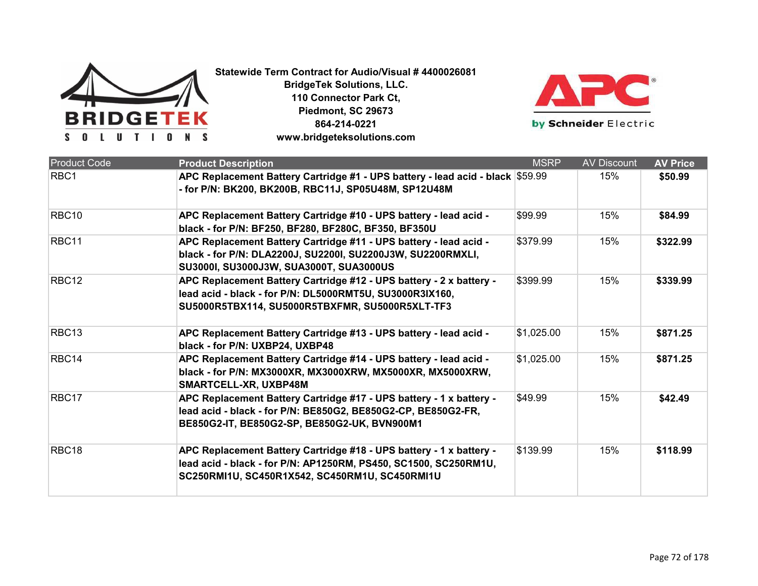



Product Code **Product Description** MSRP AV Discount **AV Price** RBC1 **APC Replacement Battery Cartridge #1 - UPS battery - lead acid - black |\$59.99 15% \$50.99 - for P/N: BK200, BK200B, RBC11J, SP05U48M, SP12U48M** RBC10 **APC Replacement Battery Cartridge #10 - UPS battery - lead acid black - for P/N: BF250, BF280, BF280C, BF350, BF350U** \$99.99 15% **\$84.99**  RBC11 **APC Replacement Battery Cartridge #11 - UPS battery - lead acid black - for P/N: DLA2200J, SU2200I, SU2200J3W, SU2200RMXLI, SU3000I, SU3000J3W, SUA3000T, SUA3000US** \$379.99 15% **\$322.99**  RBC12 **APC Replacement Battery Cartridge #12 - UPS battery - 2 x battery lead acid - black - for P/N: DL5000RMT5U, SU3000R3IX160, SU5000R5TBX114, SU5000R5TBXFMR, SU5000R5XLT-TF3** \$399.99 15% **\$339.99**  RBC13 **APC Replacement Battery Cartridge #13 - UPS battery - lead acid black - for P/N: UXBP24, UXBP48** \$1,025.00 15% **\$871.25**  RBC14 **APC Replacement Battery Cartridge #14 - UPS battery - lead acid black - for P/N: MX3000XR, MX3000XRW, MX5000XR, MX5000XRW, SMARTCELL-XR, UXBP48M** \$1,025.00 15% **\$871.25**  RBC17 **APC Replacement Battery Cartridge #17 - UPS battery - 1 x battery lead acid - black - for P/N: BE850G2, BE850G2-CP, BE850G2-FR, BE850G2-IT, BE850G2-SP, BE850G2-UK, BVN900M1** \$49.99 15% **\$42.49**  RBC18 **APC Replacement Battery Cartridge #18 - UPS battery - 1 x battery lead acid - black - for P/N: AP1250RM, PS450, SC1500, SC250RM1U, SC250RMI1U, SC450R1X542, SC450RM1U, SC450RMI1U** \$139.99 15% **\$118.99**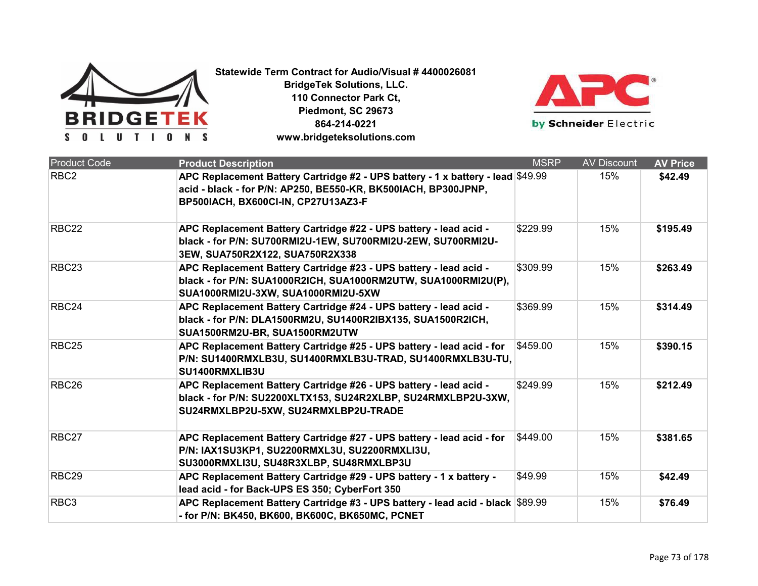



Product Code **Product Description** MSRP AV Discount **AV Price** RBC2 **APC Replacement Battery Cartridge #2 - UPS battery - 1 x battery - lead \$49.99 15% \$42.49 acid - black - for P/N: AP250, BE550-KR, BK500IACH, BP300JPNP, BP500IACH, BX600CI-IN, CP27U13AZ3-F** RBC22 **APC Replacement Battery Cartridge #22 - UPS battery - lead acid black - for P/N: SU700RMI2U-1EW, SU700RMI2U-2EW, SU700RMI2U-3EW, SUA750R2X122, SUA750R2X338** \$229.99 15% **\$195.49**  RBC23 **APC Replacement Battery Cartridge #23 - UPS battery - lead acid black - for P/N: SUA1000R2ICH, SUA1000RM2UTW, SUA1000RMI2U(P), SUA1000RMI2U-3XW, SUA1000RMI2U-5XW** \$309.99 15% **\$263.49**  RBC24 **APC Replacement Battery Cartridge #24 - UPS battery - lead acid black - for P/N: DLA1500RM2U, SU1400R2IBX135, SUA1500R2ICH, SUA1500RM2U-BR, SUA1500RM2UTW** \$369.99 15% **\$314.49**  RBC25 **APC Replacement Battery Cartridge #25 - UPS battery - lead acid - for P/N: SU1400RMXLB3U, SU1400RMXLB3U-TRAD, SU1400RMXLB3U-TU, SU1400RMXLIB3U** \$459.00 15% **\$390.15**  RBC26 **APC Replacement Battery Cartridge #26 - UPS battery - lead acid black - for P/N: SU2200XLTX153, SU24R2XLBP, SU24RMXLBP2U-3XW, SU24RMXLBP2U-5XW, SU24RMXLBP2U-TRADE** \$249.99 15% **\$212.49**  RBC27 **APC Replacement Battery Cartridge #27 - UPS battery - lead acid - for P/N: IAX1SU3KP1, SU2200RMXL3U, SU2200RMXLI3U, SU3000RMXLI3U, SU48R3XLBP, SU48RMXLBP3U** \$449.00 15% **\$381.65**  RBC29 **APC Replacement Battery Cartridge #29 - UPS battery - 1 x battery lead acid - for Back-UPS ES 350; CyberFort 350** \$49.99 15% **\$42.49**  RBC3 **APC Replacement Battery Cartridge #3 - UPS battery - lead acid - black |\$89.99 | 15% | \$76.49 - for P/N: BK450, BK600, BK600C, BK650MC, PCNET**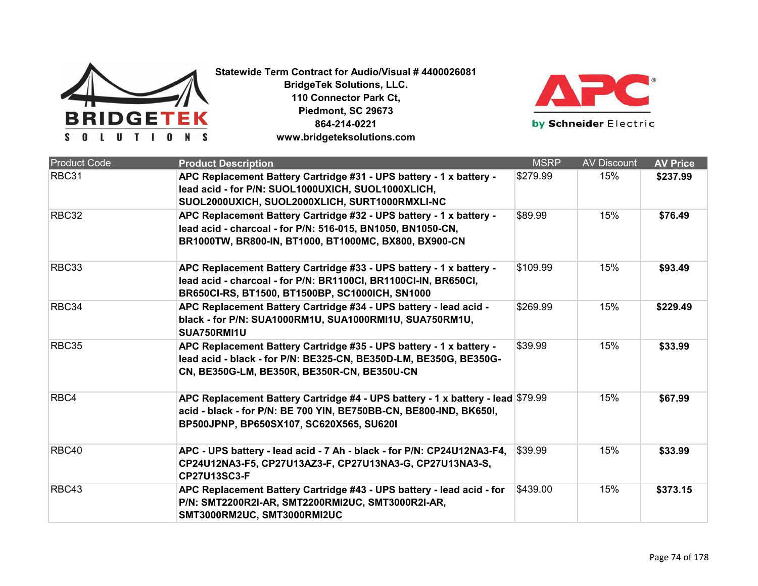



Product Code **Product Description** MSRP AV Discount **AV Price** RBC31 **APC Replacement Battery Cartridge #31 - UPS battery - 1 x battery lead acid - for P/N: SUOL1000UXICH, SUOL1000XLICH, SUOL2000UXICH, SUOL2000XLICH, SURT1000RMXLI-NC** \$279.99 15% **\$237.99**  RBC32 **APC Replacement Battery Cartridge #32 - UPS battery - 1 x battery lead acid - charcoal - for P/N: 516-015, BN1050, BN1050-CN, BR1000TW, BR800-IN, BT1000, BT1000MC, BX800, BX900-CN** \$89.99 15% **\$76.49**  RBC33 **APC Replacement Battery Cartridge #33 - UPS battery - 1 x battery lead acid - charcoal - for P/N: BR1100CI, BR1100CI-IN, BR650CI, BR650CI-RS, BT1500, BT1500BP, SC1000ICH, SN1000** \$109.99 15% **\$93.49**  RBC34 **APC Replacement Battery Cartridge #34 - UPS battery - lead acid black - for P/N: SUA1000RM1U, SUA1000RMI1U, SUA750RM1U, SUA750RMI1U** \$269.99 15% **\$229.49**  RBC35 **APC Replacement Battery Cartridge #35 - UPS battery - 1 x battery lead acid - black - for P/N: BE325-CN, BE350D-LM, BE350G, BE350G-CN, BE350G-LM, BE350R, BE350R-CN, BE350U-CN** \$39.99 15% **\$33.99**  RBC4 **APC Replacement Battery Cartridge #4 - UPS battery - 1 x battery - lead acid - black - for P/N: BE 700 YIN, BE750BB-CN, BE800-IND, BK650I, BP500JPNP, BP650SX107, SC620X565, SU620I** \$79.99 15% **\$67.99**  RBC40 **APC - UPS battery - lead acid - 7 Ah - black - for P/N: CP24U12NA3-F4, CP24U12NA3-F5, CP27U13AZ3-F, CP27U13NA3-G, CP27U13NA3-S, CP27U13SC3-F** \$39.99 15% **\$33.99**  RBC43 **APC Replacement Battery Cartridge #43 - UPS battery - lead acid - for P/N: SMT2200R2I-AR, SMT2200RMI2UC, SMT3000R2I-AR, SMT3000RM2UC, SMT3000RMI2UC** \$439.00 15% **\$373.15**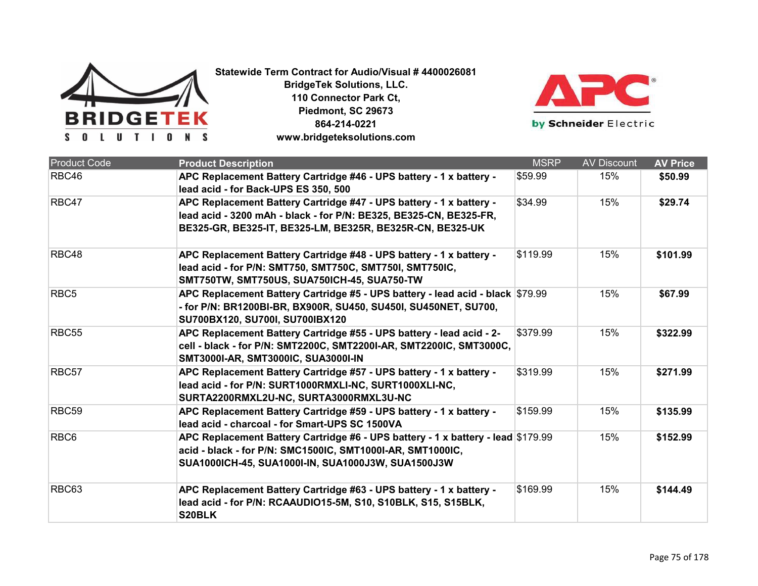



by Schneider Electric

| <b>Product Code</b> | <b>Product Description</b>                                                                                                                                                                             | <b>MSRP</b> | <b>AV Discount</b> | <b>AV Price</b> |
|---------------------|--------------------------------------------------------------------------------------------------------------------------------------------------------------------------------------------------------|-------------|--------------------|-----------------|
| RBC46               | APC Replacement Battery Cartridge #46 - UPS battery - 1 x battery -<br>lead acid - for Back-UPS ES 350, 500                                                                                            | \$59.99     | 15%                | \$50.99         |
| RBC47               | APC Replacement Battery Cartridge #47 - UPS battery - 1 x battery -<br>lead acid - 3200 mAh - black - for P/N: BE325, BE325-CN, BE325-FR,<br>BE325-GR, BE325-IT, BE325-LM, BE325R, BE325R-CN, BE325-UK | \$34.99     | 15%                | \$29.74         |
| RBC48               | APC Replacement Battery Cartridge #48 - UPS battery - 1 x battery -<br>lead acid - for P/N: SMT750, SMT750C, SMT750I, SMT750IC,<br>SMT750TW, SMT750US, SUA750ICH-45, SUA750-TW                         | \$119.99    | 15%                | \$101.99        |
| RBC <sub>5</sub>    | APC Replacement Battery Cartridge #5 - UPS battery - lead acid - black \$79.99<br>- for P/N: BR1200BI-BR, BX900R, SU450, SU450I, SU450NET, SU700,<br>SU700BX120, SU700I, SU700IBX120                   |             | 15%                | \$67.99         |
| <b>RBC55</b>        | APC Replacement Battery Cartridge #55 - UPS battery - lead acid - 2-<br>cell - black - for P/N: SMT2200C, SMT2200I-AR, SMT2200IC, SMT3000C,<br>SMT3000I-AR, SMT3000IC, SUA3000I-IN                     | \$379.99    | 15%                | \$322.99        |
| RBC57               | APC Replacement Battery Cartridge #57 - UPS battery - 1 x battery -<br>lead acid - for P/N: SURT1000RMXLI-NC, SURT1000XLI-NC,<br>SURTA2200RMXL2U-NC, SURTA3000RMXL3U-NC                                | \$319.99    | 15%                | \$271.99        |
| RBC59               | APC Replacement Battery Cartridge #59 - UPS battery - 1 x battery -<br>lead acid - charcoal - for Smart-UPS SC 1500VA                                                                                  | \$159.99    | 15%                | \$135.99        |
| RBC <sub>6</sub>    | APC Replacement Battery Cartridge #6 - UPS battery - 1 x battery - lead \$179.99<br>acid - black - for P/N: SMC1500IC, SMT1000I-AR, SMT1000IC,<br>SUA1000ICH-45, SUA1000I-IN, SUA1000J3W, SUA1500J3W   |             | 15%                | \$152.99        |
| RBC63               | APC Replacement Battery Cartridge #63 - UPS battery - 1 x battery -<br>lead acid - for P/N: RCAAUDIO15-5M, S10, S10BLK, S15, S15BLK,<br>S20BLK                                                         | \$169.99    | 15%                | \$144.49        |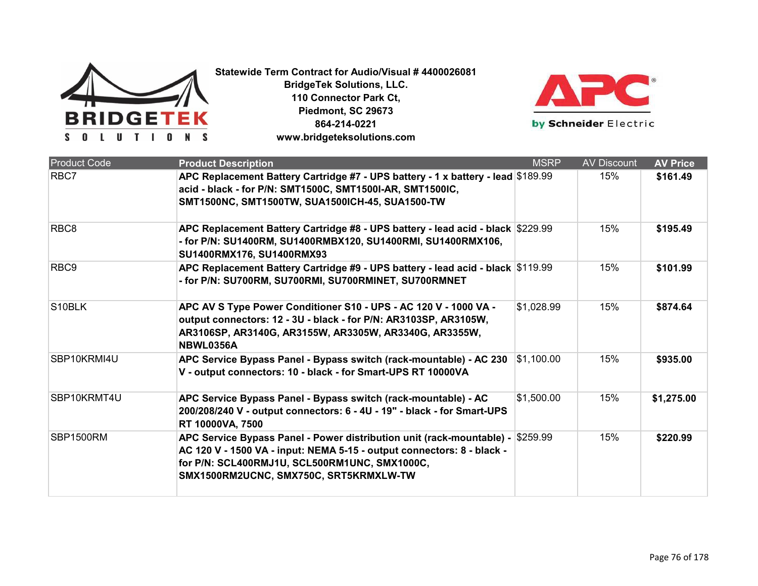



Product Code **Product Description** MSRP AV Discount **AV Price** RBC7 **APC Replacement Battery Cartridge #7 - UPS battery - 1 x battery - lead \$189.99 15% \$161.49 acid - black - for P/N: SMT1500C, SMT1500I-AR, SMT1500IC, SMT1500NC, SMT1500TW, SUA1500ICH-45, SUA1500-TW** RBC8 **APC Replacement Battery Cartridge #8 - UPS battery - lead acid - black - for P/N: SU1400RM, SU1400RMBX120, SU1400RMI, SU1400RMX106, SU1400RMX176, SU1400RMX93** \$229.99 15% **\$195.49**  RBC9 **|APC Replacement Battery Cartridge #9 - UPS battery - lead acid - black |\$119.99 | 15% | \$101.99 - for P/N: SU700RM, SU700RMI, SU700RMINET, SU700RMNET** S10BLK **APC AV S Type Power Conditioner S10 - UPS - AC 120 V - 1000 VA output connectors: 12 - 3U - black - for P/N: AR3103SP, AR3105W, AR3106SP, AR3140G, AR3155W, AR3305W, AR3340G, AR3355W, NBWL0356A** \$1,028.99 15% **\$874.64**  SBP10KRMI4U **|APC Service Bypass Panel - Bypass switch (rack-mountable) - AC 230**  $|\$1,100.00$  **15% \$935.00 V - output connectors: 10 - black - for Smart-UPS RT 10000VA** SBP10KRMT4U **APC Service Bypass Panel - Bypass switch (rack-mountable) - AC 200/208/240 V - output connectors: 6 - 4U - 19" - black - for Smart-UPS RT 10000VA, 7500** \$1,500.00 15% **\$1,275.00**  SBP1500RM **APC Service Bypass Panel - Power distribution unit (rack-mountable) -**  \$259.99 15% **\$220.99 AC 120 V - 1500 VA - input: NEMA 5-15 - output connectors: 8 - black for P/N: SCL400RMJ1U, SCL500RM1UNC, SMX1000C, SMX1500RM2UCNC, SMX750C, SRT5KRMXLW-TW**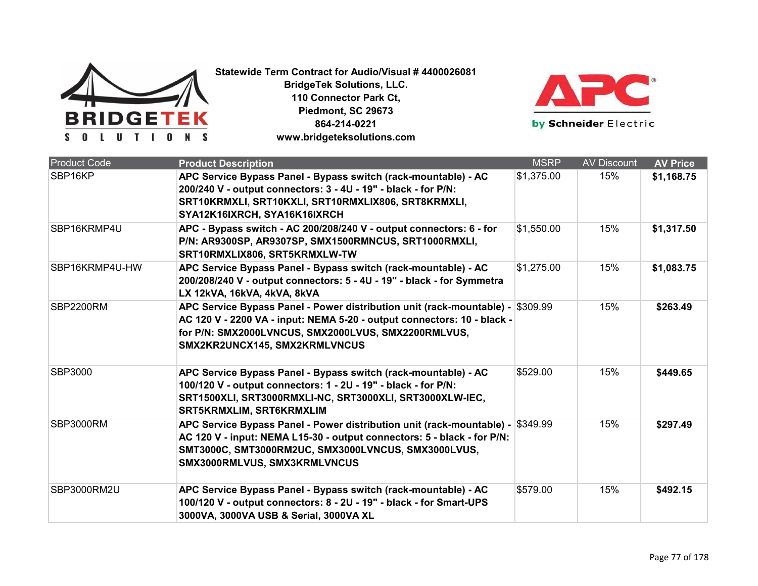



Product Code **Product Description** MSRP AV Discount **AV Price** SBP16KP **APC Service Bypass Panel - Bypass switch (rack-mountable) - AC 200/240 V - output connectors: 3 - 4U - 19" - black - for P/N: SRT10KRMXLI, SRT10KXLI, SRT10RMXLIX806, SRT8KRMXLI, SYA12K16IXRCH, SYA16K16IXRCH** \$1,375.00 15% **\$1,168.75**  SBP16KRMP4U **APC - Bypass switch - AC 200/208/240 V - output connectors: 6 - for P/N: AR9300SP, AR9307SP, SMX1500RMNCUS, SRT1000RMXLI, SRT10RMXLIX806, SRT5KRMXLW-TW** \$1,550.00 15% **\$1,317.50**  SBP16KRMP4U-HW **APC Service Bypass Panel - Bypass switch (rack-mountable) - AC 200/208/240 V - output connectors: 5 - 4U - 19" - black - for Symmetra LX 12kVA, 16kVA, 4kVA, 8kVA** \$1,275.00 15% **\$1,083.75**  SBP2200RM **APC Service Bypass Panel - Power distribution unit (rack-mountable) -**  \$309.99 15% **\$263.49 AC 120 V - 2200 VA - input: NEMA 5-20 - output connectors: 10 - black for P/N: SMX2000LVNCUS, SMX2000LVUS, SMX2200RMLVUS, SMX2KR2UNCX145, SMX2KRMLVNCUS** SBP3000 **APC Service Bypass Panel - Bypass switch (rack-mountable) - AC 100/120 V - output connectors: 1 - 2U - 19" - black - for P/N: SRT1500XLI, SRT3000RMXLI-NC, SRT3000XLI, SRT3000XLW-IEC, SRT5KRMXLIM, SRT6KRMXLIM** \$529.00 15% **\$449.65**  SBP3000RM **APC Service Bypass Panel - Power distribution unit (rack-mountable) -**  \$349.99 15% **\$297.49 AC 120 V - input: NEMA L15-30 - output connectors: 5 - black - for P/N: SMT3000C, SMT3000RM2UC, SMX3000LVNCUS, SMX3000LVUS, SMX3000RMLVUS, SMX3KRMLVNCUS** SBP3000RM2U **APC Service Bypass Panel - Bypass switch (rack-mountable) - AC 100/120 V - output connectors: 8 - 2U - 19" - black - for Smart-UPS 3000VA, 3000VA USB & Serial, 3000VA XL** \$579.00 15% **\$492.15**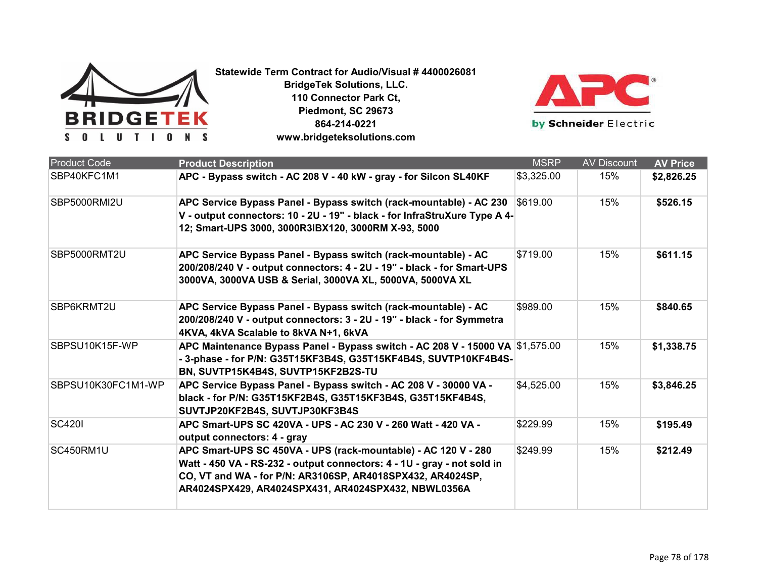



by Schneider Electric

| <b>Product Code</b> | <b>Product Description</b>                                                                                                                                                                                                                                     | <b>MSRP</b> | <b>AV Discount</b> | <b>AV Price</b> |
|---------------------|----------------------------------------------------------------------------------------------------------------------------------------------------------------------------------------------------------------------------------------------------------------|-------------|--------------------|-----------------|
| SBP40KFC1M1         | APC - Bypass switch - AC 208 V - 40 kW - gray - for Silcon SL40KF                                                                                                                                                                                              | \$3,325.00  | 15%                | \$2,826.25      |
| SBP5000RMI2U        | APC Service Bypass Panel - Bypass switch (rack-mountable) - AC 230<br>V - output connectors: 10 - 2U - 19" - black - for InfraStruXure Type A 4-<br>12; Smart-UPS 3000, 3000R3IBX120, 3000RM X-93, 5000                                                        | \$619.00    | 15%                | \$526.15        |
| SBP5000RMT2U        | APC Service Bypass Panel - Bypass switch (rack-mountable) - AC<br>200/208/240 V - output connectors: 4 - 2U - 19" - black - for Smart-UPS<br>3000VA, 3000VA USB & Serial, 3000VA XL, 5000VA, 5000VA XL                                                         | \$719.00    | 15%                | \$611.15        |
| SBP6KRMT2U          | APC Service Bypass Panel - Bypass switch (rack-mountable) - AC<br>200/208/240 V - output connectors: 3 - 2U - 19" - black - for Symmetra<br>4KVA, 4kVA Scalable to 8kVA N+1, 6kVA                                                                              | \$989.00    | 15%                | \$840.65        |
| SBPSU10K15F-WP      | APC Maintenance Bypass Panel - Bypass switch - AC 208 V - 15000 VA \$1,575.00<br>- 3-phase - for P/N: G35T15KF3B4S, G35T15KF4B4S, SUVTP10KF4B4S-<br>BN, SUVTP15K4B4S, SUVTP15KF2B2S-TU                                                                         |             | 15%                | \$1,338.75      |
| SBPSU10K30FC1M1-WP  | APC Service Bypass Panel - Bypass switch - AC 208 V - 30000 VA -<br>black - for P/N: G35T15KF2B4S, G35T15KF3B4S, G35T15KF4B4S,<br>SUVTJP20KF2B4S, SUVTJP30KF3B4S                                                                                               | \$4,525.00  | 15%                | \$3,846.25      |
| <b>SC420I</b>       | APC Smart-UPS SC 420VA - UPS - AC 230 V - 260 Watt - 420 VA -<br>output connectors: 4 - gray                                                                                                                                                                   | \$229.99    | 15%                | \$195.49        |
| SC450RM1U           | APC Smart-UPS SC 450VA - UPS (rack-mountable) - AC 120 V - 280<br>Watt - 450 VA - RS-232 - output connectors: 4 - 1U - gray - not sold in<br>CO, VT and WA - for P/N: AR3106SP, AR4018SPX432, AR4024SP,<br>AR4024SPX429, AR4024SPX431, AR4024SPX432, NBWL0356A | \$249.99    | 15%                | \$212.49        |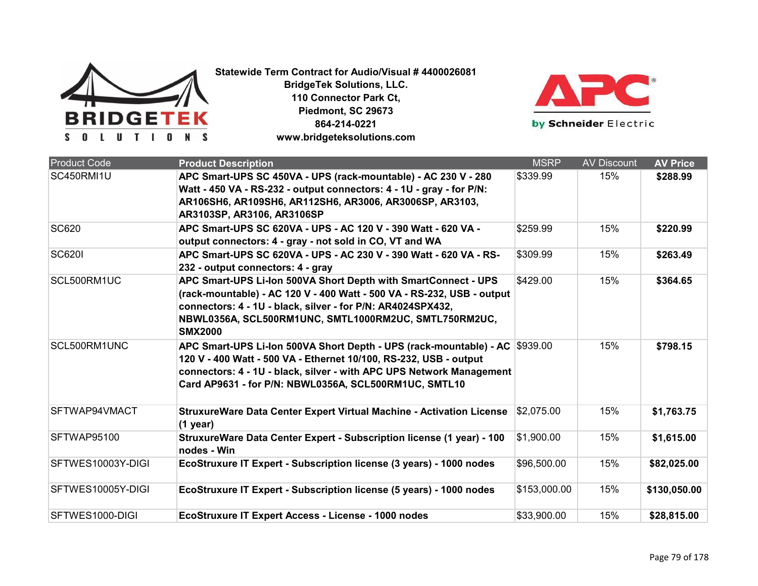



Product Code **Product Description** MSRP AV Discount **AV Price** SC450RMI1U **APC Smart-UPS SC 450VA - UPS (rack-mountable) - AC 230 V - 280 Watt - 450 VA - RS-232 - output connectors: 4 - 1U - gray - for P/N: AR106SH6, AR109SH6, AR112SH6, AR3006, AR3006SP, AR3103, AR3103SP, AR3106, AR3106SP** \$339.99 15% **\$288.99**  SC620 **APC Smart-UPS SC 620VA - UPS - AC 120 V - 390 Watt - 620 VA output connectors: 4 - gray - not sold in CO, VT and WA** \$259.99 15% **\$220.99**  SC620I **APC Smart-UPS SC 620VA - UPS - AC 230 V - 390 Watt - 620 VA - RS-232 - output connectors: 4 - gray** \$309.99 15% **\$263.49**  SCL500RM1UC **APC Smart-UPS Li-Ion 500VA Short Depth with SmartConnect - UPS (rack-mountable) - AC 120 V - 400 Watt - 500 VA - RS-232, USB - output connectors: 4 - 1U - black, silver - for P/N: AR4024SPX432, NBWL0356A, SCL500RM1UNC, SMTL1000RM2UC, SMTL750RM2UC, SMX2000** \$429.00 15% **\$364.65**  SCL500RM1UNC **APC Smart-UPS Li-Ion 500VA Short Depth - UPS (rack-mountable) - AC** \$939.00 | 15% | \$798.15 **120 V - 400 Watt - 500 VA - Ethernet 10/100, RS-232, USB - output connectors: 4 - 1U - black, silver - with APC UPS Network Management Card AP9631 - for P/N: NBWL0356A, SCL500RM1UC, SMTL10** SFTWAP94VMACT **StruxureWare Data Center Expert Virtual Machine - Activation License (1 year)** \$2,075.00 15% **\$1,763.75**  SFTWAP95100 **StruxureWare Data Center Expert - Subscription license (1 year) - 100 nodes - Win** \$1,900.00 15% **\$1,615.00**  SFTWES10003Y-DIGI **EcoStruxure IT Expert - Subscription license (3 years) - 1000 nodes** \$96,500.00 15% **\$82,025.00**  SFTWES10005Y-DIGI **EcoStruxure IT Expert - Subscription license (5 years) - 1000 nodes** \$153,000.00 15% **\$130,050.00**  SFTWES1000-DIGI **EcoStruxure IT Expert Access - License - 1000 nodes** \$33,900.00 15% \$28,815.00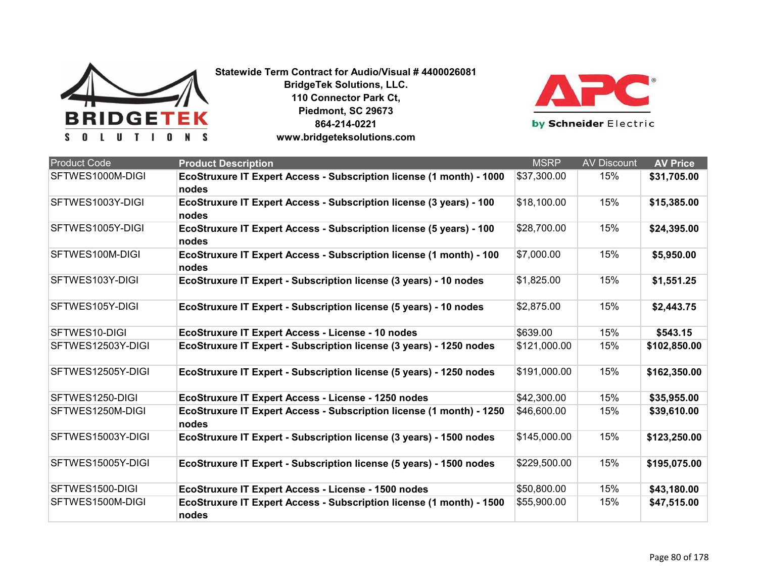



by Schneider Electric

| <b>Product Code</b> | <b>Product Description</b>                                                    | <b>MSRP</b>  | <b>AV Discount</b> | <b>AV Price</b> |
|---------------------|-------------------------------------------------------------------------------|--------------|--------------------|-----------------|
| SFTWES1000M-DIGI    | EcoStruxure IT Expert Access - Subscription license (1 month) - 1000<br>nodes | \$37,300.00  | 15%                | \$31,705.00     |
| SFTWES1003Y-DIGI    | EcoStruxure IT Expert Access - Subscription license (3 years) - 100<br>nodes  | \$18,100.00  | 15%                | \$15,385.00     |
| SFTWES1005Y-DIGI    | EcoStruxure IT Expert Access - Subscription license (5 years) - 100<br>nodes  | \$28,700.00  | 15%                | \$24,395.00     |
| SFTWES100M-DIGI     | EcoStruxure IT Expert Access - Subscription license (1 month) - 100<br>nodes  | \$7,000.00   | 15%                | \$5,950.00      |
| SFTWES103Y-DIGI     | EcoStruxure IT Expert - Subscription license (3 years) - 10 nodes             | \$1,825.00   | 15%                | \$1,551.25      |
| SFTWES105Y-DIGI     | EcoStruxure IT Expert - Subscription license (5 years) - 10 nodes             | \$2,875.00   | 15%                | \$2,443.75      |
| SFTWES10-DIGI       | EcoStruxure IT Expert Access - License - 10 nodes                             | \$639.00     | 15%                | \$543.15        |
| SFTWES12503Y-DIGI   | EcoStruxure IT Expert - Subscription license (3 years) - 1250 nodes           | \$121,000.00 | 15%                | \$102,850.00    |
| SFTWES12505Y-DIGI   | EcoStruxure IT Expert - Subscription license (5 years) - 1250 nodes           | \$191,000.00 | 15%                | \$162,350.00    |
| SFTWES1250-DIGI     | EcoStruxure IT Expert Access - License - 1250 nodes                           | \$42,300.00  | 15%                | \$35,955.00     |
| SFTWES1250M-DIGI    | EcoStruxure IT Expert Access - Subscription license (1 month) - 1250<br>nodes | \$46,600.00  | 15%                | \$39,610.00     |
| SFTWES15003Y-DIGI   | EcoStruxure IT Expert - Subscription license (3 years) - 1500 nodes           | \$145,000.00 | 15%                | \$123,250.00    |
| SFTWES15005Y-DIGI   | EcoStruxure IT Expert - Subscription license (5 years) - 1500 nodes           | \$229,500.00 | 15%                | \$195,075.00    |
| SFTWES1500-DIGI     | EcoStruxure IT Expert Access - License - 1500 nodes                           | \$50,800.00  | 15%                | \$43,180.00     |
| SFTWES1500M-DIGI    | EcoStruxure IT Expert Access - Subscription license (1 month) - 1500<br>nodes | \$55,900.00  | 15%                | \$47,515.00     |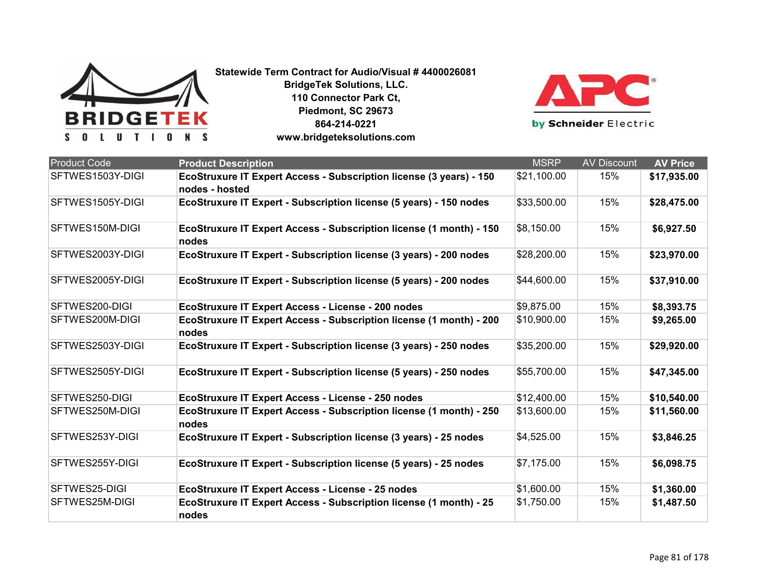



Product Code **Product Description** MSRP AV Discount **AV Price** SFTWES1503Y-DIGI **EcoStruxure IT Expert Access - Subscription license (3 years) - 150 nodes - hosted** \$21,100.00 15% **\$17,935.00**  SFTWES1505Y-DIGI **EcoStruxure IT Expert - Subscription license (5 years) - 150 nodes** \$33,500.00 15% **\$28,475.00**  SFTWES150M-DIGI **EcoStruxure IT Expert Access - Subscription license (1 month) - 150 nodes** \$8,150.00 15% **\$6,927.50**  SFTWES2003Y-DIGI **EcoStruxure IT Expert - Subscription license (3 years) - 200 nodes** \$28,200.00 15% **\$23,970.00**  SFTWES2005Y-DIGI **EcoStruxure IT Expert - Subscription license (5 years) - 200 nodes**  $$44,600.00$  **| 15% | \$37,910.00** SFTWES200-DIGI **EcoStruxure IT Expert Access - License - 200 nodes** \$9,875.00 15% **\$8,393.75**  SFTWES200M-DIGI **EcoStruxure IT Expert Access - Subscription license (1 month) - 200 nodes** \$10,900.00 15% **\$9,265.00**  SFTWES2503Y-DIGI **EcoStruxure IT Expert - Subscription license (3 years) - 250 nodes** \$35,200.00 15% **\$29,920.00**  SFTWES2505Y-DIGI **EcoStruxure IT Expert - Subscription license (5 years) - 250 nodes** \$55,700.00 15% **\$47,345.00**  SFTWES250-DIGI **EcoStruxure IT Expert Access - License - 250 nodes** \$12,400.00 15% **\$10,540.00**  SFTWES250M-DIGI **EcoStruxure IT Expert Access - Subscription license (1 month) - 250 nodes** \$13,600.00 15% **\$11,560.00**  SFTWES253Y-DIGI **EcoStruxure IT Expert - Subscription license (3 years) - 25 nodes**  $$4,525.00$  **15% \$3,846.25** SFTWES255Y-DIGI **EcoStruxure IT Expert - Subscription license (5 years) - 25 nodes \$7,175.00 15% \$6,098.75** SFTWES25-DIGI **EcoStruxure IT Expert Access - License - 25 nodes** \$1,600.00 15% **\$1,360.00**  SFTWES25M-DIGI **EcoStruxure IT Expert Access - Subscription license (1 month) - 25 nodes** \$1,750.00 15% **\$1,487.50**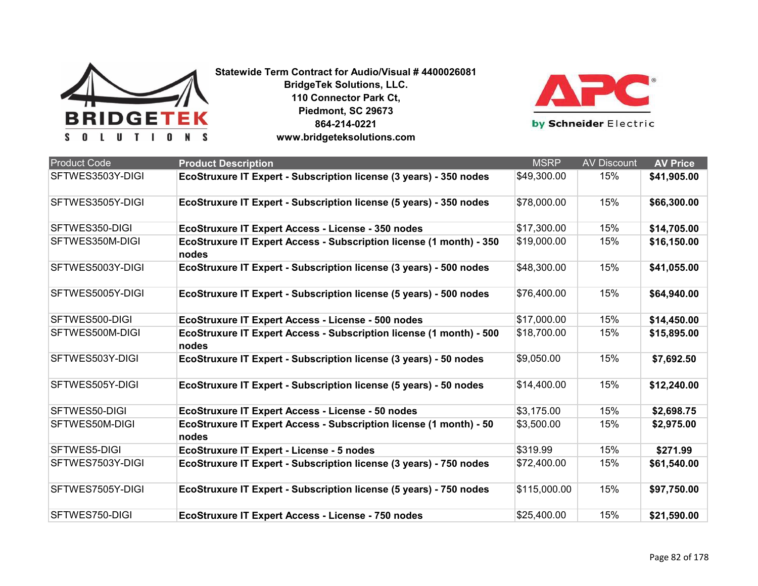



Product Code **Product Description** MSRP AV Discount **AV Price** SFTWES3503Y-DIGI **EcoStruxure IT Expert - Subscription license (3 years) - 350 nodes** \$49,300.00 15% **\$41,905.00**  SFTWES3505Y-DIGI **EcoStruxure IT Expert - Subscription license (5 years) - 350 nodes** \$78,000.00 15% **\$66,300.00**  SFTWES350-DIGI **EcoStruxure IT Expert Access - License - 350 nodes** \$17,300.00 15% **\$14,705.00**  SFTWES350M-DIGI **EcoStruxure IT Expert Access - Subscription license (1 month) - 350 nodes** \$19,000.00 15% **\$16,150.00**  SFTWES5003Y-DIGI **EcoStruxure IT Expert - Subscription license (3 years) - 500 nodes** \$48,300.00 15% **\$41,055.00**  SFTWES5005Y-DIGI **EcoStruxure IT Expert - Subscription license (5 years) - 500 nodes \$76,400.00 15% \$64,940.00 |** SFTWES500-DIGI**NDERT Access - License - 500 nodes** \$17,000.00 15% \$14,450.00 SFTWES500M-DIGI **EcoStruxure IT Expert Access - Subscription license (1 month) - 500 nodes** \$18,700.00 15% **\$15,895.00**  SFTWES503Y-DIGI **EcoStruxure IT Expert - Subscription license (3 years) - 50 nodes \$9,050.00 15% <b>\$7,692.50** SFTWES505Y-DIGI **EcoStruxure IT Expert - Subscription license (5 years) - 50 nodes**  $$14,400.00$  **| 15% | \$12,240.00** SFTWES50-DIGI **EcoStruxure IT Expert Access - License - 50 nodes** \$3,175.00 15% **\$2,698.75** SFTWES50M-DIGI **EcoStruxure IT Expert Access - Subscription license (1 month) - 50 nodes** \$3,500.00 15% **\$2,975.00**  SFTWES5-DIGI **EcoStruxure IT Expert - License - 5 nodes** \$319.99 15% **\$271.99** SFTWES7503Y-DIGI **EcoStruxure IT Expert - Subscription license (3 years) - 750 nodes** \$72,400.00 15% **\$61,540.00**  SFTWES7505Y-DIGI **EcoStruxure IT Expert - Subscription license (5 years) - 750 nodes** \$115,000.00 15% **\$97,750.00**  SFTWES750-DIGI **EcoStruxure IT Expert Access - License - 750 nodes** \$25,400.00 15% **\$21,590.00**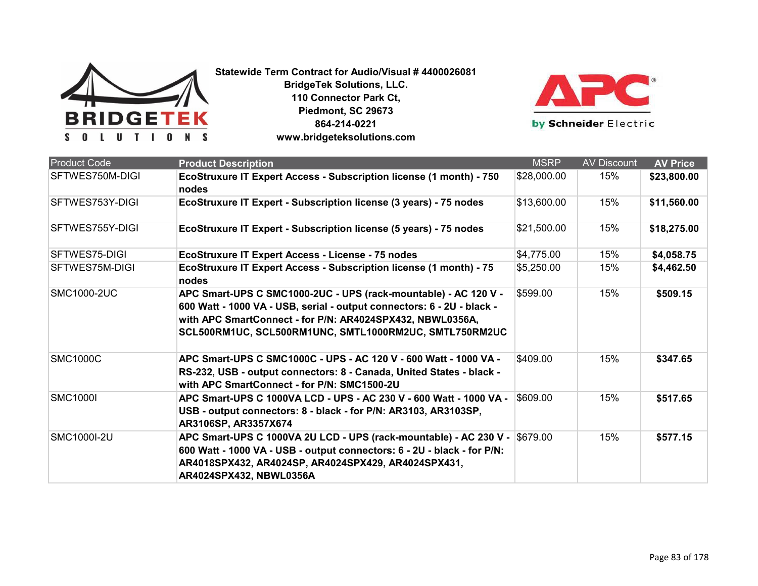



by Schneider Electric

| <b>Product Code</b> | <b>Product Description</b>                                                                                                                                                                                                                                       | <b>MSRP</b> | <b>AV Discount</b> | <b>AV Price</b> |
|---------------------|------------------------------------------------------------------------------------------------------------------------------------------------------------------------------------------------------------------------------------------------------------------|-------------|--------------------|-----------------|
| SFTWES750M-DIGI     | EcoStruxure IT Expert Access - Subscription license (1 month) - 750<br>nodes                                                                                                                                                                                     | \$28,000.00 | 15%                | \$23,800.00     |
| SFTWES753Y-DIGI     | EcoStruxure IT Expert - Subscription license (3 years) - 75 nodes                                                                                                                                                                                                | \$13,600.00 | 15%                | \$11,560.00     |
| SFTWES755Y-DIGI     | EcoStruxure IT Expert - Subscription license (5 years) - 75 nodes                                                                                                                                                                                                | \$21,500.00 | 15%                | \$18,275.00     |
| SFTWES75-DIGI       | EcoStruxure IT Expert Access - License - 75 nodes                                                                                                                                                                                                                | \$4,775.00  | 15%                | \$4,058.75      |
| SFTWES75M-DIGI      | EcoStruxure IT Expert Access - Subscription license (1 month) - 75<br>nodes                                                                                                                                                                                      | \$5,250.00  | 15%                | \$4,462.50      |
| <b>SMC1000-2UC</b>  | APC Smart-UPS C SMC1000-2UC - UPS (rack-mountable) - AC 120 V -<br>600 Watt - 1000 VA - USB, serial - output connectors: 6 - 2U - black -<br>with APC SmartConnect - for P/N: AR4024SPX432, NBWL0356A,<br>SCL500RM1UC, SCL500RM1UNC, SMTL1000RM2UC, SMTL750RM2UC | \$599.00    | 15%                | \$509.15        |
| <b>SMC1000C</b>     | APC Smart-UPS C SMC1000C - UPS - AC 120 V - 600 Watt - 1000 VA -<br>RS-232, USB - output connectors: 8 - Canada, United States - black -<br>with APC SmartConnect - for P/N: SMC1500-2U                                                                          | \$409.00    | 15%                | \$347.65        |
| <b>SMC1000I</b>     | APC Smart-UPS C 1000VA LCD - UPS - AC 230 V - 600 Watt - 1000 VA -<br>USB - output connectors: 8 - black - for P/N: AR3103, AR3103SP,<br>AR3106SP, AR3357X674                                                                                                    | \$609.00    | 15%                | \$517.65        |
| SMC1000I-2U         | APC Smart-UPS C 1000VA 2U LCD - UPS (rack-mountable) - AC 230 V -<br>600 Watt - 1000 VA - USB - output connectors: 6 - 2U - black - for P/N:<br>AR4018SPX432, AR4024SP, AR4024SPX429, AR4024SPX431,<br>AR4024SPX432, NBWL0356A                                   | \$679.00    | 15%                | \$577.15        |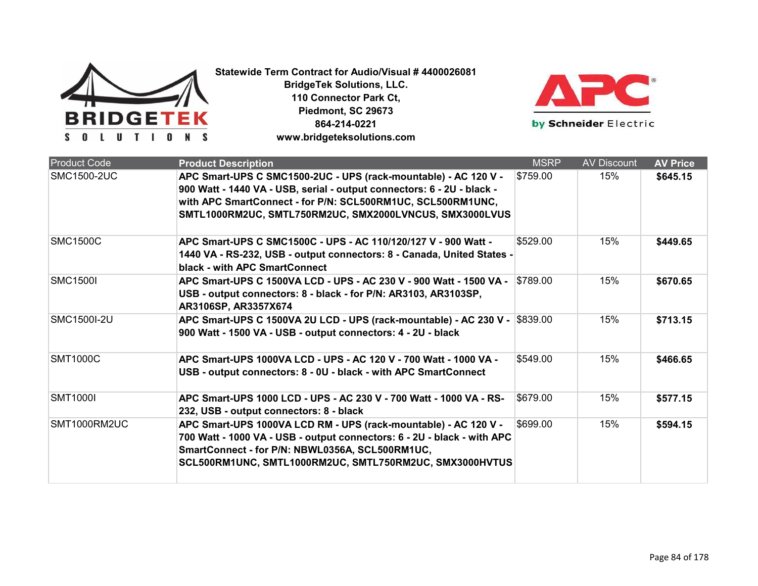



Product Code **Product Description** MSRP AV Discount **AV Price** SMC1500-2UC **APC Smart-UPS C SMC1500-2UC - UPS (rack-mountable) - AC 120 V - 900 Watt - 1440 VA - USB, serial - output connectors: 6 - 2U - black with APC SmartConnect - for P/N: SCL500RM1UC, SCL500RM1UNC, SMTL1000RM2UC, SMTL750RM2UC, SMX2000LVNCUS, SMX3000LVUS** \$759.00 15% **\$645.15**  SMC1500C **APC Smart-UPS C SMC1500C - UPS - AC 110/120/127 V - 900 Watt - 1440 VA - RS-232, USB - output connectors: 8 - Canada, United States black - with APC SmartConnect** \$529.00 15% **\$449.65**  SMC1500I **APC Smart-UPS C 1500VA LCD - UPS - AC 230 V - 900 Watt - 1500 VA - USB - output connectors: 8 - black - for P/N: AR3103, AR3103SP, AR3106SP, AR3357X674 \$789.00** 15% **\$670.65** SMC1500I-2U **APC Smart-UPS C 1500VA 2U LCD - UPS (rack-mountable) - AC 230 V -**  $$839.00$  $\qquad$  $\qquad$  **15%**  $\qquad$  **\$713.15 900 Watt - 1500 VA - USB - output connectors: 4 - 2U - black** SMT1000C **APC Smart-UPS 1000VA LCD - UPS - AC 120 V - 700 Watt - 1000 VA - USB - output connectors: 8 - 0U - black - with APC SmartConnect** \$549.00 15% **\$466.65**  SMT1000I **APC Smart-UPS 1000 LCD - UPS - AC 230 V - 700 Watt - 1000 VA - RS-232, USB - output connectors: 8 - black** \$679.00 15% **\$577.15**  SMT1000RM2UC **APC Smart-UPS 1000VA LCD RM - UPS (rack-mountable) - AC 120 V - 700 Watt - 1000 VA - USB - output connectors: 6 - 2U - black - with APC SmartConnect - for P/N: NBWL0356A, SCL500RM1UC, SCL500RM1UNC, SMTL1000RM2UC, SMTL750RM2UC, SMX3000HVTUS** \$699.00 15% **\$594.15**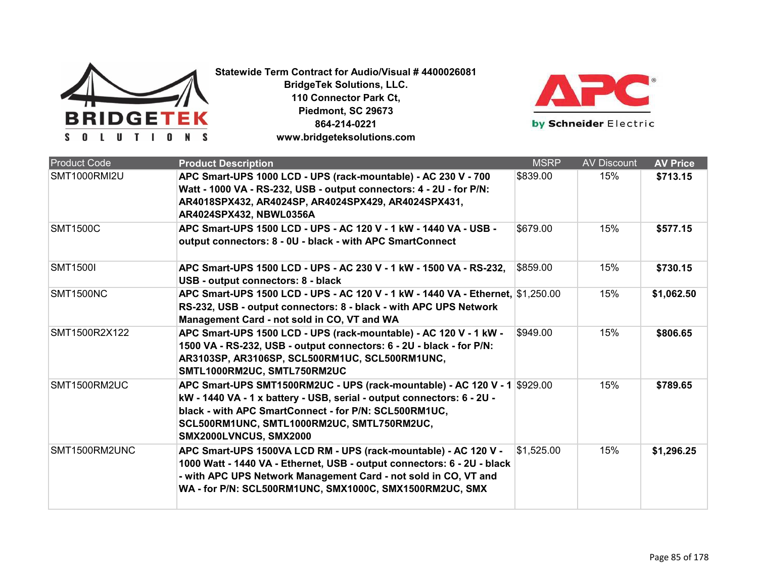



Product Code **Product Description** MSRP AV Discount **AV Price** SMT1000RMI2U **APC Smart-UPS 1000 LCD - UPS (rack-mountable) - AC 230 V - 700 Watt - 1000 VA - RS-232, USB - output connectors: 4 - 2U - for P/N: AR4018SPX432, AR4024SP, AR4024SPX429, AR4024SPX431, AR4024SPX432, NBWL0356A** \$839.00 15% **\$713.15**  SMT1500C **APC Smart-UPS 1500 LCD - UPS - AC 120 V - 1 kW - 1440 VA - USB output connectors: 8 - 0U - black - with APC SmartConnect** \$679.00 15% **\$577.15**  SMT1500I **APC Smart-UPS 1500 LCD - UPS - AC 230 V - 1 kW - 1500 VA - RS-232, USB - output connectors: 8 - black** \$859.00 15% **\$730.15**  SMT1500NC **APC Smart-UPS 1500 LCD - UPS - AC 120 V - 1 kW - 1440 VA - Ethernet, RS-232, USB - output connectors: 8 - black - with APC UPS Network Management Card - not sold in CO, VT and WA** \$1,250.00 15% **\$1,062.50**  SMT1500R2X122 **APC Smart-UPS 1500 LCD - UPS (rack-mountable) - AC 120 V - 1 kW - 1500 VA - RS-232, USB - output connectors: 6 - 2U - black - for P/N: AR3103SP, AR3106SP, SCL500RM1UC, SCL500RM1UNC, SMTL1000RM2UC, SMTL750RM2UC** \$949.00 15% **\$806.65**  SMT1500RM2UC **APC Smart-UPS SMT1500RM2UC - UPS (rack-mountable) - AC 120 V - 1**  \$929.00 15% **\$789.65 kW - 1440 VA - 1 x battery - USB, serial - output connectors: 6 - 2U black - with APC SmartConnect - for P/N: SCL500RM1UC, SCL500RM1UNC, SMTL1000RM2UC, SMTL750RM2UC, SMX2000LVNCUS, SMX2000** SMT1500RM2UNC **APC Smart-UPS 1500VA LCD RM - UPS (rack-mountable) - AC 120 V - 1000 Watt - 1440 VA - Ethernet, USB - output connectors: 6 - 2U - black - with APC UPS Network Management Card - not sold in CO, VT and WA - for P/N: SCL500RM1UNC, SMX1000C, SMX1500RM2UC, SMX** \$1,525.00 15% **\$1,296.25**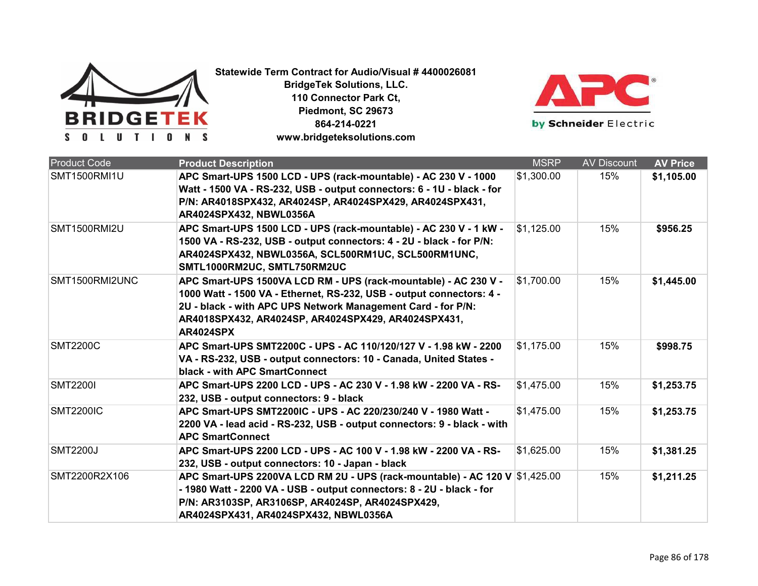



Product Code **Product Description** MSRP AV Discount **AV Price** SMT1500RMI1U **APC Smart-UPS 1500 LCD - UPS (rack-mountable) - AC 230 V - 1000 Watt - 1500 VA - RS-232, USB - output connectors: 6 - 1U - black - for P/N: AR4018SPX432, AR4024SP, AR4024SPX429, AR4024SPX431, AR4024SPX432, NBWL0356A** \$1,300.00 15% **\$1,105.00**  SMT1500RMI2U **APC Smart-UPS 1500 LCD - UPS (rack-mountable) - AC 230 V - 1 kW - 1500 VA - RS-232, USB - output connectors: 4 - 2U - black - for P/N: AR4024SPX432, NBWL0356A, SCL500RM1UC, SCL500RM1UNC, SMTL1000RM2UC, SMTL750RM2UC** \$1,125.00 15% **\$956.25**  SMT1500RMI2UNC **APC Smart-UPS 1500VA LCD RM - UPS (rack-mountable) - AC 230 V - 1000 Watt - 1500 VA - Ethernet, RS-232, USB - output connectors: 4 - 2U - black - with APC UPS Network Management Card - for P/N: AR4018SPX432, AR4024SP, AR4024SPX429, AR4024SPX431, AR4024SPX** \$1,700.00 15% **\$1,445.00**  SMT2200C **APC Smart-UPS SMT2200C - UPS - AC 110/120/127 V - 1.98 kW - 2200 VA - RS-232, USB - output connectors: 10 - Canada, United States black - with APC SmartConnect** \$1,175.00 15% **\$998.75**  SMT2200I **APC Smart-UPS 2200 LCD - UPS - AC 230 V - 1.98 kW - 2200 VA - RS-232, USB - output connectors: 9 - black** \$1,475.00 15% **\$1,253.75**  SMT2200IC **APC Smart-UPS SMT2200IC - UPS - AC 220/230/240 V - 1980 Watt - 2200 VA - lead acid - RS-232, USB - output connectors: 9 - black - with APC SmartConnect** \$1,475.00 15% **\$1,253.75**  SMT2200J **APC Smart-UPS 2200 LCD - UPS - AC 100 V - 1.98 kW - 2200 VA - RS-232, USB - output connectors: 10 - Japan - black** \$1,625.00 15% **\$1,381.25**  SMT2200R2X106 **APC Smart-UPS 2200VA LCD RM 2U - UPS (rack-mountable) - AC 120 V**  \$1,425.00 15% **\$1,211.25 - 1980 Watt - 2200 VA - USB - output connectors: 8 - 2U - black - for P/N: AR3103SP, AR3106SP, AR4024SP, AR4024SPX429, AR4024SPX431, AR4024SPX432, NBWL0356A**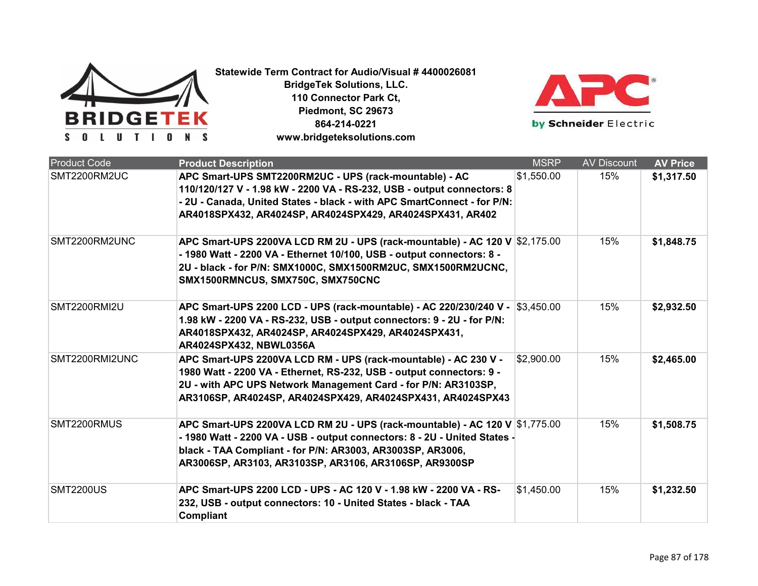



Product Code **Product Description** MSRP AV Discount **AV Price** SMT2200RM2UC **APC Smart-UPS SMT2200RM2UC - UPS (rack-mountable) - AC 110/120/127 V - 1.98 kW - 2200 VA - RS-232, USB - output connectors: 8 - 2U - Canada, United States - black - with APC SmartConnect - for P/N: AR4018SPX432, AR4024SP, AR4024SPX429, AR4024SPX431, AR402** \$1,550.00 15% **\$1,317.50**  SMT2200RM2UNC **APC Smart-UPS 2200VA LCD RM 2U - UPS (rack-mountable) - AC 120 V**  \$2,175.00 15% **\$1,848.75 - 1980 Watt - 2200 VA - Ethernet 10/100, USB - output connectors: 8 - 2U - black - for P/N: SMX1000C, SMX1500RM2UC, SMX1500RM2UCNC, SMX1500RMNCUS, SMX750C, SMX750CNC** SMT2200RMI2U **APC Smart-UPS 2200 LCD - UPS (rack-mountable) - AC 220/230/240 V -**  \$3,450.00 15% **\$2,932.50 1.98 kW - 2200 VA - RS-232, USB - output connectors: 9 - 2U - for P/N: AR4018SPX432, AR4024SP, AR4024SPX429, AR4024SPX431, AR4024SPX432, NBWL0356A** SMT2200RMI2UNC **APC Smart-UPS 2200VA LCD RM - UPS (rack-mountable) - AC 230 V - 1980 Watt - 2200 VA - Ethernet, RS-232, USB - output connectors: 9 - 2U - with APC UPS Network Management Card - for P/N: AR3103SP, AR3106SP, AR4024SP, AR4024SPX429, AR4024SPX431, AR4024SPX43** \$2,900.00 15% **\$2,465.00**  SMT2200RMUS **APC Smart-UPS 2200VA LCD RM 2U - UPS (rack-mountable) - AC 120 V**  \$1,775.00 15% **\$1,508.75 - 1980 Watt - 2200 VA - USB - output connectors: 8 - 2U - United States black - TAA Compliant - for P/N: AR3003, AR3003SP, AR3006, AR3006SP, AR3103, AR3103SP, AR3106, AR3106SP, AR9300SP** SMT2200US **APC Smart-UPS 2200 LCD - UPS - AC 120 V - 1.98 kW - 2200 VA - RS-232, USB - output connectors: 10 - United States - black - TAA Compliant** \$1,450.00 15% **\$1,232.50**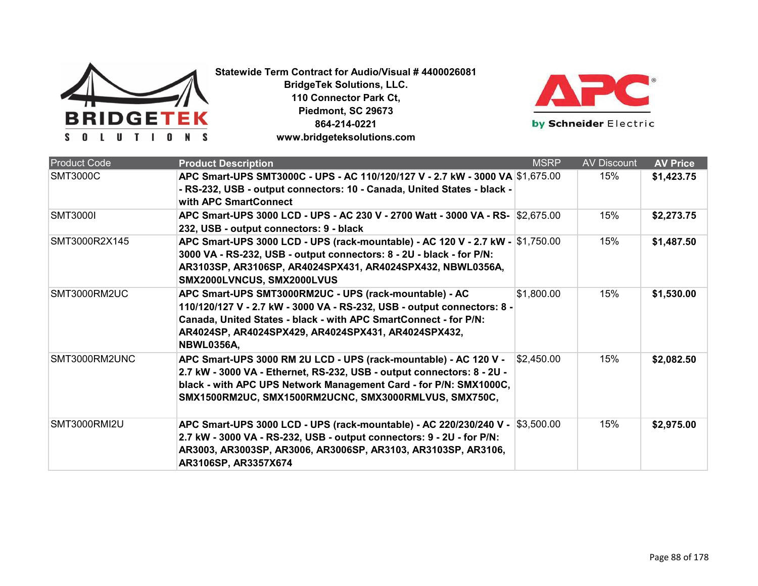



Product Code **Product Description** MSRP AV Discount **AV Price** SMT3000C **APC Smart-UPS SMT3000C - UPS - AC 110/120/127 V - 2.7 kW - 3000 VA** \$1,675.00 **- RS-232, USB - output connectors: 10 - Canada, United States - black with APC SmartConnect** \$1,675.00 15% **\$1,423.75**  SMT3000I **APC Smart-UPS 3000 LCD - UPS - AC 230 V - 2700 Watt - 3000 VA - RS-** \$2,675.00 **232, USB - output connectors: 9 - black** \$2,675.00 15% **\$2,273.75**  SMT3000R2X145 **APC Smart-UPS 3000 LCD - UPS (rack-mountable) - AC 120 V - 2.7 kW - 3000 VA - RS-232, USB - output connectors: 8 - 2U - black - for P/N: AR3103SP, AR3106SP, AR4024SPX431, AR4024SPX432, NBWL0356A, SMX2000LVNCUS, SMX2000LVUS** \$1,750.00 15% **\$1,487.50**  SMT3000RM2UC **APC Smart-UPS SMT3000RM2UC - UPS (rack-mountable) - AC 110/120/127 V - 2.7 kW - 3000 VA - RS-232, USB - output connectors: 8 - Canada, United States - black - with APC SmartConnect - for P/N: AR4024SP, AR4024SPX429, AR4024SPX431, AR4024SPX432, NBWL0356A,** \$1,800.00 15% **\$1,530.00**  SMT3000RM2UNC **APC Smart-UPS 3000 RM 2U LCD - UPS (rack-mountable) - AC 120 V - 2.7 kW - 3000 VA - Ethernet, RS-232, USB - output connectors: 8 - 2U black - with APC UPS Network Management Card - for P/N: SMX1000C, SMX1500RM2UC, SMX1500RM2UCNC, SMX3000RMLVUS, SMX750C,** \$2,450.00 15% **\$2,082.50**  SMT3000RMI2U **APC Smart-UPS 3000 LCD - UPS (rack-mountable) - AC 220/230/240 V - 2.7 kW - 3000 VA - RS-232, USB - output connectors: 9 - 2U - for P/N: AR3003, AR3003SP, AR3006, AR3006SP, AR3103, AR3103SP, AR3106, AR3106SP, AR3357X674** \$3,500.00 15% **\$2,975.00**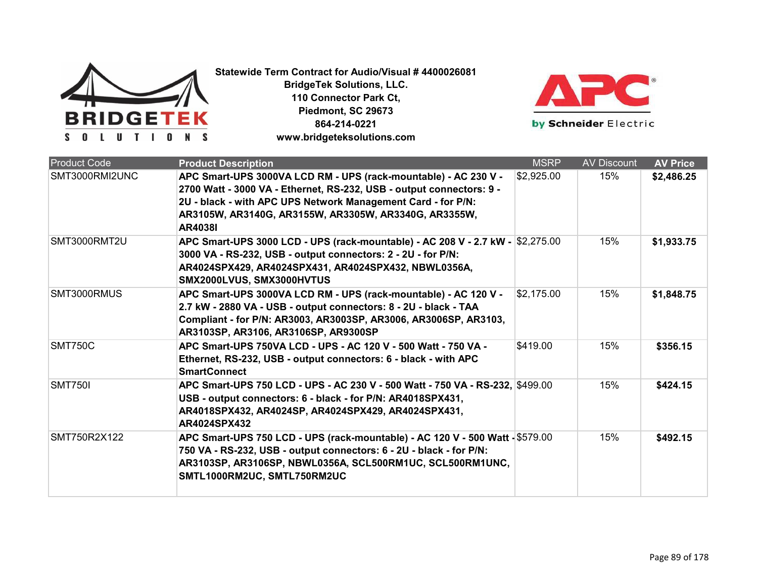



Product Code **Product Description** MSRP AV Discount **AV Price** SMT3000RMI2UNC **APC Smart-UPS 3000VA LCD RM - UPS (rack-mountable) - AC 230 V - 2700 Watt - 3000 VA - Ethernet, RS-232, USB - output connectors: 9 - 2U - black - with APC UPS Network Management Card - for P/N: AR3105W, AR3140G, AR3155W, AR3305W, AR3340G, AR3355W, AR4038I** \$2,925.00 15% **\$2,486.25**  SMT3000RMT2U **APC Smart-UPS 3000 LCD - UPS (rack-mountable) - AC 208 V - 2.7 kW - 3000 VA - RS-232, USB - output connectors: 2 - 2U - for P/N: AR4024SPX429, AR4024SPX431, AR4024SPX432, NBWL0356A, SMX2000LVUS, SMX3000HVTUS** \$2,275.00 15% **\$1,933.75**  SMT3000RMUS **APC Smart-UPS 3000VA LCD RM - UPS (rack-mountable) - AC 120 V - 2.7 kW - 2880 VA - USB - output connectors: 8 - 2U - black - TAA Compliant - for P/N: AR3003, AR3003SP, AR3006, AR3006SP, AR3103, AR3103SP, AR3106, AR3106SP, AR9300SP** \$2,175.00 15% **\$1,848.75**  SMT750C **APC Smart-UPS 750VA LCD - UPS - AC 120 V - 500 Watt - 750 VA - Ethernet, RS-232, USB - output connectors: 6 - black - with APC SmartConnect** \$419.00 15% **\$356.15**  SMT750I **APC Smart-UPS 750 LCD - UPS - AC 230 V - 500 Watt - 750 VA - RS-232,**  \$499.00 15% **\$424.15 USB - output connectors: 6 - black - for P/N: AR4018SPX431, AR4018SPX432, AR4024SP, AR4024SPX429, AR4024SPX431, AR4024SPX432** SMT750R2X122 **APC Smart-UPS 750 LCD - UPS (rack-mountable) - AC 120 V - 500 Watt -** $$579.00$  **15% \$492.15 750 VA - RS-232, USB - output connectors: 6 - 2U - black - for P/N: AR3103SP, AR3106SP, NBWL0356A, SCL500RM1UC, SCL500RM1UNC, SMTL1000RM2UC, SMTL750RM2UC**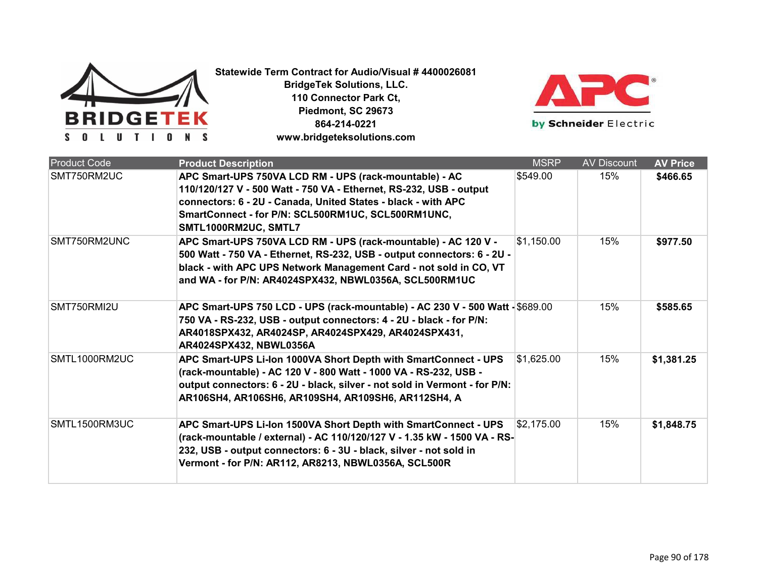



| <b>Product Code</b> | <b>Product Description</b>                                                                                                                                                                                                                                                  | <b>MSRP</b> | <b>AV Discount</b> | <b>AV Price</b> |
|---------------------|-----------------------------------------------------------------------------------------------------------------------------------------------------------------------------------------------------------------------------------------------------------------------------|-------------|--------------------|-----------------|
| SMT750RM2UC         | APC Smart-UPS 750VA LCD RM - UPS (rack-mountable) - AC<br>110/120/127 V - 500 Watt - 750 VA - Ethernet, RS-232, USB - output<br>connectors: 6 - 2U - Canada, United States - black - with APC<br>SmartConnect - for P/N: SCL500RM1UC, SCL500RM1UNC,<br>SMTL1000RM2UC, SMTL7 | \$549.00    | 15%                | \$466.65        |
| SMT750RM2UNC        | APC Smart-UPS 750VA LCD RM - UPS (rack-mountable) - AC 120 V -<br>500 Watt - 750 VA - Ethernet, RS-232, USB - output connectors: 6 - 2U -<br>black - with APC UPS Network Management Card - not sold in CO, VT<br>and WA - for P/N: AR4024SPX432, NBWL0356A, SCL500RM1UC    | \$1,150.00  | 15%                | \$977.50        |
| SMT750RMI2U         | APC Smart-UPS 750 LCD - UPS (rack-mountable) - AC 230 V - 500 Watt - \$689.00<br>750 VA - RS-232, USB - output connectors: 4 - 2U - black - for P/N:<br>AR4018SPX432, AR4024SP, AR4024SPX429, AR4024SPX431,<br>AR4024SPX432, NBWL0356A                                      |             | 15%                | \$585.65        |
| SMTL1000RM2UC       | APC Smart-UPS Li-Ion 1000VA Short Depth with SmartConnect - UPS<br>(rack-mountable) - AC 120 V - 800 Watt - 1000 VA - RS-232, USB -<br>output connectors: 6 - 2U - black, silver - not sold in Vermont - for P/N:<br>AR106SH4, AR106SH6, AR109SH4, AR109SH6, AR112SH4, A    | \$1,625.00  | 15%                | \$1,381.25      |
| SMTL1500RM3UC       | APC Smart-UPS Li-Ion 1500VA Short Depth with SmartConnect - UPS<br>(rack-mountable / external) - AC 110/120/127 V - 1.35 kW - 1500 VA - RS-<br>232, USB - output connectors: 6 - 3U - black, silver - not sold in<br>Vermont - for P/N: AR112, AR8213, NBWL0356A, SCL500R   | \$2,175.00  | 15%                | \$1,848.75      |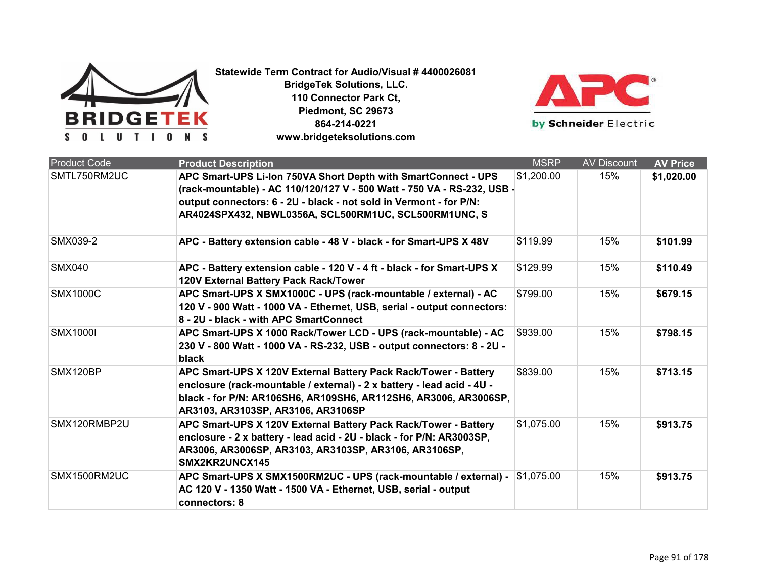



Product Code **Product Description** MSRP AV Discount **AV Price** SMTL750RM2UC **APC Smart-UPS Li-Ion 750VA Short Depth with SmartConnect - UPS (rack-mountable) - AC 110/120/127 V - 500 Watt - 750 VA - RS-232, USB output connectors: 6 - 2U - black - not sold in Vermont - for P/N: AR4024SPX432, NBWL0356A, SCL500RM1UC, SCL500RM1UNC, S** \$1,200.00 15% **\$1,020.00 SMX039-2 APC - Battery extension cable - 48 V - black - for Smart-UPS X 48V** \$119.99 15% \$101.99 SMX040 **APC - Battery extension cable - 120 V - 4 ft - black - for Smart-UPS X 120V External Battery Pack Rack/Tower** \$129.99 15% **\$110.49**  SMX1000C **APC Smart-UPS X SMX1000C - UPS (rack-mountable / external) - AC 120 V - 900 Watt - 1000 VA - Ethernet, USB, serial - output connectors: 8 - 2U - black - with APC SmartConnect** \$799.00 15% **\$679.15**  SMX1000I **APC Smart-UPS X 1000 Rack/Tower LCD - UPS (rack-mountable) - AC 230 V - 800 Watt - 1000 VA - RS-232, USB - output connectors: 8 - 2U black** \$939.00 15% **\$798.15**  SMX120BP **APC Smart-UPS X 120V External Battery Pack Rack/Tower - Battery enclosure (rack-mountable / external) - 2 x battery - lead acid - 4U black - for P/N: AR106SH6, AR109SH6, AR112SH6, AR3006, AR3006SP, AR3103, AR3103SP, AR3106, AR3106SP** \$839.00 15% **\$713.15**  SMX120RMBP2U **APC Smart-UPS X 120V External Battery Pack Rack/Tower - Battery enclosure - 2 x battery - lead acid - 2U - black - for P/N: AR3003SP, AR3006, AR3006SP, AR3103, AR3103SP, AR3106, AR3106SP, SMX2KR2UNCX145** \$1,075.00 15% **\$913.75**  SMX1500RM2UC **|APC Smart-UPS X SMX1500RM2UC - UPS (rack-mountable / external) -**  $|$1,075.00$  **15% \$913.75 AC 120 V - 1350 Watt - 1500 VA - Ethernet, USB, serial - output connectors: 8**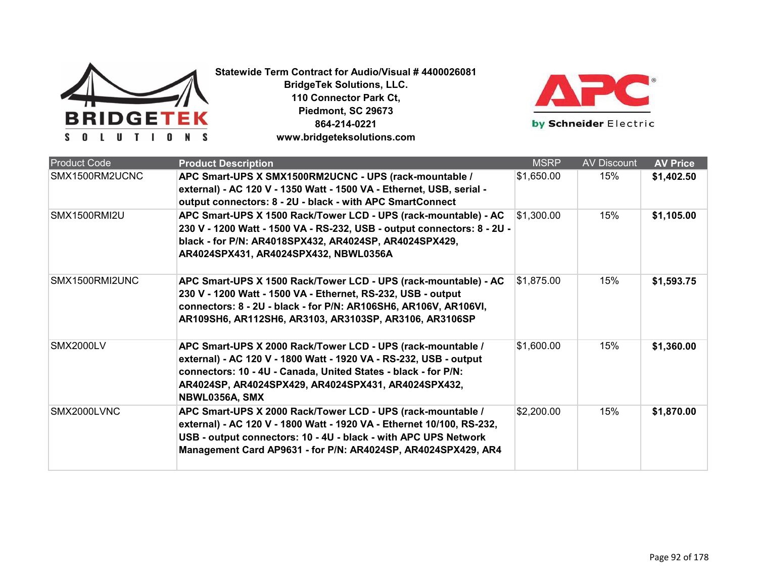



Product Code **Product Description** MSRP AV Discount **AV Price** SMX1500RM2UCNC **APC Smart-UPS X SMX1500RM2UCNC - UPS (rack-mountable / external) - AC 120 V - 1350 Watt - 1500 VA - Ethernet, USB, serial output connectors: 8 - 2U - black - with APC SmartConnect** \$1,650.00 15% **\$1,402.50**  SMX1500RMI2U **APC Smart-UPS X 1500 Rack/Tower LCD - UPS (rack-mountable) - AC 230 V - 1200 Watt - 1500 VA - RS-232, USB - output connectors: 8 - 2U black - for P/N: AR4018SPX432, AR4024SP, AR4024SPX429, AR4024SPX431, AR4024SPX432, NBWL0356A** \$1,300.00 15% **\$1,105.00**  SMX1500RMI2UNC **APC Smart-UPS X 1500 Rack/Tower LCD - UPS (rack-mountable) - AC 230 V - 1200 Watt - 1500 VA - Ethernet, RS-232, USB - output connectors: 8 - 2U - black - for P/N: AR106SH6, AR106V, AR106VI, AR109SH6, AR112SH6, AR3103, AR3103SP, AR3106, AR3106SP** \$1,875.00 15% **\$1,593.75**  SMX2000LV **APC Smart-UPS X 2000 Rack/Tower LCD - UPS (rack-mountable / external) - AC 120 V - 1800 Watt - 1920 VA - RS-232, USB - output connectors: 10 - 4U - Canada, United States - black - for P/N: AR4024SP, AR4024SPX429, AR4024SPX431, AR4024SPX432, NBWL0356A, SMX** \$1,600.00 15% **\$1,360.00**  SMX2000LVNC **APC Smart-UPS X 2000 Rack/Tower LCD - UPS (rack-mountable / external) - AC 120 V - 1800 Watt - 1920 VA - Ethernet 10/100, RS-232, USB - output connectors: 10 - 4U - black - with APC UPS Network Management Card AP9631 - for P/N: AR4024SP, AR4024SPX429, AR4** \$2,200.00 15% **\$1,870.00**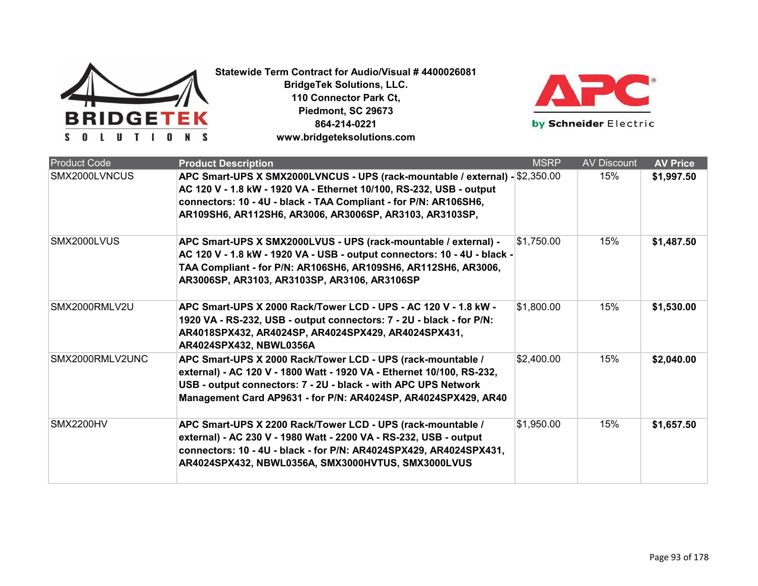



Product Code **Product Description** MSRP AV Discount **AV Price** SMX2000LVNCUS **APC Smart-UPS X SMX2000LVNCUS - UPS (rack-mountable / external) - \$2,350.00 AC 120 V - 1.8 kW - 1920 VA - Ethernet 10/100, RS-232, USB - output connectors: 10 - 4U - black - TAA Compliant - for P/N: AR106SH6, AR109SH6, AR112SH6, AR3006, AR3006SP, AR3103, AR3103SP,** \$2,350.00 15% **\$1,997.50**  SMX2000LVUS **APC Smart-UPS X SMX2000LVUS - UPS (rack-mountable / external) - AC 120 V - 1.8 kW - 1920 VA - USB - output connectors: 10 - 4U - black - TAA Compliant - for P/N: AR106SH6, AR109SH6, AR112SH6, AR3006, AR3006SP, AR3103, AR3103SP, AR3106, AR3106SP** \$1,750.00 15% **\$1,487.50**  SMX2000RMLV2U **APC Smart-UPS X 2000 Rack/Tower LCD - UPS - AC 120 V - 1.8 kW - 1920 VA - RS-232, USB - output connectors: 7 - 2U - black - for P/N: AR4018SPX432, AR4024SP, AR4024SPX429, AR4024SPX431, AR4024SPX432, NBWL0356A** \$1,800.00 15% **\$1,530.00**  SMX2000RMLV2UNC **APC Smart-UPS X 2000 Rack/Tower LCD - UPS (rack-mountable / external) - AC 120 V - 1800 Watt - 1920 VA - Ethernet 10/100, RS-232, USB - output connectors: 7 - 2U - black - with APC UPS Network Management Card AP9631 - for P/N: AR4024SP, AR4024SPX429, AR40** \$2,400.00 15% **\$2,040.00**  SMX2200HV **APC Smart-UPS X 2200 Rack/Tower LCD - UPS (rack-mountable / external) - AC 230 V - 1980 Watt - 2200 VA - RS-232, USB - output connectors: 10 - 4U - black - for P/N: AR4024SPX429, AR4024SPX431, AR4024SPX432, NBWL0356A, SMX3000HVTUS, SMX3000LVUS** \$1,950.00 15% **\$1,657.50**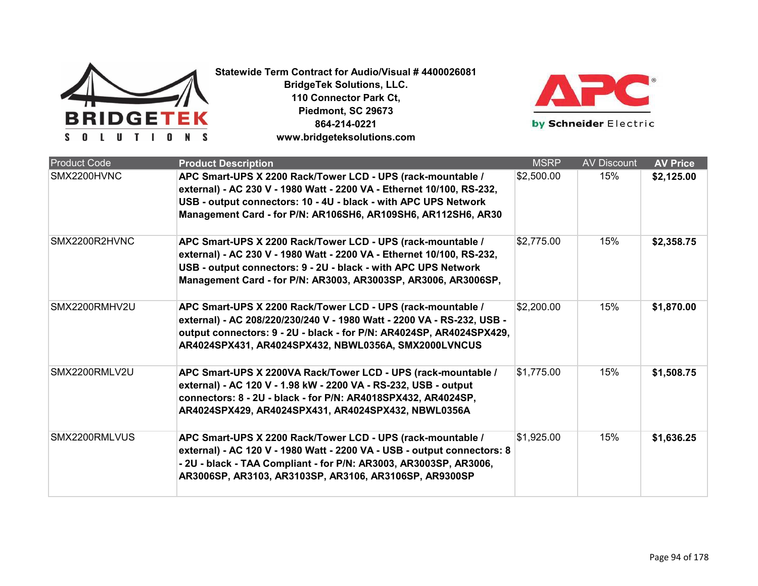



Product Code **Product Description** MSRP AV Discount **AV Price** SMX2200HVNC **APC Smart-UPS X 2200 Rack/Tower LCD - UPS (rack-mountable / external) - AC 230 V - 1980 Watt - 2200 VA - Ethernet 10/100, RS-232, USB - output connectors: 10 - 4U - black - with APC UPS Network Management Card - for P/N: AR106SH6, AR109SH6, AR112SH6, AR30** \$2,500.00 15% **\$2,125.00**  SMX2200R2HVNC **APC Smart-UPS X 2200 Rack/Tower LCD - UPS (rack-mountable / external) - AC 230 V - 1980 Watt - 2200 VA - Ethernet 10/100, RS-232, USB - output connectors: 9 - 2U - black - with APC UPS Network Management Card - for P/N: AR3003, AR3003SP, AR3006, AR3006SP,** \$2,775.00 15% **\$2,358.75**  SMX2200RMHV2U **APC Smart-UPS X 2200 Rack/Tower LCD - UPS (rack-mountable / external) - AC 208/220/230/240 V - 1980 Watt - 2200 VA - RS-232, USB output connectors: 9 - 2U - black - for P/N: AR4024SP, AR4024SPX429, AR4024SPX431, AR4024SPX432, NBWL0356A, SMX2000LVNCUS** \$2,200.00 15% **\$1,870.00**  SMX2200RMLV2U **APC Smart-UPS X 2200VA Rack/Tower LCD - UPS (rack-mountable / external) - AC 120 V - 1.98 kW - 2200 VA - RS-232, USB - output connectors: 8 - 2U - black - for P/N: AR4018SPX432, AR4024SP, AR4024SPX429, AR4024SPX431, AR4024SPX432, NBWL0356A** \$1,775.00 15% **\$1,508.75**  SMX2200RMLVUS **APC Smart-UPS X 2200 Rack/Tower LCD - UPS (rack-mountable / external) - AC 120 V - 1980 Watt - 2200 VA - USB - output connectors: 8 - 2U - black - TAA Compliant - for P/N: AR3003, AR3003SP, AR3006, AR3006SP, AR3103, AR3103SP, AR3106, AR3106SP, AR9300SP** \$1,925.00 15% **\$1,636.25**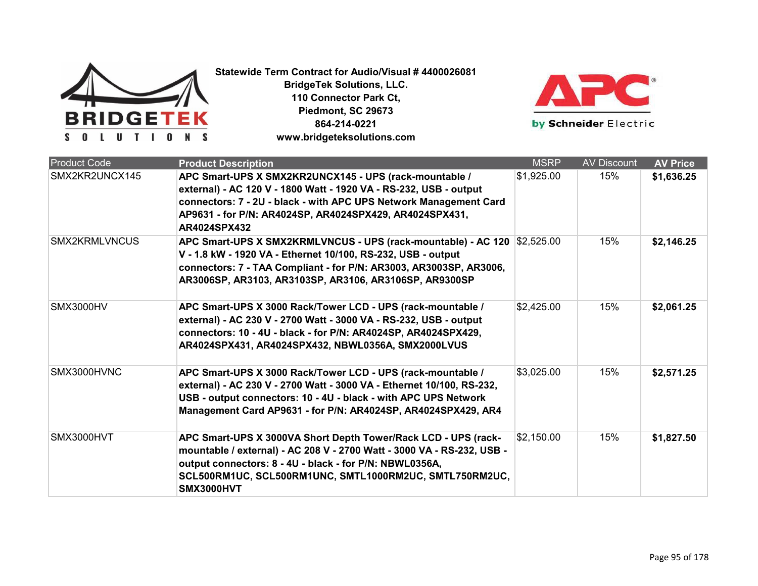



Product Code **Product Description** MSRP AV Discount **AV Price** SMX2KR2UNCX145 **APC Smart-UPS X SMX2KR2UNCX145 - UPS (rack-mountable / external) - AC 120 V - 1800 Watt - 1920 VA - RS-232, USB - output connectors: 7 - 2U - black - with APC UPS Network Management Card AP9631 - for P/N: AR4024SP, AR4024SPX429, AR4024SPX431, AR4024SPX432** \$1,925.00 15% **\$1,636.25**  SMX2KRMLVNCUS **APC Smart-UPS X SMX2KRMLVNCUS - UPS (rack-mountable) - AC 120**  \$2,525.00 15% **\$2,146.25 V - 1.8 kW - 1920 VA - Ethernet 10/100, RS-232, USB - output connectors: 7 - TAA Compliant - for P/N: AR3003, AR3003SP, AR3006, AR3006SP, AR3103, AR3103SP, AR3106, AR3106SP, AR9300SP** SMX3000HV **APC Smart-UPS X 3000 Rack/Tower LCD - UPS (rack-mountable / external) - AC 230 V - 2700 Watt - 3000 VA - RS-232, USB - output connectors: 10 - 4U - black - for P/N: AR4024SP, AR4024SPX429, AR4024SPX431, AR4024SPX432, NBWL0356A, SMX2000LVUS** \$2,425.00 15% **\$2,061.25**  SMX3000HVNC **APC Smart-UPS X 3000 Rack/Tower LCD - UPS (rack-mountable / external) - AC 230 V - 2700 Watt - 3000 VA - Ethernet 10/100, RS-232, USB - output connectors: 10 - 4U - black - with APC UPS Network Management Card AP9631 - for P/N: AR4024SP, AR4024SPX429, AR4** \$3,025.00 15% **\$2,571.25**  SMX3000HVT **APC Smart-UPS X 3000VA Short Depth Tower/Rack LCD - UPS (rackmountable / external) - AC 208 V - 2700 Watt - 3000 VA - RS-232, USB output connectors: 8 - 4U - black - for P/N: NBWL0356A, SCL500RM1UC, SCL500RM1UNC, SMTL1000RM2UC, SMTL750RM2UC, SMX3000HVT** \$2,150.00 15% **\$1,827.50**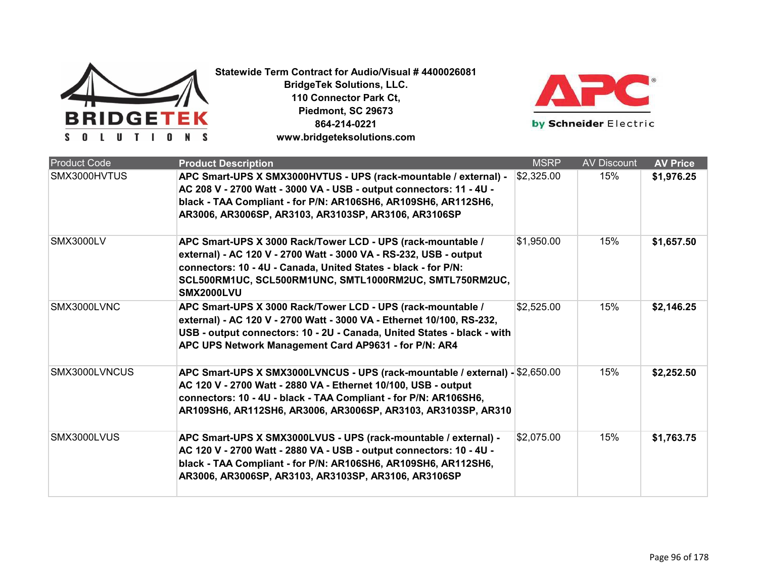



Product Code **Product Description** MSRP AV Discount **AV Price** SMX3000HVTUS **APC Smart-UPS X SMX3000HVTUS - UPS (rack-mountable / external) - AC 208 V - 2700 Watt - 3000 VA - USB - output connectors: 11 - 4U black - TAA Compliant - for P/N: AR106SH6, AR109SH6, AR112SH6, AR3006, AR3006SP, AR3103, AR3103SP, AR3106, AR3106SP** \$2,325.00 15% **\$1,976.25**  SMX3000LV **APC Smart-UPS X 3000 Rack/Tower LCD - UPS (rack-mountable / external) - AC 120 V - 2700 Watt - 3000 VA - RS-232, USB - output connectors: 10 - 4U - Canada, United States - black - for P/N: SCL500RM1UC, SCL500RM1UNC, SMTL1000RM2UC, SMTL750RM2UC, SMX2000LVU** \$1,950.00 15% **\$1,657.50**  SMX3000LVNC **APC Smart-UPS X 3000 Rack/Tower LCD - UPS (rack-mountable / external) - AC 120 V - 2700 Watt - 3000 VA - Ethernet 10/100, RS-232, USB - output connectors: 10 - 2U - Canada, United States - black - with APC UPS Network Management Card AP9631 - for P/N: AR4** \$2,525.00 15% **\$2,146.25**  SMX3000LVNCUS **APC Smart-UPS X SMX3000LVNCUS - UPS (rack-mountable / external) - \$2,650.00 | 15% | \$2,252.50 AC 120 V - 2700 Watt - 2880 VA - Ethernet 10/100, USB - output connectors: 10 - 4U - black - TAA Compliant - for P/N: AR106SH6, AR109SH6, AR112SH6, AR3006, AR3006SP, AR3103, AR3103SP, AR310** SMX3000LVUS **APC Smart-UPS X SMX3000LVUS - UPS (rack-mountable / external) - AC 120 V - 2700 Watt - 2880 VA - USB - output connectors: 10 - 4U black - TAA Compliant - for P/N: AR106SH6, AR109SH6, AR112SH6, AR3006, AR3006SP, AR3103, AR3103SP, AR3106, AR3106SP** \$2,075.00 15% **\$1,763.75**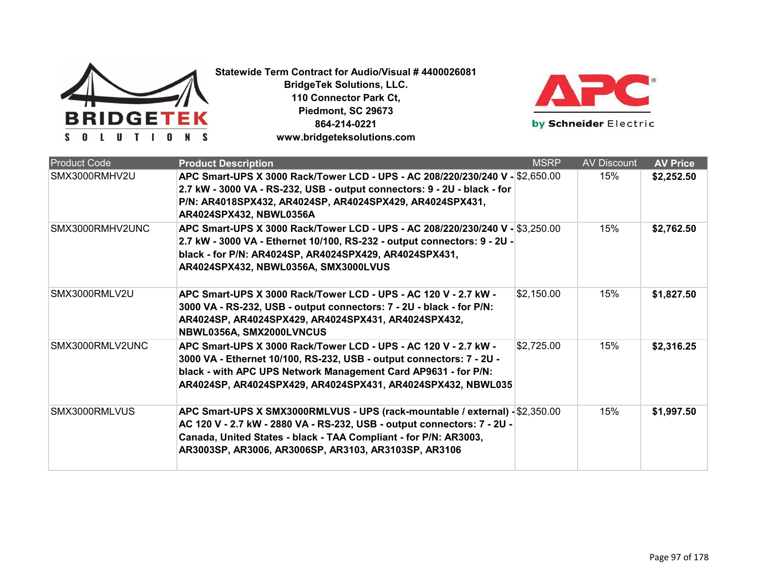

SMX3000RMLVUS **APC Smart-UPS X SMX3000RMLVUS - UPS (rack-mountable / external) - \$2,350.00** 

**AC 120 V - 2.7 kW - 2880 VA - RS-232, USB - output connectors: 7 - 2U - Canada, United States - black - TAA Compliant - for P/N: AR3003, AR3003SP, AR3006, AR3006SP, AR3103, AR3103SP, AR3106**



Product Code **Product Description** MSRP AV Discount **AV Price** SMX3000RMHV2U **APC Smart-UPS X 3000 Rack/Tower LCD - UPS - AC 208/220/230/240 V - 2.7 kW - 3000 VA - RS-232, USB - output connectors: 9 - 2U - black - for P/N: AR4018SPX432, AR4024SP, AR4024SPX429, AR4024SPX431, AR4024SPX432, NBWL0356A** \$2,650.00 15% **\$2,252.50**  SMX3000RMHV2UNC **APC Smart-UPS X 3000 Rack/Tower LCD - UPS - AC 208/220/230/240 V - 2.7 kW - 3000 VA - Ethernet 10/100, RS-232 - output connectors: 9 - 2U black - for P/N: AR4024SP, AR4024SPX429, AR4024SPX431, AR4024SPX432, NBWL0356A, SMX3000LVUS** \$3,250.00 15% **\$2,762.50**  SMX3000RMLV2U **APC Smart-UPS X 3000 Rack/Tower LCD - UPS - AC 120 V - 2.7 kW - 3000 VA - RS-232, USB - output connectors: 7 - 2U - black - for P/N: AR4024SP, AR4024SPX429, AR4024SPX431, AR4024SPX432, NBWL0356A, SMX2000LVNCUS** \$2,150.00 15% **\$1,827.50**  SMX3000RMLV2UNC **APC Smart-UPS X 3000 Rack/Tower LCD - UPS - AC 120 V - 2.7 kW - 3000 VA - Ethernet 10/100, RS-232, USB - output connectors: 7 - 2U black - with APC UPS Network Management Card AP9631 - for P/N: AR4024SP, AR4024SPX429, AR4024SPX431, AR4024SPX432, NBWL035** \$2,725.00 15% **\$2,316.25** 

\$2,350.00 15% **\$1,997.50**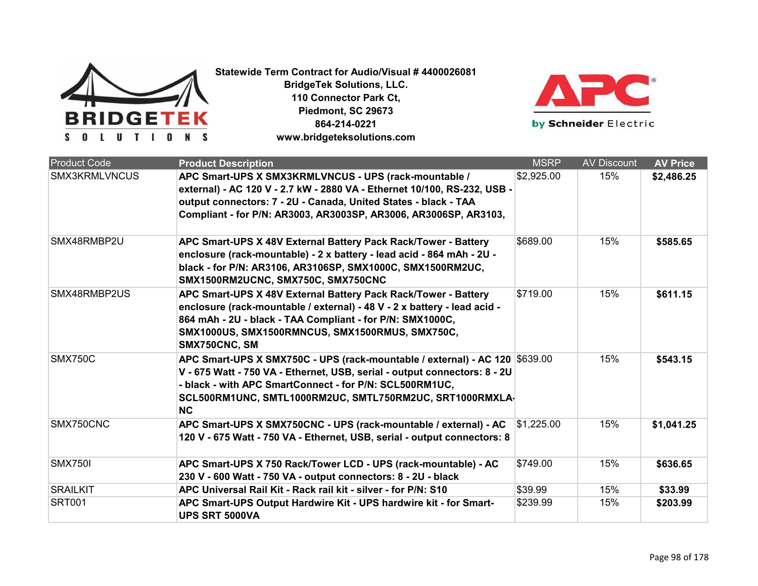



Product Code **Product Description** MSRP AV Discount **AV Price** SMX3KRMLVNCUS **APC Smart-UPS X SMX3KRMLVNCUS - UPS (rack-mountable / external) - AC 120 V - 2.7 kW - 2880 VA - Ethernet 10/100, RS-232, USB output connectors: 7 - 2U - Canada, United States - black - TAA Compliant - for P/N: AR3003, AR3003SP, AR3006, AR3006SP, AR3103,** \$2,925.00 15% **\$2,486.25**  SMX48RMBP2U **APC Smart-UPS X 48V External Battery Pack Rack/Tower - Battery enclosure (rack-mountable) - 2 x battery - lead acid - 864 mAh - 2U black - for P/N: AR3106, AR3106SP, SMX1000C, SMX1500RM2UC, SMX1500RM2UCNC, SMX750C, SMX750CNC** \$689.00 15% **\$585.65**  SMX48RMBP2US **APC Smart-UPS X 48V External Battery Pack Rack/Tower - Battery enclosure (rack-mountable / external) - 48 V - 2 x battery - lead acid - 864 mAh - 2U - black - TAA Compliant - for P/N: SMX1000C, SMX1000US, SMX1500RMNCUS, SMX1500RMUS, SMX750C, SMX750CNC, SM** \$719.00 15% **\$611.15**  SMX750C |**APC Smart-UPS X SMX750C - UPS (rack-mountable / external) - AC 120 |\$639.00 | 15% | \$543.15 V - 675 Watt - 750 VA - Ethernet, USB, serial - output connectors: 8 - 2U - black - with APC SmartConnect - for P/N: SCL500RM1UC, SCL500RM1UNC, SMTL1000RM2UC, SMTL750RM2UC, SRT1000RMXLA-NC** SMX750CNC **APC Smart-UPS X SMX750CNC - UPS (rack-mountable / external) - AC 120 V - 675 Watt - 750 VA - Ethernet, USB, serial - output connectors: 8** \$1,225.00 15% **\$1,041.25**  SMX750I **APC Smart-UPS X 750 Rack/Tower LCD - UPS (rack-mountable) - AC 230 V - 600 Watt - 750 VA - output connectors: 8 - 2U - black** \$749.00 15% **\$636.65 APC Universal Rail Kit - Rack rail kit - silver - for P/N: S10** \$33.99 15% **\$33.99** \$33.99 SRT001 **APC Smart-UPS Output Hardwire Kit - UPS hardwire kit - for Smart-UPS SRT 5000VA** \$239.99 15% **\$203.99**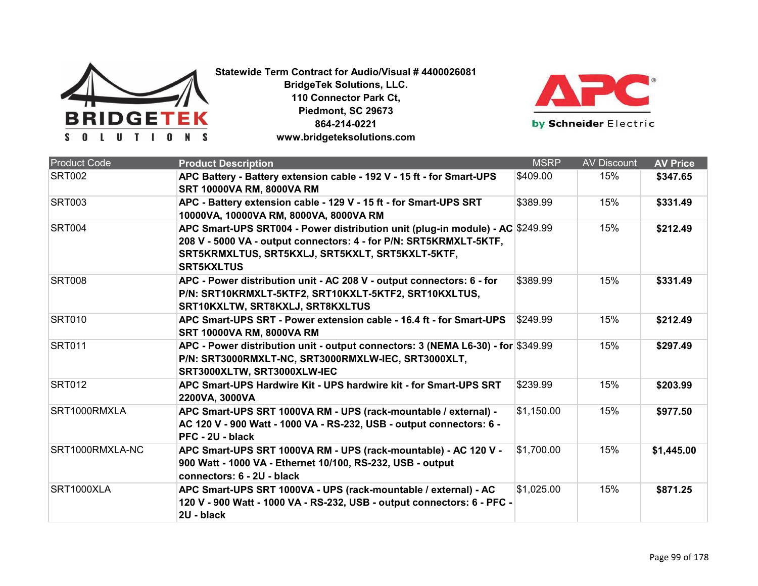



Product Code **Product Description** MSRP AV Discount **AV Price** SRT002 **APC Battery - Battery extension cable - 192 V - 15 ft - for Smart-UPS SRT 10000VA RM, 8000VA RM** \$409.00 15% **\$347.65**  SRT003 **APC - Battery extension cable - 129 V - 15 ft - for Smart-UPS SRT 10000VA, 10000VA RM, 8000VA, 8000VA RM** \$389.99 15% **\$331.49**  SRT004 |APC Smart-UPS SRT004 - Power distribution unit (plug-in module) - AC \$249.99 | 15% | \$212.49 **208 V - 5000 VA - output connectors: 4 - for P/N: SRT5KRMXLT-5KTF, SRT5KRMXLTUS, SRT5KXLJ, SRT5KXLT, SRT5KXLT-5KTF, SRT5KXLTUS** SRT008 **APC - Power distribution unit - AC 208 V - output connectors: 6 - for P/N: SRT10KRMXLT-5KTF2, SRT10KXLT-5KTF2, SRT10KXLTUS, SRT10KXLTW, SRT8KXLJ, SRT8KXLTUS** \$389.99 15% **\$331.49**  SRT010 **APC Smart-UPS SRT - Power extension cable - 16.4 ft - for Smart-UPS SRT 10000VA RM, 8000VA RM** \$249.99 15% **\$212.49**  SRT011 |APC - Power distribution unit - output connectors: 3 (NEMA L6-30) - for \$349.99 | 15% | \$297.49 **P/N: SRT3000RMXLT-NC, SRT3000RMXLW-IEC, SRT3000XLT, SRT3000XLTW, SRT3000XLW-IEC** SRT012 **APC Smart-UPS Hardwire Kit - UPS hardwire kit - for Smart-UPS SRT 2200VA, 3000VA** \$239.99 15% **\$203.99**  SRT1000RMXLA **APC Smart-UPS SRT 1000VA RM - UPS (rack-mountable / external) - AC 120 V - 900 Watt - 1000 VA - RS-232, USB - output connectors: 6 - PFC - 2U - black** \$1,150.00 15% **\$977.50**  SRT1000RMXLA-NC **APC Smart-UPS SRT 1000VA RM - UPS (rack-mountable) - AC 120 V - 900 Watt - 1000 VA - Ethernet 10/100, RS-232, USB - output connectors: 6 - 2U - black** \$1,700.00 15% **\$1,445.00**  SRT1000XLA **APC Smart-UPS SRT 1000VA - UPS (rack-mountable / external) - AC 120 V - 900 Watt - 1000 VA - RS-232, USB - output connectors: 6 - PFC - 2U - black** \$1,025.00 15% **\$871.25**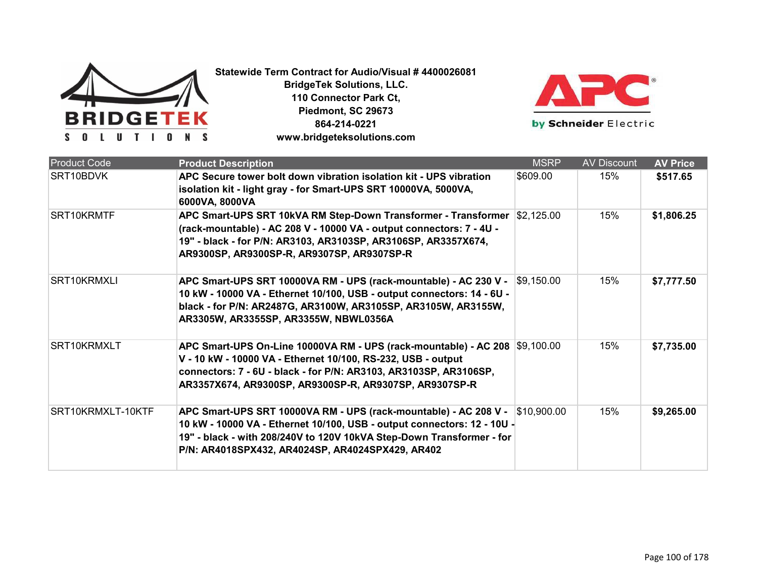



**Product Code <b>Product Description** MSRP AV Discount **AV Price** SRT10BDVK **APC Secure tower bolt down vibration isolation kit - UPS vibration isolation kit - light gray - for Smart-UPS SRT 10000VA, 5000VA, 6000VA, 8000VA** \$609.00 15% **\$517.65**  SRT10KRMTF **APC Smart-UPS SRT 10kVA RM Step-Down Transformer - Transformer (rack-mountable) - AC 208 V - 10000 VA - output connectors: 7 - 4U - 19" - black - for P/N: AR3103, AR3103SP, AR3106SP, AR3357X674, AR9300SP, AR9300SP-R, AR9307SP, AR9307SP-R** \$2,125.00 15% **\$1,806.25**  SRT10KRMXLI **APC Smart-UPS SRT 10000VA RM - UPS (rack-mountable) - AC 230 V - 10 kW - 10000 VA - Ethernet 10/100, USB - output connectors: 14 - 6U black - for P/N: AR2487G, AR3100W, AR3105SP, AR3105W, AR3155W, AR3305W, AR3355SP, AR3355W, NBWL0356A** \$9,150.00 15% **\$7,777.50**  SRT10KRMXLT **APC Smart-UPS On-Line 10000VA RM - UPS (rack-mountable) - AC 208 V - 10 kW - 10000 VA - Ethernet 10/100, RS-232, USB - output connectors: 7 - 6U - black - for P/N: AR3103, AR3103SP, AR3106SP, AR3357X674, AR9300SP, AR9300SP-R, AR9307SP, AR9307SP-R** \$9,100.00 15% **\$7,735.00**  SRT10KRMXLT-10KTF **APC Smart-UPS SRT 10000VA RM - UPS (rack-mountable) - AC 208 V -**  \$10,900.00 15% **\$9,265.00 10 kW - 10000 VA - Ethernet 10/100, USB - output connectors: 12 - 10U - 19" - black - with 208/240V to 120V 10kVA Step-Down Transformer - for P/N: AR4018SPX432, AR4024SP, AR4024SPX429, AR402**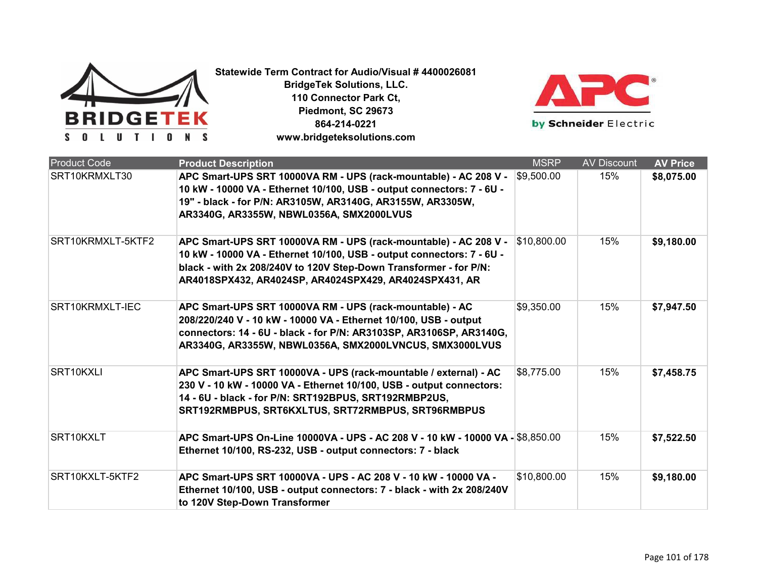



Product Code **Product Description** MSRP AV Discount **AV Price** SRT10KRMXLT30 **APC Smart-UPS SRT 10000VA RM - UPS (rack-mountable) - AC 208 V - 10 kW - 10000 VA - Ethernet 10/100, USB - output connectors: 7 - 6U - 19" - black - for P/N: AR3105W, AR3140G, AR3155W, AR3305W, AR3340G, AR3355W, NBWL0356A, SMX2000LVUS** \$9,500.00 15% **\$8,075.00**  SRT10KRMXLT-5KTF2 **APC Smart-UPS SRT 10000VA RM - UPS (rack-mountable) - AC 208 V - 10 kW - 10000 VA - Ethernet 10/100, USB - output connectors: 7 - 6U black - with 2x 208/240V to 120V Step-Down Transformer - for P/N: AR4018SPX432, AR4024SP, AR4024SPX429, AR4024SPX431, AR** \$10,800.00 15% **\$9,180.00**  SRT10KRMXLT-IEC **APC Smart-UPS SRT 10000VA RM - UPS (rack-mountable) - AC 208/220/240 V - 10 kW - 10000 VA - Ethernet 10/100, USB - output connectors: 14 - 6U - black - for P/N: AR3103SP, AR3106SP, AR3140G, AR3340G, AR3355W, NBWL0356A, SMX2000LVNCUS, SMX3000LVUS** \$9,350.00 15% **\$7,947.50**  SRT10KXLI **APC Smart-UPS SRT 10000VA - UPS (rack-mountable / external) - AC 230 V - 10 kW - 10000 VA - Ethernet 10/100, USB - output connectors: 14 - 6U - black - for P/N: SRT192BPUS, SRT192RMBP2US, SRT192RMBPUS, SRT6KXLTUS, SRT72RMBPUS, SRT96RMBPUS** \$8,775.00 15% **\$7,458.75**  SRT10KXLT **APC Smart-UPS On-Line 10000VA - UPS - AC 208 V - 10 kW - 10000 VA - Ethernet 10/100, RS-232, USB - output connectors: 7 - black** \$8,850.00 15% **\$7,522.50**  SRT10KXLT-5KTF2 **APC Smart-UPS SRT 10000VA - UPS - AC 208 V - 10 kW - 10000 VA - Ethernet 10/100, USB - output connectors: 7 - black - with 2x 208/240V to 120V Step-Down Transformer** \$10,800.00 15% **\$9,180.00**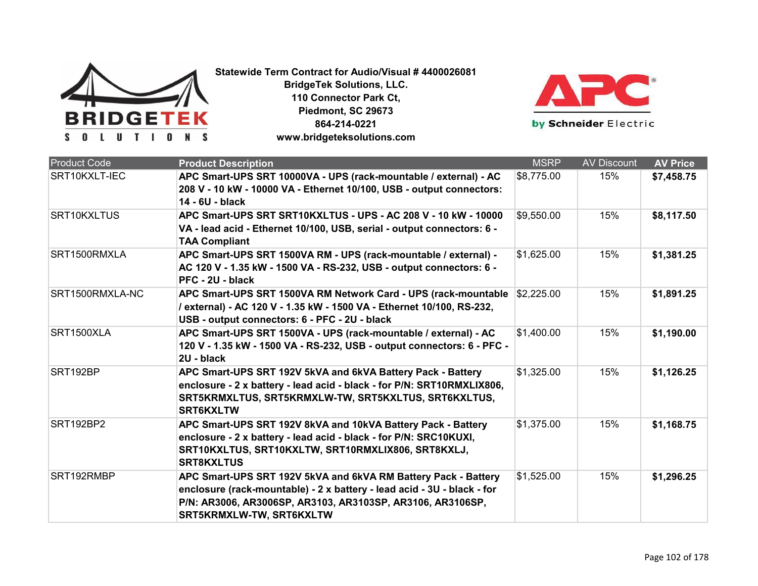



Product Code **Product Description** MSRP AV Discount **AV Price** SRT10KXLT-IEC **APC Smart-UPS SRT 10000VA - UPS (rack-mountable / external) - AC 208 V - 10 kW - 10000 VA - Ethernet 10/100, USB - output connectors: 14 - 6U - black** \$8,775.00 15% **\$7,458.75**  SRT10KXLTUS **APC Smart-UPS SRT SRT10KXLTUS - UPS - AC 208 V - 10 kW - 10000 VA - lead acid - Ethernet 10/100, USB, serial - output connectors: 6 - TAA Compliant** \$9,550.00 15% **\$8,117.50**  SRT1500RMXLA **APC Smart-UPS SRT 1500VA RM - UPS (rack-mountable / external) - AC 120 V - 1.35 kW - 1500 VA - RS-232, USB - output connectors: 6 - PFC - 2U - black** \$1,625.00 15% **\$1,381.25**  SRT1500RMXLA-NC **APC Smart-UPS SRT 1500VA RM Network Card - UPS (rack-mountable**  \$2,225.00 15% **\$1,891.25 / external) - AC 120 V - 1.35 kW - 1500 VA - Ethernet 10/100, RS-232, USB - output connectors: 6 - PFC - 2U - black** SRT1500XLA **APC Smart-UPS SRT 1500VA - UPS (rack-mountable / external) - AC 120 V - 1.35 kW - 1500 VA - RS-232, USB - output connectors: 6 - PFC - 2U - black** \$1,400.00 15% **\$1,190.00**  SRT192BP **APC Smart-UPS SRT 192V 5kVA and 6kVA Battery Pack - Battery enclosure - 2 x battery - lead acid - black - for P/N: SRT10RMXLIX806, SRT5KRMXLTUS, SRT5KRMXLW-TW, SRT5KXLTUS, SRT6KXLTUS, SRT6KXLTW** \$1,325.00 15% **\$1,126.25**  SRT192BP2 **APC Smart-UPS SRT 192V 8kVA and 10kVA Battery Pack - Battery enclosure - 2 x battery - lead acid - black - for P/N: SRC10KUXI, SRT10KXLTUS, SRT10KXLTW, SRT10RMXLIX806, SRT8KXLJ, SRT8KXLTUS** \$1,375.00 15% **\$1,168.75**  SRT192RMBP **APC Smart-UPS SRT 192V 5kVA and 6kVA RM Battery Pack - Battery enclosure (rack-mountable) - 2 x battery - lead acid - 3U - black - for P/N: AR3006, AR3006SP, AR3103, AR3103SP, AR3106, AR3106SP, SRT5KRMXLW-TW, SRT6KXLTW** \$1,525.00 15% **\$1,296.25**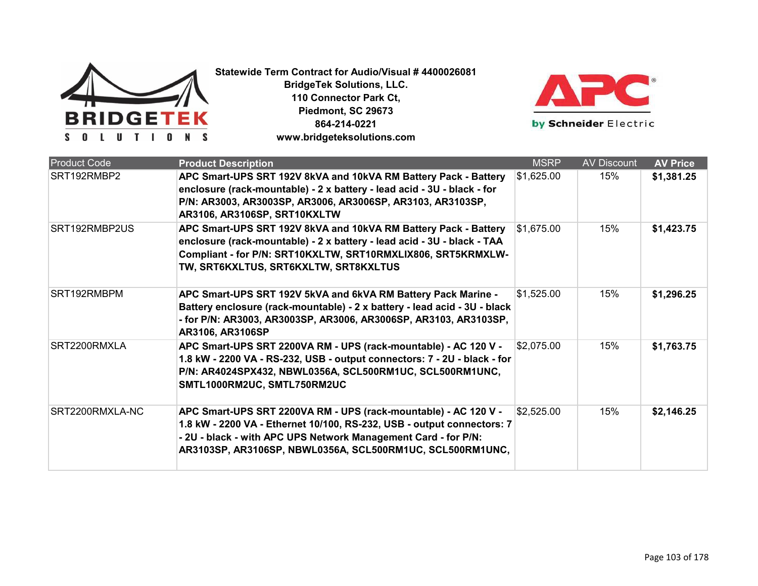



Product Code **Product Description** MSRP AV Discount **AV Price** SRT192RMBP2 **APC Smart-UPS SRT 192V 8kVA and 10kVA RM Battery Pack - Battery enclosure (rack-mountable) - 2 x battery - lead acid - 3U - black - for P/N: AR3003, AR3003SP, AR3006, AR3006SP, AR3103, AR3103SP, AR3106, AR3106SP, SRT10KXLTW** \$1,625.00 15% **\$1,381.25**  SRT192RMBP2US **APC Smart-UPS SRT 192V 8kVA and 10kVA RM Battery Pack - Battery enclosure (rack-mountable) - 2 x battery - lead acid - 3U - black - TAA Compliant - for P/N: SRT10KXLTW, SRT10RMXLIX806, SRT5KRMXLW-TW, SRT6KXLTUS, SRT6KXLTW, SRT8KXLTUS** \$1,675.00 15% **\$1,423.75**  SRT192RMBPM **APC Smart-UPS SRT 192V 5kVA and 6kVA RM Battery Pack Marine - Battery enclosure (rack-mountable) - 2 x battery - lead acid - 3U - black - for P/N: AR3003, AR3003SP, AR3006, AR3006SP, AR3103, AR3103SP, AR3106, AR3106SP** \$1,525.00 15% **\$1,296.25**  SRT2200RMXLA **APC Smart-UPS SRT 2200VA RM - UPS (rack-mountable) - AC 120 V - 1.8 kW - 2200 VA - RS-232, USB - output connectors: 7 - 2U - black - for P/N: AR4024SPX432, NBWL0356A, SCL500RM1UC, SCL500RM1UNC, SMTL1000RM2UC, SMTL750RM2UC** \$2,075.00 15% **\$1,763.75**  SRT2200RMXLA-NC **APC Smart-UPS SRT 2200VA RM - UPS (rack-mountable) - AC 120 V - 1.8 kW - 2200 VA - Ethernet 10/100, RS-232, USB - output connectors: 7 - 2U - black - with APC UPS Network Management Card - for P/N: AR3103SP, AR3106SP, NBWL0356A, SCL500RM1UC, SCL500RM1UNC,** \$2,525.00 15% **\$2,146.25**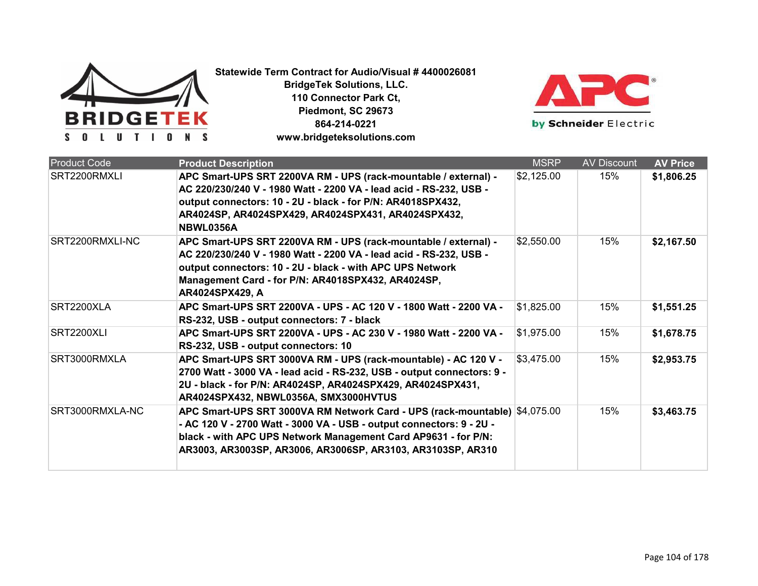



Product Code **Product Description** MSRP AV Discount **AV Price** SRT2200RMXLI **APC Smart-UPS SRT 2200VA RM - UPS (rack-mountable / external) - AC 220/230/240 V - 1980 Watt - 2200 VA - lead acid - RS-232, USB output connectors: 10 - 2U - black - for P/N: AR4018SPX432, AR4024SP, AR4024SPX429, AR4024SPX431, AR4024SPX432, NBWL0356A** \$2,125.00 15% **\$1,806.25**  SRT2200RMXLI-NC **APC Smart-UPS SRT 2200VA RM - UPS (rack-mountable / external) - AC 220/230/240 V - 1980 Watt - 2200 VA - lead acid - RS-232, USB output connectors: 10 - 2U - black - with APC UPS Network Management Card - for P/N: AR4018SPX432, AR4024SP, AR4024SPX429, A** \$2,550.00 15% **\$2,167.50**  SRT2200XLA **APC Smart-UPS SRT 2200VA - UPS - AC 120 V - 1800 Watt - 2200 VA - RS-232, USB - output connectors: 7 - black** \$1,825.00 15% **\$1,551.25**  SRT2200XLI **APC Smart-UPS SRT 2200VA - UPS - AC 230 V - 1980 Watt - 2200 VA - RS-232, USB - output connectors: 10** \$1,975.00 15% **\$1,678.75**  SRT3000RMXLA **APC Smart-UPS SRT 3000VA RM - UPS (rack-mountable) - AC 120 V - 2700 Watt - 3000 VA - lead acid - RS-232, USB - output connectors: 9 - 2U - black - for P/N: AR4024SP, AR4024SPX429, AR4024SPX431, AR4024SPX432, NBWL0356A, SMX3000HVTUS** \$3,475.00 15% **\$2,953.75**  SRT3000RMXLA-NC **|APC Smart-UPS SRT 3000VA RM Network Card - UPS (rack-mountable) \$4,075.00 | 15% | \$3,463.75 - AC 120 V - 2700 Watt - 3000 VA - USB - output connectors: 9 - 2U black - with APC UPS Network Management Card AP9631 - for P/N: AR3003, AR3003SP, AR3006, AR3006SP, AR3103, AR3103SP, AR310**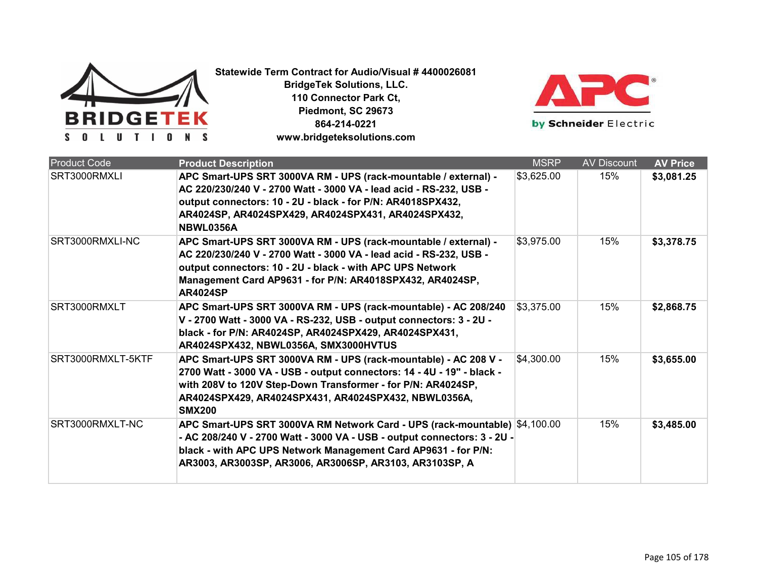



Product Code **Product Description** MSRP AV Discount **AV Price** SRT3000RMXLI **APC Smart-UPS SRT 3000VA RM - UPS (rack-mountable / external) - AC 220/230/240 V - 2700 Watt - 3000 VA - lead acid - RS-232, USB output connectors: 10 - 2U - black - for P/N: AR4018SPX432, AR4024SP, AR4024SPX429, AR4024SPX431, AR4024SPX432, NBWL0356A** \$3,625.00 15% **\$3,081.25**  SRT3000RMXLI-NC **APC Smart-UPS SRT 3000VA RM - UPS (rack-mountable / external) - AC 220/230/240 V - 2700 Watt - 3000 VA - lead acid - RS-232, USB output connectors: 10 - 2U - black - with APC UPS Network Management Card AP9631 - for P/N: AR4018SPX432, AR4024SP, AR4024SP** \$3,975.00 15% **\$3,378.75**  SRT3000RMXLT **APC Smart-UPS SRT 3000VA RM - UPS (rack-mountable) - AC 208/240 V - 2700 Watt - 3000 VA - RS-232, USB - output connectors: 3 - 2U black - for P/N: AR4024SP, AR4024SPX429, AR4024SPX431, AR4024SPX432, NBWL0356A, SMX3000HVTUS** \$3,375.00 15% **\$2,868.75**  SRT3000RMXLT-5KTF **APC Smart-UPS SRT 3000VA RM - UPS (rack-mountable) - AC 208 V - 2700 Watt - 3000 VA - USB - output connectors: 14 - 4U - 19" - black with 208V to 120V Step-Down Transformer - for P/N: AR4024SP, AR4024SPX429, AR4024SPX431, AR4024SPX432, NBWL0356A, SMX200** \$4,300.00 15% **\$3,655.00**  SRT3000RMXLT-NC **APC Smart-UPS SRT 3000VA RM Network Card - UPS (rack-mountable) \$4,100.00 15% \$3,485.00 - AC 208/240 V - 2700 Watt - 3000 VA - USB - output connectors: 3 - 2U black - with APC UPS Network Management Card AP9631 - for P/N: AR3003, AR3003SP, AR3006, AR3006SP, AR3103, AR3103SP, A**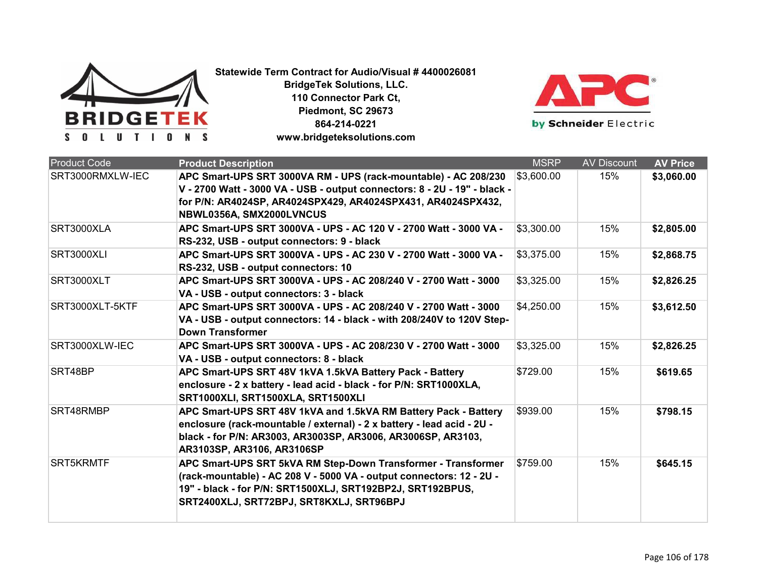



**Product Code <b>Product Description** MSRP AV Discount **AV Price** SRT3000RMXLW-IEC **APC Smart-UPS SRT 3000VA RM - UPS (rack-mountable) - AC 208/230 V - 2700 Watt - 3000 VA - USB - output connectors: 8 - 2U - 19" - black for P/N: AR4024SP, AR4024SPX429, AR4024SPX431, AR4024SPX432, NBWL0356A, SMX2000LVNCUS** \$3,600.00 15% **\$3,060.00 RS-232, USB - output connectors: 9 - black RS-232, USB - output connectors: 10 VA - USB - output connectors: 3 - black VA - USB - output connectors: 14 - black - with 208/240V to 120V Step-Down Transformer VA - USB - output connectors: 8 - black enclosure - 2 x battery - lead acid - black - for P/N: SRT1000XLA, SRT1000XLI, SRT1500XLA, SRT1500XLI** \$729.00 15% **\$619.65** 

| SRT3000XLA      | APC Smart-UPS SRT 3000VA - UPS - AC 120 V - 2700 Watt - 3000 VA -                                                                                                                                                                               | \$3,300.00 | 15% | \$2,805.00 |
|-----------------|-------------------------------------------------------------------------------------------------------------------------------------------------------------------------------------------------------------------------------------------------|------------|-----|------------|
|                 | RS-232, USB - output connectors: 9 - black                                                                                                                                                                                                      |            |     |            |
| SRT3000XLI      | APC Smart-UPS SRT 3000VA - UPS - AC 230 V - 2700 Watt - 3000 VA -<br>RS-232, USB - output connectors: 10                                                                                                                                        | \$3,375.00 | 15% | \$2,868.75 |
| SRT3000XLT      | APC Smart-UPS SRT 3000VA - UPS - AC 208/240 V - 2700 Watt - 3000<br>VA - USB - output connectors: 3 - black                                                                                                                                     | \$3,325.00 | 15% | \$2,826.25 |
| SRT3000XLT-5KTF | APC Smart-UPS SRT 3000VA - UPS - AC 208/240 V - 2700 Watt - 3000<br>VA - USB - output connectors: 14 - black - with 208/240V to 120V Step-<br>Down Transformer                                                                                  | \$4,250.00 | 15% | \$3,612.50 |
| SRT3000XLW-IEC  | APC Smart-UPS SRT 3000VA - UPS - AC 208/230 V - 2700 Watt - 3000<br>VA - USB - output connectors: 8 - black                                                                                                                                     | \$3,325.00 | 15% | \$2,826.25 |
| SRT48BP         | APC Smart-UPS SRT 48V 1kVA 1.5kVA Battery Pack - Battery<br>enclosure - 2 x battery - lead acid - black - for P/N: SRT1000XLA,<br>SRT1000XLI, SRT1500XLA, SRT1500XLI                                                                            | \$729.00   | 15% | \$619.65   |
| SRT48RMBP       | APC Smart-UPS SRT 48V 1kVA and 1.5kVA RM Battery Pack - Battery<br>enclosure (rack-mountable / external) - 2 x battery - lead acid - 2U -<br>black - for P/N: AR3003, AR3003SP, AR3006, AR3006SP, AR3103,<br>AR3103SP, AR3106, AR3106SP         | \$939.00   | 15% | \$798.15   |
| SRT5KRMTF       | APC Smart-UPS SRT 5kVA RM Step-Down Transformer - Transformer<br>(rack-mountable) - AC 208 V - 5000 VA - output connectors: 12 - 2U -<br>19" - black - for P/N: SRT1500XLJ, SRT192BP2J, SRT192BPUS,<br>SRT2400XLJ, SRT72BPJ, SRT8KXLJ, SRT96BPJ | \$759.00   | 15% | \$645.15   |
|                 |                                                                                                                                                                                                                                                 |            |     |            |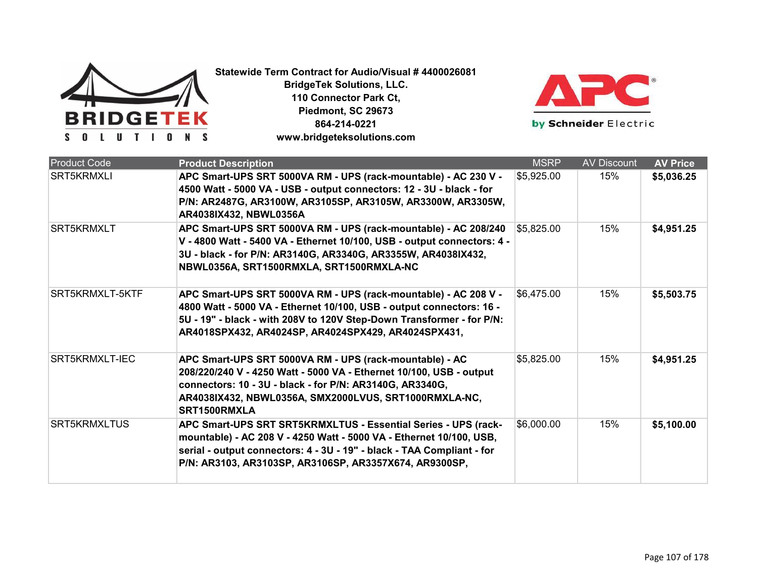



Product Code **Product Description** MSRP AV Discount **AV Price** SRT5KRMXLI **APC Smart-UPS SRT 5000VA RM - UPS (rack-mountable) - AC 230 V - 4500 Watt - 5000 VA - USB - output connectors: 12 - 3U - black - for P/N: AR2487G, AR3100W, AR3105SP, AR3105W, AR3300W, AR3305W, AR4038IX432, NBWL0356A** \$5,925.00 15% **\$5,036.25**  SRT5KRMXLT **APC Smart-UPS SRT 5000VA RM - UPS (rack-mountable) - AC 208/240 V - 4800 Watt - 5400 VA - Ethernet 10/100, USB - output connectors: 4 - 3U - black - for P/N: AR3140G, AR3340G, AR3355W, AR4038IX432, NBWL0356A, SRT1500RMXLA, SRT1500RMXLA-NC** \$5,825.00 15% **\$4,951.25**  SRT5KRMXLT-5KTF **APC Smart-UPS SRT 5000VA RM - UPS (rack-mountable) - AC 208 V - 4800 Watt - 5000 VA - Ethernet 10/100, USB - output connectors: 16 - 5U - 19" - black - with 208V to 120V Step-Down Transformer - for P/N: AR4018SPX432, AR4024SP, AR4024SPX429, AR4024SPX431,** \$6,475.00 15% **\$5,503.75**  SRT5KRMXLT-IEC **APC Smart-UPS SRT 5000VA RM - UPS (rack-mountable) - AC 208/220/240 V - 4250 Watt - 5000 VA - Ethernet 10/100, USB - output connectors: 10 - 3U - black - for P/N: AR3140G, AR3340G, AR4038IX432, NBWL0356A, SMX2000LVUS, SRT1000RMXLA-NC, SRT1500RMXLA** \$5,825.00 15% **\$4,951.25**  SRT5KRMXLTUS **APC Smart-UPS SRT SRT5KRMXLTUS - Essential Series - UPS (rackmountable) - AC 208 V - 4250 Watt - 5000 VA - Ethernet 10/100, USB, serial - output connectors: 4 - 3U - 19" - black - TAA Compliant - for P/N: AR3103, AR3103SP, AR3106SP, AR3357X674, AR9300SP,** \$6,000.00 15% **\$5,100.00**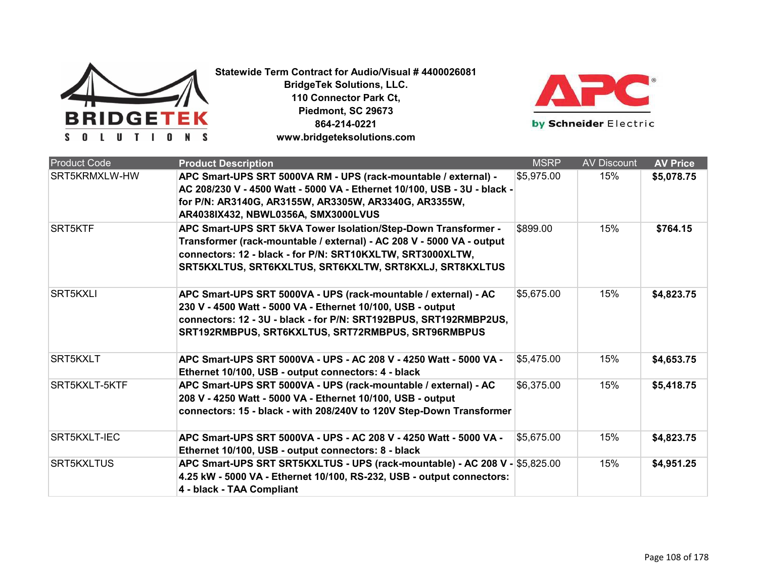



Product Code **Product Description** MSRP AV Discount **AV Price** SRT5KRMXLW-HW **APC Smart-UPS SRT 5000VA RM - UPS (rack-mountable / external) - AC 208/230 V - 4500 Watt - 5000 VA - Ethernet 10/100, USB - 3U - black for P/N: AR3140G, AR3155W, AR3305W, AR3340G, AR3355W, AR4038IX432, NBWL0356A, SMX3000LVUS** \$5,975.00 15% **\$5,078.75**  SRT5KTF **APC Smart-UPS SRT 5kVA Tower Isolation/Step-Down Transformer - Transformer (rack-mountable / external) - AC 208 V - 5000 VA - output connectors: 12 - black - for P/N: SRT10KXLTW, SRT3000XLTW, SRT5KXLTUS, SRT6KXLTUS, SRT6KXLTW, SRT8KXLJ, SRT8KXLTUS** \$899.00 15% **\$764.15**  SRT5KXLI **APC Smart-UPS SRT 5000VA - UPS (rack-mountable / external) - AC 230 V - 4500 Watt - 5000 VA - Ethernet 10/100, USB - output connectors: 12 - 3U - black - for P/N: SRT192BPUS, SRT192RMBP2US, SRT192RMBPUS, SRT6KXLTUS, SRT72RMBPUS, SRT96RMBPUS** \$5,675.00 15% **\$4,823.75**  SRT5KXLT **APC Smart-UPS SRT 5000VA - UPS - AC 208 V - 4250 Watt - 5000 VA - Ethernet 10/100, USB - output connectors: 4 - black** \$5,475.00 15% **\$4,653.75**  SRT5KXLT-5KTF **APC Smart-UPS SRT 5000VA - UPS (rack-mountable / external) - AC 208 V - 4250 Watt - 5000 VA - Ethernet 10/100, USB - output connectors: 15 - black - with 208/240V to 120V Step-Down Transformer** \$6,375.00 15% **\$5,418.75**  SRT5KXLT-IEC **APC Smart-UPS SRT 5000VA - UPS - AC 208 V - 4250 Watt - 5000 VA - Ethernet 10/100, USB - output connectors: 8 - black** \$5,675.00 15% **\$4,823.75**  SRT5KXLTUS **APC Smart-UPS SRT SRT5KXLTUS - UPS (rack-mountable) - AC 208 V - 4.25 kW - 5000 VA - Ethernet 10/100, RS-232, USB - output connectors: 4 - black - TAA Compliant** \$5,825.00 15% **\$4,951.25**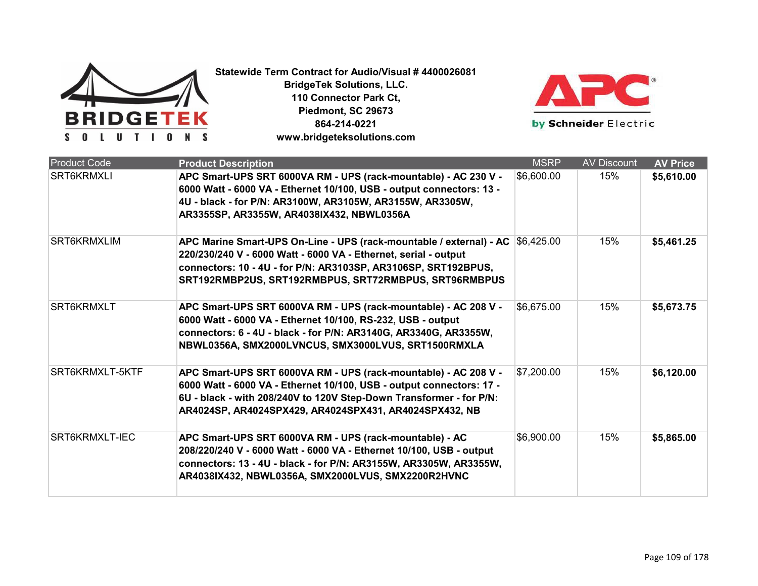



Product Code **Product Description** MSRP AV Discount **AV Price** SRT6KRMXLI **APC Smart-UPS SRT 6000VA RM - UPS (rack-mountable) - AC 230 V - 6000 Watt - 6000 VA - Ethernet 10/100, USB - output connectors: 13 - 4U - black - for P/N: AR3100W, AR3105W, AR3155W, AR3305W, AR3355SP, AR3355W, AR4038IX432, NBWL0356A** \$6,600.00 15% **\$5,610.00**  SRT6KRMXLIM **APC Marine Smart-UPS On-Line - UPS (rack-mountable / external) - AC**  \$6,425.00 15% **\$5,461.25 220/230/240 V - 6000 Watt - 6000 VA - Ethernet, serial - output connectors: 10 - 4U - for P/N: AR3103SP, AR3106SP, SRT192BPUS, SRT192RMBP2US, SRT192RMBPUS, SRT72RMBPUS, SRT96RMBPUS** SRT6KRMXLT **APC Smart-UPS SRT 6000VA RM - UPS (rack-mountable) - AC 208 V - 6000 Watt - 6000 VA - Ethernet 10/100, RS-232, USB - output connectors: 6 - 4U - black - for P/N: AR3140G, AR3340G, AR3355W, NBWL0356A, SMX2000LVNCUS, SMX3000LVUS, SRT1500RMXLA** \$6,675.00 15% **\$5,673.75**  SRT6KRMXLT-5KTF **APC Smart-UPS SRT 6000VA RM - UPS (rack-mountable) - AC 208 V - 6000 Watt - 6000 VA - Ethernet 10/100, USB - output connectors: 17 - 6U - black - with 208/240V to 120V Step-Down Transformer - for P/N: AR4024SP, AR4024SPX429, AR4024SPX431, AR4024SPX432, NB** \$7,200.00 15% **\$6,120.00**  SRT6KRMXLT-IEC **APC Smart-UPS SRT 6000VA RM - UPS (rack-mountable) - AC 208/220/240 V - 6000 Watt - 6000 VA - Ethernet 10/100, USB - output connectors: 13 - 4U - black - for P/N: AR3155W, AR3305W, AR3355W, AR4038IX432, NBWL0356A, SMX2000LVUS, SMX2200R2HVNC** \$6,900.00 15% **\$5,865.00**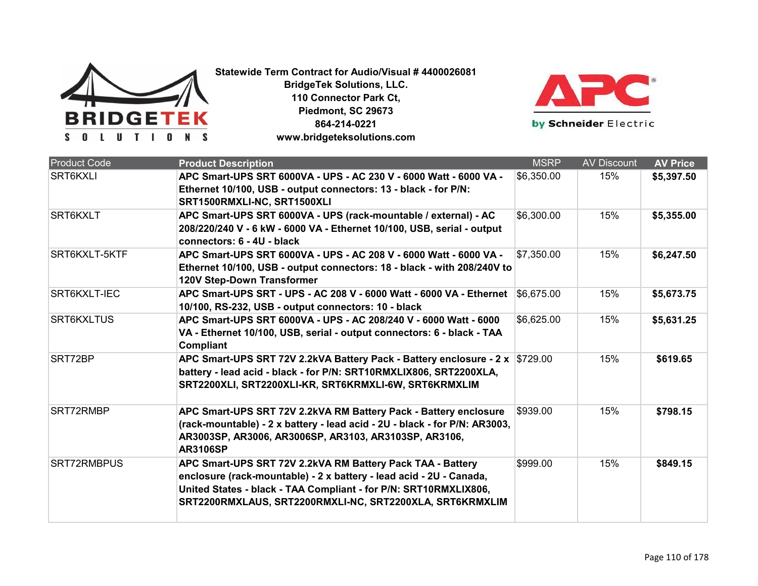



Product Code **Product Description** MSRP AV Discount **AV Price** SRT6KXLI **APC Smart-UPS SRT 6000VA - UPS - AC 230 V - 6000 Watt - 6000 VA - Ethernet 10/100, USB - output connectors: 13 - black - for P/N: SRT1500RMXLI-NC, SRT1500XLI** \$6,350.00 15% **\$5,397.50**  SRT6KXLT **APC Smart-UPS SRT 6000VA - UPS (rack-mountable / external) - AC 208/220/240 V - 6 kW - 6000 VA - Ethernet 10/100, USB, serial - output connectors: 6 - 4U - black** \$6,300.00 15% **\$5,355.00**  SRT6KXLT-5KTF **APC Smart-UPS SRT 6000VA - UPS - AC 208 V - 6000 Watt - 6000 VA - Ethernet 10/100, USB - output connectors: 18 - black - with 208/240V to 120V Step-Down Transformer** \$7,350.00 15% **\$6,247.50**  SRT6KXLT-IEC **APC Smart-UPS SRT - UPS - AC 208 V - 6000 Watt - 6000 VA - Ethernet 10/100, RS-232, USB - output connectors: 10 - black** \$6,675.00 15% **\$5,673.75**  SRT6KXLTUS **APC Smart-UPS SRT 6000VA - UPS - AC 208/240 V - 6000 Watt - 6000 VA - Ethernet 10/100, USB, serial - output connectors: 6 - black - TAA Compliant** \$6,625.00 15% **\$5,631.25**  SRT72BP **APC Smart-UPS SRT 72V 2.2kVA Battery Pack - Battery enclosure - 2 x**  $|$729.00$  15% \$619.65 **battery - lead acid - black - for P/N: SRT10RMXLIX806, SRT2200XLA, SRT2200XLI, SRT2200XLI-KR, SRT6KRMXLI-6W, SRT6KRMXLIM** SRT72RMBP **APC Smart-UPS SRT 72V 2.2kVA RM Battery Pack - Battery enclosure (rack-mountable) - 2 x battery - lead acid - 2U - black - for P/N: AR3003, AR3003SP, AR3006, AR3006SP, AR3103, AR3103SP, AR3106, AR3106SP** \$939.00 15% **\$798.15**  SRT72RMBPUS **APC Smart-UPS SRT 72V 2.2kVA RM Battery Pack TAA - Battery enclosure (rack-mountable) - 2 x battery - lead acid - 2U - Canada, United States - black - TAA Compliant - for P/N: SRT10RMXLIX806, SRT2200RMXLAUS, SRT2200RMXLI-NC, SRT2200XLA, SRT6KRMXLIM** \$999.00 15% **\$849.15**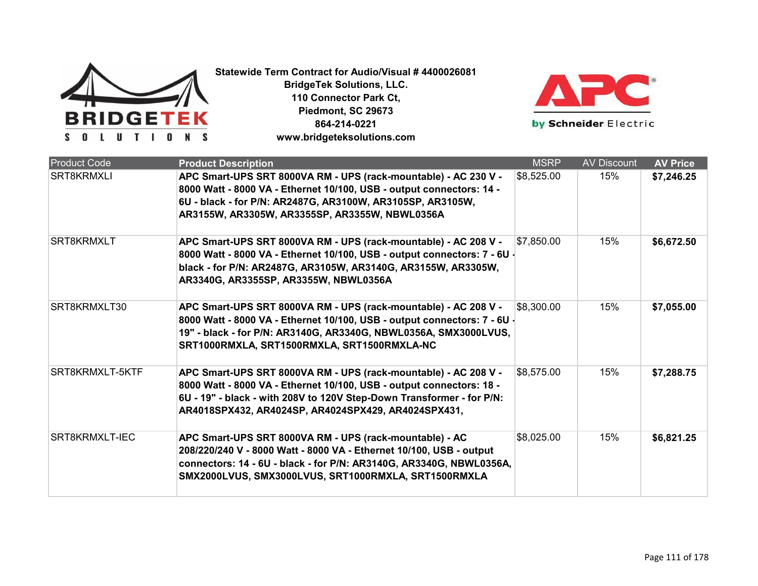



**Product Code <b>Product Description** MSRP AV Discount **AV Price** SRT8KRMXLI **APC Smart-UPS SRT 8000VA RM - UPS (rack-mountable) - AC 230 V - 8000 Watt - 8000 VA - Ethernet 10/100, USB - output connectors: 14 - 6U - black - for P/N: AR2487G, AR3100W, AR3105SP, AR3105W, AR3155W, AR3305W, AR3355SP, AR3355W, NBWL0356A** \$8,525.00 15% **\$7,246.25**  SRT8KRMXLT **APC Smart-UPS SRT 8000VA RM - UPS (rack-mountable) - AC 208 V - 8000 Watt - 8000 VA - Ethernet 10/100, USB - output connectors: 7 - 6U black - for P/N: AR2487G, AR3105W, AR3140G, AR3155W, AR3305W, AR3340G, AR3355SP, AR3355W, NBWL0356A** \$7,850.00 15% **\$6,672.50**  SRT8KRMXLT30 **APC Smart-UPS SRT 8000VA RM - UPS (rack-mountable) - AC 208 V - 8000 Watt - 8000 VA - Ethernet 10/100, USB - output connectors: 7 - 6U - 19" - black - for P/N: AR3140G, AR3340G, NBWL0356A, SMX3000LVUS, SRT1000RMXLA, SRT1500RMXLA, SRT1500RMXLA-NC** \$8,300.00 15% **\$7,055.00**  SRT8KRMXLT-5KTF **APC Smart-UPS SRT 8000VA RM - UPS (rack-mountable) - AC 208 V - 8000 Watt - 8000 VA - Ethernet 10/100, USB - output connectors: 18 - 6U - 19" - black - with 208V to 120V Step-Down Transformer - for P/N: AR4018SPX432, AR4024SP, AR4024SPX429, AR4024SPX431,** \$8,575.00 15% **\$7,288.75**  SRT8KRMXLT-IEC **APC Smart-UPS SRT 8000VA RM - UPS (rack-mountable) - AC 208/220/240 V - 8000 Watt - 8000 VA - Ethernet 10/100, USB - output connectors: 14 - 6U - black - for P/N: AR3140G, AR3340G, NBWL0356A, SMX2000LVUS, SMX3000LVUS, SRT1000RMXLA, SRT1500RMXLA** \$8,025.00 15% **\$6,821.25**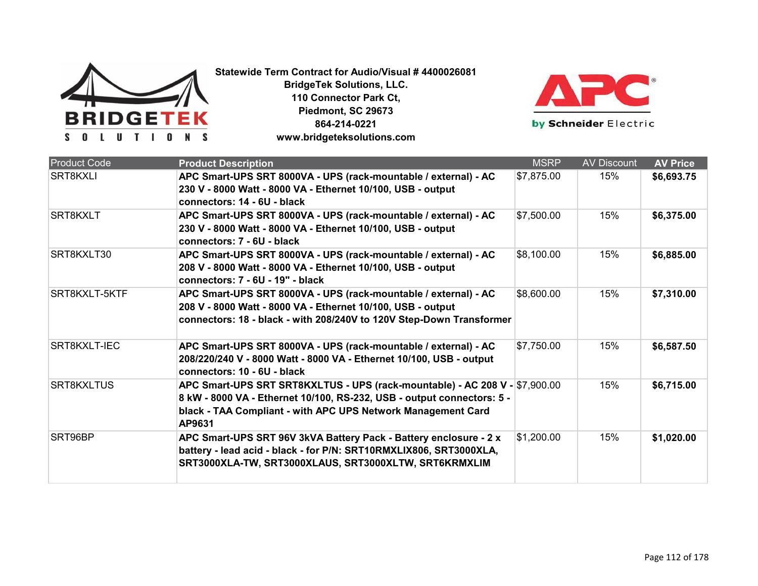



Product Code **Product Description** MSRP AV Discount **AV Price** SRT8KXLI **APC Smart-UPS SRT 8000VA - UPS (rack-mountable / external) - AC 230 V - 8000 Watt - 8000 VA - Ethernet 10/100, USB - output connectors: 14 - 6U - black** \$7,875.00 15% **\$6,693.75**  SRT8KXLT **APC Smart-UPS SRT 8000VA - UPS (rack-mountable / external) - AC 230 V - 8000 Watt - 8000 VA - Ethernet 10/100, USB - output connectors: 7 - 6U - black** \$7,500.00 15% **\$6,375.00**  SRT8KXLT30 **APC Smart-UPS SRT 8000VA - UPS (rack-mountable / external) - AC 208 V - 8000 Watt - 8000 VA - Ethernet 10/100, USB - output connectors: 7 - 6U - 19" - black** \$8,100.00 15% **\$6,885.00**  SRT8KXLT-5KTF **APC Smart-UPS SRT 8000VA - UPS (rack-mountable / external) - AC 208 V - 8000 Watt - 8000 VA - Ethernet 10/100, USB - output connectors: 18 - black - with 208/240V to 120V Step-Down Transformer** \$8,600.00 15% **\$7,310.00**  SRT8KXLT-IEC **APC Smart-UPS SRT 8000VA - UPS (rack-mountable / external) - AC 208/220/240 V - 8000 Watt - 8000 VA - Ethernet 10/100, USB - output connectors: 10 - 6U - black** \$7,750.00 15% **\$6,587.50**  SRT8KXLTUS **APC Smart-UPS SRT SRT8KXLTUS - UPS (rack-mountable) - AC 208 V - 8 kW - 8000 VA - Ethernet 10/100, RS-232, USB - output connectors: 5 black - TAA Compliant - with APC UPS Network Management Card AP9631** \$7,900.00 15% **\$6,715.00**  SRT96BP **APC Smart-UPS SRT 96V 3kVA Battery Pack - Battery enclosure - 2 x battery - lead acid - black - for P/N: SRT10RMXLIX806, SRT3000XLA, SRT3000XLA-TW, SRT3000XLAUS, SRT3000XLTW, SRT6KRMXLIM** \$1,200.00 15% **\$1,020.00**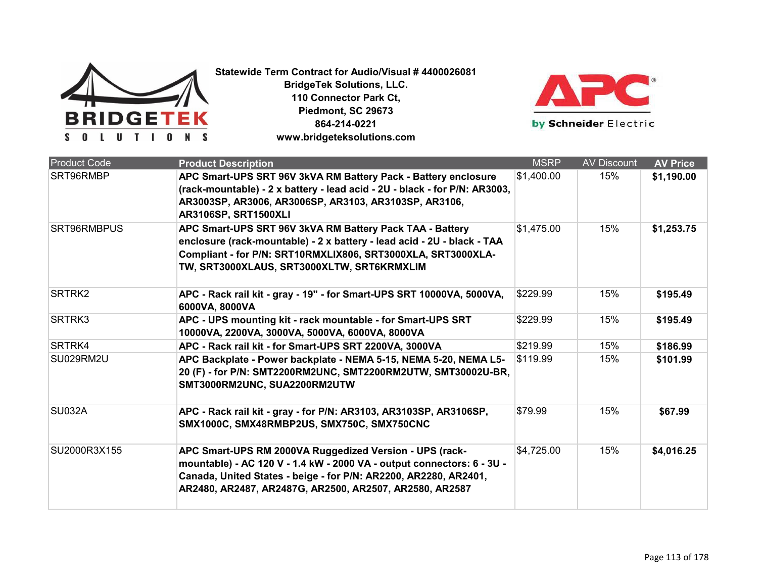



Product Code **Product Description** MSRP AV Discount **AV Price** SRT96RMBP **APC Smart-UPS SRT 96V 3kVA RM Battery Pack - Battery enclosure (rack-mountable) - 2 x battery - lead acid - 2U - black - for P/N: AR3003, AR3003SP, AR3006, AR3006SP, AR3103, AR3103SP, AR3106, AR3106SP, SRT1500XLI** \$1,400.00 15% **\$1,190.00**  SRT96RMBPUS **APC Smart-UPS SRT 96V 3kVA RM Battery Pack TAA - Battery enclosure (rack-mountable) - 2 x battery - lead acid - 2U - black - TAA Compliant - for P/N: SRT10RMXLIX806, SRT3000XLA, SRT3000XLA-TW, SRT3000XLAUS, SRT3000XLTW, SRT6KRMXLIM** \$1,475.00 15% **\$1,253.75**  SRTRK2 **APC - Rack rail kit - gray - 19" - for Smart-UPS SRT 10000VA, 5000VA, 6000VA, 8000VA** \$229.99 15% **\$195.49**  SRTRK3 **APC - UPS mounting kit - rack mountable - for Smart-UPS SRT 10000VA, 2200VA, 3000VA, 5000VA, 6000VA, 8000VA** \$229.99 15% **\$195.49 APC - Rack rail kit - for Smart-UPS SRT 2200VA, 3000VA** \$219.99 15% \$186.99 \$186.99 SU029RM2U **APC Backplate - Power backplate - NEMA 5-15, NEMA 5-20, NEMA L5- 20 (F) - for P/N: SMT2200RM2UNC, SMT2200RM2UTW, SMT30002U-BR, SMT3000RM2UNC, SUA2200RM2UTW** \$119.99 15% **\$101.99**  SU032A **APC - Rack rail kit - gray - for P/N: AR3103, AR3103SP, AR3106SP, SMX1000C, SMX48RMBP2US, SMX750C, SMX750CNC** \$79.99 15% **\$67.99**  SU2000R3X155 **APC Smart-UPS RM 2000VA Ruggedized Version - UPS (rackmountable) - AC 120 V - 1.4 kW - 2000 VA - output connectors: 6 - 3U - Canada, United States - beige - for P/N: AR2200, AR2280, AR2401, AR2480, AR2487, AR2487G, AR2500, AR2507, AR2580, AR2587** \$4,725.00 15% **\$4,016.25**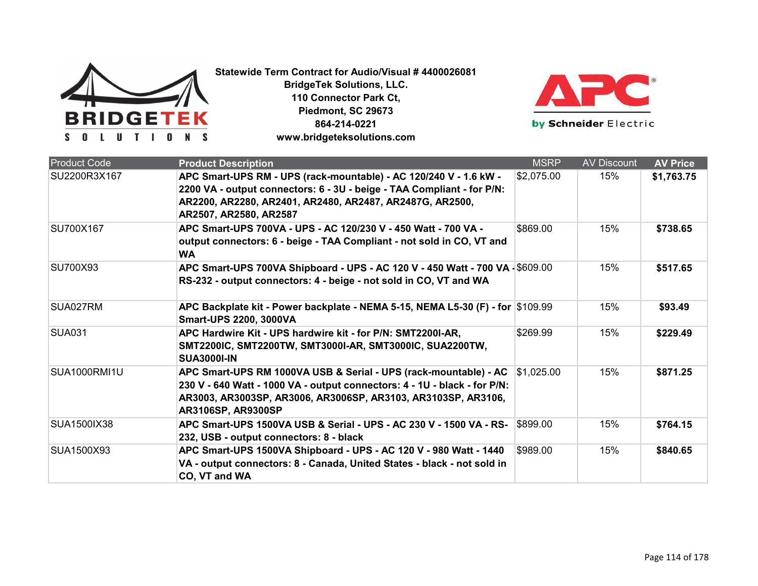



Product Code **Product Description** MSRP AV Discount **AV Price** SU2200R3X167 **APC Smart-UPS RM - UPS (rack-mountable) - AC 120/240 V - 1.6 kW - 2200 VA - output connectors: 6 - 3U - beige - TAA Compliant - for P/N: AR2200, AR2280, AR2401, AR2480, AR2487, AR2487G, AR2500, AR2507, AR2580, AR2587** \$2,075.00 15% **\$1,763.75**  SU700X167 **APC Smart-UPS 700VA - UPS - AC 120/230 V - 450 Watt - 700 VA output connectors: 6 - beige - TAA Compliant - not sold in CO, VT and WA** \$869.00 15% **\$738.65**  SU700X93 |**APC Smart-UPS 700VA Shipboard - UPS - AC 120 V - 450 Watt - 700 VA -<code>\$609.00 | 15% | \$517.65</code> RS-232 - output connectors: 4 - beige - not sold in CO, VT and WA** SUA027RM **APC Backplate kit - Power backplate - NEMA 5-15, NEMA L5-30 (F) - for**  \$109.99 15% **\$93.49 Smart-UPS 2200, 3000VA** SUA031 **APC Hardwire Kit - UPS hardwire kit - for P/N: SMT2200I-AR, SMT2200IC, SMT2200TW, SMT3000I-AR, SMT3000IC, SUA2200TW, SUA3000I-IN** \$269.99 15% **\$229.49**  SUA1000RMI1U **APC Smart-UPS RM 1000VA USB & Serial - UPS (rack-mountable) - AC 230 V - 640 Watt - 1000 VA - output connectors: 4 - 1U - black - for P/N: AR3003, AR3003SP, AR3006, AR3006SP, AR3103, AR3103SP, AR3106, AR3106SP, AR9300SP** \$1,025.00 15% **\$871.25**  SUA1500IX38 **APC Smart-UPS 1500VA USB & Serial - UPS - AC 230 V - 1500 VA - RS-232, USB - output connectors: 8 - black** \$899.00 15% **\$764.15**  SUA1500X93 **APC Smart-UPS 1500VA Shipboard - UPS - AC 120 V - 980 Watt - 1440 VA - output connectors: 8 - Canada, United States - black - not sold in CO, VT and WA** \$989.00 15% **\$840.65**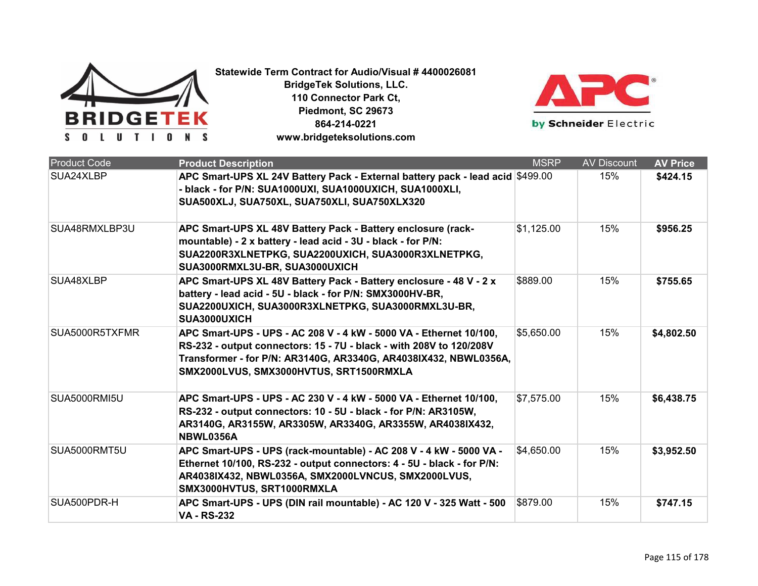



Product Code **Product Description** MSRP AV Discount **AV Price** SUA24XLBP **APC Smart-UPS XL 24V Battery Pack - External battery pack - lead acid \$499.00** \$424.15 **- black - for P/N: SUA1000UXI, SUA1000UXICH, SUA1000XLI, SUA500XLJ, SUA750XL, SUA750XLI, SUA750XLX320** SUA48RMXLBP3U **APC Smart-UPS XL 48V Battery Pack - Battery enclosure (rackmountable) - 2 x battery - lead acid - 3U - black - for P/N: SUA2200R3XLNETPKG, SUA2200UXICH, SUA3000R3XLNETPKG, SUA3000RMXL3U-BR, SUA3000UXICH** \$1,125.00 15% **\$956.25**  SUA48XLBP **APC Smart-UPS XL 48V Battery Pack - Battery enclosure - 48 V - 2 x battery - lead acid - 5U - black - for P/N: SMX3000HV-BR, SUA2200UXICH, SUA3000R3XLNETPKG, SUA3000RMXL3U-BR, SUA3000UXICH** \$889.00 15% **\$755.65**  SUA5000R5TXFMR **APC Smart-UPS - UPS - AC 208 V - 4 kW - 5000 VA - Ethernet 10/100, RS-232 - output connectors: 15 - 7U - black - with 208V to 120/208V Transformer - for P/N: AR3140G, AR3340G, AR4038IX432, NBWL0356A, SMX2000LVUS, SMX3000HVTUS, SRT1500RMXLA** \$5,650.00 15% **\$4,802.50**  SUA5000RMI5U **APC Smart-UPS - UPS - AC 230 V - 4 kW - 5000 VA - Ethernet 10/100, RS-232 - output connectors: 10 - 5U - black - for P/N: AR3105W, AR3140G, AR3155W, AR3305W, AR3340G, AR3355W, AR4038IX432, NBWL0356A** \$7,575.00 15% **\$6,438.75**  SUA5000RMT5U **APC Smart-UPS - UPS (rack-mountable) - AC 208 V - 4 kW - 5000 VA - Ethernet 10/100, RS-232 - output connectors: 4 - 5U - black - for P/N: AR4038IX432, NBWL0356A, SMX2000LVNCUS, SMX2000LVUS, SMX3000HVTUS, SRT1000RMXLA** \$4,650.00 15% **\$3,952.50**  SUA500PDR-H **APC Smart-UPS - UPS (DIN rail mountable) - AC 120 V - 325 Watt - 500 VA - RS-232** \$879.00 15% **\$747.15**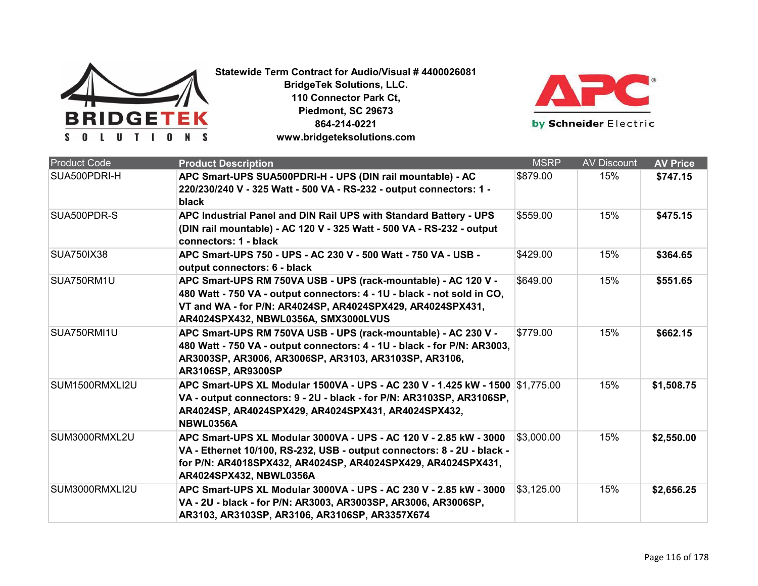



Product Code **Product Description** MSRP AV Discount **AV Price** SUA500PDRI-H **APC Smart-UPS SUA500PDRI-H - UPS (DIN rail mountable) - AC 220/230/240 V - 325 Watt - 500 VA - RS-232 - output connectors: 1 black** \$879.00 15% **\$747.15**  SUA500PDR-S **APC Industrial Panel and DIN Rail UPS with Standard Battery - UPS (DIN rail mountable) - AC 120 V - 325 Watt - 500 VA - RS-232 - output connectors: 1 - black** \$559.00 15% **\$475.15**  SUA750IX38 **APC Smart-UPS 750 - UPS - AC 230 V - 500 Watt - 750 VA - USB output connectors: 6 - black** \$429.00 15% **\$364.65**  SUA750RM1U **APC Smart-UPS RM 750VA USB - UPS (rack-mountable) - AC 120 V - 480 Watt - 750 VA - output connectors: 4 - 1U - black - not sold in CO, VT and WA - for P/N: AR4024SP, AR4024SPX429, AR4024SPX431, AR4024SPX432, NBWL0356A, SMX3000LVUS** \$649.00 15% **\$551.65**  SUA750RMI1U **APC Smart-UPS RM 750VA USB - UPS (rack-mountable) - AC 230 V - 480 Watt - 750 VA - output connectors: 4 - 1U - black - for P/N: AR3003, AR3003SP, AR3006, AR3006SP, AR3103, AR3103SP, AR3106, AR3106SP, AR9300SP** \$779.00 15% **\$662.15**  SUM1500RMXLI2U **APC Smart-UPS XL Modular 1500VA - UPS - AC 230 V - 1.425 kW - 1500**  \$1,775.00 15% **\$1,508.75 VA - output connectors: 9 - 2U - black - for P/N: AR3103SP, AR3106SP, AR4024SP, AR4024SPX429, AR4024SPX431, AR4024SPX432, NBWL0356A** SUM3000RMXL2U **APC Smart-UPS XL Modular 3000VA - UPS - AC 120 V - 2.85 kW - 3000 VA - Ethernet 10/100, RS-232, USB - output connectors: 8 - 2U - black for P/N: AR4018SPX432, AR4024SP, AR4024SPX429, AR4024SPX431, AR4024SPX432, NBWL0356A** \$3,000.00 15% **\$2,550.00**  SUM3000RMXLI2U **APC Smart-UPS XL Modular 3000VA - UPS - AC 230 V - 2.85 kW - 3000 VA - 2U - black - for P/N: AR3003, AR3003SP, AR3006, AR3006SP, AR3103, AR3103SP, AR3106, AR3106SP, AR3357X674** \$3,125.00 15% **\$2,656.25**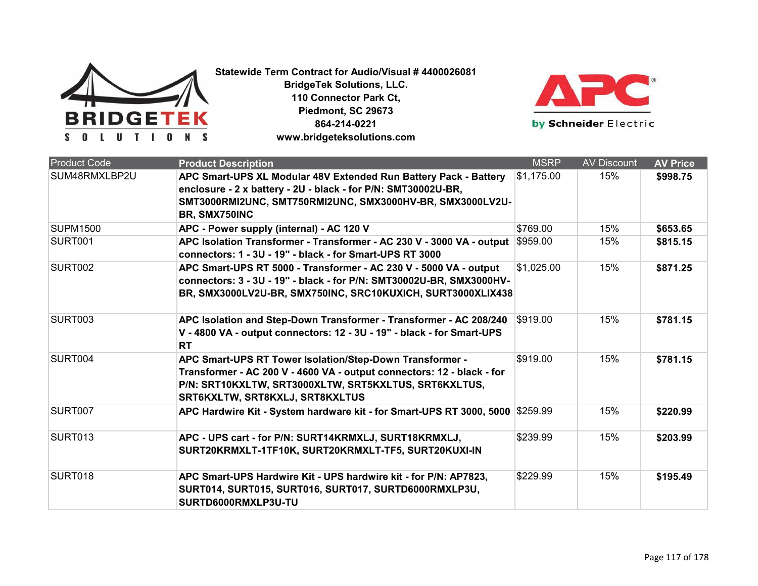



**Product Code <b>Product Description** MSRP AV Discount **AV Price** SUM48RMXLBP2U **APC Smart-UPS XL Modular 48V Extended Run Battery Pack - Battery enclosure - 2 x battery - 2U - black - for P/N: SMT30002U-BR, SMT3000RMI2UNC, SMT750RMI2UNC, SMX3000HV-BR, SMX3000LV2U-BR, SMX750INC** \$1,175.00 15% **\$998.75 SUPM1500 APC - Power supply (internal) - AC 120 V <b>And \$653.65 \$653.65 \$653.65** SURT001 **APC Isolation Transformer - Transformer - AC 230 V - 3000 VA - output**  \$959.00 15% **\$815.15 connectors: 1 - 3U - 19" - black - for Smart-UPS RT 3000** SURT002 **APC Smart-UPS RT 5000 - Transformer - AC 230 V - 5000 VA - output connectors: 3 - 3U - 19" - black - for P/N: SMT30002U-BR, SMX3000HV-BR, SMX3000LV2U-BR, SMX750INC, SRC10KUXICH, SURT3000XLIX438** \$1,025.00 15% **\$871.25**  SURT003 **APC Isolation and Step-Down Transformer - Transformer - AC 208/240 V - 4800 VA - output connectors: 12 - 3U - 19" - black - for Smart-UPS RT** \$919.00 15% **\$781.15**  SURT004 **APC Smart-UPS RT Tower Isolation/Step-Down Transformer - Transformer - AC 200 V - 4600 VA - output connectors: 12 - black - for P/N: SRT10KXLTW, SRT3000XLTW, SRT5KXLTUS, SRT6KXLTUS, SRT6KXLTW, SRT8KXLJ, SRT8KXLTUS** \$919.00 15% **\$781.15 SURT007** APC Hardwire Kit - System hardware kit - for Smart-UPS RT 3000, 5000 \$259.99 15% **\$220.99** SURT013 **APC - UPS cart - for P/N: SURT14KRMXLJ, SURT18KRMXLJ, SURT20KRMXLT-1TF10K, SURT20KRMXLT-TF5, SURT20KUXI-IN** \$239.99 15% **\$203.99**  SURT018 **APC Smart-UPS Hardwire Kit - UPS hardwire kit - for P/N: AP7823, SURT014, SURT015, SURT016, SURT017, SURTD6000RMXLP3U, SURTD6000RMXLP3U-TU** \$229.99 15% **\$195.49**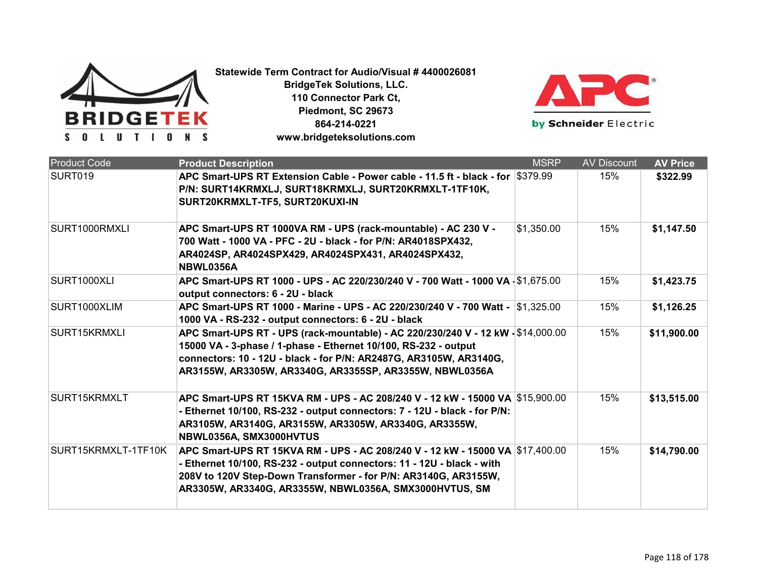



Product Code **Product Description** MSRP AV Discount **AV Price** SURT019 **APC Smart-UPS RT Extension Cable - Power cable - 11.5 ft - black - for P/N: SURT14KRMXLJ, SURT18KRMXLJ, SURT20KRMXLT-1TF10K, SURT20KRMXLT-TF5, SURT20KUXI-IN** \$379.99 15% **\$322.99**  SURT1000RMXLI **APC Smart-UPS RT 1000VA RM - UPS (rack-mountable) - AC 230 V - 700 Watt - 1000 VA - PFC - 2U - black - for P/N: AR4018SPX432, AR4024SP, AR4024SPX429, AR4024SPX431, AR4024SPX432, NBWL0356A** \$1,350.00 15% **\$1,147.50**  SURT1000XLI **APC Smart-UPS RT 1000 - UPS - AC 220/230/240 V - 700 Watt - 1000 VA**  $\frac{1}{3}1,675.00$ **output connectors: 6 - 2U - black** \$1,675.00 15% **\$1,423.75**  SURT1000XLIM **APC Smart-UPS RT 1000 - Marine - UPS - AC 220/230/240 V - 700 Watt - 1000 VA - RS-232 - output connectors: 6 - 2U - black** \$1,325.00 15% **\$1,126.25**  SURT15KRMXLI **APC Smart-UPS RT - UPS (rack-mountable) - AC 220/230/240 V - 12 kW -**  \$14,000.00 15% **\$11,900.00 15000 VA - 3-phase / 1-phase - Ethernet 10/100, RS-232 - output connectors: 10 - 12U - black - for P/N: AR2487G, AR3105W, AR3140G, AR3155W, AR3305W, AR3340G, AR3355SP, AR3355W, NBWL0356A** SURT15KRMXLT **APC Smart-UPS RT 15KVA RM - UPS - AC 208/240 V - 12 kW - 15000 VA - Ethernet 10/100, RS-232 - output connectors: 7 - 12U - black - for P/N: AR3105W, AR3140G, AR3155W, AR3305W, AR3340G, AR3355W, NBWL0356A, SMX3000HVTUS** \$15,900.00 15% **\$13,515.00**  SURT15KRMXLT-1TF10K **APC Smart-UPS RT 15KVA RM - UPS - AC 208/240 V - 12 kW - 15000 VA - Ethernet 10/100, RS-232 - output connectors: 11 - 12U - black - with 208V to 120V Step-Down Transformer - for P/N: AR3140G, AR3155W, AR3305W, AR3340G, AR3355W, NBWL0356A, SMX3000HVTUS, SM** \$17,400.00 15% **\$14,790.00**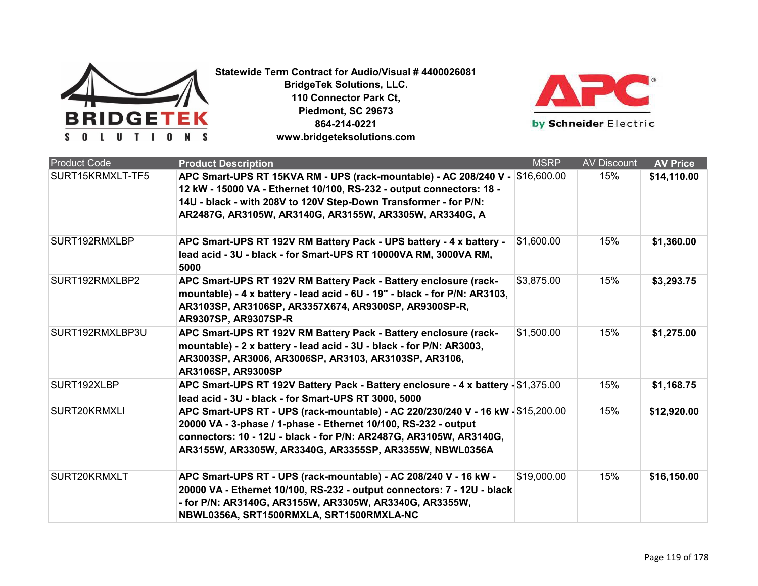



Product Code **Product Description** MSRP AV Discount **AV Price** SURT15KRMXLT-TF5 **APC Smart-UPS RT 15KVA RM - UPS (rack-mountable) - AC 208/240 V - 12 kW - 15000 VA - Ethernet 10/100, RS-232 - output connectors: 18 - 14U - black - with 208V to 120V Step-Down Transformer - for P/N: AR2487G, AR3105W, AR3140G, AR3155W, AR3305W, AR3340G, A** \$16,600.00 15% **\$14,110.00**  SURT192RMXLBP **APC Smart-UPS RT 192V RM Battery Pack - UPS battery - 4 x battery lead acid - 3U - black - for Smart-UPS RT 10000VA RM, 3000VA RM, 5000** \$1,600.00 15% **\$1,360.00**  SURT192RMXLBP2 **APC Smart-UPS RT 192V RM Battery Pack - Battery enclosure (rackmountable) - 4 x battery - lead acid - 6U - 19" - black - for P/N: AR3103, AR3103SP, AR3106SP, AR3357X674, AR9300SP, AR9300SP-R, AR9307SP, AR9307SP-R** \$3,875.00 15% **\$3,293.75**  SURT192RMXLBP3U **APC Smart-UPS RT 192V RM Battery Pack - Battery enclosure (rackmountable) - 2 x battery - lead acid - 3U - black - for P/N: AR3003, AR3003SP, AR3006, AR3006SP, AR3103, AR3103SP, AR3106, AR3106SP, AR9300SP** \$1,500.00 15% **\$1,275.00**  SURT192XLBP **APC Smart-UPS RT 192V Battery Pack - Battery enclosure - 4 x battery - \$1,375.00 lead acid - 3U - black - for Smart-UPS RT 3000, 5000** \$1,375.00 15% **\$1,168.75**  SURT20KRMXLI **APC Smart-UPS RT - UPS (rack-mountable) - AC 220/230/240 V - 16 kW -**  \$15,200.00 15% **\$12,920.00 20000 VA - 3-phase / 1-phase - Ethernet 10/100, RS-232 - output connectors: 10 - 12U - black - for P/N: AR2487G, AR3105W, AR3140G, AR3155W, AR3305W, AR3340G, AR3355SP, AR3355W, NBWL0356A** SURT20KRMXLT **APC Smart-UPS RT - UPS (rack-mountable) - AC 208/240 V - 16 kW - 20000 VA - Ethernet 10/100, RS-232 - output connectors: 7 - 12U - black - for P/N: AR3140G, AR3155W, AR3305W, AR3340G, AR3355W, NBWL0356A, SRT1500RMXLA, SRT1500RMXLA-NC** \$19,000.00 15% **\$16,150.00**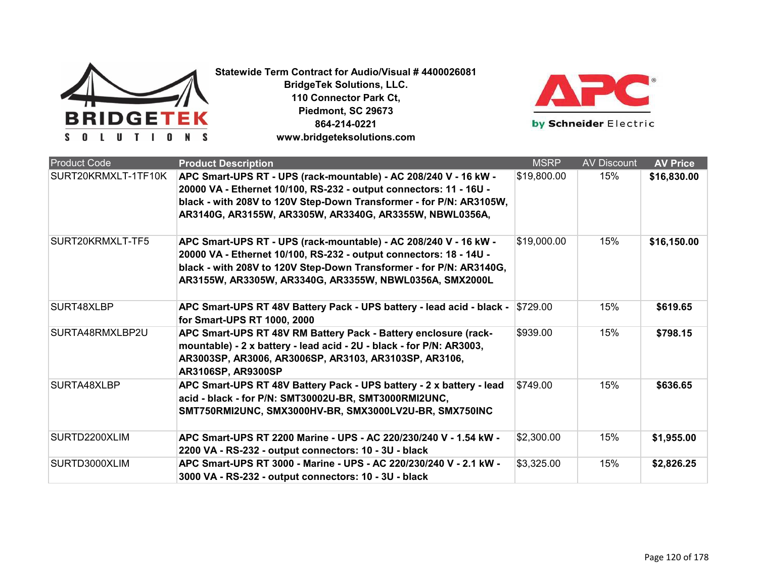



Product Code **Product Description** MSRP AV Discount **AV Price** SURT20KRMXLT-1TF10K **APC Smart-UPS RT - UPS (rack-mountable) - AC 208/240 V - 16 kW - 20000 VA - Ethernet 10/100, RS-232 - output connectors: 11 - 16U black - with 208V to 120V Step-Down Transformer - for P/N: AR3105W, AR3140G, AR3155W, AR3305W, AR3340G, AR3355W, NBWL0356A,** \$19,800.00 15% **\$16,830.00**  SURT20KRMXLT-TF5 **APC Smart-UPS RT - UPS (rack-mountable) - AC 208/240 V - 16 kW - 20000 VA - Ethernet 10/100, RS-232 - output connectors: 18 - 14U black - with 208V to 120V Step-Down Transformer - for P/N: AR3140G, AR3155W, AR3305W, AR3340G, AR3355W, NBWL0356A, SMX2000L** \$19,000.00 15% **\$16,150.00**  SURT48XLBP **APC Smart-UPS RT 48V Battery Pack - UPS battery - lead acid - black -**  $|$729.00$  **15% \$619.65 for Smart-UPS RT 1000, 2000** SURTA48RMXLBP2U **APC Smart-UPS RT 48V RM Battery Pack - Battery enclosure (rackmountable) - 2 x battery - lead acid - 2U - black - for P/N: AR3003, AR3003SP, AR3006, AR3006SP, AR3103, AR3103SP, AR3106, AR3106SP, AR9300SP** \$939.00 15% **\$798.15**  SURTA48XLBP **APC Smart-UPS RT 48V Battery Pack - UPS battery - 2 x battery - lead acid - black - for P/N: SMT30002U-BR, SMT3000RMI2UNC, SMT750RMI2UNC, SMX3000HV-BR, SMX3000LV2U-BR, SMX750INC** \$749.00 15% **\$636.65**  SURTD2200XLIM **APC Smart-UPS RT 2200 Marine - UPS - AC 220/230/240 V - 1.54 kW - 2200 VA - RS-232 - output connectors: 10 - 3U - black** \$2,300.00 15% **\$1,955.00**  SURTD3000XLIM **APC Smart-UPS RT 3000 - Marine - UPS - AC 220/230/240 V - 2.1 kW - 3000 VA - RS-232 - output connectors: 10 - 3U - black** \$3,325.00 15% **\$2,826.25**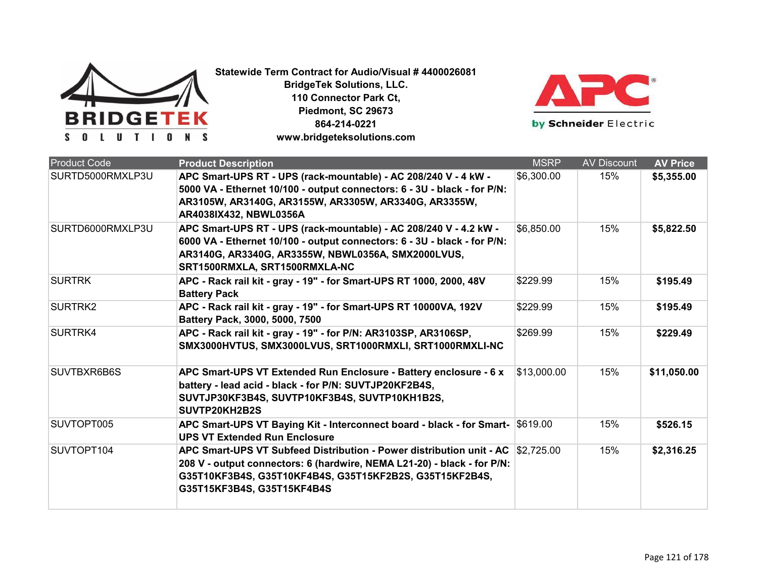



by Schneider Electric

| <b>Product Code</b> | <b>Product Description</b>                                                                                                                                                                                                                           | <b>MSRP</b> | <b>AV Discount</b> | <b>AV Price</b> |
|---------------------|------------------------------------------------------------------------------------------------------------------------------------------------------------------------------------------------------------------------------------------------------|-------------|--------------------|-----------------|
| SURTD5000RMXLP3U    | APC Smart-UPS RT - UPS (rack-mountable) - AC 208/240 V - 4 kW -<br>5000 VA - Ethernet 10/100 - output connectors: 6 - 3U - black - for P/N:<br>AR3105W, AR3140G, AR3155W, AR3305W, AR3340G, AR3355W,<br>AR4038IX432, NBWL0356A                       | \$6,300.00  | 15%                | \$5,355.00      |
| SURTD6000RMXLP3U    | APC Smart-UPS RT - UPS (rack-mountable) - AC 208/240 V - 4.2 kW -<br>6000 VA - Ethernet 10/100 - output connectors: 6 - 3U - black - for P/N:<br>AR3140G, AR3340G, AR3355W, NBWL0356A, SMX2000LVUS,<br>SRT1500RMXLA, SRT1500RMXLA-NC                 | \$6,850.00  | 15%                | \$5,822.50      |
| <b>SURTRK</b>       | APC - Rack rail kit - gray - 19" - for Smart-UPS RT 1000, 2000, 48V<br><b>Battery Pack</b>                                                                                                                                                           | \$229.99    | 15%                | \$195.49        |
| SURTRK2             | APC - Rack rail kit - gray - 19" - for Smart-UPS RT 10000VA, 192V<br>Battery Pack, 3000, 5000, 7500                                                                                                                                                  | \$229.99    | 15%                | \$195.49        |
| SURTRK4             | APC - Rack rail kit - gray - 19" - for P/N: AR3103SP, AR3106SP,<br>SMX3000HVTUS, SMX3000LVUS, SRT1000RMXLI, SRT1000RMXLI-NC                                                                                                                          | \$269.99    | 15%                | \$229.49        |
| SUVTBXR6B6S         | APC Smart-UPS VT Extended Run Enclosure - Battery enclosure - 6 x<br>battery - lead acid - black - for P/N: SUVTJP20KF2B4S,<br>SUVTJP30KF3B4S, SUVTP10KF3B4S, SUVTP10KH1B2S,<br>SUVTP20KH2B2S                                                        | \$13,000.00 | 15%                | \$11,050.00     |
| SUVTOPT005          | APC Smart-UPS VT Baying Kit - Interconnect board - black - for Smart-<br><b>UPS VT Extended Run Enclosure</b>                                                                                                                                        | \$619.00    | 15%                | \$526.15        |
| SUVTOPT104          | APC Smart-UPS VT Subfeed Distribution - Power distribution unit - AC \\$2,725.00<br>208 V - output connectors: 6 (hardwire, NEMA L21-20) - black - for P/N:<br>G35T10KF3B4S, G35T10KF4B4S, G35T15KF2B2S, G35T15KF2B4S,<br>G35T15KF3B4S, G35T15KF4B4S |             | 15%                | \$2,316.25      |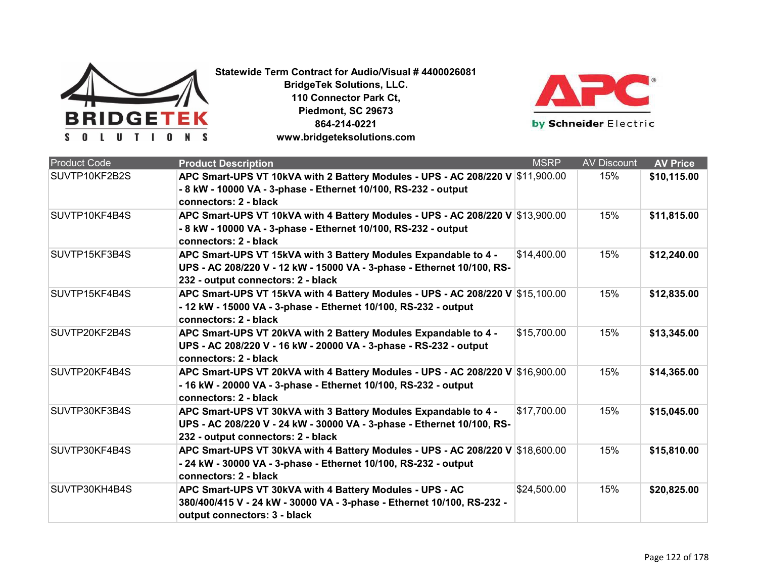



Product Code **Product Description** MSRP AV Discount **AV Price** SUVTP10KF2B2S **APC Smart-UPS VT 10kVA with 2 Battery Modules - UPS - AC 208/220 V - 8 kW - 10000 VA - 3-phase - Ethernet 10/100, RS-232 - output connectors: 2 - black** \$11,900.00 15% **\$10,115.00**  SUVTP10KF4B4S **APC Smart-UPS VT 10kVA with 4 Battery Modules - UPS - AC 208/220 V - 8 kW - 10000 VA - 3-phase - Ethernet 10/100, RS-232 - output connectors: 2 - black** \$13,900.00 15% **\$11,815.00**  SUVTP15KF3B4S **APC Smart-UPS VT 15kVA with 3 Battery Modules Expandable to 4 - UPS - AC 208/220 V - 12 kW - 15000 VA - 3-phase - Ethernet 10/100, RS-232 - output connectors: 2 - black** \$14,400.00 15% **\$12,240.00**  SUVTP15KF4B4S **APC Smart-UPS VT 15kVA with 4 Battery Modules - UPS - AC 208/220 V**  \$15,100.00 15% **\$12,835.00 - 12 kW - 15000 VA - 3-phase - Ethernet 10/100, RS-232 - output connectors: 2 - black** SUVTP20KF2B4S **APC Smart-UPS VT 20kVA with 2 Battery Modules Expandable to 4 - UPS - AC 208/220 V - 16 kW - 20000 VA - 3-phase - RS-232 - output connectors: 2 - black** \$15,700.00 15% **\$13,345.00**  SUVTP20KF4B4S **APC Smart-UPS VT 20kVA with 4 Battery Modules - UPS - AC 208/220 V - 16 kW - 20000 VA - 3-phase - Ethernet 10/100, RS-232 - output connectors: 2 - black** \$16,900.00 15% **\$14,365.00**  SUVTP30KF3B4S **APC Smart-UPS VT 30kVA with 3 Battery Modules Expandable to 4 - UPS - AC 208/220 V - 24 kW - 30000 VA - 3-phase - Ethernet 10/100, RS-232 - output connectors: 2 - black** \$17,700.00 15% **\$15,045.00**  SUVTP30KF4B4S **APC Smart-UPS VT 30kVA with 4 Battery Modules - UPS - AC 208/220 V**  \$18,600.00 15% **\$15,810.00 - 24 kW - 30000 VA - 3-phase - Ethernet 10/100, RS-232 - output connectors: 2 - black** SUVTP30KH4B4S **APC Smart-UPS VT 30kVA with 4 Battery Modules - UPS - AC 380/400/415 V - 24 kW - 30000 VA - 3-phase - Ethernet 10/100, RS-232 output connectors: 3 - black** \$24,500.00 15% **\$20,825.00**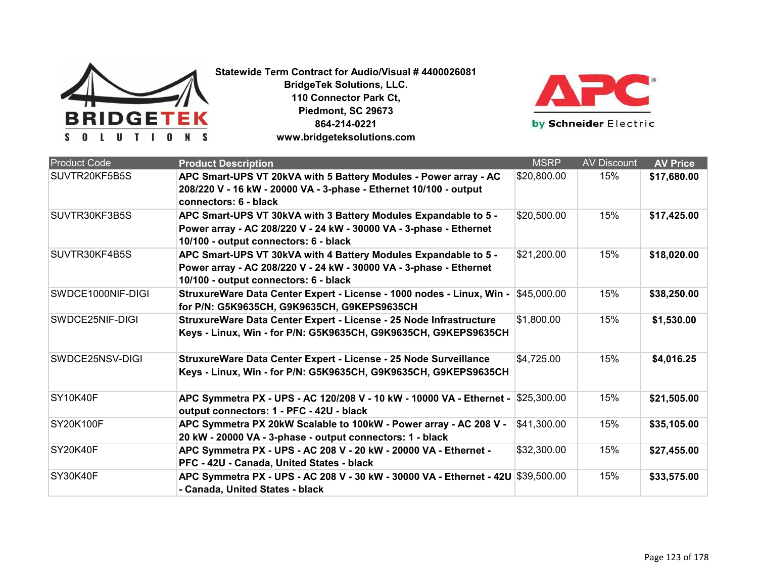



Product Code **Product Description** MSRP AV Discount **AV Price** SUVTR20KF5B5S **APC Smart-UPS VT 20kVA with 5 Battery Modules - Power array - AC 208/220 V - 16 kW - 20000 VA - 3-phase - Ethernet 10/100 - output connectors: 6 - black** \$20,800.00 15% **\$17,680.00**  SUVTR30KF3B5S **APC Smart-UPS VT 30kVA with 3 Battery Modules Expandable to 5 - Power array - AC 208/220 V - 24 kW - 30000 VA - 3-phase - Ethernet 10/100 - output connectors: 6 - black** \$20,500.00 15% **\$17,425.00**  SUVTR30KF4B5S **APC Smart-UPS VT 30kVA with 4 Battery Modules Expandable to 5 - Power array - AC 208/220 V - 24 kW - 30000 VA - 3-phase - Ethernet 10/100 - output connectors: 6 - black** \$21,200.00 15% **\$18,020.00**  SWDCE1000NIF-DIGI **StruxureWare Data Center Expert - License - 1000 nodes - Linux, Win for P/N: G5K9635CH, G9K9635CH, G9KEPS9635CH**  $\vert$ \$45,000.00  $\vert$  15%  $\vert$  \$38,250.00 SWDCE25NIF-DIGI **StruxureWare Data Center Expert - License - 25 Node Infrastructure Keys - Linux, Win - for P/N: G5K9635CH, G9K9635CH, G9KEPS9635CH** \$1,800.00 15% **\$1,530.00**  SWDCE25NSV-DIGI **StruxureWare Data Center Expert - License - 25 Node Surveillance Keys - Linux, Win - for P/N: G5K9635CH, G9K9635CH, G9KEPS9635CH** \$4,725.00 15% **\$4,016.25**  SY10K40F **APC Symmetra PX - UPS - AC 120/208 V - 10 kW - 10000 VA - Ethernet -**  $$25,300.00$  $|$  $15\%$  $|$  **\$21,505.00 output connectors: 1 - PFC - 42U - black** SY20K100F **APC Symmetra PX 20kW Scalable to 100kW - Power array - AC 208 V - 20 kW - 20000 VA - 3-phase - output connectors: 1 - black** \$41,300.00 15% **\$35,105.00**  SY20K40F **APC Symmetra PX - UPS - AC 208 V - 20 kW - 20000 VA - Ethernet - PFC - 42U - Canada, United States - black** \$32,300.00 15% **\$27,455.00**  SY30K40F **APC Symmetra PX - UPS - AC 208 V - 30 kW - 30000 VA - Ethernet - 42U - Canada, United States - black** \$39,500.00 15% **\$33,575.00**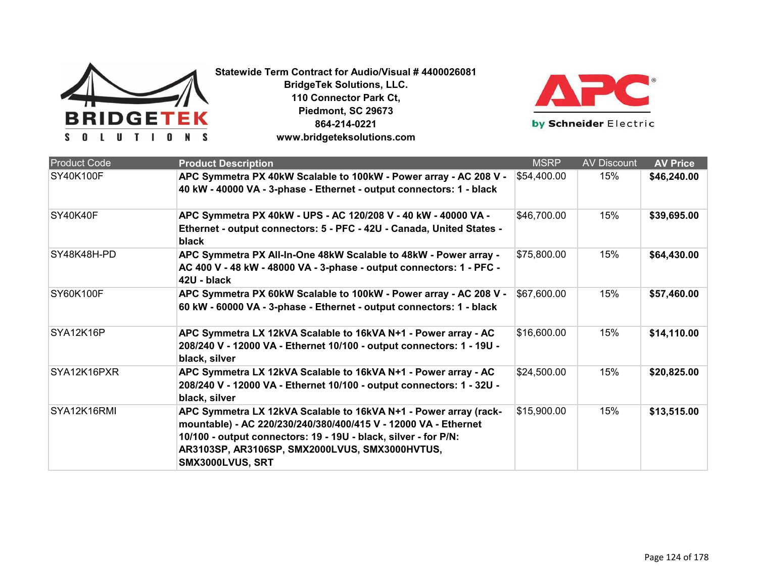



Product Code **Product Description** MSRP AV Discount **AV Price** SY40K100F **APC Symmetra PX 40kW Scalable to 100kW - Power array - AC 208 V - 40 kW - 40000 VA - 3-phase - Ethernet - output connectors: 1 - black** \$54,400.00 15% **\$46,240.00**  SY40K40F **APC Symmetra PX 40kW - UPS - AC 120/208 V - 40 kW - 40000 VA - Ethernet - output connectors: 5 - PFC - 42U - Canada, United States black** \$46,700.00 15% **\$39,695.00**  SY48K48H-PD **APC Symmetra PX All-In-One 48kW Scalable to 48kW - Power array - AC 400 V - 48 kW - 48000 VA - 3-phase - output connectors: 1 - PFC - 42U - black** \$75,800.00 15% **\$64,430.00**  SY60K100F **APC Symmetra PX 60kW Scalable to 100kW - Power array - AC 208 V - 60 kW - 60000 VA - 3-phase - Ethernet - output connectors: 1 - black** \$67,600.00 15% **\$57,460.00**  SYA12K16P **APC Symmetra LX 12kVA Scalable to 16kVA N+1 - Power array - AC 208/240 V - 12000 VA - Ethernet 10/100 - output connectors: 1 - 19U black, silver** \$16,600.00 15% **\$14,110.00**  SYA12K16PXR **APC Symmetra LX 12kVA Scalable to 16kVA N+1 - Power array - AC 208/240 V - 12000 VA - Ethernet 10/100 - output connectors: 1 - 32U black, silver** \$24,500.00 15% **\$20,825.00**  SYA12K16RMI **APC Symmetra LX 12kVA Scalable to 16kVA N+1 - Power array (rackmountable) - AC 220/230/240/380/400/415 V - 12000 VA - Ethernet 10/100 - output connectors: 19 - 19U - black, silver - for P/N: AR3103SP, AR3106SP, SMX2000LVUS, SMX3000HVTUS, SMX3000LVUS, SRT** \$15,900.00 15% **\$13,515.00**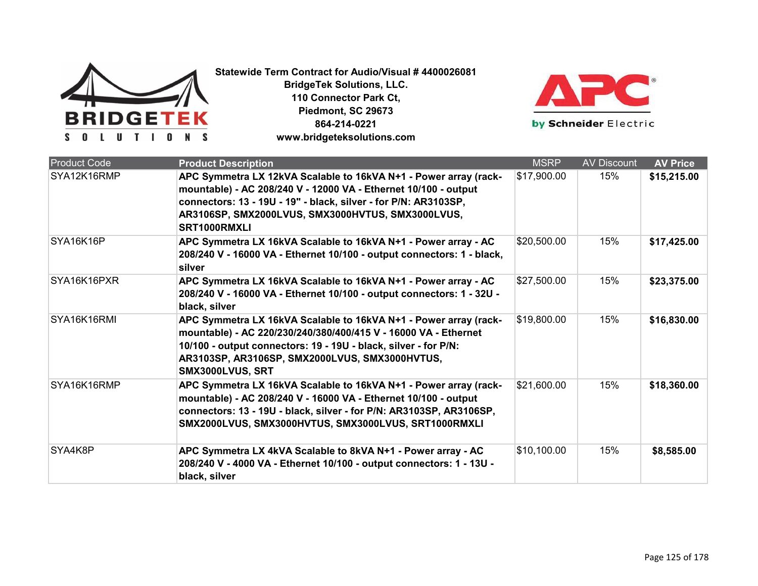



Product Code **Product Description** MSRP AV Discount **AV Price** SYA12K16RMP **APC Symmetra LX 12kVA Scalable to 16kVA N+1 - Power array (rackmountable) - AC 208/240 V - 12000 VA - Ethernet 10/100 - output connectors: 13 - 19U - 19" - black, silver - for P/N: AR3103SP, AR3106SP, SMX2000LVUS, SMX3000HVTUS, SMX3000LVUS, SRT1000RMXLI** \$17,900.00 15% **\$15,215.00**  SYA16K16P **APC Symmetra LX 16kVA Scalable to 16kVA N+1 - Power array - AC 208/240 V - 16000 VA - Ethernet 10/100 - output connectors: 1 - black, silver** \$20,500.00 15% **\$17,425.00**  SYA16K16PXR **APC Symmetra LX 16kVA Scalable to 16kVA N+1 - Power array - AC 208/240 V - 16000 VA - Ethernet 10/100 - output connectors: 1 - 32U black, silver** \$27,500.00 15% **\$23,375.00**  SYA16K16RMI **APC Symmetra LX 16kVA Scalable to 16kVA N+1 - Power array (rackmountable) - AC 220/230/240/380/400/415 V - 16000 VA - Ethernet 10/100 - output connectors: 19 - 19U - black, silver - for P/N: AR3103SP, AR3106SP, SMX2000LVUS, SMX3000HVTUS, SMX3000LVUS, SRT** \$19,800.00 15% **\$16,830.00**  SYA16K16RMP **APC Symmetra LX 16kVA Scalable to 16kVA N+1 - Power array (rackmountable) - AC 208/240 V - 16000 VA - Ethernet 10/100 - output connectors: 13 - 19U - black, silver - for P/N: AR3103SP, AR3106SP, SMX2000LVUS, SMX3000HVTUS, SMX3000LVUS, SRT1000RMXLI** \$21,600.00 15% **\$18,360.00**  SYA4K8P **APC Symmetra LX 4kVA Scalable to 8kVA N+1 - Power array - AC 208/240 V - 4000 VA - Ethernet 10/100 - output connectors: 1 - 13U black, silver** \$10,100.00 15% **\$8,585.00**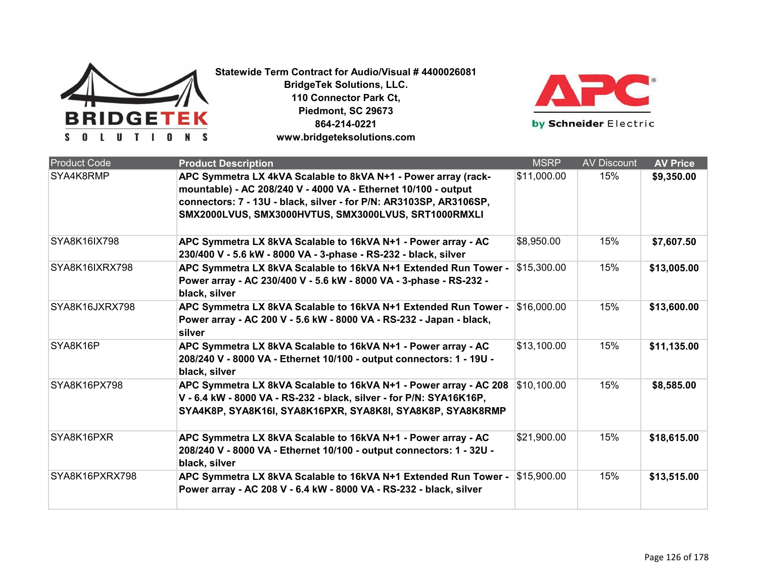



Product Code **Product Description** MSRP AV Discount **AV Price** SYA4K8RMP **APC Symmetra LX 4kVA Scalable to 8kVA N+1 - Power array (rackmountable) - AC 208/240 V - 4000 VA - Ethernet 10/100 - output connectors: 7 - 13U - black, silver - for P/N: AR3103SP, AR3106SP, SMX2000LVUS, SMX3000HVTUS, SMX3000LVUS, SRT1000RMXLI** \$11,000.00 15% **\$9,350.00**  SYA8K16IX798 **APC Symmetra LX 8kVA Scalable to 16kVA N+1 - Power array - AC 230/400 V - 5.6 kW - 8000 VA - 3-phase - RS-232 - black, silver** \$8,950.00 15% **\$7,607.50**  SYA8K16IXRX798 **APC Symmetra LX 8kVA Scalable to 16kVA N+1 Extended Run Tower - Power array - AC 230/400 V - 5.6 kW - 8000 VA - 3-phase - RS-232 black, silver** \$15,300.00 15% **\$13,005.00**  SYA8K16JXRX798 **APC Symmetra LX 8kVA Scalable to 16kVA N+1 Extended Run Tower - Power array - AC 200 V - 5.6 kW - 8000 VA - RS-232 - Japan - black, silver** \$16,000.00 15% **\$13,600.00**  SYA8K16P **APC Symmetra LX 8kVA Scalable to 16kVA N+1 - Power array - AC 208/240 V - 8000 VA - Ethernet 10/100 - output connectors: 1 - 19U black, silver** \$13,100.00 15% **\$11,135.00**  SYA8K16PX798 **APC Symmetra LX 8kVA Scalable to 16kVA N+1 - Power array - AC 208**  \$10,100.00 15% **\$8,585.00 V - 6.4 kW - 8000 VA - RS-232 - black, silver - for P/N: SYA16K16P, SYA4K8P, SYA8K16I, SYA8K16PXR, SYA8K8I, SYA8K8P, SYA8K8RMP** SYA8K16PXR **APC Symmetra LX 8kVA Scalable to 16kVA N+1 - Power array - AC 208/240 V - 8000 VA - Ethernet 10/100 - output connectors: 1 - 32U black, silver** \$21,900.00 15% **\$18,615.00**  SYA8K16PXRX798 **APC Symmetra LX 8kVA Scalable to 16kVA N+1 Extended Run Tower - \$15,900.00 Power array - AC 208 V - 6.4 kW - 8000 VA - RS-232 - black, silver** \$15,900.00 15% **\$13,515.00**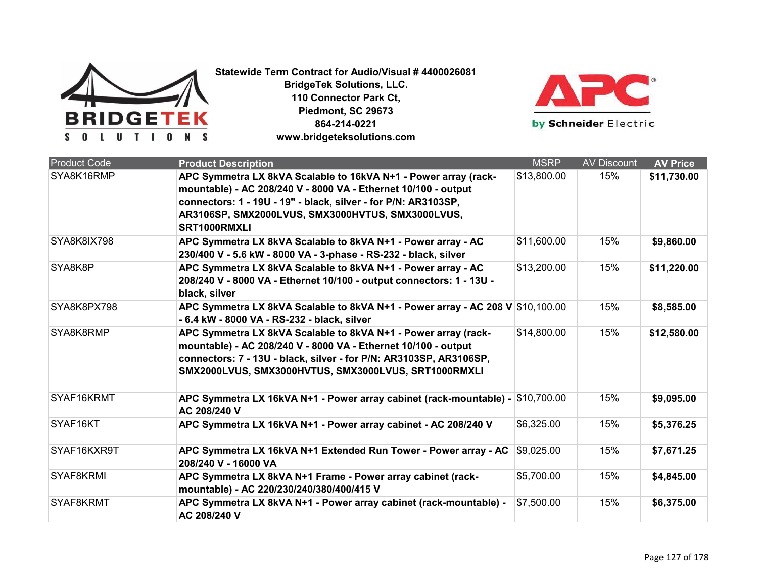



Product Code **Product Description** MSRP AV Discount **AV Price** SYA8K16RMP **APC Symmetra LX 8kVA Scalable to 16kVA N+1 - Power array (rackmountable) - AC 208/240 V - 8000 VA - Ethernet 10/100 - output connectors: 1 - 19U - 19" - black, silver - for P/N: AR3103SP, AR3106SP, SMX2000LVUS, SMX3000HVTUS, SMX3000LVUS, SRT1000RMXLI** \$13,800.00 15% **\$11,730.00**  SYA8K8IX798 **APC Symmetra LX 8kVA Scalable to 8kVA N+1 - Power array - AC 230/400 V - 5.6 kW - 8000 VA - 3-phase - RS-232 - black, silver** \$11,600.00 15% **\$9,860.00**  SYA8K8P **APC Symmetra LX 8kVA Scalable to 8kVA N+1 - Power array - AC 208/240 V - 8000 VA - Ethernet 10/100 - output connectors: 1 - 13U black, silver** \$13,200.00 15% **\$11,220.00**  SYA8K8PX798 **|APC Symmetra LX 8kVA Scalable to 8kVA N+1 - Power array - AC 208 V \$10,100.00 | 15% | \$8,585.00 - 6.4 kW - 8000 VA - RS-232 - black, silver** SYA8K8RMP **APC Symmetra LX 8kVA Scalable to 8kVA N+1 - Power array (rackmountable) - AC 208/240 V - 8000 VA - Ethernet 10/100 - output connectors: 7 - 13U - black, silver - for P/N: AR3103SP, AR3106SP, SMX2000LVUS, SMX3000HVTUS, SMX3000LVUS, SRT1000RMXLI** \$14,800.00 15% **\$12,580.00**  SYAF16KRMT **APC Symmetra LX 16kVA N+1 - Power array cabinet (rack-mountable) -**  \$10,700.00 15% **\$9,095.00 AC 208/240 V** SYAF16KT **APC Symmetra LX 16kVA N+1 - Power array cabinet - AC 208/240 V** \$6,325.00 15% **\$5,376.25**  SYAF16KXR9T **APC Symmetra LX 16kVA N+1 Extended Run Tower - Power array - AC 208/240 V - 16000 VA** \$9,025.00 15% **\$7,671.25**  SYAF8KRMI **APC Symmetra LX 8kVA N+1 Frame - Power array cabinet (rackmountable) - AC 220/230/240/380/400/415 V** \$5,700.00 15% **\$4,845.00**  SYAF8KRMT **APC Symmetra LX 8kVA N+1 - Power array cabinet (rack-mountable) - AC 208/240 V** \$7,500.00 15% **\$6,375.00**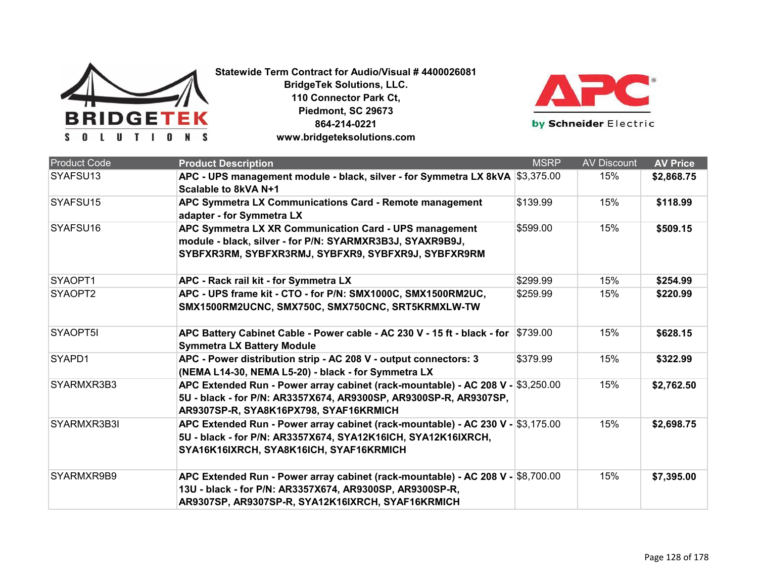



Product Code **Product Description** MSRP AV Discount **AV Price** SYAFSU13 **APC - UPS management module - black, silver - for Symmetra LX 8kVA**  \$3,375.00 15% **\$2,868.75 Scalable to 8kVA N+1** SYAFSU15 **APC Symmetra LX Communications Card - Remote management adapter - for Symmetra LX** \$139.99 15% **\$118.99**  SYAFSU16 **APC Symmetra LX XR Communication Card - UPS management module - black, silver - for P/N: SYARMXR3B3J, SYAXR9B9J, SYBFXR3RM, SYBFXR3RMJ, SYBFXR9, SYBFXR9J, SYBFXR9RM** \$599.00 15% **\$509.15 SYAOPT1 APC - Rack rail kit - for Symmetra LX \$299.99** 15% **\$254.99** SYAOPT2 **APC - UPS frame kit - CTO - for P/N: SMX1000C, SMX1500RM2UC, SMX1500RM2UCNC, SMX750C, SMX750CNC, SRT5KRMXLW-TW** \$259.99 15% **\$220.99**  SYAOPT5I **APC Battery Cabinet Cable - Power cable - AC 230 V - 15 ft - black - for Symmetra LX Battery Module** \$739.00 15% **\$628.15**  SYAPD1 **APC - Power distribution strip - AC 208 V - output connectors: 3 (NEMA L14-30, NEMA L5-20) - black - for Symmetra LX** \$379.99 15% **\$322.99**  SYARMXR3B3 **APC Extended Run - Power array cabinet (rack-mountable) - AC 208 V -**  \$3,250.00 15% **\$2,762.50 5U - black - for P/N: AR3357X674, AR9300SP, AR9300SP-R, AR9307SP, AR9307SP-R, SYA8K16PX798, SYAF16KRMICH** SYARMXR3B3I **APC Extended Run - Power array cabinet (rack-mountable) - AC 230 V - 5U - black - for P/N: AR3357X674, SYA12K16ICH, SYA12K16IXRCH, SYA16K16IXRCH, SYA8K16ICH, SYAF16KRMICH** \$3,175.00 15% **\$2,698.75**  SYARMXR9B9 **APC Extended Run - Power array cabinet (rack-mountable) - AC 208 V -**  \$8,700.00 15% **\$7,395.00** 

> **13U - black - for P/N: AR3357X674, AR9300SP, AR9300SP-R, AR9307SP, AR9307SP-R, SYA12K16IXRCH, SYAF16KRMICH**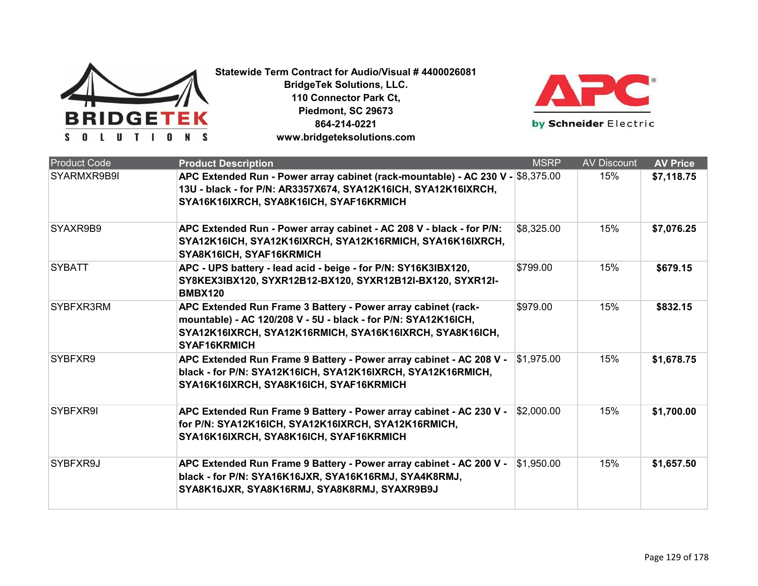



Product Code **Product Description** MSRP AV Discount **AV Price** SYARMXR9B9I **APC Extended Run - Power array cabinet (rack-mountable) - AC 230 V - 13U - black - for P/N: AR3357X674, SYA12K16ICH, SYA12K16IXRCH, SYA16K16IXRCH, SYA8K16ICH, SYAF16KRMICH** \$8,375.00 15% **\$7,118.75**  SYAXR9B9 **APC Extended Run - Power array cabinet - AC 208 V - black - for P/N: SYA12K16ICH, SYA12K16IXRCH, SYA12K16RMICH, SYA16K16IXRCH, SYA8K16ICH, SYAF16KRMICH** \$8,325.00 15% **\$7,076.25**  SYBATT **APC - UPS battery - lead acid - beige - for P/N: SY16K3IBX120, SY8KEX3IBX120, SYXR12B12-BX120, SYXR12B12I-BX120, SYXR12I-BMBX120** \$799.00 15% **\$679.15**  SYBFXR3RM **APC Extended Run Frame 3 Battery - Power array cabinet (rackmountable) - AC 120/208 V - 5U - black - for P/N: SYA12K16ICH, SYA12K16IXRCH, SYA12K16RMICH, SYA16K16IXRCH, SYA8K16ICH, SYAF16KRMICH** \$979.00 15% **\$832.15**  SYBFXR9 **APC Extended Run Frame 9 Battery - Power array cabinet - AC 208 V black - for P/N: SYA12K16ICH, SYA12K16IXRCH, SYA12K16RMICH, SYA16K16IXRCH, SYA8K16ICH, SYAF16KRMICH** \$1,975.00 15% **\$1,678.75**  SYBFXR9I **APC Extended Run Frame 9 Battery - Power array cabinet - AC 230 V for P/N: SYA12K16ICH, SYA12K16IXRCH, SYA12K16RMICH, SYA16K16IXRCH, SYA8K16ICH, SYAF16KRMICH** \$2,000.00 15% **\$1,700.00**  SYBFXR9J **APC Extended Run Frame 9 Battery - Power array cabinet - AC 200 V black - for P/N: SYA16K16JXR, SYA16K16RMJ, SYA4K8RMJ, SYA8K16JXR, SYA8K16RMJ, SYA8K8RMJ, SYAXR9B9J** \$1,950.00 15% **\$1,657.50**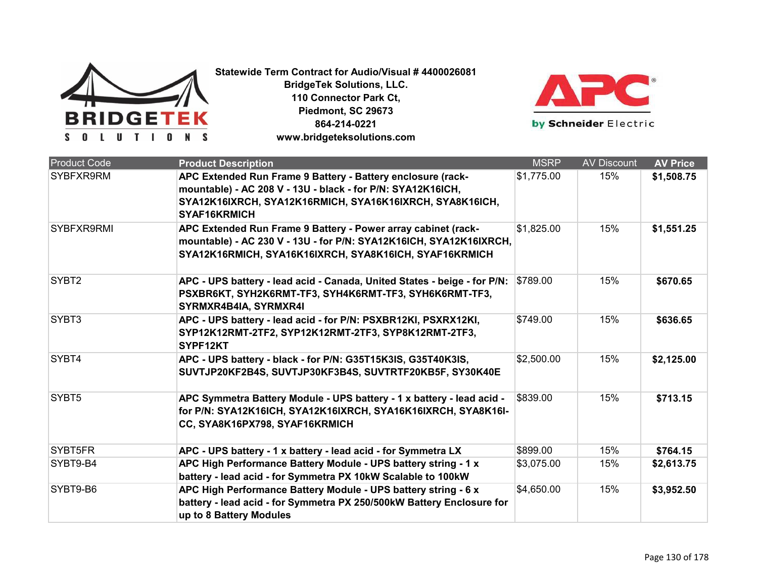



Product Code **Product Description** MSRP AV Discount **AV Price** SYBFXR9RM **APC Extended Run Frame 9 Battery - Battery enclosure (rackmountable) - AC 208 V - 13U - black - for P/N: SYA12K16ICH, SYA12K16IXRCH, SYA12K16RMICH, SYA16K16IXRCH, SYA8K16ICH, SYAF16KRMICH** \$1,775.00 15% **\$1,508.75**  SYBFXR9RMI **APC Extended Run Frame 9 Battery - Power array cabinet (rackmountable) - AC 230 V - 13U - for P/N: SYA12K16ICH, SYA12K16IXRCH, SYA12K16RMICH, SYA16K16IXRCH, SYA8K16ICH, SYAF16KRMICH** \$1,825.00 15% **\$1,551.25**  SYBT2 **APC-UPS battery-lead acid-Canada, United States-beige-for P/N: \$789.00 15% \$670.65 PSXBR6KT, SYH2K6RMT-TF3, SYH4K6RMT-TF3, SYH6K6RMT-TF3, SYRMXR4B4IA, SYRMXR4I** SYBT3 **APC - UPS battery - lead acid - for P/N: PSXBR12KI, PSXRX12KI, SYP12K12RMT-2TF2, SYP12K12RMT-2TF3, SYP8K12RMT-2TF3, SYPF12KT** \$749.00 15% **\$636.65**  SYBT4 **APC - UPS battery - black - for P/N: G35T15K3IS, G35T40K3IS, SUVTJP20KF2B4S, SUVTJP30KF3B4S, SUVTRTF20KB5F, SY30K40E** \$2,500.00 15% **\$2,125.00**  SYBT5 **APC Symmetra Battery Module - UPS battery - 1 x battery - lead acid for P/N: SYA12K16ICH, SYA12K16IXRCH, SYA16K16IXRCH, SYA8K16I-CC, SYA8K16PX798, SYAF16KRMICH** \$839.00 15% **\$713.15**  SYBT5FR **APC - UPS battery - 1 x battery - lead acid - for Symmetra LX \$899.00 15% \$764.15** SYBT9-B4 **APC High Performance Battery Module - UPS battery string - 1 x battery - lead acid - for Symmetra PX 10kW Scalable to 100kW** \$3,075.00 15% **\$2,613.75**  SYBT9-B6 **APC High Performance Battery Module - UPS battery string - 6 x battery - lead acid - for Symmetra PX 250/500kW Battery Enclosure for up to 8 Battery Modules** \$4,650.00 15% **\$3,952.50**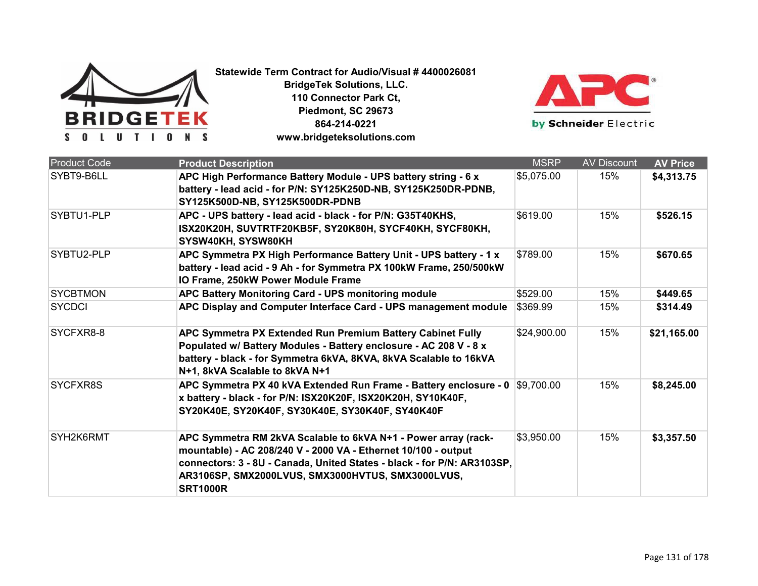



Product Code **Product Description** MSRP AV Discount **AV Price** SYBT9-B6LL **APC High Performance Battery Module - UPS battery string - 6 x battery - lead acid - for P/N: SY125K250D-NB, SY125K250DR-PDNB, SY125K500D-NB, SY125K500DR-PDNB** \$5,075.00 15% **\$4,313.75**  SYBTU1-PLP **APC - UPS battery - lead acid - black - for P/N: G35T40KHS, ISX20K20H, SUVTRTF20KB5F, SY20K80H, SYCF40KH, SYCF80KH, SYSW40KH, SYSW80KH** \$619.00 15% **\$526.15**  SYBTU2-PLP **APC Symmetra PX High Performance Battery Unit - UPS battery - 1 x battery - lead acid - 9 Ah - for Symmetra PX 100kW Frame, 250/500kW IO Frame, 250kW Power Module Frame** \$789.00 15% **\$670.65**  SYCBTMON **APC Battery Monitoring Card - UPS monitoring module** \$529.00 15% \$449.65 **APC Display and Computer Interface Card - UPS management module \$369.99** 15% **\$314.49** SYCFXR8-8 **APC Symmetra PX Extended Run Premium Battery Cabinet Fully Populated w/ Battery Modules - Battery enclosure - AC 208 V - 8 x battery - black - for Symmetra 6kVA, 8KVA, 8kVA Scalable to 16kVA N+1, 8kVA Scalable to 8kVA N+1** \$24,900.00 15% **\$21,165.00**  SYCFXR8S **APC Symmetra PX 40 kVA Extended Run Frame - Battery enclosure - 0 \$9,700.00 15% \$8,245.00 x battery - black - for P/N: ISX20K20F, ISX20K20H, SY10K40F, SY20K40E, SY20K40F, SY30K40E, SY30K40F, SY40K40F** SYH2K6RMT **APC Symmetra RM 2kVA Scalable to 6kVA N+1 - Power array (rackmountable) - AC 208/240 V - 2000 VA - Ethernet 10/100 - output connectors: 3 - 8U - Canada, United States - black - for P/N: AR3103SP, AR3106SP, SMX2000LVUS, SMX3000HVTUS, SMX3000LVUS, SRT1000R** \$3,950.00 15% **\$3,357.50**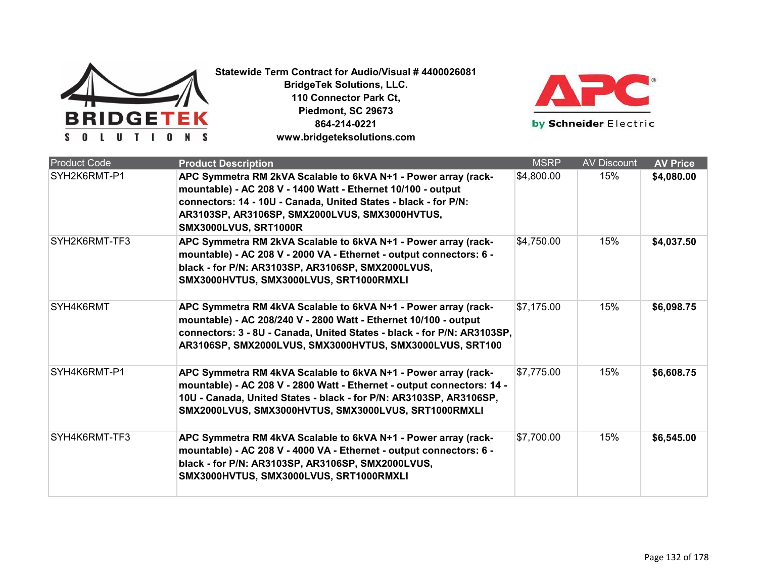



Product Code **Product Description** MSRP AV Discount **AV Price** SYH2K6RMT-P1 **APC Symmetra RM 2kVA Scalable to 6kVA N+1 - Power array (rackmountable) - AC 208 V - 1400 Watt - Ethernet 10/100 - output connectors: 14 - 10U - Canada, United States - black - for P/N: AR3103SP, AR3106SP, SMX2000LVUS, SMX3000HVTUS, SMX3000LVUS, SRT1000R** \$4,800.00 15% **\$4,080.00**  SYH2K6RMT-TF3 **APC Symmetra RM 2kVA Scalable to 6kVA N+1 - Power array (rackmountable) - AC 208 V - 2000 VA - Ethernet - output connectors: 6 black - for P/N: AR3103SP, AR3106SP, SMX2000LVUS, SMX3000HVTUS, SMX3000LVUS, SRT1000RMXLI** \$4,750.00 15% **\$4,037.50**  SYH4K6RMT **APC Symmetra RM 4kVA Scalable to 6kVA N+1 - Power array (rackmountable) - AC 208/240 V - 2800 Watt - Ethernet 10/100 - output connectors: 3 - 8U - Canada, United States - black - for P/N: AR3103SP, AR3106SP, SMX2000LVUS, SMX3000HVTUS, SMX3000LVUS, SRT100** \$7,175.00 15% **\$6,098.75**  SYH4K6RMT-P1 **APC Symmetra RM 4kVA Scalable to 6kVA N+1 - Power array (rackmountable) - AC 208 V - 2800 Watt - Ethernet - output connectors: 14 - 10U - Canada, United States - black - for P/N: AR3103SP, AR3106SP, SMX2000LVUS, SMX3000HVTUS, SMX3000LVUS, SRT1000RMXLI** \$7,775.00 15% **\$6,608.75**  SYH4K6RMT-TF3 **APC Symmetra RM 4kVA Scalable to 6kVA N+1 - Power array (rackmountable) - AC 208 V - 4000 VA - Ethernet - output connectors: 6 black - for P/N: AR3103SP, AR3106SP, SMX2000LVUS, SMX3000HVTUS, SMX3000LVUS, SRT1000RMXLI** \$7,700.00 15% **\$6,545.00**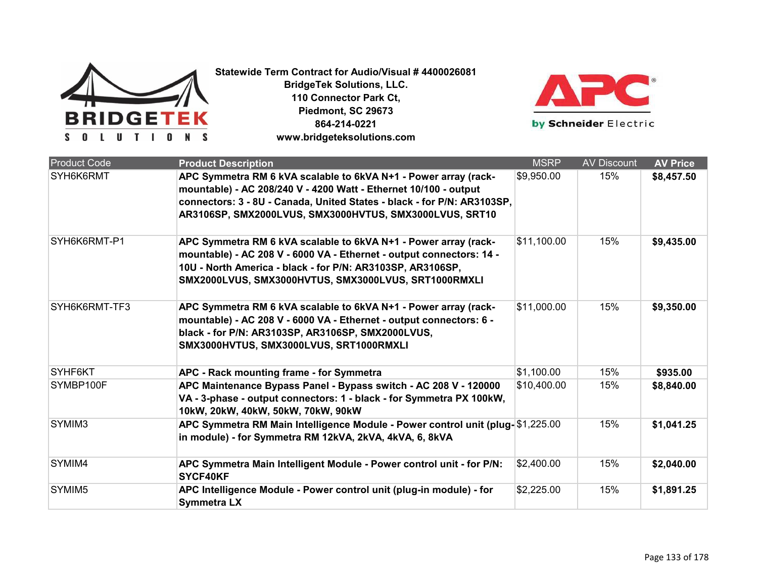



Product Code **Product Description** MSRP AV Discount **AV Price** SYH6K6RMT **APC Symmetra RM 6 kVA scalable to 6kVA N+1 - Power array (rackmountable) - AC 208/240 V - 4200 Watt - Ethernet 10/100 - output connectors: 3 - 8U - Canada, United States - black - for P/N: AR3103SP, AR3106SP, SMX2000LVUS, SMX3000HVTUS, SMX3000LVUS, SRT10** \$9,950.00 15% **\$8,457.50**  SYH6K6RMT-P1 **APC Symmetra RM 6 kVA scalable to 6kVA N+1 - Power array (rackmountable) - AC 208 V - 6000 VA - Ethernet - output connectors: 14 - 10U - North America - black - for P/N: AR3103SP, AR3106SP, SMX2000LVUS, SMX3000HVTUS, SMX3000LVUS, SRT1000RMXLI** \$11,100.00 15% **\$9,435.00**  SYH6K6RMT-TF3 **APC Symmetra RM 6 kVA scalable to 6kVA N+1 - Power array (rackmountable) - AC 208 V - 6000 VA - Ethernet - output connectors: 6 black - for P/N: AR3103SP, AR3106SP, SMX2000LVUS, SMX3000HVTUS, SMX3000LVUS, SRT1000RMXLI** \$11,000.00 15% **\$9,350.00**  SYHF6KT **APC - Rack mounting frame - for Symmetra Apple 15%** 15% **\$935.00 \$935.00** SYMBP100F **APC Maintenance Bypass Panel - Bypass switch - AC 208 V - 120000 VA - 3-phase - output connectors: 1 - black - for Symmetra PX 100kW, 10kW, 20kW, 40kW, 50kW, 70kW, 90kW** \$10,400.00 15% **\$8,840.00**  SYMIM3 **APC Symmetra RM Main Intelligence Module - Power control unit (plug-**\$1,225.00 15% **\$1,041.25 in module) - for Symmetra RM 12kVA, 2kVA, 4kVA, 6, 8kVA** SYMIM4 **APC Symmetra Main Intelligent Module - Power control unit - for P/N: SYCF40KF** \$2,400.00 15% **\$2,040.00**  SYMIM5 **APC Intelligence Module - Power control unit (plug-in module) - for Symmetra LX** \$2,225.00 15% **\$1,891.25**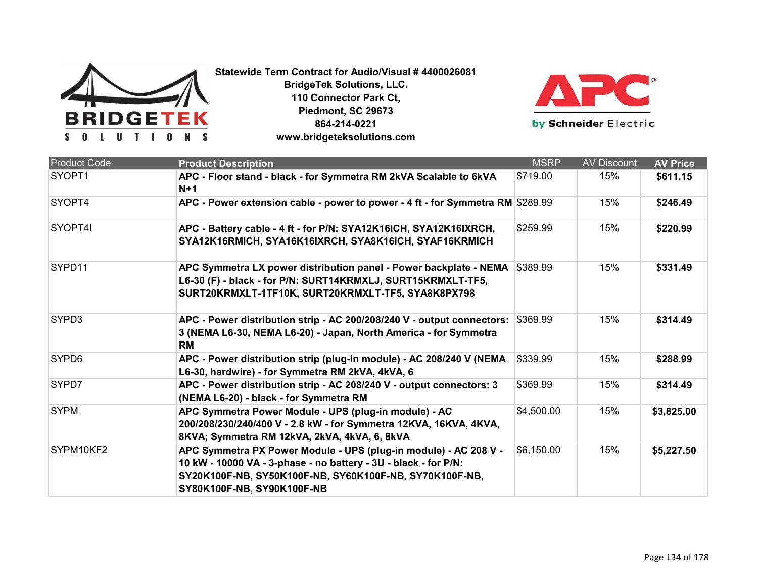



Product Code **Product Description** MSRP AV Discount **AV Price** SYOPT1 **APC - Floor stand - black - for Symmetra RM 2kVA Scalable to 6kVA N+1** \$719.00 15% **\$611.15 APC - Power extension cable - power to power - 4 ft - for Symmetra RM \$289.99** 15% **8246.49** SYOPT4I **APC - Battery cable - 4 ft - for P/N: SYA12K16ICH, SYA12K16IXRCH, SYA12K16RMICH, SYA16K16IXRCH, SYA8K16ICH, SYAF16KRMICH** \$259.99 15% **\$220.99**  SYPD11 **APC Symmetra LX power distribution panel - Power backplate - NEMA L6-30 (F) - black - for P/N: SURT14KRMXLJ, SURT15KRMXLT-TF5, SURT20KRMXLT-1TF10K, SURT20KRMXLT-TF5, SYA8K8PX798** \$389.99 15% **\$331.49**  SYPD3 **APC - Power distribution strip - AC 200/208/240 V - output connectors:**  \$369.99 15% **\$314.49 3 (NEMA L6-30, NEMA L6-20) - Japan, North America - for Symmetra RM** SYPD6 **APC - Power distribution strip (plug-in module) - AC 208/240 V (NEMA L6-30, hardwire) - for Symmetra RM 2kVA, 4kVA, 6** \$339.99 15% **\$288.99**  SYPD7 **APC - Power distribution strip - AC 208/240 V - output connectors: 3 (NEMA L6-20) - black - for Symmetra RM** \$369.99 15% **\$314.49**  SYPM **APC Symmetra Power Module - UPS (plug-in module) - AC 200/208/230/240/400 V - 2.8 kW - for Symmetra 12KVA, 16KVA, 4KVA, 8KVA; Symmetra RM 12kVA, 2kVA, 4kVA, 6, 8kVA** \$4,500.00 15% **\$3,825.00**  SYPM10KF2 **APC Symmetra PX Power Module - UPS (plug-in module) - AC 208 V - 10 kW - 10000 VA - 3-phase - no battery - 3U - black - for P/N: SY20K100F-NB, SY50K100F-NB, SY60K100F-NB, SY70K100F-NB, SY80K100F-NB, SY90K100F-NB** \$6,150.00 15% **\$5,227.50**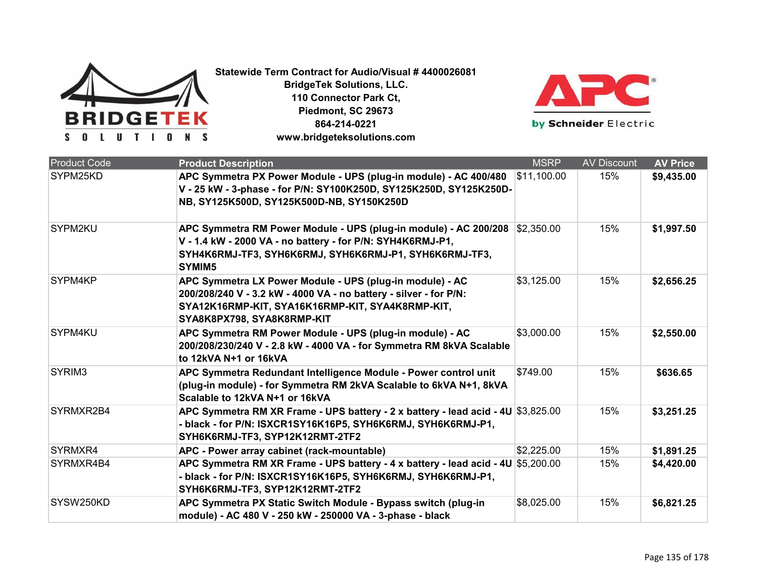



Product Code **Product Description** MSRP AV Discount **AV Price** SYPM25KD **APC Symmetra PX Power Module - UPS (plug-in module) - AC 400/480 V - 25 kW - 3-phase - for P/N: SY100K250D, SY125K250D, SY125K250D-NB, SY125K500D, SY125K500D-NB, SY150K250D** \$11,100.00 15% **\$9,435.00**  SYPM2KU **APC Symmetra RM Power Module - UPS (plug-in module) - AC 200/208 V - 1.4 kW - 2000 VA - no battery - for P/N: SYH4K6RMJ-P1, SYH4K6RMJ-TF3, SYH6K6RMJ, SYH6K6RMJ-P1, SYH6K6RMJ-TF3, SYMIM5** \$2,350.00 15% **\$1,997.50**  SYPM4KP **APC Symmetra LX Power Module - UPS (plug-in module) - AC 200/208/240 V - 3.2 kW - 4000 VA - no battery - silver - for P/N: SYA12K16RMP-KIT, SYA16K16RMP-KIT, SYA4K8RMP-KIT, SYA8K8PX798, SYA8K8RMP-KIT** \$3,125.00 15% **\$2,656.25**  SYPM4KU **APC Symmetra RM Power Module - UPS (plug-in module) - AC 200/208/230/240 V - 2.8 kW - 4000 VA - for Symmetra RM 8kVA Scalable to 12kVA N+1 or 16kVA** \$3,000.00 15% **\$2,550.00**  SYRIM3 **APC Symmetra Redundant Intelligence Module - Power control unit (plug-in module) - for Symmetra RM 2kVA Scalable to 6kVA N+1, 8kVA Scalable to 12kVA N+1 or 16kVA** \$749.00 15% **\$636.65**  SYRMXR2B4 **APC Symmetra RM XR Frame - UPS battery - 2 x battery - lead acid - 4U**  \$3,825.00 15% **\$3,251.25 - black - for P/N: ISXCR1SY16K16P5, SYH6K6RMJ, SYH6K6RMJ-P1, SYH6K6RMJ-TF3, SYP12K12RMT-2TF2 SYRMXR4 APC - Power array cabinet (rack-mountable)** 452,225.00 15% **\$1,891.25** SYRMXR4B4 **APC Symmetra RM XR Frame - UPS battery - 4 x battery - lead acid - 4U - black - for P/N: ISXCR1SY16K16P5, SYH6K6RMJ, SYH6K6RMJ-P1, SYH6K6RMJ-TF3, SYP12K12RMT-2TF2** \$5,200.00 15% **\$4,420.00**  SYSW250KD **APC Symmetra PX Static Switch Module - Bypass switch (plug-in module) - AC 480 V - 250 kW - 250000 VA - 3-phase - black** \$8,025.00 15% **\$6,821.25**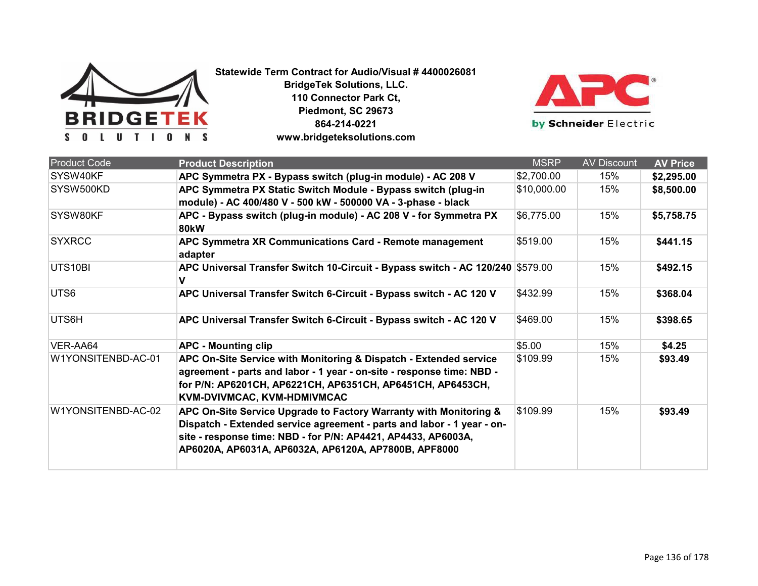



Product Code **Product Description** MSRP AV Discount **AV Price** SYSW40KF **APC Symmetra PX - Bypass switch (plug-in module) - AC 208 V** \$2,700.00 15% **\$2,295.00**  SYSW500KD **APC Symmetra PX Static Switch Module - Bypass switch (plug-in module) - AC 400/480 V - 500 kW - 500000 VA - 3-phase - black** \$10,000.00 15% **\$8,500.00**  SYSW80KF **APC - Bypass switch (plug-in module) - AC 208 V - for Symmetra PX 80kW** \$6,775.00 15% **\$5,758.75**  SYXRCC **APC Symmetra XR Communications Card - Remote management adapter** \$519.00 15% **\$441.15**  UTS10Bl |**APC Universal Transfer Switch 10-Circuit - Bypass switch - AC 120/240 |\$579.00 | 15% | \$492.15 V** UTS6 **APC Universal Transfer Switch 6-Circuit - Bypass switch - AC 120 V**  $\,$  **\$432.99 15% \$368.04 <b>\$368.04** UTS6H **APC Universal Transfer Switch 6-Circuit - Bypass switch - AC 120 V \$469.00 15% \$398.65 <b>\$398.65** VER-AA64 **APC - Mounting clip** \$5.00 15% **\$4.25**  W1YONSITENBD-AC-01 **APC On-Site Service with Monitoring & Dispatch - Extended service agreement - parts and labor - 1 year - on-site - response time: NBD for P/N: AP6201CH, AP6221CH, AP6351CH, AP6451CH, AP6453CH, KVM-DVIVMCAC, KVM-HDMIVMCAC** \$109.99 15% **\$93.49**  W1YONSITENBD-AC-02 **APC On-Site Service Upgrade to Factory Warranty with Monitoring & Dispatch - Extended service agreement - parts and labor - 1 year - onsite - response time: NBD - for P/N: AP4421, AP4433, AP6003A, AP6020A, AP6031A, AP6032A, AP6120A, AP7800B, APF8000** \$109.99 15% **\$93.49**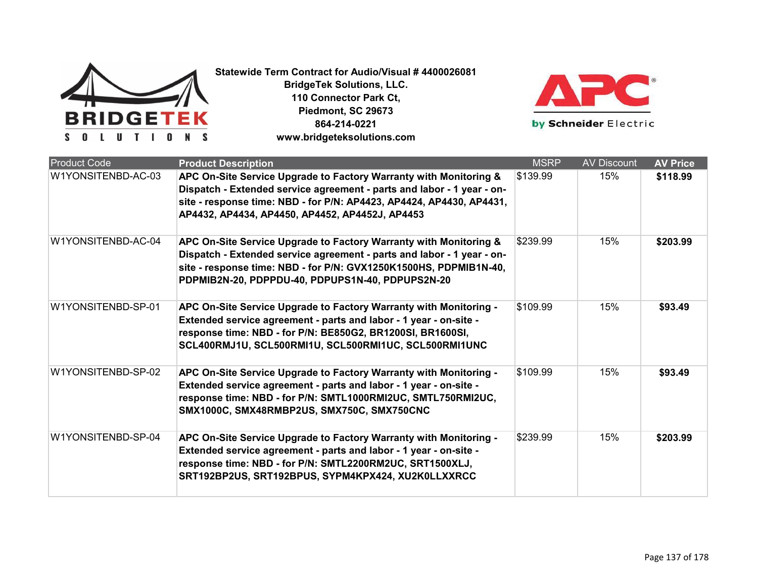



by Schneider Electric

| <b>Product Code</b> | <b>Product Description</b>                                                                                                                                                                                                                                             | <b>MSRP</b> | <b>AV Discount</b> | <b>AV Price</b> |
|---------------------|------------------------------------------------------------------------------------------------------------------------------------------------------------------------------------------------------------------------------------------------------------------------|-------------|--------------------|-----------------|
| W1YONSITENBD-AC-03  | APC On-Site Service Upgrade to Factory Warranty with Monitoring &<br>Dispatch - Extended service agreement - parts and labor - 1 year - on-<br>site - response time: NBD - for P/N: AP4423, AP4424, AP4430, AP4431,<br>AP4432, AP4434, AP4450, AP4452, AP4452J, AP4453 | \$139.99    | 15%                | \$118.99        |
| W1YONSITENBD-AC-04  | APC On-Site Service Upgrade to Factory Warranty with Monitoring &<br>Dispatch - Extended service agreement - parts and labor - 1 year - on-<br>site - response time: NBD - for P/N: GVX1250K1500HS, PDPMIB1N-40,<br>PDPMIB2N-20, PDPPDU-40, PDPUPS1N-40, PDPUPS2N-20   | \$239.99    | 15%                | \$203.99        |
| W1YONSITENBD-SP-01  | APC On-Site Service Upgrade to Factory Warranty with Monitoring -<br>Extended service agreement - parts and labor - 1 year - on-site -<br>response time: NBD - for P/N: BE850G2, BR1200SI, BR1600SI,<br>SCL400RMJ1U, SCL500RMI1U, SCL500RMI1UC, SCL500RMI1UNC          | \$109.99    | 15%                | \$93.49         |
| W1YONSITENBD-SP-02  | APC On-Site Service Upgrade to Factory Warranty with Monitoring -<br>Extended service agreement - parts and labor - 1 year - on-site -<br>response time: NBD - for P/N: SMTL1000RMI2UC, SMTL750RMI2UC,<br>SMX1000C, SMX48RMBP2US, SMX750C, SMX750CNC                   | \$109.99    | 15%                | \$93.49         |
| W1YONSITENBD-SP-04  | APC On-Site Service Upgrade to Factory Warranty with Monitoring -<br>Extended service agreement - parts and labor - 1 year - on-site -<br>response time: NBD - for P/N: SMTL2200RM2UC, SRT1500XLJ,<br>SRT192BP2US, SRT192BPUS, SYPM4KPX424, XU2K0LLXXRCC               | \$239.99    | 15%                | \$203.99        |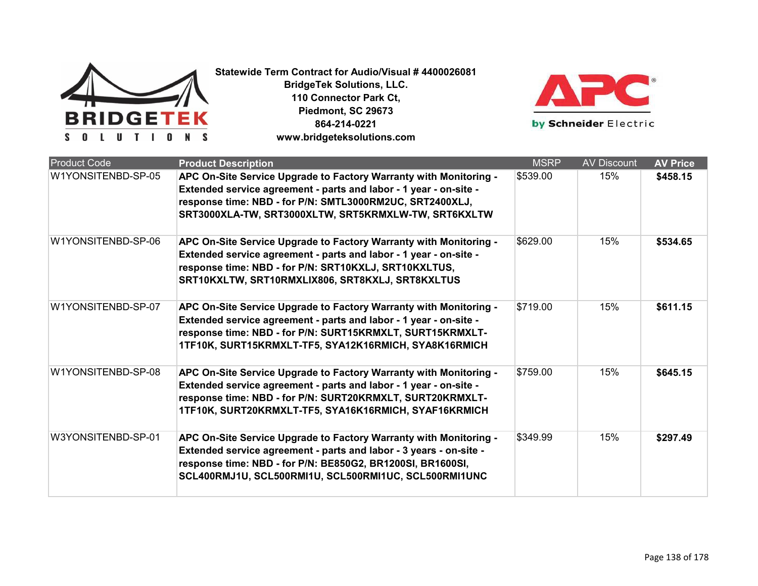



Product Code **Product Description** MSRP AV Discount **AV Price** W1YONSITENBD-SP-05 **APC On-Site Service Upgrade to Factory Warranty with Monitoring - Extended service agreement - parts and labor - 1 year - on-site response time: NBD - for P/N: SMTL3000RM2UC, SRT2400XLJ, SRT3000XLA-TW, SRT3000XLTW, SRT5KRMXLW-TW, SRT6KXLTW** \$539.00 15% **\$458.15**  W1YONSITENBD-SP-06 **APC On-Site Service Upgrade to Factory Warranty with Monitoring - Extended service agreement - parts and labor - 1 year - on-site response time: NBD - for P/N: SRT10KXLJ, SRT10KXLTUS, SRT10KXLTW, SRT10RMXLIX806, SRT8KXLJ, SRT8KXLTUS** \$629.00 15% **\$534.65**  W1YONSITENBD-SP-07 **APC On-Site Service Upgrade to Factory Warranty with Monitoring - Extended service agreement - parts and labor - 1 year - on-site response time: NBD - for P/N: SURT15KRMXLT, SURT15KRMXLT-1TF10K, SURT15KRMXLT-TF5, SYA12K16RMICH, SYA8K16RMICH** \$719.00 15% **\$611.15**  W1YONSITENBD-SP-08 **APC On-Site Service Upgrade to Factory Warranty with Monitoring - Extended service agreement - parts and labor - 1 year - on-site response time: NBD - for P/N: SURT20KRMXLT, SURT20KRMXLT-1TF10K, SURT20KRMXLT-TF5, SYA16K16RMICH, SYAF16KRMICH** \$759.00 15% **\$645.15**  W3YONSITENBD-SP-01 **APC On-Site Service Upgrade to Factory Warranty with Monitoring - Extended service agreement - parts and labor - 3 years - on-site response time: NBD - for P/N: BE850G2, BR1200SI, BR1600SI, SCL400RMJ1U, SCL500RMI1U, SCL500RMI1UC, SCL500RMI1UNC** \$349.99 15% **\$297.49**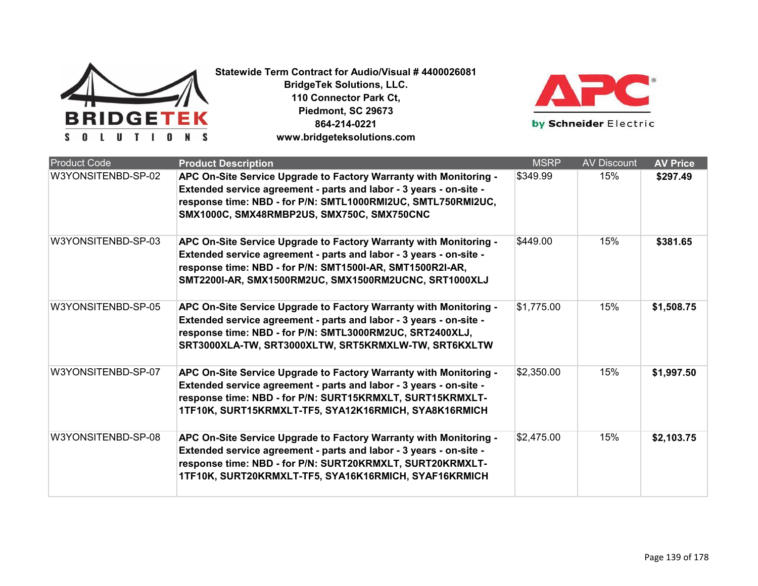



Product Code **Product Description** MSRP AV Discount **AV Price** W3YONSITENBD-SP-02 **APC On-Site Service Upgrade to Factory Warranty with Monitoring - Extended service agreement - parts and labor - 3 years - on-site response time: NBD - for P/N: SMTL1000RMI2UC, SMTL750RMI2UC, SMX1000C, SMX48RMBP2US, SMX750C, SMX750CNC** \$349.99 15% **\$297.49**  W3YONSITENBD-SP-03 **APC On-Site Service Upgrade to Factory Warranty with Monitoring - Extended service agreement - parts and labor - 3 years - on-site response time: NBD - for P/N: SMT1500I-AR, SMT1500R2I-AR, SMT2200I-AR, SMX1500RM2UC, SMX1500RM2UCNC, SRT1000XLJ** \$449.00 15% **\$381.65**  W3YONSITENBD-SP-05 **APC On-Site Service Upgrade to Factory Warranty with Monitoring - Extended service agreement - parts and labor - 3 years - on-site response time: NBD - for P/N: SMTL3000RM2UC, SRT2400XLJ, SRT3000XLA-TW, SRT3000XLTW, SRT5KRMXLW-TW, SRT6KXLTW** \$1,775.00 15% **\$1,508.75**  W3YONSITENBD-SP-07 **APC On-Site Service Upgrade to Factory Warranty with Monitoring - Extended service agreement - parts and labor - 3 years - on-site response time: NBD - for P/N: SURT15KRMXLT, SURT15KRMXLT-1TF10K, SURT15KRMXLT-TF5, SYA12K16RMICH, SYA8K16RMICH** \$2,350.00 15% **\$1,997.50**  W3YONSITENBD-SP-08 **APC On-Site Service Upgrade to Factory Warranty with Monitoring - Extended service agreement - parts and labor - 3 years - on-site response time: NBD - for P/N: SURT20KRMXLT, SURT20KRMXLT-1TF10K, SURT20KRMXLT-TF5, SYA16K16RMICH, SYAF16KRMICH** \$2,475.00 15% **\$2,103.75**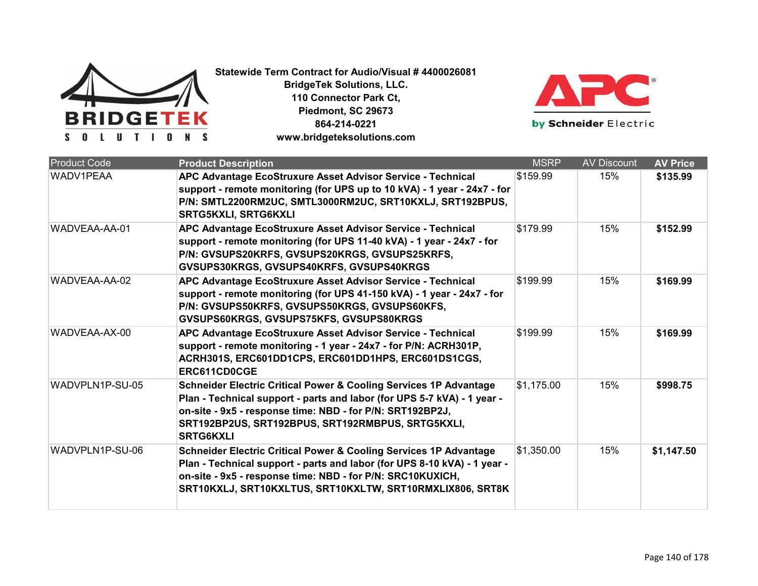



**Product Code Product Description MSRP** AV Discount **AV Price** \$159.99 15% **\$135.99**  \$179.99 15% **\$152.99**  \$199.99 15% **\$169.99**  \$199.99 15% **\$169.99** 

| WADV1PEAA       | APC Advantage EcoStruxure Asset Advisor Service - Technical<br>support - remote monitoring (for UPS up to 10 kVA) - 1 year - 24x7 - for<br>P/N: SMTL2200RM2UC, SMTL3000RM2UC, SRT10KXLJ, SRT192BPUS,<br><b>SRTG5KXLI, SRTG6KXLI</b>                                                           | \$159.99   | 15% | \$135.99   |
|-----------------|-----------------------------------------------------------------------------------------------------------------------------------------------------------------------------------------------------------------------------------------------------------------------------------------------|------------|-----|------------|
| WADVEAA-AA-01   | APC Advantage EcoStruxure Asset Advisor Service - Technical<br>support - remote monitoring (for UPS 11-40 kVA) - 1 year - 24x7 - for<br>P/N: GVSUPS20KRFS, GVSUPS20KRGS, GVSUPS25KRFS,<br>GVSUPS30KRGS, GVSUPS40KRFS, GVSUPS40KRGS                                                            | \$179.99   | 15% | \$152.99   |
| WADVEAA-AA-02   | APC Advantage EcoStruxure Asset Advisor Service - Technical<br>support - remote monitoring (for UPS 41-150 kVA) - 1 year - 24x7 - for<br>P/N: GVSUPS50KRFS, GVSUPS50KRGS, GVSUPS60KFS,<br>GVSUPS60KRGS, GVSUPS75KFS, GVSUPS80KRGS                                                             | \$199.99   | 15% | \$169.99   |
| WADVEAA-AX-00   | APC Advantage EcoStruxure Asset Advisor Service - Technical<br>support - remote monitoring - 1 year - 24x7 - for P/N: ACRH301P,<br>ACRH301S, ERC601DD1CPS, ERC601DD1HPS, ERC601DS1CGS,<br>ERC611CD0CGE                                                                                        | \$199.99   | 15% | \$169.99   |
| WADVPLN1P-SU-05 | <b>Schneider Electric Critical Power &amp; Cooling Services 1P Advantage</b><br>Plan - Technical support - parts and labor (for UPS 5-7 kVA) - 1 year -<br>on-site - 9x5 - response time: NBD - for P/N: SRT192BP2J,<br>SRT192BP2US, SRT192BPUS, SRT192RMBPUS, SRTG5KXLI,<br><b>SRTG6KXLI</b> | \$1,175.00 | 15% | \$998.75   |
| WADVPLN1P-SU-06 | <b>Schneider Electric Critical Power &amp; Cooling Services 1P Advantage</b><br>Plan - Technical support - parts and labor (for UPS 8-10 kVA) - 1 year -<br>on-site - 9x5 - response time: NBD - for P/N: SRC10KUXICH,<br>SRT10KXLJ, SRT10KXLTUS, SRT10KXLTW, SRT10RMXLIX806, SRT8K           | \$1,350.00 | 15% | \$1,147.50 |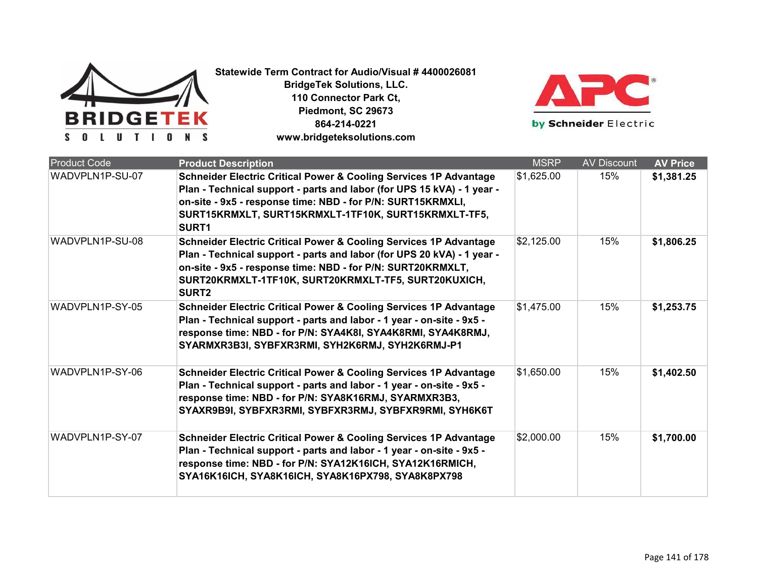



**Product Code <b>Product Description** MSRP AV Discount **AV Price** WADVPLN1P-SU-07 **Schneider Electric Critical Power & Cooling Services 1P Advantage Plan - Technical support - parts and labor (for UPS 15 kVA) - 1 year on-site - 9x5 - response time: NBD - for P/N: SURT15KRMXLI, SURT15KRMXLT, SURT15KRMXLT-1TF10K, SURT15KRMXLT-TF5, SURT1** \$1,625.00 15% **\$1,381.25**  WADVPLN1P-SU-08 **Schneider Electric Critical Power & Cooling Services 1P Advantage Plan - Technical support - parts and labor (for UPS 20 kVA) - 1 year on-site - 9x5 - response time: NBD - for P/N: SURT20KRMXLT, SURT20KRMXLT-1TF10K, SURT20KRMXLT-TF5, SURT20KUXICH, SURT2** \$2,125.00 15% **\$1,806.25**  WADVPLN1P-SY-05 **Schneider Electric Critical Power & Cooling Services 1P Advantage Plan - Technical support - parts and labor - 1 year - on-site - 9x5 response time: NBD - for P/N: SYA4K8I, SYA4K8RMI, SYA4K8RMJ, SYARMXR3B3I, SYBFXR3RMI, SYH2K6RMJ, SYH2K6RMJ-P1** \$1,475.00 15% **\$1,253.75**  WADVPLN1P-SY-06 **Schneider Electric Critical Power & Cooling Services 1P Advantage Plan - Technical support - parts and labor - 1 year - on-site - 9x5 response time: NBD - for P/N: SYA8K16RMJ, SYARMXR3B3, SYAXR9B9I, SYBFXR3RMI, SYBFXR3RMJ, SYBFXR9RMI, SYH6K6T** \$1,650.00 15% **\$1,402.50**  WADVPLN1P-SY-07 **Schneider Electric Critical Power & Cooling Services 1P Advantage Plan - Technical support - parts and labor - 1 year - on-site - 9x5 response time: NBD - for P/N: SYA12K16ICH, SYA12K16RMICH, SYA16K16ICH, SYA8K16ICH, SYA8K16PX798, SYA8K8PX798** \$2,000.00 15% **\$1,700.00**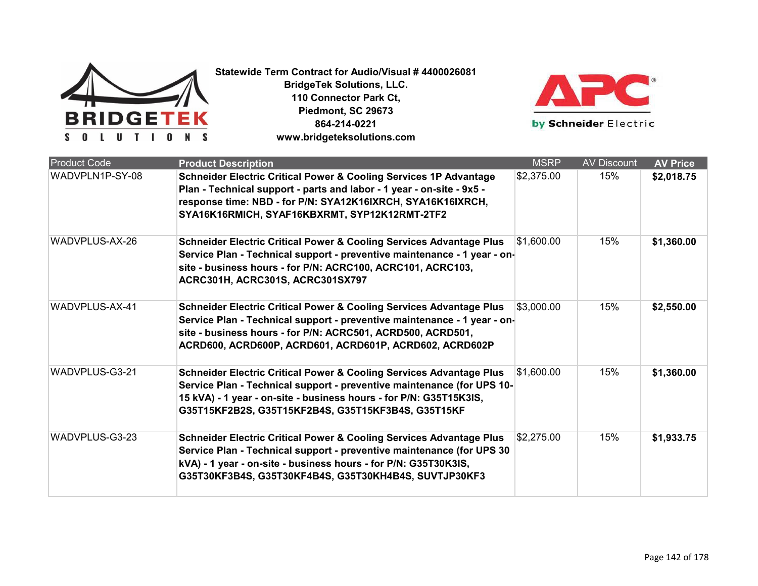



Product Code **Product Description** MSRP AV Discount **AV Price** WADVPLN1P-SY-08 **Schneider Electric Critical Power & Cooling Services 1P Advantage Plan - Technical support - parts and labor - 1 year - on-site - 9x5 response time: NBD - for P/N: SYA12K16IXRCH, SYA16K16IXRCH, SYA16K16RMICH, SYAF16KBXRMT, SYP12K12RMT-2TF2** \$2,375.00 15% **\$2,018.75**  WADVPLUS-AX-26 **Schneider Electric Critical Power & Cooling Services Advantage Plus Service Plan - Technical support - preventive maintenance - 1 year - onsite - business hours - for P/N: ACRC100, ACRC101, ACRC103, ACRC301H, ACRC301S, ACRC301SX797** \$1,600.00 15% **\$1,360.00**  WADVPLUS-AX-41 **Schneider Electric Critical Power & Cooling Services Advantage Plus Service Plan - Technical support - preventive maintenance - 1 year - onsite - business hours - for P/N: ACRC501, ACRD500, ACRD501, ACRD600, ACRD600P, ACRD601, ACRD601P, ACRD602, ACRD602P** \$3,000.00 15% **\$2,550.00**  WADVPLUS-G3-21 **Schneider Electric Critical Power & Cooling Services Advantage Plus Service Plan - Technical support - preventive maintenance (for UPS 10- 15 kVA) - 1 year - on-site - business hours - for P/N: G35T15K3IS, G35T15KF2B2S, G35T15KF2B4S, G35T15KF3B4S, G35T15KF** \$1,600.00 15% **\$1,360.00**  WADVPLUS-G3-23 **Schneider Electric Critical Power & Cooling Services Advantage Plus Service Plan - Technical support - preventive maintenance (for UPS 30 kVA) - 1 year - on-site - business hours - for P/N: G35T30K3IS, G35T30KF3B4S, G35T30KF4B4S, G35T30KH4B4S, SUVTJP30KF3** \$2,275.00 15% **\$1,933.75**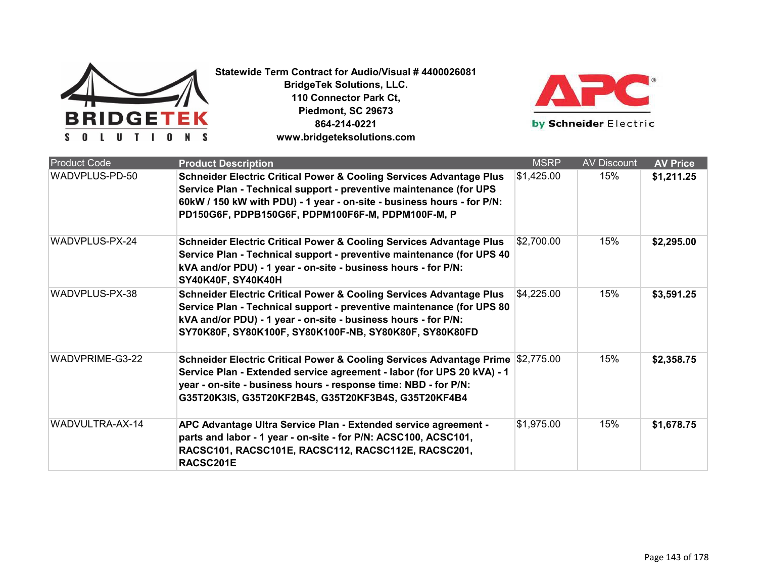



Product Code **Product Description** MSRP AV Discount **AV Price** WADVPLUS-PD-50 **Schneider Electric Critical Power & Cooling Services Advantage Plus Service Plan - Technical support - preventive maintenance (for UPS 60kW / 150 kW with PDU) - 1 year - on-site - business hours - for P/N: PD150G6F, PDPB150G6F, PDPM100F6F-M, PDPM100F-M, P** \$1,425.00 15% **\$1,211.25**  WADVPLUS-PX-24 **Schneider Electric Critical Power & Cooling Services Advantage Plus Service Plan - Technical support - preventive maintenance (for UPS 40 kVA and/or PDU) - 1 year - on-site - business hours - for P/N: SY40K40F, SY40K40H** \$2,700.00 15% **\$2,295.00**  WADVPLUS-PX-38 **Schneider Electric Critical Power & Cooling Services Advantage Plus Service Plan - Technical support - preventive maintenance (for UPS 80 kVA and/or PDU) - 1 year - on-site - business hours - for P/N: SY70K80F, SY80K100F, SY80K100F-NB, SY80K80F, SY80K80FD \$4,225.00** 15% **\$3,591.25** WADVPRIME-G3-22 **Schneider Electric Critical Power & Cooling Services Advantage Prime Service Plan - Extended service agreement - labor (for UPS 20 kVA) - 1 year - on-site - business hours - response time: NBD - for P/N: G35T20K3IS, G35T20KF2B4S, G35T20KF3B4S, G35T20KF4B4** \$2,775.00 15% **\$2,358.75**  WADVULTRA-AX-14 **APC Advantage Ultra Service Plan - Extended service agreement parts and labor - 1 year - on-site - for P/N: ACSC100, ACSC101, RACSC101, RACSC101E, RACSC112, RACSC112E, RACSC201, RACSC201E** \$1,975.00 15% **\$1,678.75**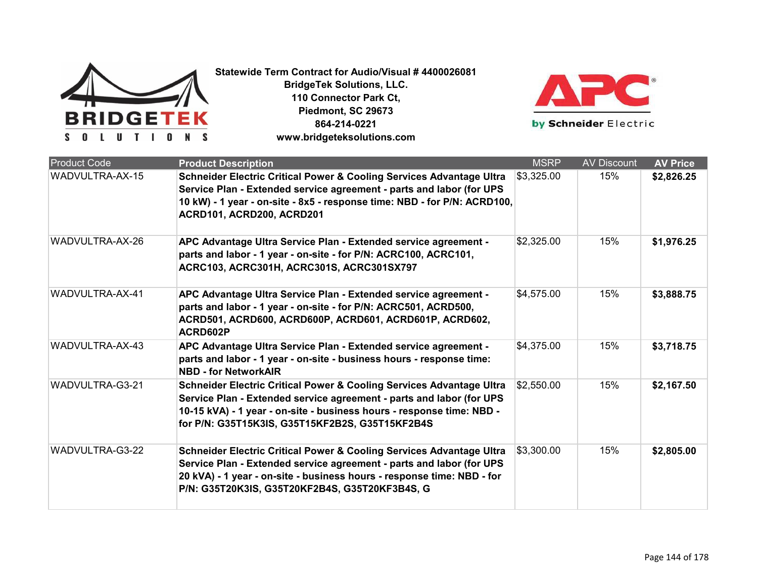



**Product Code <b>Product Description** MSRP AV Discount **AV Price** WADVULTRA-AX-15 **Schneider Electric Critical Power & Cooling Services Advantage Ultra Service Plan - Extended service agreement - parts and labor (for UPS 10 kW) - 1 year - on-site - 8x5 - response time: NBD - for P/N: ACRD100, ACRD101, ACRD200, ACRD201** \$3,325.00 15% **\$2,826.25**  WADVULTRA-AX-26 **APC Advantage Ultra Service Plan - Extended service agreement parts and labor - 1 year - on-site - for P/N: ACRC100, ACRC101, ACRC103, ACRC301H, ACRC301S, ACRC301SX797** \$2,325.00 15% **\$1,976.25**  WADVULTRA-AX-41 **APC Advantage Ultra Service Plan - Extended service agreement parts and labor - 1 year - on-site - for P/N: ACRC501, ACRD500, ACRD501, ACRD600, ACRD600P, ACRD601, ACRD601P, ACRD602, ACRD602P** \$4,575.00 15% **\$3,888.75**  WADVULTRA-AX-43 **APC Advantage Ultra Service Plan - Extended service agreement parts and labor - 1 year - on-site - business hours - response time: NBD - for NetworkAIR** \$4,375.00 15% **\$3,718.75**  WADVULTRA-G3-21 **Schneider Electric Critical Power & Cooling Services Advantage Ultra Service Plan - Extended service agreement - parts and labor (for UPS 10-15 kVA) - 1 year - on-site - business hours - response time: NBD for P/N: G35T15K3IS, G35T15KF2B2S, G35T15KF2B4S** \$2,550.00 15% **\$2,167.50**  WADVULTRA-G3-22 **Schneider Electric Critical Power & Cooling Services Advantage Ultra Service Plan - Extended service agreement - parts and labor (for UPS 20 kVA) - 1 year - on-site - business hours - response time: NBD - for P/N: G35T20K3IS, G35T20KF2B4S, G35T20KF3B4S, G** \$3,300.00 15% **\$2,805.00**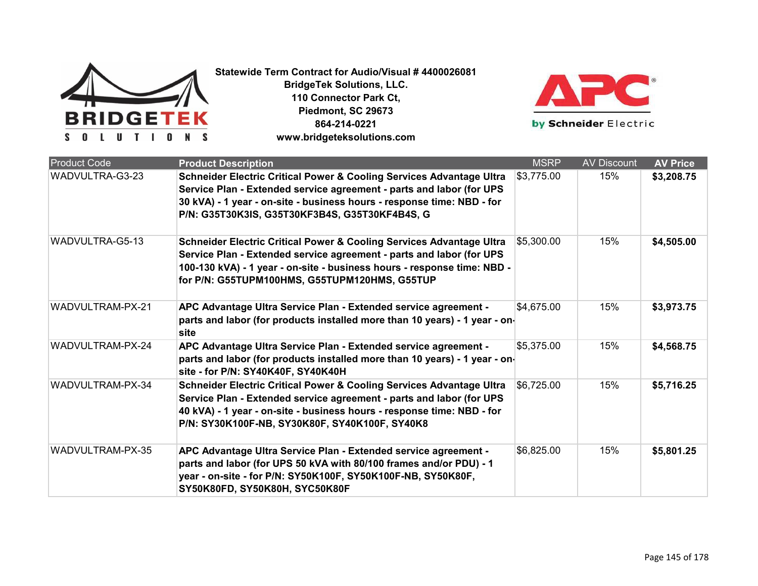



**Product Code <b>Product Description** MSRP AV Discount **AV Price** WADVULTRA-G3-23 **Schneider Electric Critical Power & Cooling Services Advantage Ultra Service Plan - Extended service agreement - parts and labor (for UPS 30 kVA) - 1 year - on-site - business hours - response time: NBD - for P/N: G35T30K3IS, G35T30KF3B4S, G35T30KF4B4S, G** \$3,775.00 15% **\$3,208.75**  WADVULTRA-G5-13 **Schneider Electric Critical Power & Cooling Services Advantage Ultra Service Plan - Extended service agreement - parts and labor (for UPS 100-130 kVA) - 1 year - on-site - business hours - response time: NBD for P/N: G55TUPM100HMS, G55TUPM120HMS, G55TUP** \$5,300.00 15% **\$4,505.00**  WADVULTRAM-PX-21 **APC Advantage Ultra Service Plan - Extended service agreement parts and labor (for products installed more than 10 years) - 1 year - onsite** \$4,675.00 15% **\$3,973.75**  WADVULTRAM-PX-24 **APC Advantage Ultra Service Plan - Extended service agreement parts and labor (for products installed more than 10 years) - 1 year - onsite - for P/N: SY40K40F, SY40K40H** \$5,375.00 15% **\$4,568.75**  WADVULTRAM-PX-34 **Schneider Electric Critical Power & Cooling Services Advantage Ultra Service Plan - Extended service agreement - parts and labor (for UPS 40 kVA) - 1 year - on-site - business hours - response time: NBD - for P/N: SY30K100F-NB, SY30K80F, SY40K100F, SY40K8** \$6,725.00 15% **\$5,716.25**  WADVULTRAM-PX-35 **APC Advantage Ultra Service Plan - Extended service agreement parts and labor (for UPS 50 kVA with 80/100 frames and/or PDU) - 1 year - on-site - for P/N: SY50K100F, SY50K100F-NB, SY50K80F, SY50K80FD, SY50K80H, SYC50K80F** \$6,825.00 15% **\$5,801.25**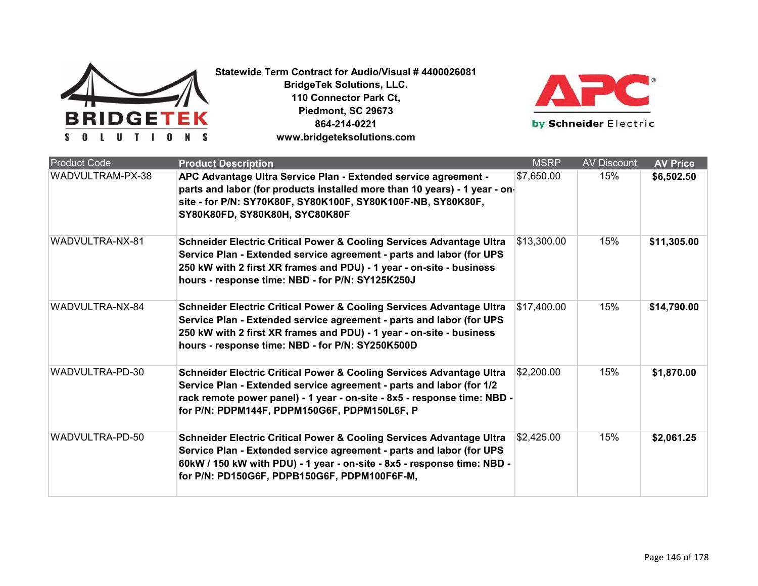



Product Code **Product Description** MSRP AV Discount **AV Price** WADVULTRAM-PX-38 **APC Advantage Ultra Service Plan - Extended service agreement parts and labor (for products installed more than 10 years) - 1 year - onsite - for P/N: SY70K80F, SY80K100F, SY80K100F-NB, SY80K80F, SY80K80FD, SY80K80H, SYC80K80F** \$7,650.00 15% **\$6,502.50**  WADVULTRA-NX-81 **Schneider Electric Critical Power & Cooling Services Advantage Ultra Service Plan - Extended service agreement - parts and labor (for UPS 250 kW with 2 first XR frames and PDU) - 1 year - on-site - business hours - response time: NBD - for P/N: SY125K250J** \$13,300.00 15% **\$11,305.00**  WADVULTRA-NX-84 **Schneider Electric Critical Power & Cooling Services Advantage Ultra Service Plan - Extended service agreement - parts and labor (for UPS 250 kW with 2 first XR frames and PDU) - 1 year - on-site - business hours - response time: NBD - for P/N: SY250K500D** \$17,400.00 15% **\$14,790.00**  WADVULTRA-PD-30 **Schneider Electric Critical Power & Cooling Services Advantage Ultra Service Plan - Extended service agreement - parts and labor (for 1/2 rack remote power panel) - 1 year - on-site - 8x5 - response time: NBD for P/N: PDPM144F, PDPM150G6F, PDPM150L6F, P** \$2,200.00 15% **\$1,870.00**  WADVULTRA-PD-50 **Schneider Electric Critical Power & Cooling Services Advantage Ultra Service Plan - Extended service agreement - parts and labor (for UPS 60kW / 150 kW with PDU) - 1 year - on-site - 8x5 - response time: NBD for P/N: PD150G6F, PDPB150G6F, PDPM100F6F-M,** \$2,425.00 15% **\$2,061.25**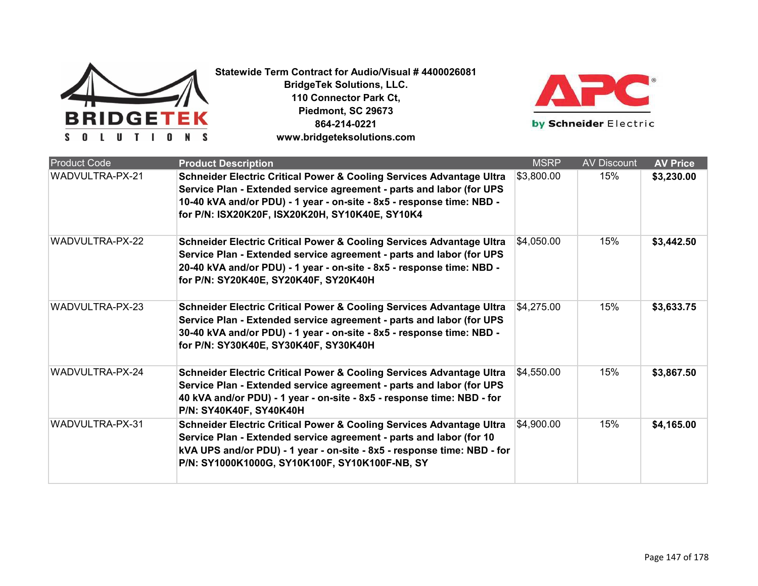



**Product Code <b>Product Description** MSRP AV Discount **AV Price** WADVULTRA-PX-21 **Schneider Electric Critical Power & Cooling Services Advantage Ultra Service Plan - Extended service agreement - parts and labor (for UPS 10-40 kVA and/or PDU) - 1 year - on-site - 8x5 - response time: NBD for P/N: ISX20K20F, ISX20K20H, SY10K40E, SY10K4** \$3,800.00 15% **\$3,230.00**  WADVULTRA-PX-22 **Schneider Electric Critical Power & Cooling Services Advantage Ultra Service Plan - Extended service agreement - parts and labor (for UPS 20-40 kVA and/or PDU) - 1 year - on-site - 8x5 - response time: NBD for P/N: SY20K40E, SY20K40F, SY20K40H** \$4,050.00 15% **\$3,442.50**  WADVULTRA-PX-23 **Schneider Electric Critical Power & Cooling Services Advantage Ultra Service Plan - Extended service agreement - parts and labor (for UPS 30-40 kVA and/or PDU) - 1 year - on-site - 8x5 - response time: NBD for P/N: SY30K40E, SY30K40F, SY30K40H** \$4,275.00 15% **\$3,633.75**  WADVULTRA-PX-24 **Schneider Electric Critical Power & Cooling Services Advantage Ultra Service Plan - Extended service agreement - parts and labor (for UPS 40 kVA and/or PDU) - 1 year - on-site - 8x5 - response time: NBD - for P/N: SY40K40F, SY40K40H** \$4,550.00 15% **\$3,867.50**  WADVULTRA-PX-31 **Schneider Electric Critical Power & Cooling Services Advantage Ultra Service Plan - Extended service agreement - parts and labor (for 10 kVA UPS and/or PDU) - 1 year - on-site - 8x5 - response time: NBD - for P/N: SY1000K1000G, SY10K100F, SY10K100F-NB, SY** \$4,900.00 15% **\$4,165.00**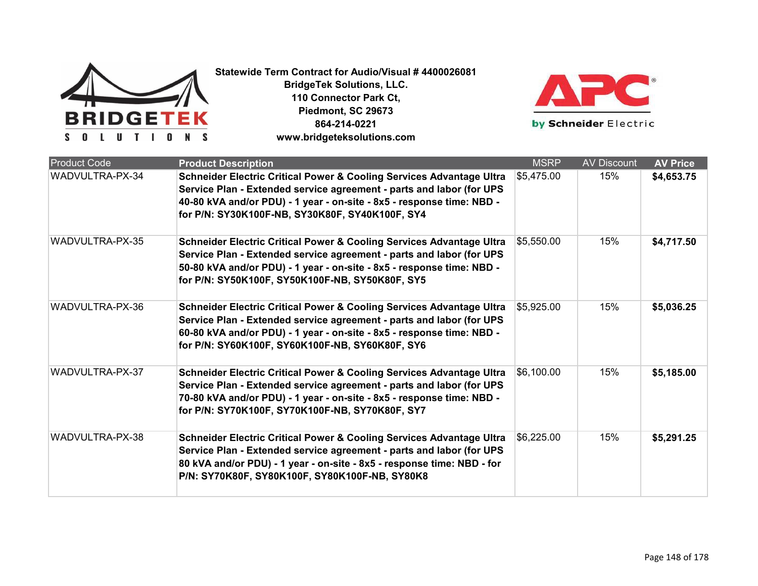



**Product Code <b>Product Description** MSRP AV Discount **AV Price** WADVULTRA-PX-34 **Schneider Electric Critical Power & Cooling Services Advantage Ultra Service Plan - Extended service agreement - parts and labor (for UPS 40-80 kVA and/or PDU) - 1 year - on-site - 8x5 - response time: NBD for P/N: SY30K100F-NB, SY30K80F, SY40K100F, SY4** \$5,475.00 15% **\$4,653.75**  WADVULTRA-PX-35 **Schneider Electric Critical Power & Cooling Services Advantage Ultra Service Plan - Extended service agreement - parts and labor (for UPS 50-80 kVA and/or PDU) - 1 year - on-site - 8x5 - response time: NBD for P/N: SY50K100F, SY50K100F-NB, SY50K80F, SY5** \$5,550.00 15% **\$4,717.50**  WADVULTRA-PX-36 **Schneider Electric Critical Power & Cooling Services Advantage Ultra Service Plan - Extended service agreement - parts and labor (for UPS 60-80 kVA and/or PDU) - 1 year - on-site - 8x5 - response time: NBD for P/N: SY60K100F, SY60K100F-NB, SY60K80F, SY6** \$5,925.00 15% **\$5,036.25**  WADVULTRA-PX-37 **Schneider Electric Critical Power & Cooling Services Advantage Ultra Service Plan - Extended service agreement - parts and labor (for UPS 70-80 kVA and/or PDU) - 1 year - on-site - 8x5 - response time: NBD for P/N: SY70K100F, SY70K100F-NB, SY70K80F, SY7** \$6,100.00 15% **\$5,185.00**  WADVULTRA-PX-38 **Schneider Electric Critical Power & Cooling Services Advantage Ultra Service Plan - Extended service agreement - parts and labor (for UPS 80 kVA and/or PDU) - 1 year - on-site - 8x5 - response time: NBD - for P/N: SY70K80F, SY80K100F, SY80K100F-NB, SY80K8** \$6,225.00 15% **\$5,291.25**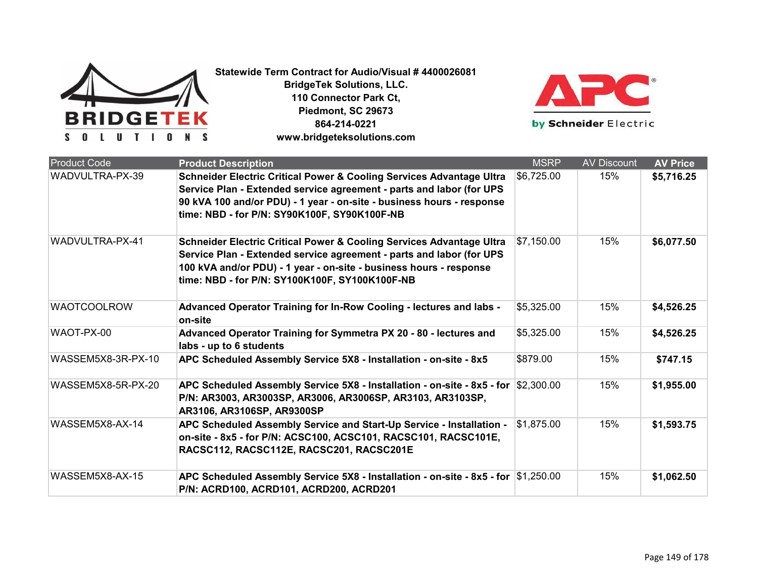



| <b>Product Code</b> | <b>Product Description</b>                                                                                                                                                                                                                                            | <b>MSRP</b> | <b>AV Discount</b> | <b>AV Price</b> |
|---------------------|-----------------------------------------------------------------------------------------------------------------------------------------------------------------------------------------------------------------------------------------------------------------------|-------------|--------------------|-----------------|
| WADVULTRA-PX-39     | Schneider Electric Critical Power & Cooling Services Advantage Ultra<br>Service Plan - Extended service agreement - parts and labor (for UPS<br>90 kVA 100 and/or PDU) - 1 year - on-site - business hours - response<br>time: NBD - for P/N: SY90K100F, SY90K100F-NB | \$6,725.00  | 15%                | \$5,716.25      |
| WADVULTRA-PX-41     | Schneider Electric Critical Power & Cooling Services Advantage Ultra<br>Service Plan - Extended service agreement - parts and labor (for UPS<br>100 kVA and/or PDU) - 1 year - on-site - business hours - response<br>time: NBD - for P/N: SY100K100F, SY100K100F-NB  | \$7,150.00  | 15%                | \$6,077.50      |
| <b>WAOTCOOLROW</b>  | Advanced Operator Training for In-Row Cooling - lectures and labs -<br>on-site                                                                                                                                                                                        | \$5,325.00  | 15%                | \$4,526.25      |
| WAOT-PX-00          | Advanced Operator Training for Symmetra PX 20 - 80 - lectures and<br>labs - up to 6 students                                                                                                                                                                          | \$5,325.00  | 15%                | \$4,526.25      |
| WASSEM5X8-3R-PX-10  | APC Scheduled Assembly Service 5X8 - Installation - on-site - 8x5                                                                                                                                                                                                     | \$879.00    | 15%                | \$747.15        |
| WASSEM5X8-5R-PX-20  | APC Scheduled Assembly Service 5X8 - Installation - on-site - 8x5 - for \$2,300.00<br>P/N: AR3003, AR3003SP, AR3006, AR3006SP, AR3103, AR3103SP,<br>AR3106, AR3106SP, AR9300SP                                                                                        |             | 15%                | \$1,955.00      |
| WASSEM5X8-AX-14     | APC Scheduled Assembly Service and Start-Up Service - Installation -<br>on-site - 8x5 - for P/N: ACSC100, ACSC101, RACSC101, RACSC101E,<br>RACSC112, RACSC112E, RACSC201, RACSC201E                                                                                   | \$1,875.00  | 15%                | \$1,593.75      |
| WASSEM5X8-AX-15     | APC Scheduled Assembly Service 5X8 - Installation - on-site - 8x5 - for \$1,250.00<br>P/N: ACRD100, ACRD101, ACRD200, ACRD201                                                                                                                                         |             | 15%                | \$1,062.50      |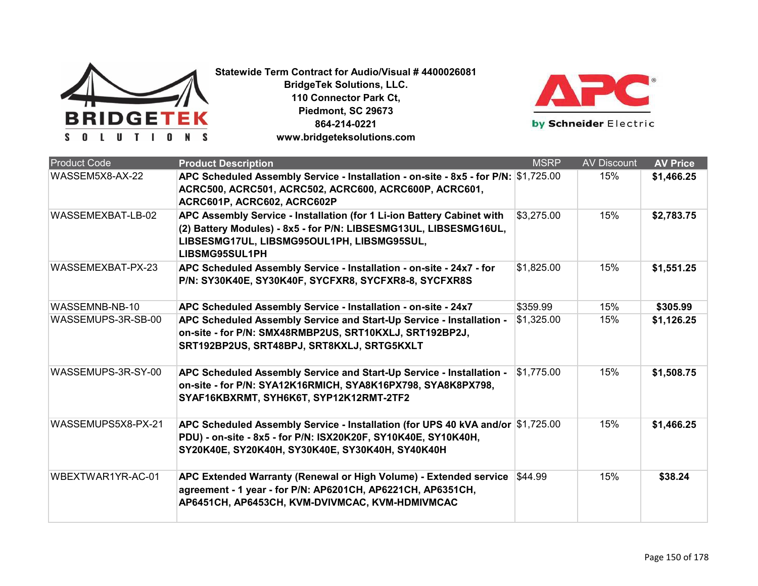



Product Code **Product Description** MSRP AV Discount **AV Price** WASSEM5X8-AX-22 **APC Scheduled Assembly Service - Installation - on-site - 8x5 - for P/N:**  \$1,725.00 15% **\$1,466.25 ACRC500, ACRC501, ACRC502, ACRC600, ACRC600P, ACRC601, ACRC601P, ACRC602, ACRC602P** WASSEMEXBAT-LB-02 **APC Assembly Service - Installation (for 1 Li-ion Battery Cabinet with (2) Battery Modules) - 8x5 - for P/N: LIBSESMG13UL, LIBSESMG16UL, LIBSESMG17UL, LIBSMG95OUL1PH, LIBSMG95SUL, LIBSMG95SUL1PH** \$3,275.00 15% **\$2,783.75**  WASSEMEXBAT-PX-23 **APC Scheduled Assembly Service - Installation - on-site - 24x7 - for P/N: SY30K40E, SY30K40F, SYCFXR8, SYCFXR8-8, SYCFXR8S** \$1,825.00 15% **\$1,551.25**  WASSEMNB-NB-10 APC Scheduled Assembly Service - Installation - on-site - 24x7 \$359.99 15% \$305.99 WASSEMUPS-3R-SB-00 **APC Scheduled Assembly Service and Start-Up Service - Installation on-site - for P/N: SMX48RMBP2US, SRT10KXLJ, SRT192BP2J, SRT192BP2US, SRT48BPJ, SRT8KXLJ, SRTG5KXLT** \$1,325.00 15% **\$1,126.25**  WASSEMUPS-3R-SY-00 **APC Scheduled Assembly Service and Start-Up Service - Installation on-site - for P/N: SYA12K16RMICH, SYA8K16PX798, SYA8K8PX798, SYAF16KBXRMT, SYH6K6T, SYP12K12RMT-2TF2** \$1,775.00 15% **\$1,508.75**  WASSEMUPS5X8-PX-21 **APC Scheduled Assembly Service - Installation (for UPS 40 kVA and/or** \$1,725.00 **PDU) - on-site - 8x5 - for P/N: ISX20K20F, SY10K40E, SY10K40H, SY20K40E, SY20K40H, SY30K40E, SY30K40H, SY40K40H** \$1,725.00 15% **\$1,466.25**  WBEXTWAR1YR-AC-01 **APC Extended Warranty (Renewal or High Volume) - Extended service**  \$44.99 15% **\$38.24 agreement - 1 year - for P/N: AP6201CH, AP6221CH, AP6351CH, AP6451CH, AP6453CH, KVM-DVIVMCAC, KVM-HDMIVMCAC**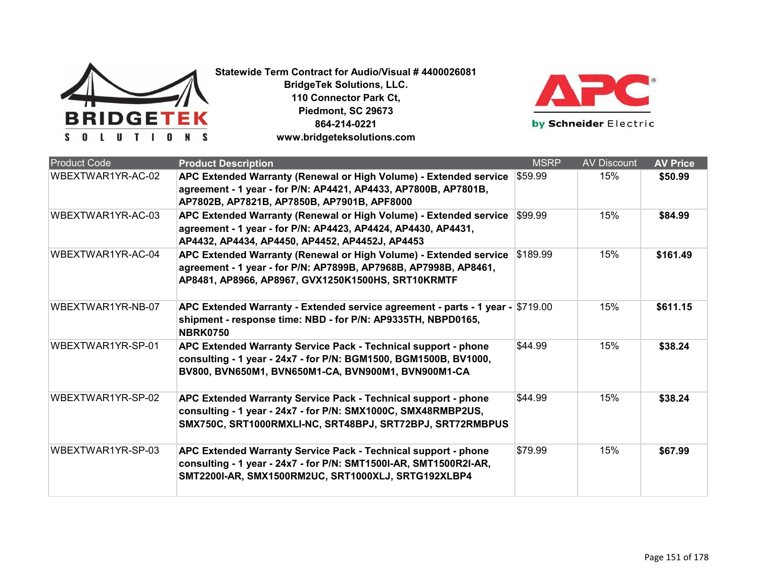



Product Code **Product Description** MSRP AV Discount **AV Price** WBEXTWAR1YR-AC-02 **APC Extended Warranty (Renewal or High Volume) - Extended service**  \$59.99 15% **\$50.99 agreement - 1 year - for P/N: AP4421, AP4433, AP7800B, AP7801B, AP7802B, AP7821B, AP7850B, AP7901B, APF8000** WBEXTWAR1YR-AC-03 **APC Extended Warranty (Renewal or High Volume) - Extended service agreement - 1 year - for P/N: AP4423, AP4424, AP4430, AP4431, AP4432, AP4434, AP4450, AP4452, AP4452J, AP4453** \$99.99 15% **\$84.99**  WBEXTWAR1YR-AC-04 **|APC Extended Warranty (Renewal or High Volume) - Extended service \$189.99 | 15% | \$161.49 agreement - 1 year - for P/N: AP7899B, AP7968B, AP7998B, AP8461, AP8481, AP8966, AP8967, GVX1250K1500HS, SRT10KRMTF** WBEXTWAR1YR-NB-07 **|APC Extended Warranty - Extended service agreement - parts - 1 year - \$719.00 | 15% | \$611.15 shipment - response time: NBD - for P/N: AP9335TH, NBPD0165, NBRK0750** WBEXTWAR1YR-SP-01 **APC Extended Warranty Service Pack - Technical support - phone consulting - 1 year - 24x7 - for P/N: BGM1500, BGM1500B, BV1000, BV800, BVN650M1, BVN650M1-CA, BVN900M1, BVN900M1-CA** \$44.99 15% **\$38.24**  WBEXTWAR1YR-SP-02 **APC Extended Warranty Service Pack - Technical support - phone consulting - 1 year - 24x7 - for P/N: SMX1000C, SMX48RMBP2US, SMX750C, SRT1000RMXLI-NC, SRT48BPJ, SRT72BPJ, SRT72RMBPUS** \$44.99 15% **\$38.24**  WBEXTWAR1YR-SP-03 **APC Extended Warranty Service Pack - Technical support - phone consulting - 1 year - 24x7 - for P/N: SMT1500I-AR, SMT1500R2I-AR, SMT2200I-AR, SMX1500RM2UC, SRT1000XLJ, SRTG192XLBP4** \$79.99 15% **\$67.99**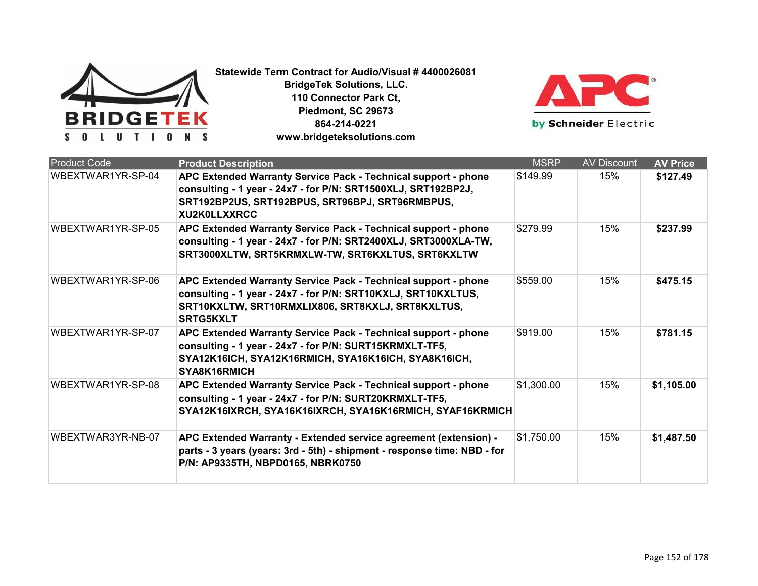



Product Code **Product Description** MSRP AV Discount **AV Price** WBEXTWAR1YR-SP-04 **APC Extended Warranty Service Pack - Technical support - phone consulting - 1 year - 24x7 - for P/N: SRT1500XLJ, SRT192BP2J, SRT192BP2US, SRT192BPUS, SRT96BPJ, SRT96RMBPUS, XU2K0LLXXRCC** \$149.99 15% **\$127.49**  WBEXTWAR1YR-SP-05 **APC Extended Warranty Service Pack - Technical support - phone consulting - 1 year - 24x7 - for P/N: SRT2400XLJ, SRT3000XLA-TW, SRT3000XLTW, SRT5KRMXLW-TW, SRT6KXLTUS, SRT6KXLTW** \$279.99 15% **\$237.99**  WBEXTWAR1YR-SP-06 **APC Extended Warranty Service Pack - Technical support - phone consulting - 1 year - 24x7 - for P/N: SRT10KXLJ, SRT10KXLTUS, SRT10KXLTW, SRT10RMXLIX806, SRT8KXLJ, SRT8KXLTUS, SRTG5KXLT** \$559.00 15% **\$475.15**  WBEXTWAR1YR-SP-07 **APC Extended Warranty Service Pack - Technical support - phone consulting - 1 year - 24x7 - for P/N: SURT15KRMXLT-TF5, SYA12K16ICH, SYA12K16RMICH, SYA16K16ICH, SYA8K16ICH, SYA8K16RMICH** \$919.00 15% **\$781.15**  WBEXTWAR1YR-SP-08 **APC Extended Warranty Service Pack - Technical support - phone consulting - 1 year - 24x7 - for P/N: SURT20KRMXLT-TF5, SYA12K16IXRCH, SYA16K16IXRCH, SYA16K16RMICH, SYAF16KRMICH** \$1,300.00 15% **\$1,105.00**  WBEXTWAR3YR-NB-07 **APC Extended Warranty - Extended service agreement (extension) parts - 3 years (years: 3rd - 5th) - shipment - response time: NBD - for P/N: AP9335TH, NBPD0165, NBRK0750** \$1,750.00 15% **\$1,487.50**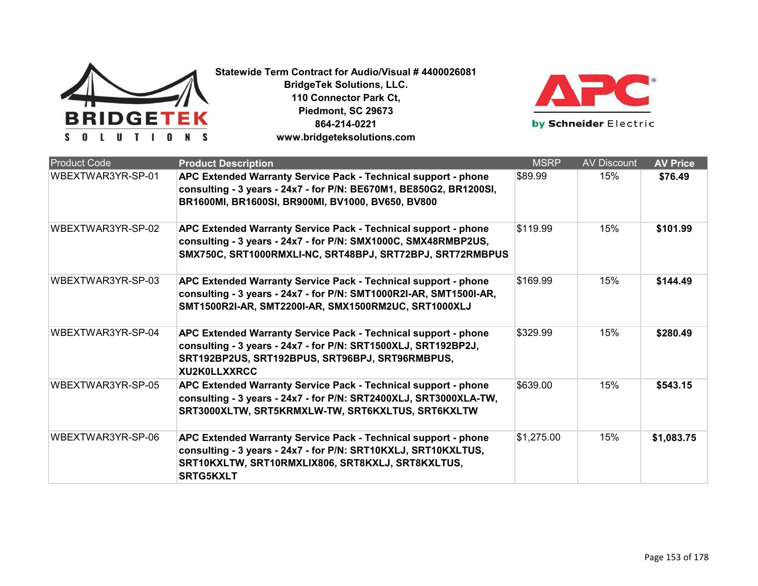



Product Code **Product Description** MSRP AV Discount **AV Price** WBEXTWAR3YR-SP-01 **APC Extended Warranty Service Pack - Technical support - phone consulting - 3 years - 24x7 - for P/N: BE670M1, BE850G2, BR1200SI, BR1600MI, BR1600SI, BR900MI, BV1000, BV650, BV800** \$89.99 15% **\$76.49**  WBEXTWAR3YR-SP-02 **APC Extended Warranty Service Pack - Technical support - phone consulting - 3 years - 24x7 - for P/N: SMX1000C, SMX48RMBP2US, SMX750C, SRT1000RMXLI-NC, SRT48BPJ, SRT72BPJ, SRT72RMBPUS** \$119.99 15% **\$101.99**  WBEXTWAR3YR-SP-03 **APC Extended Warranty Service Pack - Technical support - phone consulting - 3 years - 24x7 - for P/N: SMT1000R2I-AR, SMT1500I-AR, SMT1500R2I-AR, SMT2200I-AR, SMX1500RM2UC, SRT1000XLJ** \$169.99 15% **\$144.49**  WBEXTWAR3YR-SP-04 **APC Extended Warranty Service Pack - Technical support - phone consulting - 3 years - 24x7 - for P/N: SRT1500XLJ, SRT192BP2J, SRT192BP2US, SRT192BPUS, SRT96BPJ, SRT96RMBPUS, XU2K0LLXXRCC** \$329.99 15% **\$280.49**  WBEXTWAR3YR-SP-05 **APC Extended Warranty Service Pack - Technical support - phone consulting - 3 years - 24x7 - for P/N: SRT2400XLJ, SRT3000XLA-TW, SRT3000XLTW, SRT5KRMXLW-TW, SRT6KXLTUS, SRT6KXLTW** \$639.00 15% **\$543.15**  WBEXTWAR3YR-SP-06 **APC Extended Warranty Service Pack - Technical support - phone consulting - 3 years - 24x7 - for P/N: SRT10KXLJ, SRT10KXLTUS, SRT10KXLTW, SRT10RMXLIX806, SRT8KXLJ, SRT8KXLTUS, SRTG5KXLT** \$1,275.00 15% **\$1,083.75**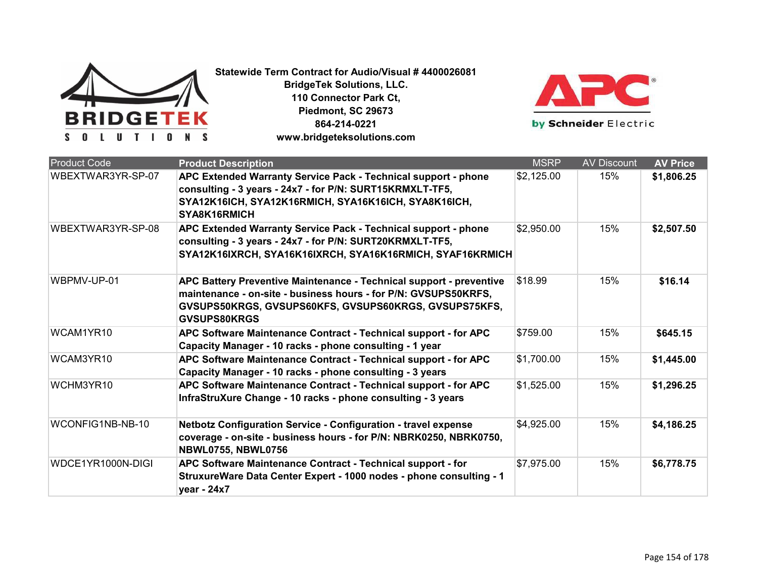



Product Code **Product Description** MSRP AV Discount **AV Price** WBEXTWAR3YR-SP-07 **APC Extended Warranty Service Pack - Technical support - phone consulting - 3 years - 24x7 - for P/N: SURT15KRMXLT-TF5, SYA12K16ICH, SYA12K16RMICH, SYA16K16ICH, SYA8K16ICH, SYA8K16RMICH** \$2,125.00 15% **\$1,806.25**  WBEXTWAR3YR-SP-08 **APC Extended Warranty Service Pack - Technical support - phone consulting - 3 years - 24x7 - for P/N: SURT20KRMXLT-TF5, SYA12K16IXRCH, SYA16K16IXRCH, SYA16K16RMICH, SYAF16KRMICH** \$2,950.00 15% **\$2,507.50**  WBPMV-UP-01 **APC Battery Preventive Maintenance - Technical support - preventive maintenance - on-site - business hours - for P/N: GVSUPS50KRFS, GVSUPS50KRGS, GVSUPS60KFS, GVSUPS60KRGS, GVSUPS75KFS, GVSUPS80KRGS** \$18.99 15% **\$16.14**  WCAM1YR10 **APC Software Maintenance Contract - Technical support - for APC Capacity Manager - 10 racks - phone consulting - 1 year** \$759.00 15% **\$645.15**  WCAM3YR10 **APC Software Maintenance Contract - Technical support - for APC Capacity Manager - 10 racks - phone consulting - 3 years** \$1,700.00 15% **\$1,445.00**  WCHM3YR10 **APC Software Maintenance Contract - Technical support - for APC InfraStruXure Change - 10 racks - phone consulting - 3 years** \$1,525.00 15% **\$1,296.25**  WCONFIG1NB-NB-10 **Netbotz Configuration Service - Configuration - travel expense coverage - on-site - business hours - for P/N: NBRK0250, NBRK0750, NBWL0755, NBWL0756** \$4,925.00 15% **\$4,186.25**  WDCE1YR1000N-DIGI **APC Software Maintenance Contract - Technical support - for StruxureWare Data Center Expert - 1000 nodes - phone consulting - 1 year - 24x7** \$7,975.00 15% **\$6,778.75**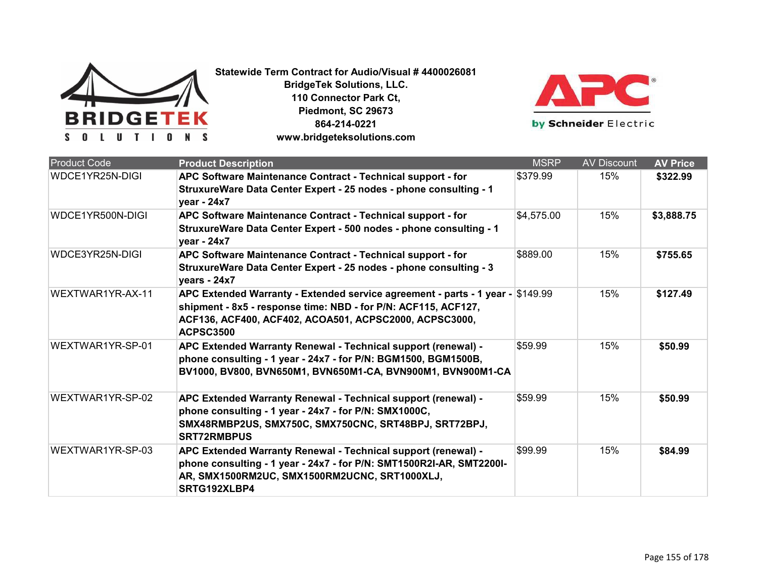



Product Code **Product Description** MSRP AV Discount **AV Price** WDCE1YR25N-DIGI **APC Software Maintenance Contract - Technical support - for StruxureWare Data Center Expert - 25 nodes - phone consulting - 1 year - 24x7** \$379.99 15% **\$322.99**  WDCE1YR500N-DIGI **APC Software Maintenance Contract - Technical support - for StruxureWare Data Center Expert - 500 nodes - phone consulting - 1 year - 24x7** \$4,575.00 15% **\$3,888.75**  WDCE3YR25N-DIGI **APC Software Maintenance Contract - Technical support - for StruxureWare Data Center Expert - 25 nodes - phone consulting - 3 years - 24x7** \$889.00 15% **\$755.65**  WEXTWAR1YR-AX-11 **APC Extended Warranty - Extended service agreement - parts - 1 year -**  \$149.99 15% **\$127.49 shipment - 8x5 - response time: NBD - for P/N: ACF115, ACF127, ACF136, ACF400, ACF402, ACOA501, ACPSC2000, ACPSC3000, ACPSC3500** WEXTWAR1YR-SP-01 **APC Extended Warranty Renewal - Technical support (renewal) phone consulting - 1 year - 24x7 - for P/N: BGM1500, BGM1500B, BV1000, BV800, BVN650M1, BVN650M1-CA, BVN900M1, BVN900M1-CA** \$59.99 15% **\$50.99**  WEXTWAR1YR-SP-02 **APC Extended Warranty Renewal - Technical support (renewal) phone consulting - 1 year - 24x7 - for P/N: SMX1000C, SMX48RMBP2US, SMX750C, SMX750CNC, SRT48BPJ, SRT72BPJ, SRT72RMBPUS** \$59.99 15% **\$50.99**  WEXTWAR1YR-SP-03 **APC Extended Warranty Renewal - Technical support (renewal) phone consulting - 1 year - 24x7 - for P/N: SMT1500R2I-AR, SMT2200I-AR, SMX1500RM2UC, SMX1500RM2UCNC, SRT1000XLJ, SRTG192XLBP4** \$99.99 15% **\$84.99**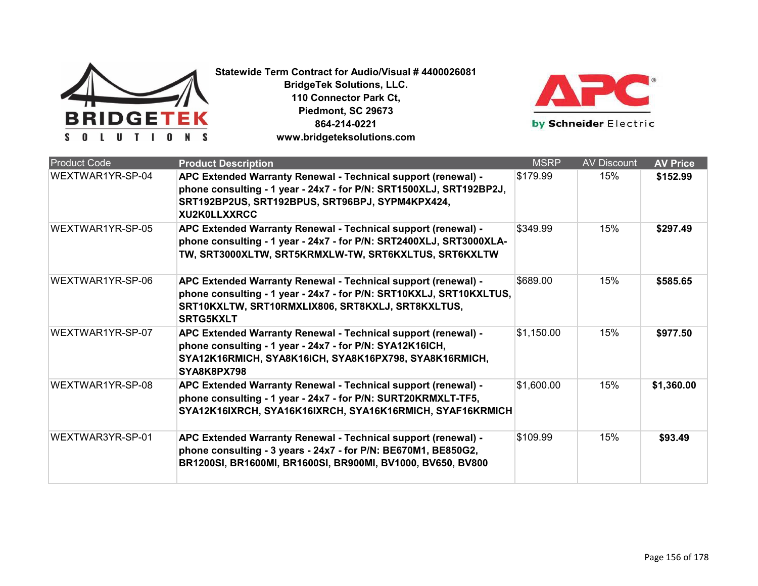



Product Code **Product Description** MSRP AV Discount **AV Price** WEXTWAR1YR-SP-04 **APC Extended Warranty Renewal - Technical support (renewal) phone consulting - 1 year - 24x7 - for P/N: SRT1500XLJ, SRT192BP2J, SRT192BP2US, SRT192BPUS, SRT96BPJ, SYPM4KPX424, XU2K0LLXXRCC** \$179.99 15% **\$152.99**  WEXTWAR1YR-SP-05 **APC Extended Warranty Renewal - Technical support (renewal) phone consulting - 1 year - 24x7 - for P/N: SRT2400XLJ, SRT3000XLA-TW, SRT3000XLTW, SRT5KRMXLW-TW, SRT6KXLTUS, SRT6KXLTW** \$349.99 15% **\$297.49**  WEXTWAR1YR-SP-06 **APC Extended Warranty Renewal - Technical support (renewal) phone consulting - 1 year - 24x7 - for P/N: SRT10KXLJ, SRT10KXLTUS, SRT10KXLTW, SRT10RMXLIX806, SRT8KXLJ, SRT8KXLTUS, SRTG5KXLT** \$689.00 15% **\$585.65**  WEXTWAR1YR-SP-07 **APC Extended Warranty Renewal - Technical support (renewal) phone consulting - 1 year - 24x7 - for P/N: SYA12K16ICH, SYA12K16RMICH, SYA8K16ICH, SYA8K16PX798, SYA8K16RMICH, SYA8K8PX798** \$1,150.00 15% **\$977.50**  WEXTWAR1YR-SP-08 **APC Extended Warranty Renewal - Technical support (renewal) phone consulting - 1 year - 24x7 - for P/N: SURT20KRMXLT-TF5, SYA12K16IXRCH, SYA16K16IXRCH, SYA16K16RMICH, SYAF16KRMICH** \$1,600.00 15% **\$1,360.00**  WEXTWAR3YR-SP-01 **APC Extended Warranty Renewal - Technical support (renewal) phone consulting - 3 years - 24x7 - for P/N: BE670M1, BE850G2, BR1200SI, BR1600MI, BR1600SI, BR900MI, BV1000, BV650, BV800** \$109.99 15% **\$93.49**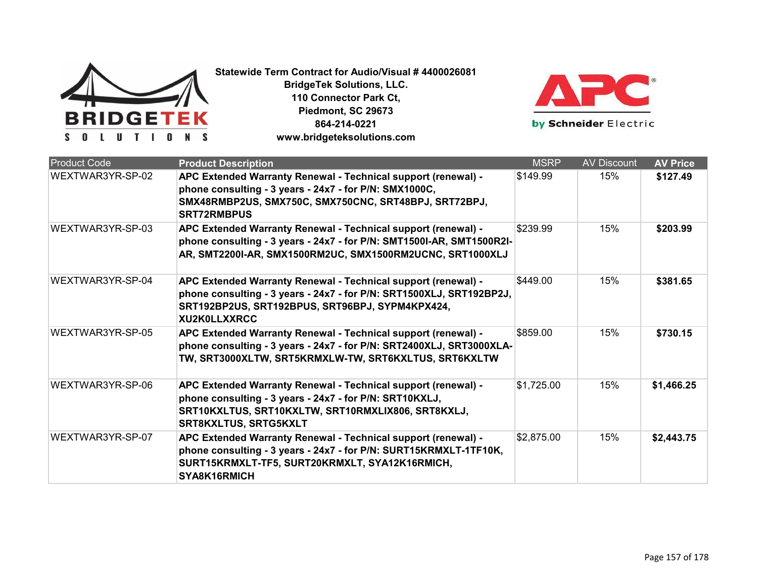



Product Code **Product Description** MSRP AV Discount **AV Price** WEXTWAR3YR-SP-02 **APC Extended Warranty Renewal - Technical support (renewal) phone consulting - 3 years - 24x7 - for P/N: SMX1000C, SMX48RMBP2US, SMX750C, SMX750CNC, SRT48BPJ, SRT72BPJ, SRT72RMBPUS** \$149.99 15% **\$127.49**  WEXTWAR3YR-SP-03 **APC Extended Warranty Renewal - Technical support (renewal) phone consulting - 3 years - 24x7 - for P/N: SMT1500I-AR, SMT1500R2I-AR, SMT2200I-AR, SMX1500RM2UC, SMX1500RM2UCNC, SRT1000XLJ** \$239.99 15% **\$203.99**  WEXTWAR3YR-SP-04 **APC Extended Warranty Renewal - Technical support (renewal) phone consulting - 3 years - 24x7 - for P/N: SRT1500XLJ, SRT192BP2J, SRT192BP2US, SRT192BPUS, SRT96BPJ, SYPM4KPX424, XU2K0LLXXRCC** \$449.00 15% **\$381.65**  WEXTWAR3YR-SP-05 **APC Extended Warranty Renewal - Technical support (renewal) phone consulting - 3 years - 24x7 - for P/N: SRT2400XLJ, SRT3000XLA-TW, SRT3000XLTW, SRT5KRMXLW-TW, SRT6KXLTUS, SRT6KXLTW** \$859.00 15% **\$730.15**  WEXTWAR3YR-SP-06 **APC Extended Warranty Renewal - Technical support (renewal) phone consulting - 3 years - 24x7 - for P/N: SRT10KXLJ, SRT10KXLTUS, SRT10KXLTW, SRT10RMXLIX806, SRT8KXLJ, SRT8KXLTUS, SRTG5KXLT** \$1,725.00 15% **\$1,466.25**  WEXTWAR3YR-SP-07 **APC Extended Warranty Renewal - Technical support (renewal) phone consulting - 3 years - 24x7 - for P/N: SURT15KRMXLT-1TF10K, SURT15KRMXLT-TF5, SURT20KRMXLT, SYA12K16RMICH, SYA8K16RMICH** \$2,875.00 15% **\$2,443.75**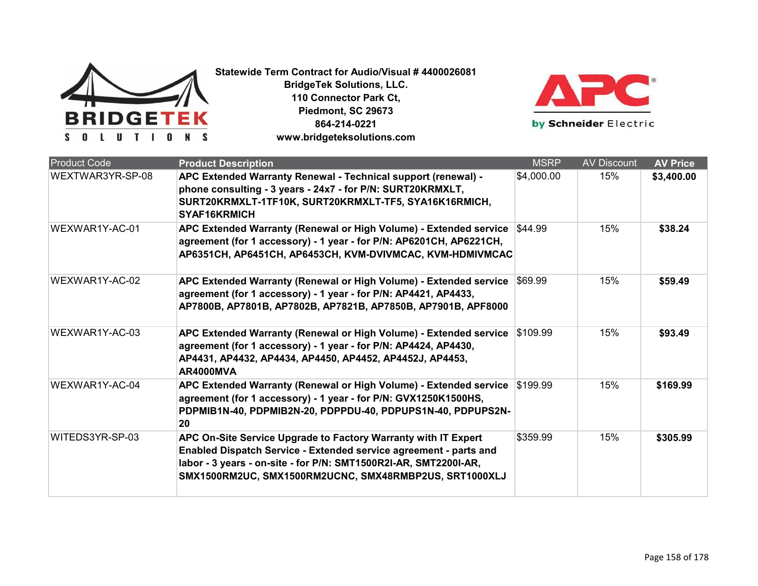



Product Code **Product Description** MSRP AV Discount **AV Price** WEXTWAR3YR-SP-08 **APC Extended Warranty Renewal - Technical support (renewal) phone consulting - 3 years - 24x7 - for P/N: SURT20KRMXLT, SURT20KRMXLT-1TF10K, SURT20KRMXLT-TF5, SYA16K16RMICH, SYAF16KRMICH** \$4,000.00 15% **\$3,400.00**  WEXWAR1Y-AC-01 **APC Extended Warranty (Renewal or High Volume) - Extended service agreement (for 1 accessory) - 1 year - for P/N: AP6201CH, AP6221CH, AP6351CH, AP6451CH, AP6453CH, KVM-DVIVMCAC, KVM-HDMIVMCAC** \$44.99 15% **\$38.24**  WEXWAR1Y-AC-02 **APC Extended Warranty (Renewal or High Volume) - Extended service**  \$69.99 15% **\$59.49 agreement (for 1 accessory) - 1 year - for P/N: AP4421, AP4433, AP7800B, AP7801B, AP7802B, AP7821B, AP7850B, AP7901B, APF8000** WEXWAR1Y-AC-03 |**APC Extended Warranty (Renewal or High Volume) - Extended service │\$109.99 │ 15% │ \$93.49 agreement (for 1 accessory) - 1 year - for P/N: AP4424, AP4430, AP4431, AP4432, AP4434, AP4450, AP4452, AP4452J, AP4453, AR4000MVA** WEXWAR1Y-AC-04 **|APC Extended Warranty (Renewal or High Volume) - Extended service \$199.99 | 15% | \$169.99 agreement (for 1 accessory) - 1 year - for P/N: GVX1250K1500HS, PDPMIB1N-40, PDPMIB2N-20, PDPPDU-40, PDPUPS1N-40, PDPUPS2N-20** WITEDS3YR-SP-03 **APC On-Site Service Upgrade to Factory Warranty with IT Expert Enabled Dispatch Service - Extended service agreement - parts and labor - 3 years - on-site - for P/N: SMT1500R2I-AR, SMT2200I-AR, SMX1500RM2UC, SMX1500RM2UCNC, SMX48RMBP2US, SRT1000XLJ** \$359.99 15% **\$305.99**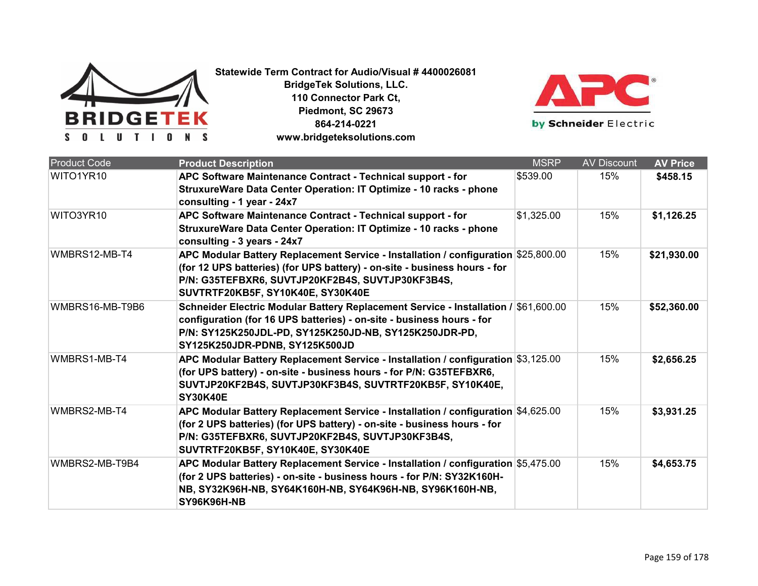



Product Code **Product Description** MSRP AV Discount **AV Price** WITO1YR10 **APC Software Maintenance Contract - Technical support - for StruxureWare Data Center Operation: IT Optimize - 10 racks - phone consulting - 1 year - 24x7** \$539.00 15% **\$458.15**  WITO3YR10 **APC Software Maintenance Contract - Technical support - for StruxureWare Data Center Operation: IT Optimize - 10 racks - phone consulting - 3 years - 24x7** \$1,325.00 15% **\$1,126.25**  WMBRS12-MB-T4 **APC Modular Battery Replacement Service - Installation / configuration (for 12 UPS batteries) (for UPS battery) - on-site - business hours - for P/N: G35TEFBXR6, SUVTJP20KF2B4S, SUVTJP30KF3B4S, SUVTRTF20KB5F, SY10K40E, SY30K40E** \$25,800.00 15% **\$21,930.00**  WMBRS16-MB-T9B6 **Schneider Electric Modular Battery Replacement Service - Installation /**  \$61,600.00 15% **\$52,360.00 configuration (for 16 UPS batteries) - on-site - business hours - for P/N: SY125K250JDL-PD, SY125K250JD-NB, SY125K250JDR-PD, SY125K250JDR-PDNB, SY125K500JD** WMBRS1-MB-T4 **APC Modular Battery Replacement Service - Installation / configuration \$3,125.00 15% \$2,656.25 (for UPS battery) - on-site - business hours - for P/N: G35TEFBXR6, SUVTJP20KF2B4S, SUVTJP30KF3B4S, SUVTRTF20KB5F, SY10K40E, SY30K40E** WMBRS2-MB-T4 **APC Modular Battery Replacement Service - Installation / configuration \$4,625.00 15% \$3,931.25 (for 2 UPS batteries) (for UPS battery) - on-site - business hours - for P/N: G35TEFBXR6, SUVTJP20KF2B4S, SUVTJP30KF3B4S, SUVTRTF20KB5F, SY10K40E, SY30K40E** WMBRS2-MB-T9B4 **APC Modular Battery Replacement Service - Installation / configuration (for 2 UPS batteries) - on-site - business hours - for P/N: SY32K160H-NB, SY32K96H-NB, SY64K160H-NB, SY64K96H-NB, SY96K160H-NB, SY96K96H-NB** \$5,475.00 15% **\$4,653.75**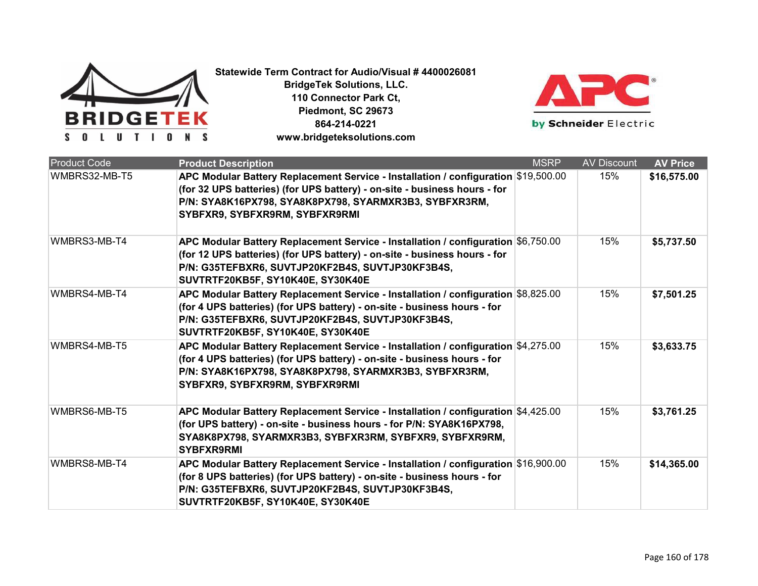



| <b>Product Code</b> | <b>Product Description</b>                                                                                                                                                                                                                                  | <b>MSRP</b> | <b>AV Discount</b> | <b>AV Price</b> |
|---------------------|-------------------------------------------------------------------------------------------------------------------------------------------------------------------------------------------------------------------------------------------------------------|-------------|--------------------|-----------------|
| WMBRS32-MB-T5       | APC Modular Battery Replacement Service - Installation / configuration \$19,500.00<br>(for 32 UPS batteries) (for UPS battery) - on-site - business hours - for<br>P/N: SYA8K16PX798, SYA8K8PX798, SYARMXR3B3, SYBFXR3RM,<br>SYBFXR9, SYBFXR9RM, SYBFXR9RMI |             | 15%                | \$16,575.00     |
| WMBRS3-MB-T4        | APC Modular Battery Replacement Service - Installation / configuration \$6,750.00<br>(for 12 UPS batteries) (for UPS battery) - on-site - business hours - for<br>P/N: G35TEFBXR6, SUVTJP20KF2B4S, SUVTJP30KF3B4S,<br>SUVTRTF20KB5F, SY10K40E, SY30K40E     |             | 15%                | \$5,737.50      |
| WMBRS4-MB-T4        | APC Modular Battery Replacement Service - Installation / configuration \$8,825.00<br>(for 4 UPS batteries) (for UPS battery) - on-site - business hours - for<br>P/N: G35TEFBXR6, SUVTJP20KF2B4S, SUVTJP30KF3B4S,<br>SUVTRTF20KB5F, SY10K40E, SY30K40E      |             | 15%                | \$7,501.25      |
| WMBRS4-MB-T5        | APC Modular Battery Replacement Service - Installation / configuration \$4,275.00<br>(for 4 UPS batteries) (for UPS battery) - on-site - business hours - for<br>P/N: SYA8K16PX798, SYA8K8PX798, SYARMXR3B3, SYBFXR3RM,<br>SYBFXR9, SYBFXR9RM, SYBFXR9RMI   |             | 15%                | \$3,633.75      |
| WMBRS6-MB-T5        | APC Modular Battery Replacement Service - Installation / configuration \$4,425.00<br>(for UPS battery) - on-site - business hours - for P/N: SYA8K16PX798,<br>SYA8K8PX798, SYARMXR3B3, SYBFXR3RM, SYBFXR9, SYBFXR9RM,<br><b>SYBFXR9RMI</b>                  |             | 15%                | \$3,761.25      |
| WMBRS8-MB-T4        | APC Modular Battery Replacement Service - Installation / configuration \$16,900.00<br>(for 8 UPS batteries) (for UPS battery) - on-site - business hours - for<br>P/N: G35TEFBXR6, SUVTJP20KF2B4S, SUVTJP30KF3B4S,<br>SUVTRTF20KB5F, SY10K40E, SY30K40E     |             | 15%                | \$14,365.00     |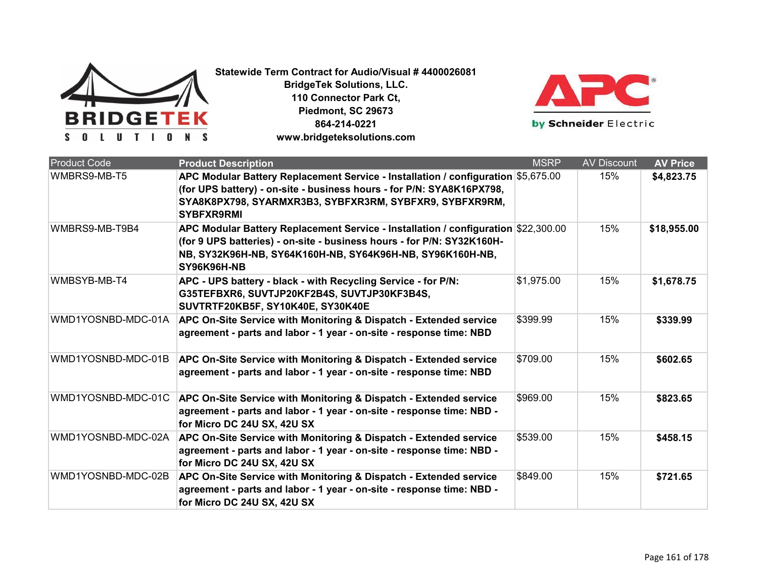



Product Code **Product Description** MSRP AV Discount **AV Price** WMBRS9-MB-T5 **APC Modular Battery Replacement Service - Installation / configuration (for UPS battery) - on-site - business hours - for P/N: SYA8K16PX798, SYA8K8PX798, SYARMXR3B3, SYBFXR3RM, SYBFXR9, SYBFXR9RM, SYBFXR9RMI** \$5,675.00 15% **\$4,823.75**  WMBRS9-MB-T9B4 **APC Modular Battery Replacement Service - Installation / configuration \$22,300.00 (for 9 UPS batteries) - on-site - business hours - for P/N: SY32K160H-NB, SY32K96H-NB, SY64K160H-NB, SY64K96H-NB, SY96K160H-NB, SY96K96H-NB** \$22,300.00 15% **\$18,955.00**  WMBSYB-MB-T4 **APC - UPS battery - black - with Recycling Service - for P/N: G35TEFBXR6, SUVTJP20KF2B4S, SUVTJP30KF3B4S, SUVTRTF20KB5F, SY10K40E, SY30K40E** \$1,975.00 15% **\$1,678.75**  WMD1YOSNBD-MDC-01A **APC On-Site Service with Monitoring & Dispatch - Extended service agreement - parts and labor - 1 year - on-site - response time: NBD** \$399.99 15% **\$339.99**  WMD1YOSNBD-MDC-01B | APC On-Site Service with Monitoring & Dispatch - Extended service **agreement - parts and labor - 1 year - on-site - response time: NBD** \$709.00 15% **\$602.65**  WMD1YOSNBD-MDC-01C **APC On-Site Service with Monitoring & Dispatch - Extended service agreement - parts and labor - 1 year - on-site - response time: NBD for Micro DC 24U SX, 42U SX** \$969.00 15% **\$823.65**  WMD1YOSNBD-MDC-02A **APC On-Site Service with Monitoring & Dispatch - Extended service agreement - parts and labor - 1 year - on-site - response time: NBD for Micro DC 24U SX, 42U SX** \$539.00 15% **\$458.15**  WMD1YOSNBD-MDC-02B **APC On-Site Service with Monitoring & Dispatch - Extended service agreement - parts and labor - 1 year - on-site - response time: NBD -**  \$849.00 15% **\$721.65** 

**for Micro DC 24U SX, 42U SX**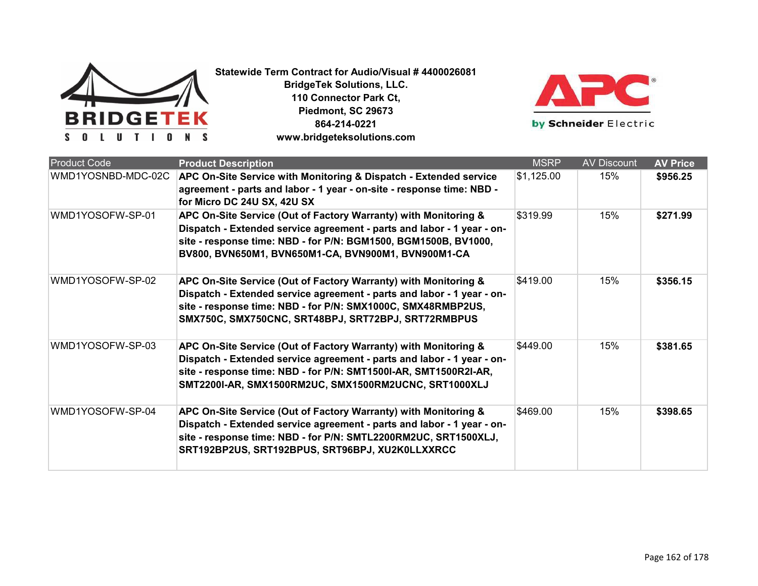



**Product Code <b>Product Description** MSRP AV Discount **AV Price** WMD1YOSNBD-MDC-02C **APC On-Site Service with Monitoring & Dispatch - Extended service agreement - parts and labor - 1 year - on-site - response time: NBD for Micro DC 24U SX, 42U SX** \$1,125.00 15% **\$956.25**  WMD1YOSOFW-SP-01 **APC On-Site Service (Out of Factory Warranty) with Monitoring & Dispatch - Extended service agreement - parts and labor - 1 year - onsite - response time: NBD - for P/N: BGM1500, BGM1500B, BV1000, BV800, BVN650M1, BVN650M1-CA, BVN900M1, BVN900M1-CA** \$319.99 15% **\$271.99**  WMD1YOSOFW-SP-02 **APC On-Site Service (Out of Factory Warranty) with Monitoring & Dispatch - Extended service agreement - parts and labor - 1 year - onsite - response time: NBD - for P/N: SMX1000C, SMX48RMBP2US, SMX750C, SMX750CNC, SRT48BPJ, SRT72BPJ, SRT72RMBPUS** \$419.00 15% **\$356.15**  WMD1YOSOFW-SP-03 **APC On-Site Service (Out of Factory Warranty) with Monitoring & Dispatch - Extended service agreement - parts and labor - 1 year - onsite - response time: NBD - for P/N: SMT1500I-AR, SMT1500R2I-AR, SMT2200I-AR, SMX1500RM2UC, SMX1500RM2UCNC, SRT1000XLJ** \$449.00 15% **\$381.65**  WMD1YOSOFW-SP-04 **APC On-Site Service (Out of Factory Warranty) with Monitoring & Dispatch - Extended service agreement - parts and labor - 1 year - onsite - response time: NBD - for P/N: SMTL2200RM2UC, SRT1500XLJ, SRT192BP2US, SRT192BPUS, SRT96BPJ, XU2K0LLXXRCC** \$469.00 15% **\$398.65**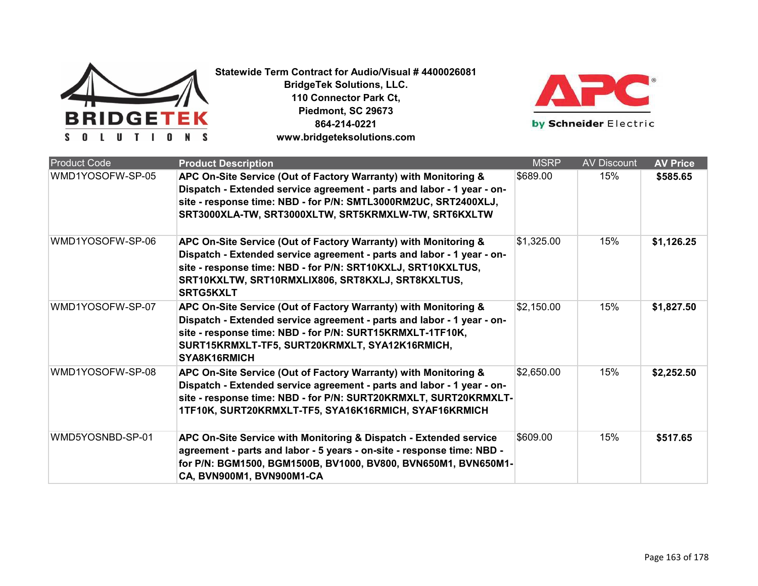



**Product Code <b>Product Description** MSRP AV Discount **AV Price** WMD1YOSOFW-SP-05 **APC On-Site Service (Out of Factory Warranty) with Monitoring & Dispatch - Extended service agreement - parts and labor - 1 year - onsite - response time: NBD - for P/N: SMTL3000RM2UC, SRT2400XLJ, SRT3000XLA-TW, SRT3000XLTW, SRT5KRMXLW-TW, SRT6KXLTW** \$689.00 15% **\$585.65**  WMD1YOSOFW-SP-06 **APC On-Site Service (Out of Factory Warranty) with Monitoring & Dispatch - Extended service agreement - parts and labor - 1 year - onsite - response time: NBD - for P/N: SRT10KXLJ, SRT10KXLTUS, SRT10KXLTW, SRT10RMXLIX806, SRT8KXLJ, SRT8KXLTUS, SRTG5KXLT** \$1,325.00 15% **\$1,126.25**  WMD1YOSOFW-SP-07 **APC On-Site Service (Out of Factory Warranty) with Monitoring & Dispatch - Extended service agreement - parts and labor - 1 year - onsite - response time: NBD - for P/N: SURT15KRMXLT-1TF10K, SURT15KRMXLT-TF5, SURT20KRMXLT, SYA12K16RMICH, SYA8K16RMICH** \$2,150.00 15% **\$1,827.50**  WMD1YOSOFW-SP-08 **APC On-Site Service (Out of Factory Warranty) with Monitoring & Dispatch - Extended service agreement - parts and labor - 1 year - onsite - response time: NBD - for P/N: SURT20KRMXLT, SURT20KRMXLT-1TF10K, SURT20KRMXLT-TF5, SYA16K16RMICH, SYAF16KRMICH** \$2,650.00 15% **\$2,252.50**  WMD5YOSNBD-SP-01 **APC On-Site Service with Monitoring & Dispatch - Extended service agreement - parts and labor - 5 years - on-site - response time: NBD for P/N: BGM1500, BGM1500B, BV1000, BV800, BVN650M1, BVN650M1- CA, BVN900M1, BVN900M1-CA** \$609.00 15% **\$517.65**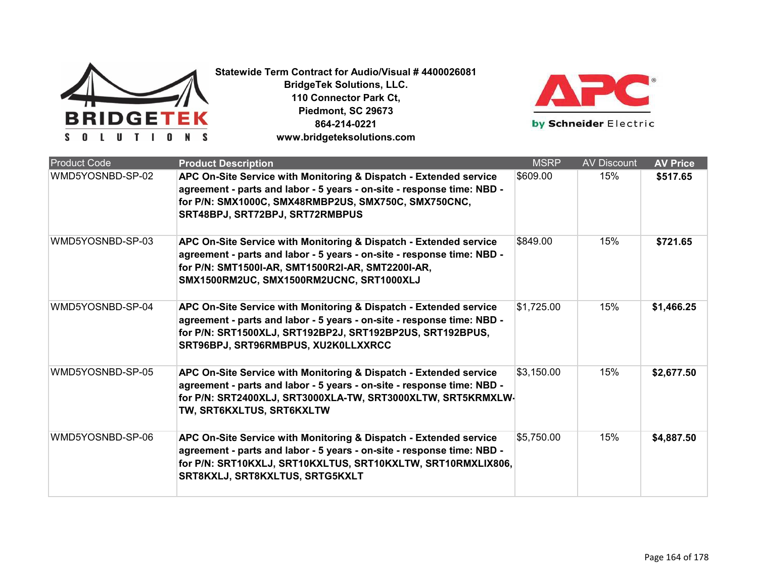



Product Code **Product Description** MSRP AV Discount **AV Price** WMD5YOSNBD-SP-02 **APC On-Site Service with Monitoring & Dispatch - Extended service agreement - parts and labor - 5 years - on-site - response time: NBD for P/N: SMX1000C, SMX48RMBP2US, SMX750C, SMX750CNC, SRT48BPJ, SRT72BPJ, SRT72RMBPUS** \$609.00 15% **\$517.65**  WMD5YOSNBD-SP-03 **APC On-Site Service with Monitoring & Dispatch - Extended service agreement - parts and labor - 5 years - on-site - response time: NBD for P/N: SMT1500I-AR, SMT1500R2I-AR, SMT2200I-AR, SMX1500RM2UC, SMX1500RM2UCNC, SRT1000XLJ** \$849.00 15% **\$721.65**  WMD5YOSNBD-SP-04 **APC On-Site Service with Monitoring & Dispatch - Extended service agreement - parts and labor - 5 years - on-site - response time: NBD for P/N: SRT1500XLJ, SRT192BP2J, SRT192BP2US, SRT192BPUS, SRT96BPJ, SRT96RMBPUS, XU2K0LLXXRCC** \$1,725.00 15% **\$1,466.25**  WMD5YOSNBD-SP-05 **APC On-Site Service with Monitoring & Dispatch - Extended service agreement - parts and labor - 5 years - on-site - response time: NBD for P/N: SRT2400XLJ, SRT3000XLA-TW, SRT3000XLTW, SRT5KRMXLW-TW, SRT6KXLTUS, SRT6KXLTW** \$3,150.00 15% **\$2,677.50**  WMD5YOSNBD-SP-06 **APC On-Site Service with Monitoring & Dispatch - Extended service agreement - parts and labor - 5 years - on-site - response time: NBD for P/N: SRT10KXLJ, SRT10KXLTUS, SRT10KXLTW, SRT10RMXLIX806, SRT8KXLJ, SRT8KXLTUS, SRTG5KXLT** \$5,750.00 15% **\$4,887.50**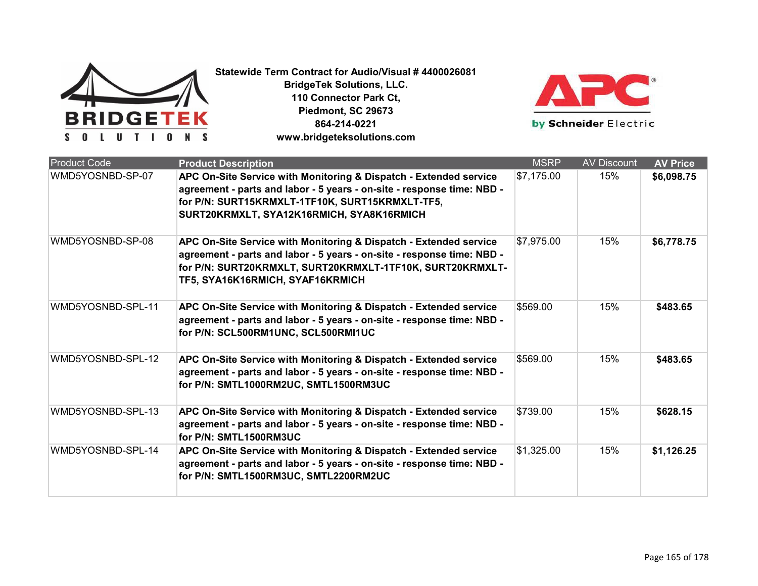



Product Code **Product Description** MSRP AV Discount **AV Price** WMD5YOSNBD-SP-07 **APC On-Site Service with Monitoring & Dispatch - Extended service agreement - parts and labor - 5 years - on-site - response time: NBD for P/N: SURT15KRMXLT-1TF10K, SURT15KRMXLT-TF5, SURT20KRMXLT, SYA12K16RMICH, SYA8K16RMICH** \$7,175.00 15% **\$6,098.75**  WMD5YOSNBD-SP-08 **APC On-Site Service with Monitoring & Dispatch - Extended service agreement - parts and labor - 5 years - on-site - response time: NBD for P/N: SURT20KRMXLT, SURT20KRMXLT-1TF10K, SURT20KRMXLT-TF5, SYA16K16RMICH, SYAF16KRMICH** \$7,975.00 15% **\$6,778.75**  WMD5YOSNBD-SPL-11 **APC On-Site Service with Monitoring & Dispatch - Extended service agreement - parts and labor - 5 years - on-site - response time: NBD for P/N: SCL500RM1UNC, SCL500RMI1UC** \$569.00 15% **\$483.65**  WMD5YOSNBD-SPL-12 **APC On-Site Service with Monitoring & Dispatch - Extended service agreement - parts and labor - 5 years - on-site - response time: NBD for P/N: SMTL1000RM2UC, SMTL1500RM3UC** \$569.00 15% **\$483.65**  WMD5YOSNBD-SPL-13 **APC On-Site Service with Monitoring & Dispatch - Extended service agreement - parts and labor - 5 years - on-site - response time: NBD for P/N: SMTL1500RM3UC** \$739.00 15% **\$628.15**  WMD5YOSNBD-SPL-14 **APC On-Site Service with Monitoring & Dispatch - Extended service agreement - parts and labor - 5 years - on-site - response time: NBD for P/N: SMTL1500RM3UC, SMTL2200RM2UC** \$1,325.00 15% **\$1,126.25**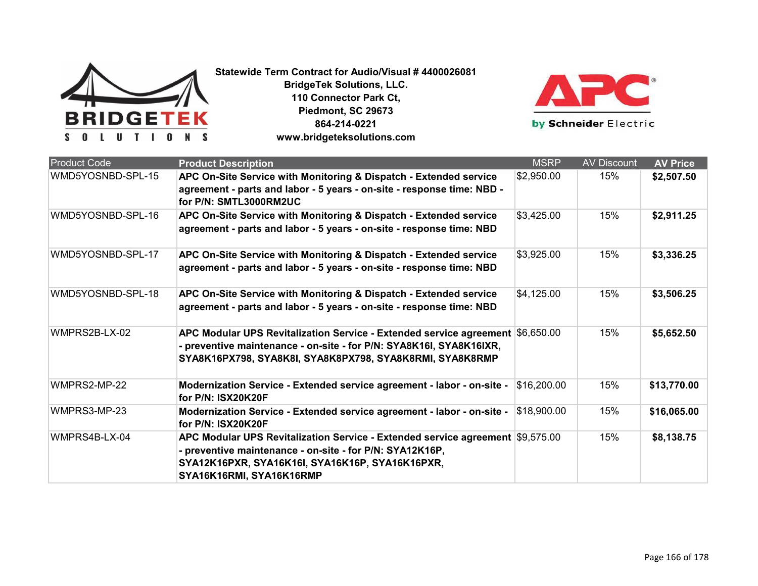



Product Code **Product Description** MSRP AV Discount **AV Price** WMD5YOSNBD-SPL-15 **APC On-Site Service with Monitoring & Dispatch - Extended service agreement - parts and labor - 5 years - on-site - response time: NBD for P/N: SMTL3000RM2UC** \$2,950.00 15% **\$2,507.50**  WMD5YOSNBD-SPL-16 **APC On-Site Service with Monitoring & Dispatch - Extended service agreement - parts and labor - 5 years - on-site - response time: NBD** \$3,425.00 15% **\$2,911.25**  WMD5YOSNBD-SPL-17 **APC On-Site Service with Monitoring & Dispatch - Extended service agreement - parts and labor - 5 years - on-site - response time: NBD** \$3,925.00 15% **\$3,336.25**  WMD5YOSNBD-SPL-18 **APC On-Site Service with Monitoring & Dispatch - Extended service agreement - parts and labor - 5 years - on-site - response time: NBD** \$4,125.00 15% **\$3,506.25**  WMPRS2B-LX-02 **APC Modular UPS Revitalization Service - Extended service agreement \$6,650.00 15% <b>\$5,652.50 - preventive maintenance - on-site - for P/N: SYA8K16I, SYA8K16IXR, SYA8K16PX798, SYA8K8I, SYA8K8PX798, SYA8K8RMI, SYA8K8RMP** WMPRS2-MP-22 **Modernization Service - Extended service agreement - labor - on-site for P/N: ISX20K20F** \$16,200.00 15% **\$13,770.00**  WMPRS3-MP-23 **Modernization Service - Extended service agreement - labor - on-site for P/N: ISX20K20F** \$18,900.00 15% **\$16,065.00**  WMPRS4B-LX-04 **APC Modular UPS Revitalization Service - Extended service agreement \$9,575.00 15% \$8,138.75 - preventive maintenance - on-site - for P/N: SYA12K16P, SYA12K16PXR, SYA16K16I, SYA16K16P, SYA16K16PXR,** 

**SYA16K16RMI, SYA16K16RMP**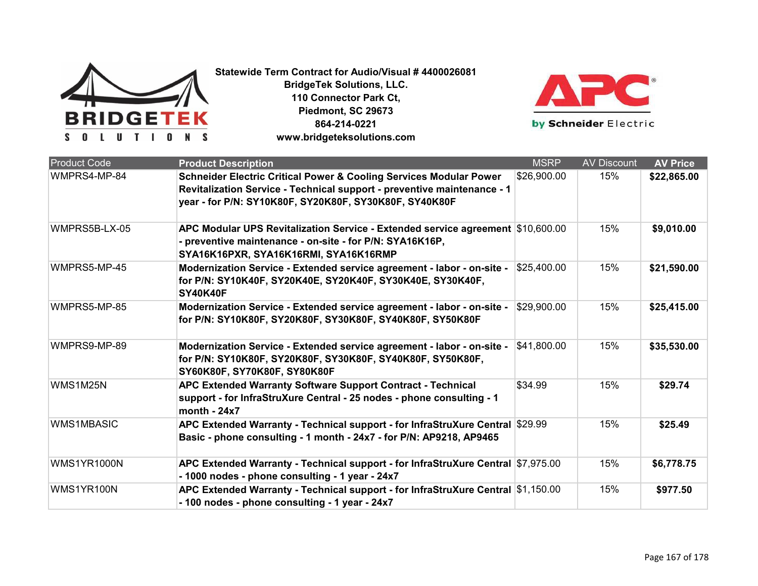



| <b>Product Code</b> | <b>Product Description</b>                                                                                                                                                                                         | <b>MSRP</b> | <b>AV Discount</b> | <b>AV Price</b> |
|---------------------|--------------------------------------------------------------------------------------------------------------------------------------------------------------------------------------------------------------------|-------------|--------------------|-----------------|
| WMPRS4-MP-84        | <b>Schneider Electric Critical Power &amp; Cooling Services Modular Power</b><br>Revitalization Service - Technical support - preventive maintenance - 1<br>year - for P/N: SY10K80F, SY20K80F, SY30K80F, SY40K80F | \$26,900.00 | 15%                | \$22,865.00     |
| WMPRS5B-LX-05       | APC Modular UPS Revitalization Service - Extended service agreement \$10,600.00<br>- preventive maintenance - on-site - for P/N: SYA16K16P,<br>SYA16K16PXR, SYA16K16RMI, SYA16K16RMP                               |             | 15%                | \$9,010.00      |
| WMPRS5-MP-45        | Modernization Service - Extended service agreement - labor - on-site -<br>for P/N: SY10K40F, SY20K40E, SY20K40F, SY30K40E, SY30K40F,<br><b>SY40K40F</b>                                                            | \$25,400.00 | 15%                | \$21,590.00     |
| WMPRS5-MP-85        | Modernization Service - Extended service agreement - labor - on-site -<br>for P/N: SY10K80F, SY20K80F, SY30K80F, SY40K80F, SY50K80F                                                                                | \$29,900.00 | 15%                | \$25,415.00     |
| WMPRS9-MP-89        | Modernization Service - Extended service agreement - labor - on-site -<br>for P/N: SY10K80F, SY20K80F, SY30K80F, SY40K80F, SY50K80F,<br>SY60K80F, SY70K80F, SY80K80F                                               | \$41,800.00 | 15%                | \$35,530.00     |
| WMS1M25N            | <b>APC Extended Warranty Software Support Contract - Technical</b><br>support - for InfraStruXure Central - 25 nodes - phone consulting - 1<br>month $-24x7$                                                       | \$34.99     | 15%                | \$29.74         |
| <b>WMS1MBASIC</b>   | APC Extended Warranty - Technical support - for InfraStruXure Central \$29.99<br>Basic - phone consulting - 1 month - 24x7 - for P/N: AP9218, AP9465                                                               |             | 15%                | \$25.49         |
| WMS1YR1000N         | APC Extended Warranty - Technical support - for InfraStruXure Central \$7,975.00<br>- 1000 nodes - phone consulting - 1 year - 24x7                                                                                |             | 15%                | \$6,778.75      |
| WMS1YR100N          | APC Extended Warranty - Technical support - for InfraStruXure Central \$1,150.00<br>- 100 nodes - phone consulting - 1 year - 24x7                                                                                 |             | 15%                | \$977.50        |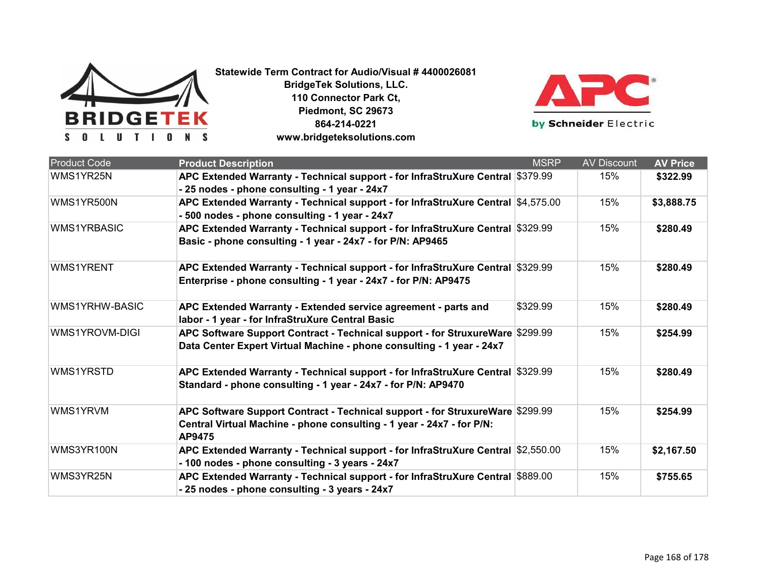



Product Code **Product Description** MSRP AV Discount **AV Price** WMS1YR25N |APC Extended Warranty - Technical support - for InfraStruXure Central **\$379.99** \$322.99 **- 25 nodes - phone consulting - 1 year - 24x7** WMS1YR500N |APC Extended Warranty - Technical support - for InfraStruXure Central **\$4,575.00** \$3,888.75 \$3,888.75 **- 500 nodes - phone consulting - 1 year - 24x7** WMS1YRBASIC |**APC Extended Warranty - Technical support - for InfraStruXure Central |\$329.99 | 15% | \$280.49 Basic - phone consulting - 1 year - 24x7 - for P/N: AP9465** WMS1YRENT **|APC Extended Warranty - Technical support - for InfraStruXure Central <b>|\$329.99 | 15% | \$280.49 Enterprise - phone consulting - 1 year - 24x7 - for P/N: AP9475** WMS1YRHW-BASIC **APC Extended Warranty - Extended service agreement - parts and labor - 1 year - for InfraStruXure Central Basic** \$329.99 15% **\$280.49**  WMS1YROVM-DIGI **APC Software Support Contract - Technical support - for StruxureWare**  \$299.99 15% **\$254.99 Data Center Expert Virtual Machine - phone consulting - 1 year - 24x7** WMS1YRSTD **APC Extended Warranty - Technical support - for InfraStruXure Central**  \$329.99 15% **\$280.49 Standard - phone consulting - 1 year - 24x7 - for P/N: AP9470** WMS1YRVM |**APC Software Support Contract - Technical support - for StruxureWare |\$299.99 | 15% | \$254.99 Central Virtual Machine - phone consulting - 1 year - 24x7 - for P/N: AP9475** WMS3YR100N |APC Extended Warranty - Technical support - for InfraStruXure Central **\$2,550.00** \$2,167.50 \$2,167.50 **- 100 nodes - phone consulting - 3 years - 24x7** WMS3YR25N |APC Extended Warranty - Technical support - for InfraStruXure Central **\$889.00** \$755.65 **- 25 nodes - phone consulting - 3 years - 24x7**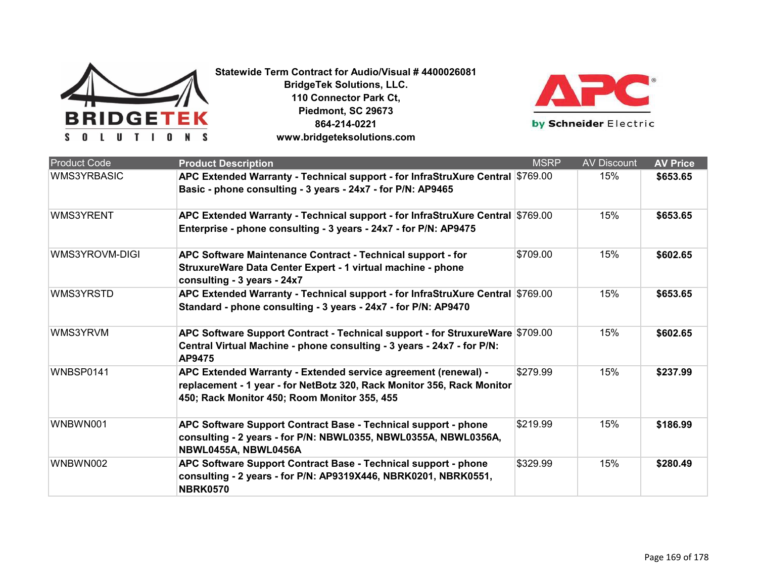



Product Code **Product Description** MSRP AV Discount **AV Price** WMS3YRBASIC **|APC Extended Warranty - Technical support - for InfraStruXure Central <b>\$769.00 | 15% | \$653.65 Basic - phone consulting - 3 years - 24x7 - for P/N: AP9465** WMS3YRENT **APC Extended Warranty - Technical support - for InfraStruXure Central <b>\$769.00 15% \$653.65 Enterprise - phone consulting - 3 years - 24x7 - for P/N: AP9475** WMS3YROVM-DIGI **APC Software Maintenance Contract - Technical support - for StruxureWare Data Center Expert - 1 virtual machine - phone consulting - 3 years - 24x7** \$709.00 15% **\$602.65**  WMS3YRSTD **|APC Extended Warranty - Technical support - for InfraStruXure Central <b>|\$769.00 | 15% | \$653.65 Standard - phone consulting - 3 years - 24x7 - for P/N: AP9470** WMS3YRVM |**APC Software Support Contract - Technical support - for StruxureWare |\$709.00 | 15% | \$602.65 Central Virtual Machine - phone consulting - 3 years - 24x7 - for P/N: AP9475** WNBSP0141 **APC Extended Warranty - Extended service agreement (renewal) replacement - 1 year - for NetBotz 320, Rack Monitor 356, Rack Monitor 450; Rack Monitor 450; Room Monitor 355, 455** \$279.99 15% **\$237.99**  WNBWN001 **APC Software Support Contract Base - Technical support - phone consulting - 2 years - for P/N: NBWL0355, NBWL0355A, NBWL0356A, NBWL0455A, NBWL0456A** \$219.99 15% **\$186.99**  WNBWN002 **APC Software Support Contract Base - Technical support - phone consulting - 2 years - for P/N: AP9319X446, NBRK0201, NBRK0551, NBRK0570** \$329.99 15% **\$280.49**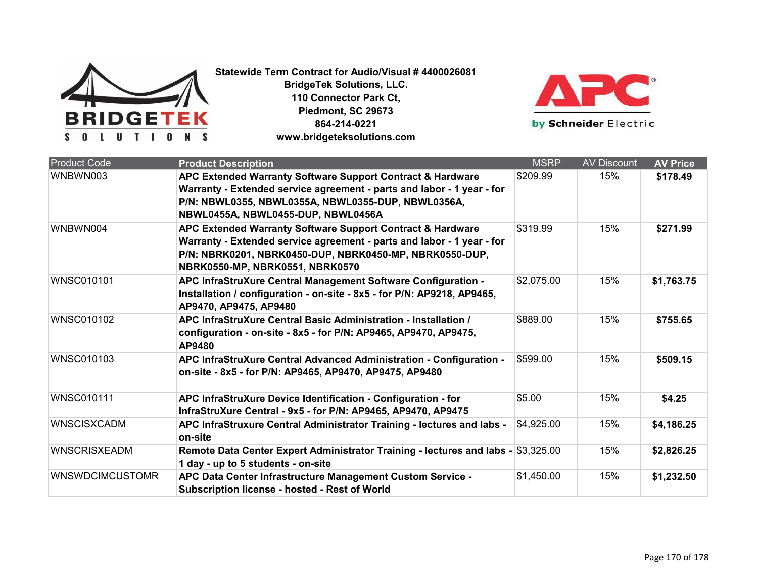



| <b>Product Code</b>    | <b>Product Description</b>                                                                                                                                                                                                         | <b>MSRP</b> | <b>AV Discount</b> | <b>AV Price</b> |
|------------------------|------------------------------------------------------------------------------------------------------------------------------------------------------------------------------------------------------------------------------------|-------------|--------------------|-----------------|
| WNBWN003               | APC Extended Warranty Software Support Contract & Hardware<br>Warranty - Extended service agreement - parts and labor - 1 year - for<br>P/N: NBWL0355, NBWL0355A, NBWL0355-DUP, NBWL0356A,<br>NBWL0455A, NBWL0455-DUP, NBWL0456A   | \$209.99    | 15%                | \$178.49        |
| WNBWN004               | APC Extended Warranty Software Support Contract & Hardware<br>Warranty - Extended service agreement - parts and labor - 1 year - for<br>P/N: NBRK0201, NBRK0450-DUP, NBRK0450-MP, NBRK0550-DUP,<br>NBRK0550-MP, NBRK0551, NBRK0570 | \$319.99    | 15%                | \$271.99        |
| <b>WNSC010101</b>      | APC InfraStruXure Central Management Software Configuration -<br>Installation / configuration - on-site - 8x5 - for P/N: AP9218, AP9465,<br>AP9470, AP9475, AP9480                                                                 | \$2,075.00  | 15%                | \$1,763.75      |
| <b>WNSC010102</b>      | APC InfraStruXure Central Basic Administration - Installation /<br>configuration - on-site - 8x5 - for P/N: AP9465, AP9470, AP9475,<br>AP9480                                                                                      | \$889.00    | 15%                | \$755.65        |
| <b>WNSC010103</b>      | APC InfraStruXure Central Advanced Administration - Configuration -<br>on-site - 8x5 - for P/N: AP9465, AP9470, AP9475, AP9480                                                                                                     | \$599.00    | 15%                | \$509.15        |
| <b>WNSC010111</b>      | APC InfraStruXure Device Identification - Configuration - for<br>InfraStruXure Central - 9x5 - for P/N: AP9465, AP9470, AP9475                                                                                                     | \$5.00      | 15%                | \$4.25          |
| <b>WNSCISXCADM</b>     | APC InfraStruxure Central Administrator Training - lectures and labs -<br>on-site                                                                                                                                                  | \$4,925.00  | 15%                | \$4,186.25      |
| <b>WNSCRISXEADM</b>    | Remote Data Center Expert Administrator Training - lectures and labs -<br>1 day - up to 5 students - on-site                                                                                                                       | \$3,325.00  | 15%                | \$2,826.25      |
| <b>WNSWDCIMCUSTOMR</b> | APC Data Center Infrastructure Management Custom Service -<br>Subscription license - hosted - Rest of World                                                                                                                        | \$1,450.00  | 15%                | \$1,232.50      |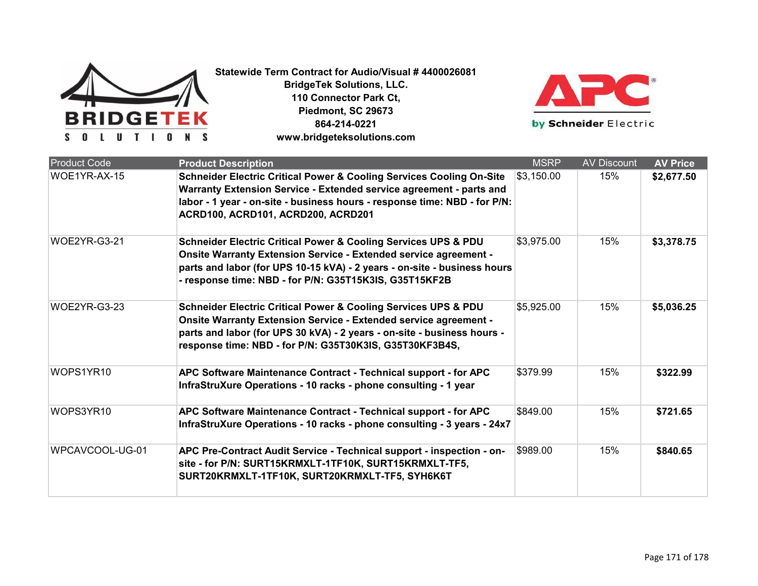



| <b>Product Code</b> | <b>Product Description</b>                                                                                                                                                                                                                                                                     | <b>MSRP</b> | <b>AV Discount</b> | <b>AV Price</b> |
|---------------------|------------------------------------------------------------------------------------------------------------------------------------------------------------------------------------------------------------------------------------------------------------------------------------------------|-------------|--------------------|-----------------|
| WOE1YR-AX-15        | <b>Schneider Electric Critical Power &amp; Cooling Services Cooling On-Site</b><br>Warranty Extension Service - Extended service agreement - parts and<br>labor - 1 year - on-site - business hours - response time: NBD - for P/N:<br>ACRD100, ACRD101, ACRD200, ACRD201                      | \$3,150.00  | 15%                | \$2,677.50      |
| <b>WOE2YR-G3-21</b> | <b>Schneider Electric Critical Power &amp; Cooling Services UPS &amp; PDU</b><br>Onsite Warranty Extension Service - Extended service agreement -<br>parts and labor (for UPS 10-15 kVA) - 2 years - on-site - business hours<br>- response time: NBD - for P/N: G35T15K3IS, G35T15KF2B        | \$3,975.00  | 15%                | \$3,378.75      |
| WOE2YR-G3-23        | <b>Schneider Electric Critical Power &amp; Cooling Services UPS &amp; PDU</b><br><b>Onsite Warranty Extension Service - Extended service agreement -</b><br>parts and labor (for UPS 30 kVA) - 2 years - on-site - business hours -<br>response time: NBD - for P/N: G35T30K3IS, G35T30KF3B4S, | \$5,925.00  | 15%                | \$5,036.25      |
| WOPS1YR10           | APC Software Maintenance Contract - Technical support - for APC<br>InfraStruXure Operations - 10 racks - phone consulting - 1 year                                                                                                                                                             | \$379.99    | 15%                | \$322.99        |
| WOPS3YR10           | APC Software Maintenance Contract - Technical support - for APC<br>InfraStruXure Operations - 10 racks - phone consulting - 3 years - 24x7                                                                                                                                                     | \$849.00    | 15%                | \$721.65        |
| WPCAVCOOL-UG-01     | APC Pre-Contract Audit Service - Technical support - inspection - on-<br>site - for P/N: SURT15KRMXLT-1TF10K, SURT15KRMXLT-TF5,<br>SURT20KRMXLT-1TF10K, SURT20KRMXLT-TF5, SYH6K6T                                                                                                              | \$989.00    | 15%                | \$840.65        |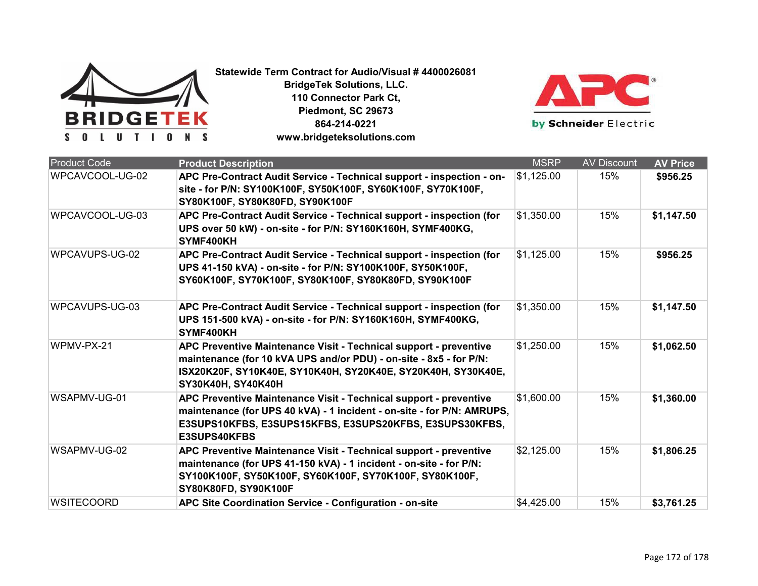



Product Code **Product Description** MSRP AV Discount **AV Price** WPCAVCOOL-UG-02 **APC Pre-Contract Audit Service - Technical support - inspection - onsite - for P/N: SY100K100F, SY50K100F, SY60K100F, SY70K100F, SY80K100F, SY80K80FD, SY90K100F** \$1,125.00 15% **\$956.25**  WPCAVCOOL-UG-03 **APC Pre-Contract Audit Service - Technical support - inspection (for UPS over 50 kW) - on-site - for P/N: SY160K160H, SYMF400KG, SYMF400KH** \$1,350.00 15% **\$1,147.50**  WPCAVUPS-UG-02 **APC Pre-Contract Audit Service - Technical support - inspection (for UPS 41-150 kVA) - on-site - for P/N: SY100K100F, SY50K100F, SY60K100F, SY70K100F, SY80K100F, SY80K80FD, SY90K100F** \$1,125.00 15% **\$956.25**  WPCAVUPS-UG-03 **APC Pre-Contract Audit Service - Technical support - inspection (for UPS 151-500 kVA) - on-site - for P/N: SY160K160H, SYMF400KG, SYMF400KH** \$1,350.00 15% **\$1,147.50**  WPMV-PX-21 **APC Preventive Maintenance Visit - Technical support - preventive maintenance (for 10 kVA UPS and/or PDU) - on-site - 8x5 - for P/N: ISX20K20F, SY10K40E, SY10K40H, SY20K40E, SY20K40H, SY30K40E, SY30K40H, SY40K40H** \$1,250.00 15% **\$1,062.50**  WSAPMV-UG-01 **APC Preventive Maintenance Visit - Technical support - preventive maintenance (for UPS 40 kVA) - 1 incident - on-site - for P/N: AMRUPS, E3SUPS10KFBS, E3SUPS15KFBS, E3SUPS20KFBS, E3SUPS30KFBS, E3SUPS40KFBS** \$1,600.00 15% **\$1,360.00**  WSAPMV-UG-02 **APC Preventive Maintenance Visit - Technical support - preventive maintenance (for UPS 41-150 kVA) - 1 incident - on-site - for P/N: SY100K100F, SY50K100F, SY60K100F, SY70K100F, SY80K100F, SY80K80FD, SY90K100F** \$2,125.00 15% **\$1,806.25**  WSITECOORD **APC Site Coordination Service - Configuration - on-site \$4,425.00 15% \$3,761.25**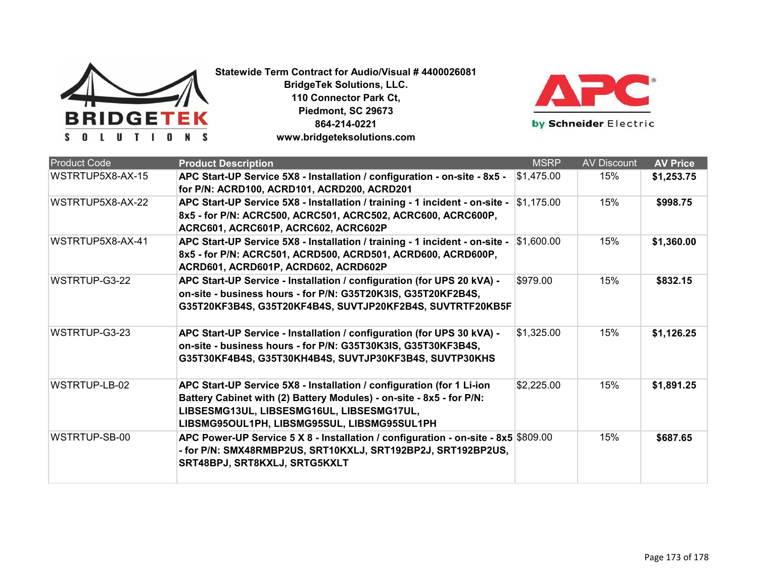



| <b>Product Code</b> | <b>Product Description</b>                                                                                                                                                                                                                | <b>MSRP</b> | <b>AV Discount</b> | <b>AV Price</b> |
|---------------------|-------------------------------------------------------------------------------------------------------------------------------------------------------------------------------------------------------------------------------------------|-------------|--------------------|-----------------|
| WSTRTUP5X8-AX-15    | APC Start-UP Service 5X8 - Installation / configuration - on-site - 8x5 -<br>for P/N: ACRD100, ACRD101, ACRD200, ACRD201                                                                                                                  | \$1,475.00  | 15%                | \$1,253.75      |
| WSTRTUP5X8-AX-22    | APC Start-UP Service 5X8 - Installation / training - 1 incident - on-site -<br>8x5 - for P/N: ACRC500, ACRC501, ACRC502, ACRC600, ACRC600P,<br>ACRC601, ACRC601P, ACRC602, ACRC602P                                                       | \$1,175.00  | 15%                | \$998.75        |
| WSTRTUP5X8-AX-41    | APC Start-UP Service 5X8 - Installation / training - 1 incident - on-site -<br>8x5 - for P/N: ACRC501, ACRD500, ACRD501, ACRD600, ACRD600P,<br>ACRD601, ACRD601P, ACRD602, ACRD602P                                                       | \$1,600.00  | 15%                | \$1,360.00      |
| WSTRTUP-G3-22       | APC Start-UP Service - Installation / configuration (for UPS 20 kVA) -<br>on-site - business hours - for P/N: G35T20K3IS, G35T20KF2B4S,<br>G35T20KF3B4S, G35T20KF4B4S, SUVTJP20KF2B4S, SUVTRTF20KB5F                                      | \$979.00    | 15%                | \$832.15        |
| WSTRTUP-G3-23       | APC Start-UP Service - Installation / configuration (for UPS 30 kVA) -<br>on-site - business hours - for P/N: G35T30K3IS, G35T30KF3B4S,<br>G35T30KF4B4S, G35T30KH4B4S, SUVTJP30KF3B4S, SUVTP30KHS                                         | \$1,325.00  | 15%                | \$1,126.25      |
| WSTRTUP-LB-02       | APC Start-UP Service 5X8 - Installation / configuration (for 1 Li-ion<br>Battery Cabinet with (2) Battery Modules) - on-site - 8x5 - for P/N:<br>LIBSESMG13UL, LIBSESMG16UL, LIBSESMG17UL,<br>LIBSMG95OUL1PH, LIBSMG95SUL, LIBSMG95SUL1PH | \$2,225.00  | 15%                | \$1,891.25      |
| WSTRTUP-SB-00       | APC Power-UP Service 5 X 8 - Installation / configuration - on-site - 8x5 \$809.00<br>- for P/N: SMX48RMBP2US, SRT10KXLJ, SRT192BP2J, SRT192BP2US,<br>SRT48BPJ, SRT8KXLJ, SRTG5KXLT                                                       |             | 15%                | \$687.65        |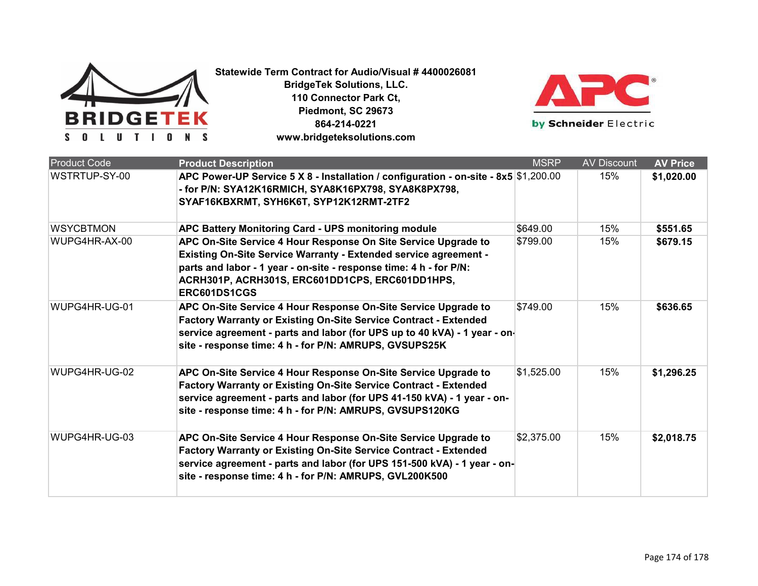



Product Code **Product Description** MSRP AV Discount **AV Price** WSTRTUP-SY-00 **APC Power-UP Service 5 X 8 - Installation / configuration - on-site - 8x5** \$1,200.00 **- for P/N: SYA12K16RMICH, SYA8K16PX798, SYA8K8PX798, SYAF16KBXRMT, SYH6K6T, SYP12K12RMT-2TF2** \$1,200.00 15% **\$1,020.00**  WSYCBTMON **APC Battery Monitoring Card - UPS monitoring module <b>\$649.00** 15% **\$551.65 \$551.65** WUPG4HR-AX-00 **APC On-Site Service 4 Hour Response On Site Service Upgrade to Existing On-Site Service Warranty - Extended service agreement parts and labor - 1 year - on-site - response time: 4 h - for P/N: ACRH301P, ACRH301S, ERC601DD1CPS, ERC601DD1HPS, ERC601DS1CGS** \$799.00 15% **\$679.15**  WUPG4HR-UG-01 **APC On-Site Service 4 Hour Response On-Site Service Upgrade to Factory Warranty or Existing On-Site Service Contract - Extended service agreement - parts and labor (for UPS up to 40 kVA) - 1 year - onsite - response time: 4 h - for P/N: AMRUPS, GVSUPS25K** \$749.00 15% **\$636.65**  WUPG4HR-UG-02 **APC On-Site Service 4 Hour Response On-Site Service Upgrade to Factory Warranty or Existing On-Site Service Contract - Extended service agreement - parts and labor (for UPS 41-150 kVA) - 1 year - onsite - response time: 4 h - for P/N: AMRUPS, GVSUPS120KG** \$1,525.00 15% **\$1,296.25**  WUPG4HR-UG-03 **APC On-Site Service 4 Hour Response On-Site Service Upgrade to Factory Warranty or Existing On-Site Service Contract - Extended service agreement - parts and labor (for UPS 151-500 kVA) - 1 year - onsite - response time: 4 h - for P/N: AMRUPS, GVL200K500** \$2,375.00 15% **\$2,018.75**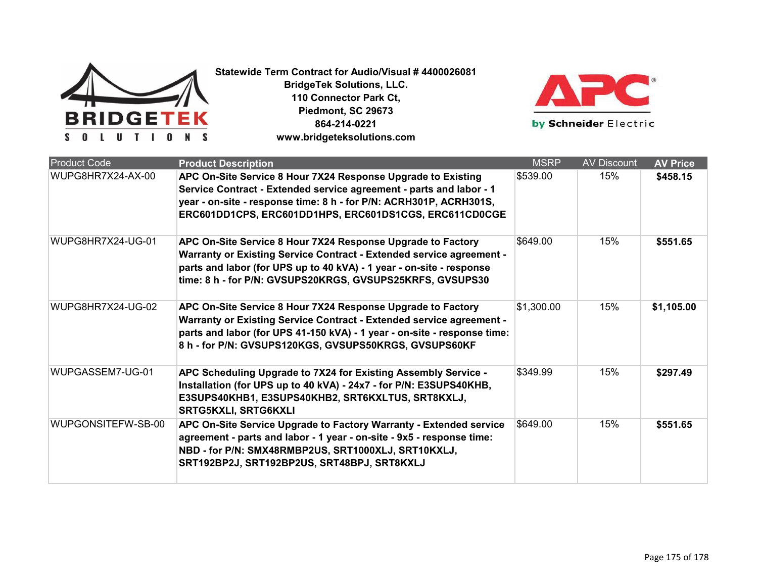



**Product Code <b>Product Description** MSRP AV Discount **AV Price** WUPG8HR7X24-AX-00 **APC On-Site Service 8 Hour 7X24 Response Upgrade to Existing Service Contract - Extended service agreement - parts and labor - 1 year - on-site - response time: 8 h - for P/N: ACRH301P, ACRH301S, ERC601DD1CPS, ERC601DD1HPS, ERC601DS1CGS, ERC611CD0CGE** \$539.00 15% **\$458.15**  WUPG8HR7X24-UG-01 **APC On-Site Service 8 Hour 7X24 Response Upgrade to Factory Warranty or Existing Service Contract - Extended service agreement parts and labor (for UPS up to 40 kVA) - 1 year - on-site - response time: 8 h - for P/N: GVSUPS20KRGS, GVSUPS25KRFS, GVSUPS30** \$649.00 15% **\$551.65**  WUPG8HR7X24-UG-02 **APC On-Site Service 8 Hour 7X24 Response Upgrade to Factory Warranty or Existing Service Contract - Extended service agreement parts and labor (for UPS 41-150 kVA) - 1 year - on-site - response time: 8 h - for P/N: GVSUPS120KGS, GVSUPS50KRGS, GVSUPS60KF** \$1,300.00 15% **\$1,105.00**  WUPGASSEM7-UG-01 **APC Scheduling Upgrade to 7X24 for Existing Assembly Service - Installation (for UPS up to 40 kVA) - 24x7 - for P/N: E3SUPS40KHB, E3SUPS40KHB1, E3SUPS40KHB2, SRT6KXLTUS, SRT8KXLJ, SRTG5KXLI, SRTG6KXLI** \$349.99 15% **\$297.49**  WUPGONSITEFW-SB-00 **APC On-Site Service Upgrade to Factory Warranty - Extended service agreement - parts and labor - 1 year - on-site - 9x5 - response time: NBD - for P/N: SMX48RMBP2US, SRT1000XLJ, SRT10KXLJ, SRT192BP2J, SRT192BP2US, SRT48BPJ, SRT8KXLJ** \$649.00 15% **\$551.65**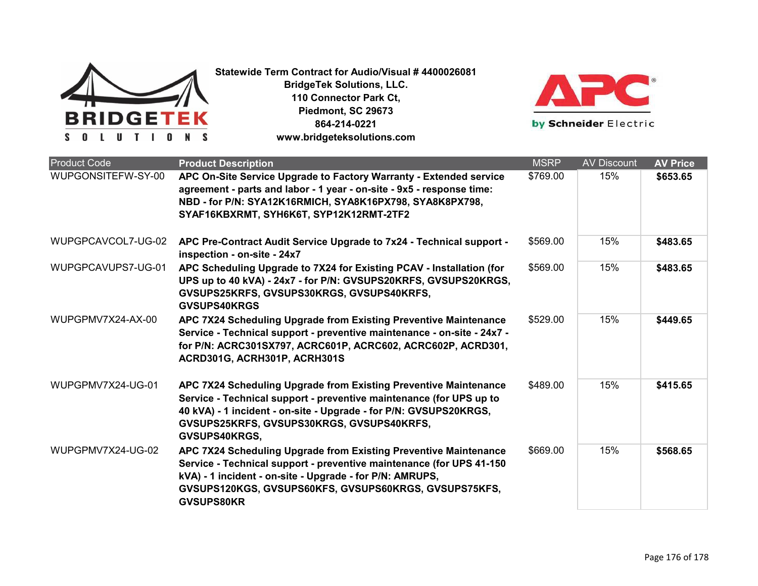



| <b>Product Code</b> | <b>Product Description</b>                                                                                                                                                                                                                                                         | <b>MSRP</b> | <b>AV Discount</b> | <b>AV Price</b> |
|---------------------|------------------------------------------------------------------------------------------------------------------------------------------------------------------------------------------------------------------------------------------------------------------------------------|-------------|--------------------|-----------------|
| WUPGONSITEFW-SY-00  | APC On-Site Service Upgrade to Factory Warranty - Extended service<br>agreement - parts and labor - 1 year - on-site - 9x5 - response time:<br>NBD - for P/N: SYA12K16RMICH, SYA8K16PX798, SYA8K8PX798,<br>SYAF16KBXRMT, SYH6K6T, SYP12K12RMT-2TF2                                 | \$769.00    | 15%                | \$653.65        |
| WUPGPCAVCOL7-UG-02  | APC Pre-Contract Audit Service Upgrade to 7x24 - Technical support -<br>inspection - on-site - 24x7                                                                                                                                                                                | \$569.00    | 15%                | \$483.65        |
| WUPGPCAVUPS7-UG-01  | APC Scheduling Upgrade to 7X24 for Existing PCAV - Installation (for<br>UPS up to 40 kVA) - 24x7 - for P/N: GVSUPS20KRFS, GVSUPS20KRGS,<br>GVSUPS25KRFS, GVSUPS30KRGS, GVSUPS40KRFS,<br><b>GVSUPS40KRGS</b>                                                                        | \$569.00    | 15%                | \$483.65        |
| WUPGPMV7X24-AX-00   | APC 7X24 Scheduling Upgrade from Existing Preventive Maintenance<br>Service - Technical support - preventive maintenance - on-site - 24x7 -<br>for P/N: ACRC301SX797, ACRC601P, ACRC602, ACRC602P, ACRD301,<br>ACRD301G, ACRH301P, ACRH301S                                        | \$529.00    | 15%                | \$449.65        |
| WUPGPMV7X24-UG-01   | APC 7X24 Scheduling Upgrade from Existing Preventive Maintenance<br>Service - Technical support - preventive maintenance (for UPS up to<br>40 kVA) - 1 incident - on-site - Upgrade - for P/N: GVSUPS20KRGS,<br>GVSUPS25KRFS, GVSUPS30KRGS, GVSUPS40KRFS,<br><b>GVSUPS40KRGS,</b>  | \$489.00    | 15%                | \$415.65        |
| WUPGPMV7X24-UG-02   | APC 7X24 Scheduling Upgrade from Existing Preventive Maintenance<br>Service - Technical support - preventive maintenance (for UPS 41-150<br>kVA) - 1 incident - on-site - Upgrade - for P/N: AMRUPS,<br>GVSUPS120KGS, GVSUPS60KFS, GVSUPS60KRGS, GVSUPS75KFS,<br><b>GVSUPS80KR</b> | \$669.00    | 15%                | \$568.65        |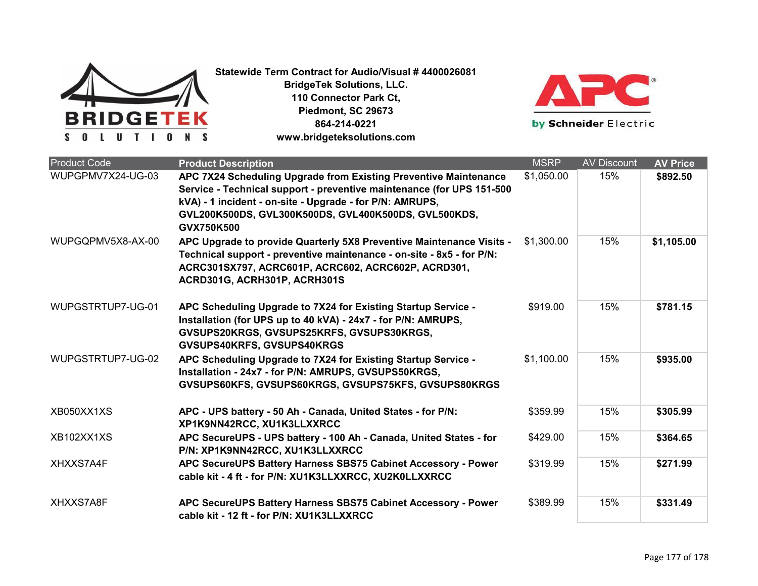



**Product Code <b>Product Description** MSRP AV Discount **AV Price** WUPGPMV7X24-UG-03 **APC 7X24 Scheduling Upgrade from Existing Preventive Maintenance Service - Technical support - preventive maintenance (for UPS 151-500 kVA) - 1 incident - on-site - Upgrade - for P/N: AMRUPS, GVL200K500DS, GVL300K500DS, GVL400K500DS, GVL500KDS, GVX750K500** \$1,050.00 15% **\$892.50**  WUPGQPMV5X8-AX-00 **APC Upgrade to provide Quarterly 5X8 Preventive Maintenance Visits - Technical support - preventive maintenance - on-site - 8x5 - for P/N: ACRC301SX797, ACRC601P, ACRC602, ACRC602P, ACRD301, ACRD301G, ACRH301P, ACRH301S** \$1,300.00 15% **\$1,105.00**  WUPGSTRTUP7-UG-01 **APC Scheduling Upgrade to 7X24 for Existing Startup Service - Installation (for UPS up to 40 kVA) - 24x7 - for P/N: AMRUPS, GVSUPS20KRGS, GVSUPS25KRFS, GVSUPS30KRGS, GVSUPS40KRFS, GVSUPS40KRGS** \$919.00 15% **\$781.15**  WUPGSTRTUP7-UG-02 **APC Scheduling Upgrade to 7X24 for Existing Startup Service - Installation - 24x7 - for P/N: AMRUPS, GVSUPS50KRGS, GVSUPS60KFS, GVSUPS60KRGS, GVSUPS75KFS, GVSUPS80KRGS** \$1,100.00 15% **\$935.00**  XB050XX1XS **APC - UPS battery - 50 Ah - Canada, United States - for P/N: XP1K9NN42RCC, XU1K3LLXXRCC** \$359.99 15% **\$305.99**  XB102XX1XS **APC SecureUPS - UPS battery - 100 Ah - Canada, United States - for P/N: XP1K9NN42RCC, XU1K3LLXXRCC** \$429.00 15% **\$364.65**  XHXXS7A4F **APC SecureUPS Battery Harness SBS75 Cabinet Accessory - Power cable kit - 4 ft - for P/N: XU1K3LLXXRCC, XU2K0LLXXRCC** \$319.99 15% **\$271.99**  XHXXS7A8F **APC SecureUPS Battery Harness SBS75 Cabinet Accessory - Power**  \$389.99 15% **\$331.49** 

**cable kit - 12 ft - for P/N: XU1K3LLXXRCC**